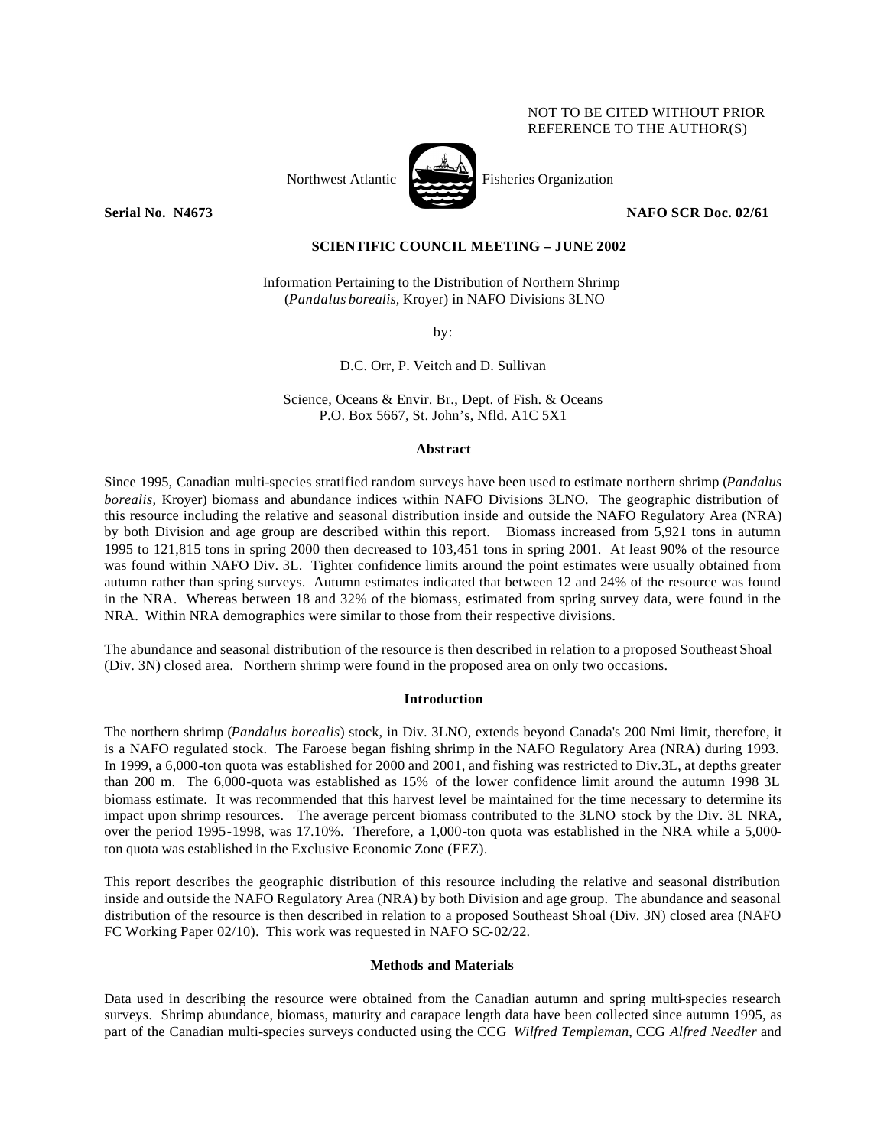## NOT TO BE CITED WITHOUT PRIOR REFERENCE TO THE AUTHOR(S)



Northwest Atlantic Fisheries Organization

**Serial No. N4673 NAFO SCR Doc. 02/61**

# **SCIENTIFIC COUNCIL MEETING – JUNE 2002**

Information Pertaining to the Distribution of Northern Shrimp (*Pandalus borealis,* Kroyer) in NAFO Divisions 3LNO

by:

D.C. Orr, P. Veitch and D. Sullivan

Science, Oceans & Envir. Br., Dept. of Fish. & Oceans P.O. Box 5667, St. John's, Nfld. A1C 5X1

#### **Abstract**

Since 1995, Canadian multi-species stratified random surveys have been used to estimate northern shrimp (*Pandalus borealis,* Kroyer) biomass and abundance indices within NAFO Divisions 3LNO. The geographic distribution of this resource including the relative and seasonal distribution inside and outside the NAFO Regulatory Area (NRA) by both Division and age group are described within this report. Biomass increased from 5,921 tons in autumn 1995 to 121,815 tons in spring 2000 then decreased to 103,451 tons in spring 2001. At least 90% of the resource was found within NAFO Div. 3L. Tighter confidence limits around the point estimates were usually obtained from autumn rather than spring surveys. Autumn estimates indicated that between 12 and 24% of the resource was found in the NRA. Whereas between 18 and 32% of the biomass, estimated from spring survey data, were found in the NRA. Within NRA demographics were similar to those from their respective divisions.

The abundance and seasonal distribution of the resource is then described in relation to a proposed Southeast Shoal (Div. 3N) closed area. Northern shrimp were found in the proposed area on only two occasions.

#### **Introduction**

The northern shrimp (*Pandalus borealis*) stock, in Div. 3LNO, extends beyond Canada's 200 Nmi limit, therefore, it is a NAFO regulated stock. The Faroese began fishing shrimp in the NAFO Regulatory Area (NRA) during 1993. In 1999, a 6,000-ton quota was established for 2000 and 2001, and fishing was restricted to Div.3L, at depths greater than 200 m. The 6,000-quota was established as 15% of the lower confidence limit around the autumn 1998 3L biomass estimate. It was recommended that this harvest level be maintained for the time necessary to determine its impact upon shrimp resources. The average percent biomass contributed to the 3LNO stock by the Div. 3L NRA, over the period 1995-1998, was 17.10%. Therefore, a 1,000-ton quota was established in the NRA while a 5,000 ton quota was established in the Exclusive Economic Zone (EEZ).

This report describes the geographic distribution of this resource including the relative and seasonal distribution inside and outside the NAFO Regulatory Area (NRA) by both Division and age group. The abundance and seasonal distribution of the resource is then described in relation to a proposed Southeast Shoal (Div. 3N) closed area (NAFO FC Working Paper 02/10). This work was requested in NAFO SC-02/22.

### **Methods and Materials**

Data used in describing the resource were obtained from the Canadian autumn and spring multi-species research surveys. Shrimp abundance, biomass, maturity and carapace length data have been collected since autumn 1995, as part of the Canadian multi-species surveys conducted using the CCG *Wilfred Templeman*, CCG *Alfred Needler* and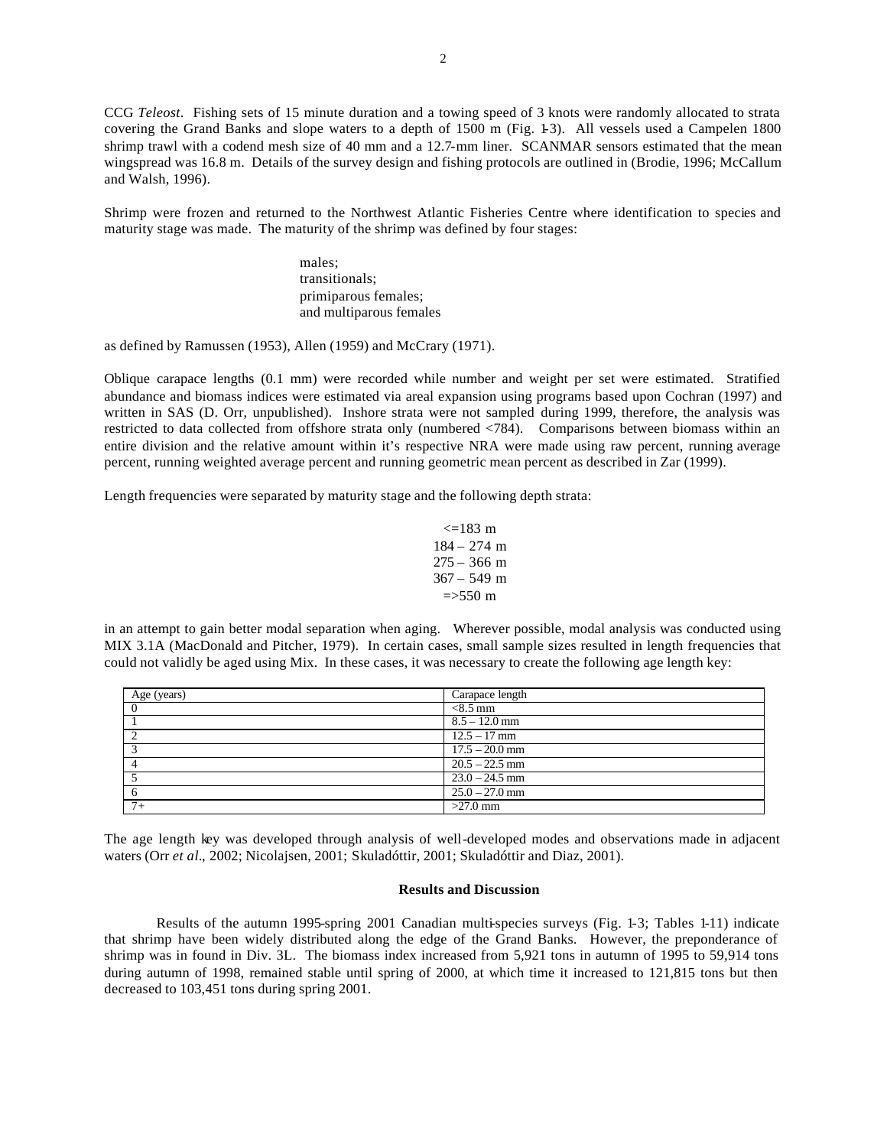CCG *Teleost*. Fishing sets of 15 minute duration and a towing speed of 3 knots were randomly allocated to strata covering the Grand Banks and slope waters to a depth of 1500 m (Fig. 1-3). All vessels used a Campelen 1800 shrimp trawl with a codend mesh size of 40 mm and a 12.7-mm liner. SCANMAR sensors estimated that the mean wingspread was 16.8 m. Details of the survey design and fishing protocols are outlined in (Brodie, 1996; McCallum and Walsh, 1996).

Shrimp were frozen and returned to the Northwest Atlantic Fisheries Centre where identification to species and maturity stage was made. The maturity of the shrimp was defined by four stages:

> males; transitionals; primiparous females; and multiparous females

as defined by Ramussen (1953), Allen (1959) and McCrary (1971).

Oblique carapace lengths (0.1 mm) were recorded while number and weight per set were estimated. Stratified abundance and biomass indices were estimated via areal expansion using programs based upon Cochran (1997) and written in SAS (D. Orr, unpublished). Inshore strata were not sampled during 1999, therefore, the analysis was restricted to data collected from offshore strata only (numbered <784). Comparisons between biomass within an entire division and the relative amount within it's respective NRA were made using raw percent, running average percent, running weighted average percent and running geometric mean percent as described in Zar (1999).

Length frequencies were separated by maturity stage and the following depth strata:

$$
<=183 \text{ m}
$$
\n
$$
184 - 274 \text{ m}
$$
\n
$$
275 - 366 \text{ m}
$$
\n
$$
367 - 549 \text{ m}
$$
\n
$$
=>550 \text{ m}
$$

in an attempt to gain better modal separation when aging. Wherever possible, modal analysis was conducted using MIX 3.1A (MacDonald and Pitcher, 1979). In certain cases, small sample sizes resulted in length frequencies that could not validly be aged using Mix. In these cases, it was necessary to create the following age length key:

| Age (years) | Carapace length  |
|-------------|------------------|
|             | $< 8.5$ mm       |
|             | $8.5 - 12.0$ mm  |
|             | $12.5 - 17$ mm   |
|             | $17.5 - 20.0$ mm |
|             | $20.5 - 22.5$ mm |
|             | $23.0 - 24.5$ mm |
|             | $25.0 - 27.0$ mm |
| $7+$        | $>27.0$ mm       |

The age length key was developed through analysis of well-developed modes and observations made in adjacent waters (Orr *et al.*, 2002; Nicolajsen, 2001; Skuladóttir, 2001; Skuladóttir and Diaz, 2001).

### **Results and Discussion**

Results of the autumn 1995-spring 2001 Canadian multi-species surveys (Fig. 1-3; Tables 1-11) indicate that shrimp have been widely distributed along the edge of the Grand Banks. However, the preponderance of shrimp was in found in Div. 3L. The biomass index increased from 5,921 tons in autumn of 1995 to 59,914 tons during autumn of 1998, remained stable until spring of 2000, at which time it increased to 121,815 tons but then decreased to 103,451 tons during spring 2001.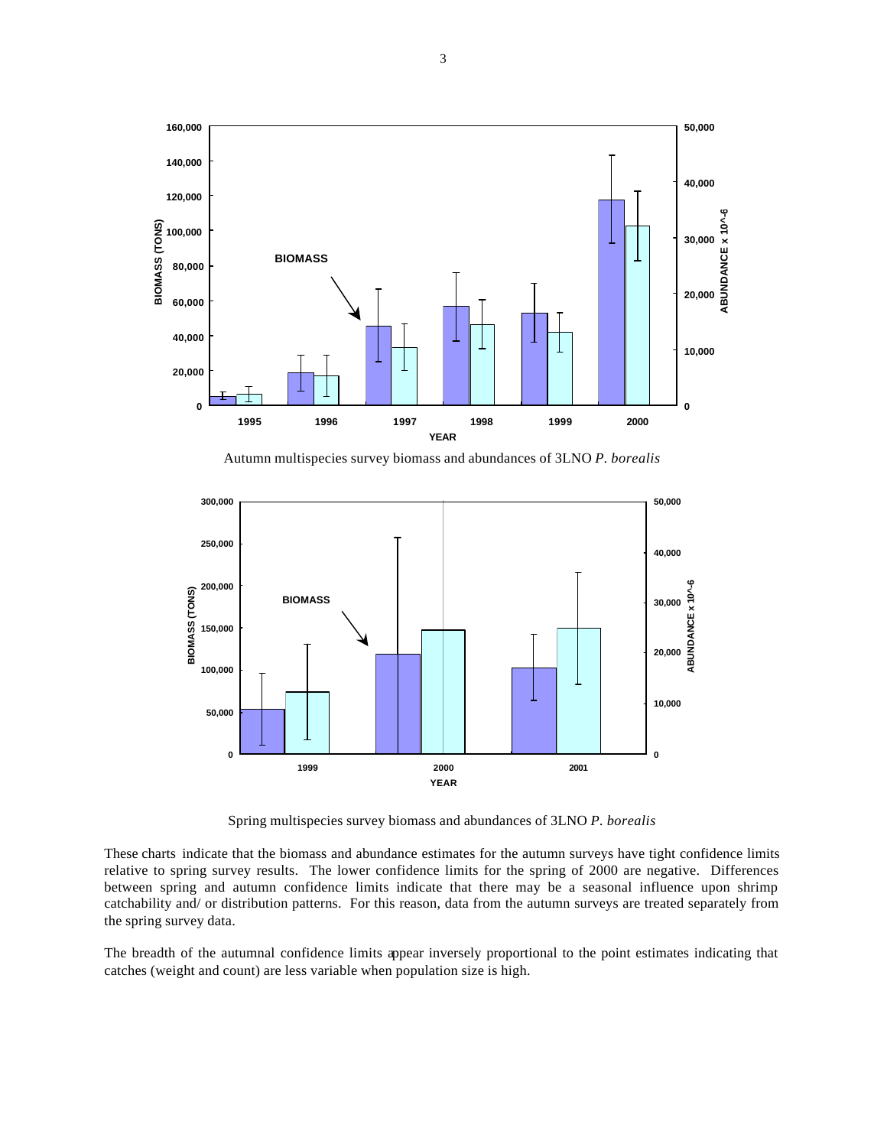

Autumn multispecies survey biomass and abundances of 3LNO *P. borealis*



Spring multispecies survey biomass and abundances of 3LNO *P. borealis*

These charts indicate that the biomass and abundance estimates for the autumn surveys have tight confidence limits relative to spring survey results. The lower confidence limits for the spring of 2000 are negative. Differences between spring and autumn confidence limits indicate that there may be a seasonal influence upon shrimp catchability and/ or distribution patterns. For this reason, data from the autumn surveys are treated separately from the spring survey data.

The breadth of the autumnal confidence limits appear inversely proportional to the point estimates indicating that catches (weight and count) are less variable when population size is high.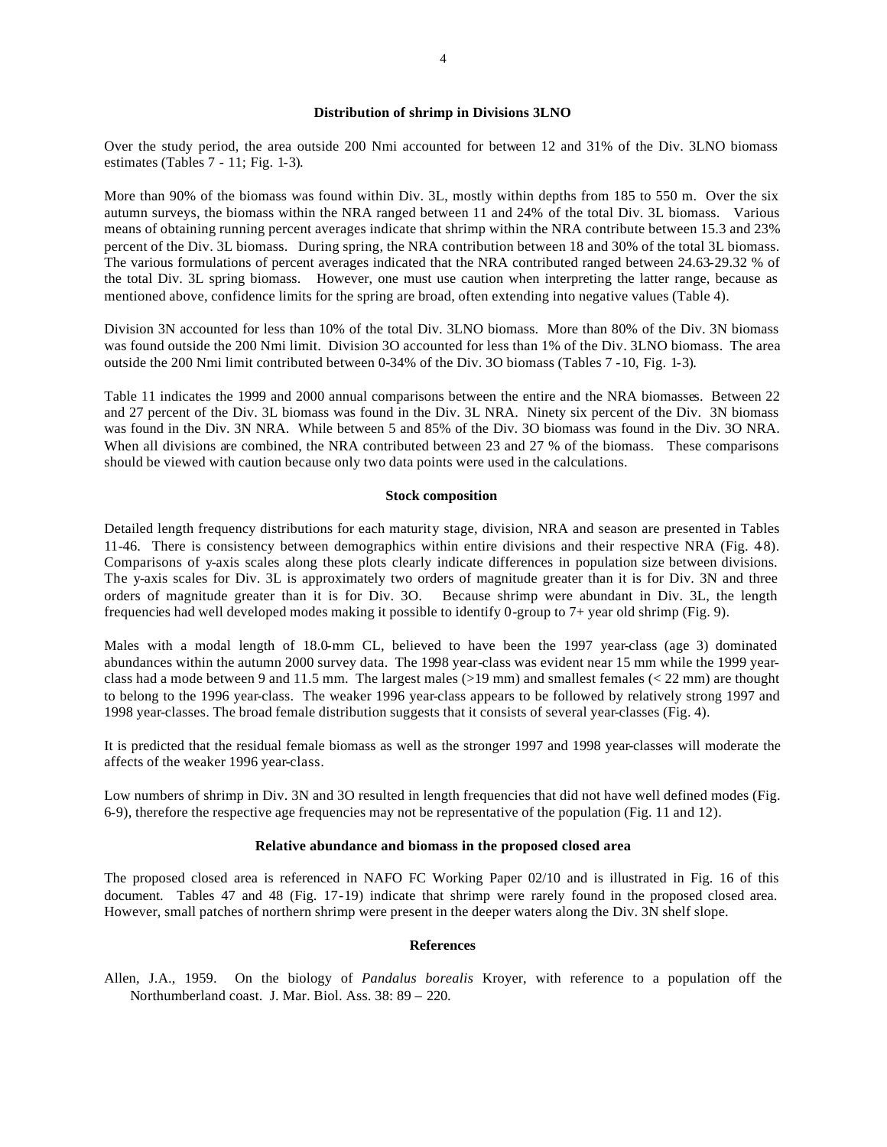Over the study period, the area outside 200 Nmi accounted for between 12 and 31% of the Div. 3LNO biomass estimates (Tables 7 - 11; Fig. 1-3).

More than 90% of the biomass was found within Div. 3L, mostly within depths from 185 to 550 m. Over the six autumn surveys, the biomass within the NRA ranged between 11 and 24% of the total Div. 3L biomass. Various means of obtaining running percent averages indicate that shrimp within the NRA contribute between 15.3 and 23% percent of the Div. 3L biomass. During spring, the NRA contribution between 18 and 30% of the total 3L biomass. The various formulations of percent averages indicated that the NRA contributed ranged between 24.63-29.32 % of the total Div. 3L spring biomass. However, one must use caution when interpreting the latter range, because as mentioned above, confidence limits for the spring are broad, often extending into negative values (Table 4).

Division 3N accounted for less than 10% of the total Div. 3LNO biomass. More than 80% of the Div. 3N biomass was found outside the 200 Nmi limit. Division 3O accounted for less than 1% of the Div. 3LNO biomass. The area outside the 200 Nmi limit contributed between 0-34% of the Div. 3O biomass (Tables 7 -10, Fig. 1-3).

Table 11 indicates the 1999 and 2000 annual comparisons between the entire and the NRA biomasses. Between 22 and 27 percent of the Div. 3L biomass was found in the Div. 3L NRA. Ninety six percent of the Div. 3N biomass was found in the Div. 3N NRA. While between 5 and 85% of the Div. 3O biomass was found in the Div. 3O NRA. When all divisions are combined, the NRA contributed between 23 and 27 % of the biomass. These comparisons should be viewed with caution because only two data points were used in the calculations.

#### **Stock composition**

Detailed length frequency distributions for each maturity stage, division, NRA and season are presented in Tables 11-46. There is consistency between demographics within entire divisions and their respective NRA (Fig. 4-8). Comparisons of y-axis scales along these plots clearly indicate differences in population size between divisions. The y-axis scales for Div. 3L is approximately two orders of magnitude greater than it is for Div. 3N and three orders of magnitude greater than it is for Div. 3O. Because shrimp were abundant in Div. 3L, the length frequencies had well developed modes making it possible to identify 0-group to 7+ year old shrimp (Fig. 9).

Males with a modal length of 18.0-mm CL, believed to have been the 1997 year-class (age 3) dominated abundances within the autumn 2000 survey data. The 1998 year-class was evident near 15 mm while the 1999 yearclass had a mode between 9 and 11.5 mm. The largest males (>19 mm) and smallest females (< 22 mm) are thought to belong to the 1996 year-class. The weaker 1996 year-class appears to be followed by relatively strong 1997 and 1998 year-classes. The broad female distribution suggests that it consists of several year-classes (Fig. 4).

It is predicted that the residual female biomass as well as the stronger 1997 and 1998 year-classes will moderate the affects of the weaker 1996 year-class.

Low numbers of shrimp in Div. 3N and 3O resulted in length frequencies that did not have well defined modes (Fig. 6-9), therefore the respective age frequencies may not be representative of the population (Fig. 11 and 12).

## **Relative abundance and biomass in the proposed closed area**

The proposed closed area is referenced in NAFO FC Working Paper 02/10 and is illustrated in Fig. 16 of this document. Tables 47 and 48 (Fig. 17-19) indicate that shrimp were rarely found in the proposed closed area. However, small patches of northern shrimp were present in the deeper waters along the Div. 3N shelf slope.

### **References**

Allen, J.A., 1959. On the biology of *Pandalus borealis* Kroyer, with reference to a population off the Northumberland coast. J. Mar. Biol. Ass. 38: 89 – 220.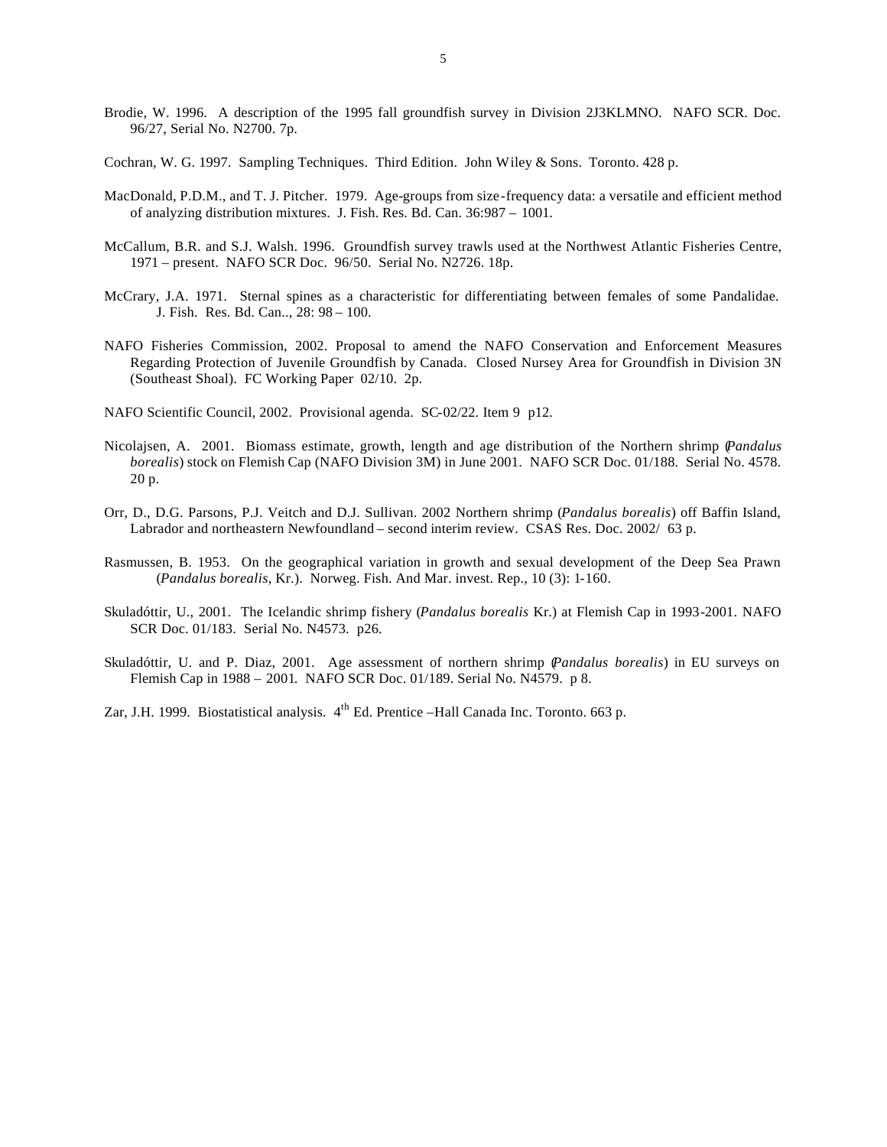- Brodie, W. 1996. A description of the 1995 fall groundfish survey in Division 2J3KLMNO. NAFO SCR. Doc. 96/27, Serial No. N2700. 7p.
- Cochran, W. G. 1997. Sampling Techniques. Third Edition. John Wiley & Sons. Toronto. 428 p.
- MacDonald, P.D.M., and T. J. Pitcher. 1979. Age-groups from size-frequency data: a versatile and efficient method of analyzing distribution mixtures. J. Fish. Res. Bd. Can. 36:987 – 1001.
- McCallum, B.R. and S.J. Walsh. 1996. Groundfish survey trawls used at the Northwest Atlantic Fisheries Centre, 1971 – present. NAFO SCR Doc. 96/50. Serial No. N2726. 18p.
- McCrary, J.A. 1971. Sternal spines as a characteristic for differentiating between females of some Pandalidae. J. Fish. Res. Bd. Can.., 28: 98 – 100.
- NAFO Fisheries Commission, 2002. Proposal to amend the NAFO Conservation and Enforcement Measures Regarding Protection of Juvenile Groundfish by Canada. Closed Nursey Area for Groundfish in Division 3N (Southeast Shoal). FC Working Paper 02/10. 2p.
- NAFO Scientific Council, 2002. Provisional agenda. SC-02/22. Item 9 p12.
- Nicolajsen, A. 2001. Biomass estimate, growth, length and age distribution of the Northern shrimp (*Pandalus borealis*) stock on Flemish Cap (NAFO Division 3M) in June 2001. NAFO SCR Doc. 01/188. Serial No. 4578. 20 p.
- Orr, D., D.G. Parsons, P.J. Veitch and D.J. Sullivan. 2002 Northern shrimp (*Pandalus borealis*) off Baffin Island, Labrador and northeastern Newfoundland – second interim review. CSAS Res. Doc. 2002/ 63 p.
- Rasmussen, B. 1953. On the geographical variation in growth and sexual development of the Deep Sea Prawn (*Pandalus borealis*, Kr.). Norweg. Fish. And Mar. invest. Rep., 10 (3): 1-160.
- Skuladóttir, U., 2001. The Icelandic shrimp fishery (*Pandalus borealis* Kr.) at Flemish Cap in 1993-2001. NAFO SCR Doc. 01/183. Serial No. N4573. p26.
- Skuladóttir, U. and P. Diaz, 2001. Age assessment of northern shrimp (*Pandalus borealis*) in EU surveys on Flemish Cap in 1988 – 2001. NAFO SCR Doc. 01/189. Serial No. N4579. p 8.
- Zar, J.H. 1999. Biostatistical analysis. 4<sup>th</sup> Ed. Prentice –Hall Canada Inc. Toronto. 663 p.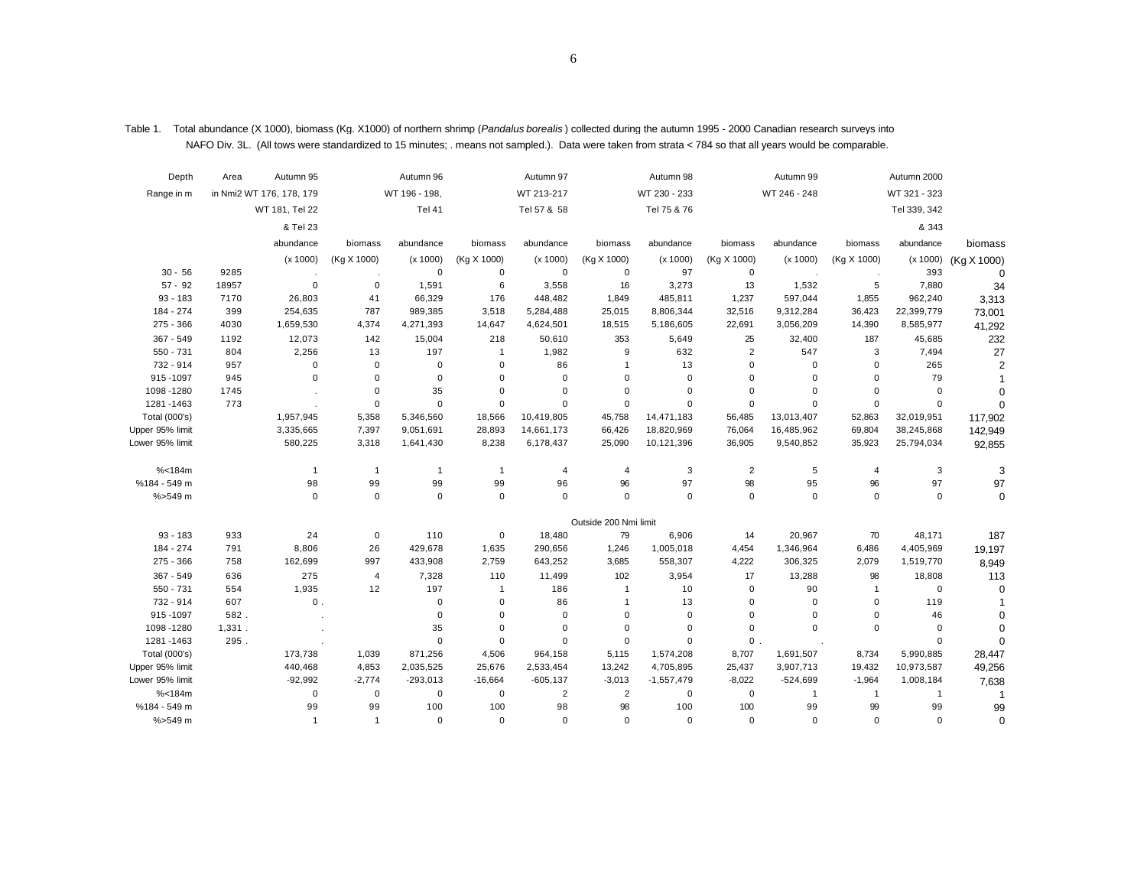| in Nmi2 WT 176, 178, 179<br>WT 196 - 198,<br>WT 213-217<br>WT 230 - 233<br>WT 246 - 248<br>WT 321 - 323<br>Range in m<br>Tel 41<br>Tel 57 & 58<br>Tel 75 & 76<br>Tel 339, 342<br>WT 181, Tel 22<br>& Tel 23<br>& 343<br>abundance<br>abundance<br>abundance<br>abundance<br>biomass<br>abundance<br>biomass<br>biomass<br>abundance<br>biomass<br>biomass<br>biomass<br>(x 1000)<br>(Kg X 1000)<br>(x 1000)<br>(Kg X 1000)<br>(x 1000)<br>(Kg X 1000)<br>(Kg X 1000)<br>(x 1000)<br>(Kg X 1000)<br>(x 1000)<br>(Kg X 1000)<br>(x 1000)<br>97<br>$30 - 56$<br>9285<br>$\mathbf 0$<br>$\mathbf 0$<br>$\mathbf 0$<br>$\mathbf 0$<br>$\mathbf 0$<br>393<br>$\Omega$<br>$57 - 92$<br>1,591<br>6<br>3,558<br>16<br>3,273<br>13<br>5<br>18957<br>0<br>$\mathbf 0$<br>1,532<br>7,880<br>34<br>$93 - 183$<br>7170<br>26,803<br>41<br>66,329<br>176<br>448,482<br>1,849<br>485,811<br>1,237<br>597,044<br>1,855<br>962,240<br>3,313<br>184 - 274<br>399<br>254,635<br>787<br>989,385<br>3,518<br>5,284,488<br>25,015<br>8,806,344<br>32,516<br>9,312,284<br>36,423<br>22,399,779<br>73,001<br>$275 - 366$<br>4030<br>1,659,530<br>4,374<br>4,271,393<br>14,647<br>4,624,501<br>18,515<br>5,186,605<br>22,691<br>3,056,209<br>14,390<br>8,585,977<br>41,292<br>367 - 549<br>1192<br>12,073<br>142<br>15,004<br>218<br>50,610<br>353<br>5,649<br>25<br>32,400<br>187<br>45,685<br>232<br>$\overline{2}$<br>547<br>$550 - 731$<br>2,256<br>197<br>632<br>3<br>7,494<br>27<br>804<br>13<br>$\overline{1}$<br>1,982<br>9<br>265<br>$\overline{2}$<br>732 - 914<br>957<br>0<br>$\mathbf 0$<br>$\mathbf 0$<br>$\mathbf 0$<br>86<br>13<br>$\mathbf 0$<br>0<br>0<br>-1<br>$\mathbf 0$<br>$\mathbf 0$<br>915-1097<br>945<br>0<br>$\mathbf 0$<br>$\mathbf 0$<br>$\mathbf 0$<br>$\mathbf 0$<br>$\mathbf 0$<br>$\mathbf 0$<br>79<br>$\mathbf 0$<br>$\overline{1}$<br>$\mathbf 0$<br>35<br>$\mathbf 0$<br>$\mathbf 0$<br>$\mathbf 0$<br>$\mathbf 0$<br>$\mathbf 0$<br>1098-1280<br>1745<br>$\mathbf 0$<br>$\mathbf 0$<br>$\mathbf 0$<br>$\mathbf 0$<br>$\Omega$<br>1281-1463<br>773<br>$\mathbf 0$<br>$\mathbf 0$<br>$\mathbf 0$<br>$\Omega$<br>$\mathbf 0$<br>$\mathbf 0$<br>$\Omega$<br>$\Omega$<br>$\Omega$<br>$\mathbf 0$<br>Total (000's)<br>1,957,945<br>5,358<br>5,346,560<br>18,566<br>10,419,805<br>45,758<br>14,471,183<br>56,485<br>13,013,407<br>52,863<br>32,019,951<br>117,902<br>Upper 95% limit<br>3,335,665<br>7,397<br>9,051,691<br>28,893<br>14,661,173<br>66,426<br>18,820,969<br>76,064<br>16,485,962<br>69,804<br>38,245,868<br>142,949<br>Lower 95% limit<br>580,225<br>3,318<br>1,641,430<br>8,238<br>6,178,437<br>25,090<br>10,121,396<br>36,905<br>9,540,852<br>35,923<br>25,794,034<br>92,855<br>% < 184m<br>$\overline{1}$<br>$\overline{4}$<br>3<br>2<br>5<br>3<br>3<br>$\overline{1}$<br>$\overline{1}$<br>$\overline{1}$<br>$\overline{4}$<br>$\overline{4}$<br>%184 - 549 m<br>98<br>99<br>99<br>99<br>96<br>96<br>97<br>98<br>95<br>96<br>97<br>97<br>$% > 549$ m<br>$\mathbf 0$<br>$\mathbf 0$<br>$\mathbf 0$<br>$\mathbf 0$<br>$\mathbf 0$<br>$\mathbf 0$<br>$\mathbf 0$<br>$\mathbf 0$<br>$\mathbf 0$<br>$\mathbf 0$<br>$\mathbf 0$<br>$\mathbf 0$<br>Outside 200 Nmi limit<br>24<br>79<br>6,906<br>70<br>$93 - 183$<br>933<br>$\mathbf 0$<br>110<br>$\mathbf 0$<br>18,480<br>14<br>20,967<br>48,171<br>187<br>8,806<br>26<br>1,005,018<br>184 - 274<br>791<br>429,678<br>1,635<br>290,656<br>1,246<br>4,454<br>1,346,964<br>6,486<br>4,405,969<br>19,197<br>$275 - 366$<br>162,699<br>997<br>2,759<br>643,252<br>3,685<br>558,307<br>4,222<br>306,325<br>758<br>433,908<br>2,079<br>1,519,770<br>8,949<br>367 - 549<br>636<br>275<br>$\overline{4}$<br>7,328<br>110<br>102<br>3,954<br>17<br>13,288<br>98<br>11,499<br>18,808<br>113<br>550 - 731<br>90<br>554<br>1,935<br>12<br>197<br>186<br>10<br>$\mathbf 0$<br>$\mathbf{1}$<br>$\mathbf 0$<br>$\mathbf{1}$<br>$\Omega$<br>$\mathbf{1}$<br>$\Omega$<br>607<br>$0$ .<br>$\mathbf 0$<br>$\mathbf 0$<br>86<br>13<br>$\mathbf 0$<br>732 - 914<br>$\mathbf 0$<br>119<br>$\overline{1}$<br>-1<br>582.<br>$\mathbf 0$<br>$\mathbf 0$<br>$\mathbf 0$<br>$\pmb{0}$<br>$\pmb{0}$<br>915-1097<br>$\mathbf 0$<br>$\mathbf 0$<br>0<br>46<br>$\Omega$<br>$\mathbf 0$<br>1098-1280<br>35<br>$\mathbf 0$<br>$\mathbf 0$<br>$\mathbf 0$<br>$\mathbf 0$<br>$\mathbf 0$<br>$\mathbf 0$<br>$\mathbf 0$<br>$\mathbf 0$<br>1,331.<br>$\mathbf 0$<br>$\mathbf 0$<br>$\mathbf 0$<br>1281-1463<br>295.<br>$\mathbf 0$<br>$\mathbf 0$<br>0<br>$\mathbf 0$<br>$\mathbf 0$<br>871,256<br>28,447<br>Total (000's)<br>173,738<br>1,039<br>4,506<br>964,158<br>5,115<br>1,574,208<br>8,707<br>1,691,507<br>8,734<br>5,990,885<br>Upper 95% limit<br>440,468<br>4,853<br>2,035,525<br>25,676<br>2,533,454<br>13,242<br>4,705,895<br>25,437<br>3,907,713<br>19,432<br>10,973,587<br>49,256<br>$-92,992$<br>$-524,699$<br>Lower 95% limit<br>$-2,774$<br>$-293,013$<br>$-16,664$<br>$-605, 137$<br>$-3,013$<br>$-1,557,479$<br>$-8,022$<br>$-1,964$<br>1,008,184<br>7,638<br>% < 184m<br>0<br>$\mathbf 0$<br>$\mathbf 0$<br>$\mathbf 0$<br>2<br>$\overline{2}$<br>$\mathbf 0$<br>$\mathbf 0$<br>$\mathbf{1}$<br>$\mathbf{1}$<br>$\overline{1}$<br>$\mathbf{1}$<br>99<br>99<br>100<br>100<br>98<br>98<br>100<br>99<br>99<br>99<br>99<br>%184 - 549 m<br>100 | Depth       | Area | Autumn 95    |                | Autumn 96   |          | Autumn 97   |             | Autumn 98 |          | Autumn 99 |          | Autumn 2000 |          |
|-------------------------------------------------------------------------------------------------------------------------------------------------------------------------------------------------------------------------------------------------------------------------------------------------------------------------------------------------------------------------------------------------------------------------------------------------------------------------------------------------------------------------------------------------------------------------------------------------------------------------------------------------------------------------------------------------------------------------------------------------------------------------------------------------------------------------------------------------------------------------------------------------------------------------------------------------------------------------------------------------------------------------------------------------------------------------------------------------------------------------------------------------------------------------------------------------------------------------------------------------------------------------------------------------------------------------------------------------------------------------------------------------------------------------------------------------------------------------------------------------------------------------------------------------------------------------------------------------------------------------------------------------------------------------------------------------------------------------------------------------------------------------------------------------------------------------------------------------------------------------------------------------------------------------------------------------------------------------------------------------------------------------------------------------------------------------------------------------------------------------------------------------------------------------------------------------------------------------------------------------------------------------------------------------------------------------------------------------------------------------------------------------------------------------------------------------------------------------------------------------------------------------------------------------------------------------------------------------------------------------------------------------------------------------------------------------------------------------------------------------------------------------------------------------------------------------------------------------------------------------------------------------------------------------------------------------------------------------------------------------------------------------------------------------------------------------------------------------------------------------------------------------------------------------------------------------------------------------------------------------------------------------------------------------------------------------------------------------------------------------------------------------------------------------------------------------------------------------------------------------------------------------------------------------------------------------------------------------------------------------------------------------------------------------------------------------------------------------------------------------------------------------------------------------------------------------------------------------------------------------------------------------------------------------------------------------------------------------------------------------------------------------------------------------------------------------------------------------------------------------------------------------------------------------------------------------------------------------------------------------------------------------------------------------------------------------------------------------------------------------------------------------------------------------------------------------------------------------------------------------------------------------------------------------------------------------------------------------------------------------------------------------------------------------------------------------------------------------------------------------------------------------------------------------------------------------------------------------------------------------------------------------------------------------------------------------------------------------------------------------------------------------------------------------------------------------------------------------------------------------------------------------------------------------------------------------------------------------------------------------------------------------------------------|-------------|------|--------------|----------------|-------------|----------|-------------|-------------|-----------|----------|-----------|----------|-------------|----------|
|                                                                                                                                                                                                                                                                                                                                                                                                                                                                                                                                                                                                                                                                                                                                                                                                                                                                                                                                                                                                                                                                                                                                                                                                                                                                                                                                                                                                                                                                                                                                                                                                                                                                                                                                                                                                                                                                                                                                                                                                                                                                                                                                                                                                                                                                                                                                                                                                                                                                                                                                                                                                                                                                                                                                                                                                                                                                                                                                                                                                                                                                                                                                                                                                                                                                                                                                                                                                                                                                                                                                                                                                                                                                                                                                                                                                                                                                                                                                                                                                                                                                                                                                                                                                                                                                                                                                                                                                                                                                                                                                                                                                                                                                                                                                                                                                                                                                                                                                                                                                                                                                                                                                                                                                                                                                                           |             |      |              |                |             |          |             |             |           |          |           |          |             |          |
|                                                                                                                                                                                                                                                                                                                                                                                                                                                                                                                                                                                                                                                                                                                                                                                                                                                                                                                                                                                                                                                                                                                                                                                                                                                                                                                                                                                                                                                                                                                                                                                                                                                                                                                                                                                                                                                                                                                                                                                                                                                                                                                                                                                                                                                                                                                                                                                                                                                                                                                                                                                                                                                                                                                                                                                                                                                                                                                                                                                                                                                                                                                                                                                                                                                                                                                                                                                                                                                                                                                                                                                                                                                                                                                                                                                                                                                                                                                                                                                                                                                                                                                                                                                                                                                                                                                                                                                                                                                                                                                                                                                                                                                                                                                                                                                                                                                                                                                                                                                                                                                                                                                                                                                                                                                                                           |             |      |              |                |             |          |             |             |           |          |           |          |             |          |
|                                                                                                                                                                                                                                                                                                                                                                                                                                                                                                                                                                                                                                                                                                                                                                                                                                                                                                                                                                                                                                                                                                                                                                                                                                                                                                                                                                                                                                                                                                                                                                                                                                                                                                                                                                                                                                                                                                                                                                                                                                                                                                                                                                                                                                                                                                                                                                                                                                                                                                                                                                                                                                                                                                                                                                                                                                                                                                                                                                                                                                                                                                                                                                                                                                                                                                                                                                                                                                                                                                                                                                                                                                                                                                                                                                                                                                                                                                                                                                                                                                                                                                                                                                                                                                                                                                                                                                                                                                                                                                                                                                                                                                                                                                                                                                                                                                                                                                                                                                                                                                                                                                                                                                                                                                                                                           |             |      |              |                |             |          |             |             |           |          |           |          |             |          |
|                                                                                                                                                                                                                                                                                                                                                                                                                                                                                                                                                                                                                                                                                                                                                                                                                                                                                                                                                                                                                                                                                                                                                                                                                                                                                                                                                                                                                                                                                                                                                                                                                                                                                                                                                                                                                                                                                                                                                                                                                                                                                                                                                                                                                                                                                                                                                                                                                                                                                                                                                                                                                                                                                                                                                                                                                                                                                                                                                                                                                                                                                                                                                                                                                                                                                                                                                                                                                                                                                                                                                                                                                                                                                                                                                                                                                                                                                                                                                                                                                                                                                                                                                                                                                                                                                                                                                                                                                                                                                                                                                                                                                                                                                                                                                                                                                                                                                                                                                                                                                                                                                                                                                                                                                                                                                           |             |      |              |                |             |          |             |             |           |          |           |          |             |          |
|                                                                                                                                                                                                                                                                                                                                                                                                                                                                                                                                                                                                                                                                                                                                                                                                                                                                                                                                                                                                                                                                                                                                                                                                                                                                                                                                                                                                                                                                                                                                                                                                                                                                                                                                                                                                                                                                                                                                                                                                                                                                                                                                                                                                                                                                                                                                                                                                                                                                                                                                                                                                                                                                                                                                                                                                                                                                                                                                                                                                                                                                                                                                                                                                                                                                                                                                                                                                                                                                                                                                                                                                                                                                                                                                                                                                                                                                                                                                                                                                                                                                                                                                                                                                                                                                                                                                                                                                                                                                                                                                                                                                                                                                                                                                                                                                                                                                                                                                                                                                                                                                                                                                                                                                                                                                                           |             |      |              |                |             |          |             |             |           |          |           |          |             |          |
|                                                                                                                                                                                                                                                                                                                                                                                                                                                                                                                                                                                                                                                                                                                                                                                                                                                                                                                                                                                                                                                                                                                                                                                                                                                                                                                                                                                                                                                                                                                                                                                                                                                                                                                                                                                                                                                                                                                                                                                                                                                                                                                                                                                                                                                                                                                                                                                                                                                                                                                                                                                                                                                                                                                                                                                                                                                                                                                                                                                                                                                                                                                                                                                                                                                                                                                                                                                                                                                                                                                                                                                                                                                                                                                                                                                                                                                                                                                                                                                                                                                                                                                                                                                                                                                                                                                                                                                                                                                                                                                                                                                                                                                                                                                                                                                                                                                                                                                                                                                                                                                                                                                                                                                                                                                                                           |             |      |              |                |             |          |             |             |           |          |           |          |             |          |
|                                                                                                                                                                                                                                                                                                                                                                                                                                                                                                                                                                                                                                                                                                                                                                                                                                                                                                                                                                                                                                                                                                                                                                                                                                                                                                                                                                                                                                                                                                                                                                                                                                                                                                                                                                                                                                                                                                                                                                                                                                                                                                                                                                                                                                                                                                                                                                                                                                                                                                                                                                                                                                                                                                                                                                                                                                                                                                                                                                                                                                                                                                                                                                                                                                                                                                                                                                                                                                                                                                                                                                                                                                                                                                                                                                                                                                                                                                                                                                                                                                                                                                                                                                                                                                                                                                                                                                                                                                                                                                                                                                                                                                                                                                                                                                                                                                                                                                                                                                                                                                                                                                                                                                                                                                                                                           |             |      |              |                |             |          |             |             |           |          |           |          |             |          |
|                                                                                                                                                                                                                                                                                                                                                                                                                                                                                                                                                                                                                                                                                                                                                                                                                                                                                                                                                                                                                                                                                                                                                                                                                                                                                                                                                                                                                                                                                                                                                                                                                                                                                                                                                                                                                                                                                                                                                                                                                                                                                                                                                                                                                                                                                                                                                                                                                                                                                                                                                                                                                                                                                                                                                                                                                                                                                                                                                                                                                                                                                                                                                                                                                                                                                                                                                                                                                                                                                                                                                                                                                                                                                                                                                                                                                                                                                                                                                                                                                                                                                                                                                                                                                                                                                                                                                                                                                                                                                                                                                                                                                                                                                                                                                                                                                                                                                                                                                                                                                                                                                                                                                                                                                                                                                           |             |      |              |                |             |          |             |             |           |          |           |          |             |          |
|                                                                                                                                                                                                                                                                                                                                                                                                                                                                                                                                                                                                                                                                                                                                                                                                                                                                                                                                                                                                                                                                                                                                                                                                                                                                                                                                                                                                                                                                                                                                                                                                                                                                                                                                                                                                                                                                                                                                                                                                                                                                                                                                                                                                                                                                                                                                                                                                                                                                                                                                                                                                                                                                                                                                                                                                                                                                                                                                                                                                                                                                                                                                                                                                                                                                                                                                                                                                                                                                                                                                                                                                                                                                                                                                                                                                                                                                                                                                                                                                                                                                                                                                                                                                                                                                                                                                                                                                                                                                                                                                                                                                                                                                                                                                                                                                                                                                                                                                                                                                                                                                                                                                                                                                                                                                                           |             |      |              |                |             |          |             |             |           |          |           |          |             |          |
|                                                                                                                                                                                                                                                                                                                                                                                                                                                                                                                                                                                                                                                                                                                                                                                                                                                                                                                                                                                                                                                                                                                                                                                                                                                                                                                                                                                                                                                                                                                                                                                                                                                                                                                                                                                                                                                                                                                                                                                                                                                                                                                                                                                                                                                                                                                                                                                                                                                                                                                                                                                                                                                                                                                                                                                                                                                                                                                                                                                                                                                                                                                                                                                                                                                                                                                                                                                                                                                                                                                                                                                                                                                                                                                                                                                                                                                                                                                                                                                                                                                                                                                                                                                                                                                                                                                                                                                                                                                                                                                                                                                                                                                                                                                                                                                                                                                                                                                                                                                                                                                                                                                                                                                                                                                                                           |             |      |              |                |             |          |             |             |           |          |           |          |             |          |
|                                                                                                                                                                                                                                                                                                                                                                                                                                                                                                                                                                                                                                                                                                                                                                                                                                                                                                                                                                                                                                                                                                                                                                                                                                                                                                                                                                                                                                                                                                                                                                                                                                                                                                                                                                                                                                                                                                                                                                                                                                                                                                                                                                                                                                                                                                                                                                                                                                                                                                                                                                                                                                                                                                                                                                                                                                                                                                                                                                                                                                                                                                                                                                                                                                                                                                                                                                                                                                                                                                                                                                                                                                                                                                                                                                                                                                                                                                                                                                                                                                                                                                                                                                                                                                                                                                                                                                                                                                                                                                                                                                                                                                                                                                                                                                                                                                                                                                                                                                                                                                                                                                                                                                                                                                                                                           |             |      |              |                |             |          |             |             |           |          |           |          |             |          |
|                                                                                                                                                                                                                                                                                                                                                                                                                                                                                                                                                                                                                                                                                                                                                                                                                                                                                                                                                                                                                                                                                                                                                                                                                                                                                                                                                                                                                                                                                                                                                                                                                                                                                                                                                                                                                                                                                                                                                                                                                                                                                                                                                                                                                                                                                                                                                                                                                                                                                                                                                                                                                                                                                                                                                                                                                                                                                                                                                                                                                                                                                                                                                                                                                                                                                                                                                                                                                                                                                                                                                                                                                                                                                                                                                                                                                                                                                                                                                                                                                                                                                                                                                                                                                                                                                                                                                                                                                                                                                                                                                                                                                                                                                                                                                                                                                                                                                                                                                                                                                                                                                                                                                                                                                                                                                           |             |      |              |                |             |          |             |             |           |          |           |          |             |          |
|                                                                                                                                                                                                                                                                                                                                                                                                                                                                                                                                                                                                                                                                                                                                                                                                                                                                                                                                                                                                                                                                                                                                                                                                                                                                                                                                                                                                                                                                                                                                                                                                                                                                                                                                                                                                                                                                                                                                                                                                                                                                                                                                                                                                                                                                                                                                                                                                                                                                                                                                                                                                                                                                                                                                                                                                                                                                                                                                                                                                                                                                                                                                                                                                                                                                                                                                                                                                                                                                                                                                                                                                                                                                                                                                                                                                                                                                                                                                                                                                                                                                                                                                                                                                                                                                                                                                                                                                                                                                                                                                                                                                                                                                                                                                                                                                                                                                                                                                                                                                                                                                                                                                                                                                                                                                                           |             |      |              |                |             |          |             |             |           |          |           |          |             |          |
|                                                                                                                                                                                                                                                                                                                                                                                                                                                                                                                                                                                                                                                                                                                                                                                                                                                                                                                                                                                                                                                                                                                                                                                                                                                                                                                                                                                                                                                                                                                                                                                                                                                                                                                                                                                                                                                                                                                                                                                                                                                                                                                                                                                                                                                                                                                                                                                                                                                                                                                                                                                                                                                                                                                                                                                                                                                                                                                                                                                                                                                                                                                                                                                                                                                                                                                                                                                                                                                                                                                                                                                                                                                                                                                                                                                                                                                                                                                                                                                                                                                                                                                                                                                                                                                                                                                                                                                                                                                                                                                                                                                                                                                                                                                                                                                                                                                                                                                                                                                                                                                                                                                                                                                                                                                                                           |             |      |              |                |             |          |             |             |           |          |           |          |             |          |
|                                                                                                                                                                                                                                                                                                                                                                                                                                                                                                                                                                                                                                                                                                                                                                                                                                                                                                                                                                                                                                                                                                                                                                                                                                                                                                                                                                                                                                                                                                                                                                                                                                                                                                                                                                                                                                                                                                                                                                                                                                                                                                                                                                                                                                                                                                                                                                                                                                                                                                                                                                                                                                                                                                                                                                                                                                                                                                                                                                                                                                                                                                                                                                                                                                                                                                                                                                                                                                                                                                                                                                                                                                                                                                                                                                                                                                                                                                                                                                                                                                                                                                                                                                                                                                                                                                                                                                                                                                                                                                                                                                                                                                                                                                                                                                                                                                                                                                                                                                                                                                                                                                                                                                                                                                                                                           |             |      |              |                |             |          |             |             |           |          |           |          |             |          |
|                                                                                                                                                                                                                                                                                                                                                                                                                                                                                                                                                                                                                                                                                                                                                                                                                                                                                                                                                                                                                                                                                                                                                                                                                                                                                                                                                                                                                                                                                                                                                                                                                                                                                                                                                                                                                                                                                                                                                                                                                                                                                                                                                                                                                                                                                                                                                                                                                                                                                                                                                                                                                                                                                                                                                                                                                                                                                                                                                                                                                                                                                                                                                                                                                                                                                                                                                                                                                                                                                                                                                                                                                                                                                                                                                                                                                                                                                                                                                                                                                                                                                                                                                                                                                                                                                                                                                                                                                                                                                                                                                                                                                                                                                                                                                                                                                                                                                                                                                                                                                                                                                                                                                                                                                                                                                           |             |      |              |                |             |          |             |             |           |          |           |          |             |          |
|                                                                                                                                                                                                                                                                                                                                                                                                                                                                                                                                                                                                                                                                                                                                                                                                                                                                                                                                                                                                                                                                                                                                                                                                                                                                                                                                                                                                                                                                                                                                                                                                                                                                                                                                                                                                                                                                                                                                                                                                                                                                                                                                                                                                                                                                                                                                                                                                                                                                                                                                                                                                                                                                                                                                                                                                                                                                                                                                                                                                                                                                                                                                                                                                                                                                                                                                                                                                                                                                                                                                                                                                                                                                                                                                                                                                                                                                                                                                                                                                                                                                                                                                                                                                                                                                                                                                                                                                                                                                                                                                                                                                                                                                                                                                                                                                                                                                                                                                                                                                                                                                                                                                                                                                                                                                                           |             |      |              |                |             |          |             |             |           |          |           |          |             |          |
|                                                                                                                                                                                                                                                                                                                                                                                                                                                                                                                                                                                                                                                                                                                                                                                                                                                                                                                                                                                                                                                                                                                                                                                                                                                                                                                                                                                                                                                                                                                                                                                                                                                                                                                                                                                                                                                                                                                                                                                                                                                                                                                                                                                                                                                                                                                                                                                                                                                                                                                                                                                                                                                                                                                                                                                                                                                                                                                                                                                                                                                                                                                                                                                                                                                                                                                                                                                                                                                                                                                                                                                                                                                                                                                                                                                                                                                                                                                                                                                                                                                                                                                                                                                                                                                                                                                                                                                                                                                                                                                                                                                                                                                                                                                                                                                                                                                                                                                                                                                                                                                                                                                                                                                                                                                                                           |             |      |              |                |             |          |             |             |           |          |           |          |             |          |
|                                                                                                                                                                                                                                                                                                                                                                                                                                                                                                                                                                                                                                                                                                                                                                                                                                                                                                                                                                                                                                                                                                                                                                                                                                                                                                                                                                                                                                                                                                                                                                                                                                                                                                                                                                                                                                                                                                                                                                                                                                                                                                                                                                                                                                                                                                                                                                                                                                                                                                                                                                                                                                                                                                                                                                                                                                                                                                                                                                                                                                                                                                                                                                                                                                                                                                                                                                                                                                                                                                                                                                                                                                                                                                                                                                                                                                                                                                                                                                                                                                                                                                                                                                                                                                                                                                                                                                                                                                                                                                                                                                                                                                                                                                                                                                                                                                                                                                                                                                                                                                                                                                                                                                                                                                                                                           |             |      |              |                |             |          |             |             |           |          |           |          |             |          |
|                                                                                                                                                                                                                                                                                                                                                                                                                                                                                                                                                                                                                                                                                                                                                                                                                                                                                                                                                                                                                                                                                                                                                                                                                                                                                                                                                                                                                                                                                                                                                                                                                                                                                                                                                                                                                                                                                                                                                                                                                                                                                                                                                                                                                                                                                                                                                                                                                                                                                                                                                                                                                                                                                                                                                                                                                                                                                                                                                                                                                                                                                                                                                                                                                                                                                                                                                                                                                                                                                                                                                                                                                                                                                                                                                                                                                                                                                                                                                                                                                                                                                                                                                                                                                                                                                                                                                                                                                                                                                                                                                                                                                                                                                                                                                                                                                                                                                                                                                                                                                                                                                                                                                                                                                                                                                           |             |      |              |                |             |          |             |             |           |          |           |          |             |          |
|                                                                                                                                                                                                                                                                                                                                                                                                                                                                                                                                                                                                                                                                                                                                                                                                                                                                                                                                                                                                                                                                                                                                                                                                                                                                                                                                                                                                                                                                                                                                                                                                                                                                                                                                                                                                                                                                                                                                                                                                                                                                                                                                                                                                                                                                                                                                                                                                                                                                                                                                                                                                                                                                                                                                                                                                                                                                                                                                                                                                                                                                                                                                                                                                                                                                                                                                                                                                                                                                                                                                                                                                                                                                                                                                                                                                                                                                                                                                                                                                                                                                                                                                                                                                                                                                                                                                                                                                                                                                                                                                                                                                                                                                                                                                                                                                                                                                                                                                                                                                                                                                                                                                                                                                                                                                                           |             |      |              |                |             |          |             |             |           |          |           |          |             |          |
|                                                                                                                                                                                                                                                                                                                                                                                                                                                                                                                                                                                                                                                                                                                                                                                                                                                                                                                                                                                                                                                                                                                                                                                                                                                                                                                                                                                                                                                                                                                                                                                                                                                                                                                                                                                                                                                                                                                                                                                                                                                                                                                                                                                                                                                                                                                                                                                                                                                                                                                                                                                                                                                                                                                                                                                                                                                                                                                                                                                                                                                                                                                                                                                                                                                                                                                                                                                                                                                                                                                                                                                                                                                                                                                                                                                                                                                                                                                                                                                                                                                                                                                                                                                                                                                                                                                                                                                                                                                                                                                                                                                                                                                                                                                                                                                                                                                                                                                                                                                                                                                                                                                                                                                                                                                                                           |             |      |              |                |             |          |             |             |           |          |           |          |             |          |
|                                                                                                                                                                                                                                                                                                                                                                                                                                                                                                                                                                                                                                                                                                                                                                                                                                                                                                                                                                                                                                                                                                                                                                                                                                                                                                                                                                                                                                                                                                                                                                                                                                                                                                                                                                                                                                                                                                                                                                                                                                                                                                                                                                                                                                                                                                                                                                                                                                                                                                                                                                                                                                                                                                                                                                                                                                                                                                                                                                                                                                                                                                                                                                                                                                                                                                                                                                                                                                                                                                                                                                                                                                                                                                                                                                                                                                                                                                                                                                                                                                                                                                                                                                                                                                                                                                                                                                                                                                                                                                                                                                                                                                                                                                                                                                                                                                                                                                                                                                                                                                                                                                                                                                                                                                                                                           |             |      |              |                |             |          |             |             |           |          |           |          |             |          |
|                                                                                                                                                                                                                                                                                                                                                                                                                                                                                                                                                                                                                                                                                                                                                                                                                                                                                                                                                                                                                                                                                                                                                                                                                                                                                                                                                                                                                                                                                                                                                                                                                                                                                                                                                                                                                                                                                                                                                                                                                                                                                                                                                                                                                                                                                                                                                                                                                                                                                                                                                                                                                                                                                                                                                                                                                                                                                                                                                                                                                                                                                                                                                                                                                                                                                                                                                                                                                                                                                                                                                                                                                                                                                                                                                                                                                                                                                                                                                                                                                                                                                                                                                                                                                                                                                                                                                                                                                                                                                                                                                                                                                                                                                                                                                                                                                                                                                                                                                                                                                                                                                                                                                                                                                                                                                           |             |      |              |                |             |          |             |             |           |          |           |          |             |          |
|                                                                                                                                                                                                                                                                                                                                                                                                                                                                                                                                                                                                                                                                                                                                                                                                                                                                                                                                                                                                                                                                                                                                                                                                                                                                                                                                                                                                                                                                                                                                                                                                                                                                                                                                                                                                                                                                                                                                                                                                                                                                                                                                                                                                                                                                                                                                                                                                                                                                                                                                                                                                                                                                                                                                                                                                                                                                                                                                                                                                                                                                                                                                                                                                                                                                                                                                                                                                                                                                                                                                                                                                                                                                                                                                                                                                                                                                                                                                                                                                                                                                                                                                                                                                                                                                                                                                                                                                                                                                                                                                                                                                                                                                                                                                                                                                                                                                                                                                                                                                                                                                                                                                                                                                                                                                                           |             |      |              |                |             |          |             |             |           |          |           |          |             |          |
|                                                                                                                                                                                                                                                                                                                                                                                                                                                                                                                                                                                                                                                                                                                                                                                                                                                                                                                                                                                                                                                                                                                                                                                                                                                                                                                                                                                                                                                                                                                                                                                                                                                                                                                                                                                                                                                                                                                                                                                                                                                                                                                                                                                                                                                                                                                                                                                                                                                                                                                                                                                                                                                                                                                                                                                                                                                                                                                                                                                                                                                                                                                                                                                                                                                                                                                                                                                                                                                                                                                                                                                                                                                                                                                                                                                                                                                                                                                                                                                                                                                                                                                                                                                                                                                                                                                                                                                                                                                                                                                                                                                                                                                                                                                                                                                                                                                                                                                                                                                                                                                                                                                                                                                                                                                                                           |             |      |              |                |             |          |             |             |           |          |           |          |             |          |
|                                                                                                                                                                                                                                                                                                                                                                                                                                                                                                                                                                                                                                                                                                                                                                                                                                                                                                                                                                                                                                                                                                                                                                                                                                                                                                                                                                                                                                                                                                                                                                                                                                                                                                                                                                                                                                                                                                                                                                                                                                                                                                                                                                                                                                                                                                                                                                                                                                                                                                                                                                                                                                                                                                                                                                                                                                                                                                                                                                                                                                                                                                                                                                                                                                                                                                                                                                                                                                                                                                                                                                                                                                                                                                                                                                                                                                                                                                                                                                                                                                                                                                                                                                                                                                                                                                                                                                                                                                                                                                                                                                                                                                                                                                                                                                                                                                                                                                                                                                                                                                                                                                                                                                                                                                                                                           |             |      |              |                |             |          |             |             |           |          |           |          |             |          |
|                                                                                                                                                                                                                                                                                                                                                                                                                                                                                                                                                                                                                                                                                                                                                                                                                                                                                                                                                                                                                                                                                                                                                                                                                                                                                                                                                                                                                                                                                                                                                                                                                                                                                                                                                                                                                                                                                                                                                                                                                                                                                                                                                                                                                                                                                                                                                                                                                                                                                                                                                                                                                                                                                                                                                                                                                                                                                                                                                                                                                                                                                                                                                                                                                                                                                                                                                                                                                                                                                                                                                                                                                                                                                                                                                                                                                                                                                                                                                                                                                                                                                                                                                                                                                                                                                                                                                                                                                                                                                                                                                                                                                                                                                                                                                                                                                                                                                                                                                                                                                                                                                                                                                                                                                                                                                           |             |      |              |                |             |          |             |             |           |          |           |          |             |          |
|                                                                                                                                                                                                                                                                                                                                                                                                                                                                                                                                                                                                                                                                                                                                                                                                                                                                                                                                                                                                                                                                                                                                                                                                                                                                                                                                                                                                                                                                                                                                                                                                                                                                                                                                                                                                                                                                                                                                                                                                                                                                                                                                                                                                                                                                                                                                                                                                                                                                                                                                                                                                                                                                                                                                                                                                                                                                                                                                                                                                                                                                                                                                                                                                                                                                                                                                                                                                                                                                                                                                                                                                                                                                                                                                                                                                                                                                                                                                                                                                                                                                                                                                                                                                                                                                                                                                                                                                                                                                                                                                                                                                                                                                                                                                                                                                                                                                                                                                                                                                                                                                                                                                                                                                                                                                                           |             |      |              |                |             |          |             |             |           |          |           |          |             |          |
|                                                                                                                                                                                                                                                                                                                                                                                                                                                                                                                                                                                                                                                                                                                                                                                                                                                                                                                                                                                                                                                                                                                                                                                                                                                                                                                                                                                                                                                                                                                                                                                                                                                                                                                                                                                                                                                                                                                                                                                                                                                                                                                                                                                                                                                                                                                                                                                                                                                                                                                                                                                                                                                                                                                                                                                                                                                                                                                                                                                                                                                                                                                                                                                                                                                                                                                                                                                                                                                                                                                                                                                                                                                                                                                                                                                                                                                                                                                                                                                                                                                                                                                                                                                                                                                                                                                                                                                                                                                                                                                                                                                                                                                                                                                                                                                                                                                                                                                                                                                                                                                                                                                                                                                                                                                                                           |             |      |              |                |             |          |             |             |           |          |           |          |             |          |
|                                                                                                                                                                                                                                                                                                                                                                                                                                                                                                                                                                                                                                                                                                                                                                                                                                                                                                                                                                                                                                                                                                                                                                                                                                                                                                                                                                                                                                                                                                                                                                                                                                                                                                                                                                                                                                                                                                                                                                                                                                                                                                                                                                                                                                                                                                                                                                                                                                                                                                                                                                                                                                                                                                                                                                                                                                                                                                                                                                                                                                                                                                                                                                                                                                                                                                                                                                                                                                                                                                                                                                                                                                                                                                                                                                                                                                                                                                                                                                                                                                                                                                                                                                                                                                                                                                                                                                                                                                                                                                                                                                                                                                                                                                                                                                                                                                                                                                                                                                                                                                                                                                                                                                                                                                                                                           |             |      |              |                |             |          |             |             |           |          |           |          |             |          |
|                                                                                                                                                                                                                                                                                                                                                                                                                                                                                                                                                                                                                                                                                                                                                                                                                                                                                                                                                                                                                                                                                                                                                                                                                                                                                                                                                                                                                                                                                                                                                                                                                                                                                                                                                                                                                                                                                                                                                                                                                                                                                                                                                                                                                                                                                                                                                                                                                                                                                                                                                                                                                                                                                                                                                                                                                                                                                                                                                                                                                                                                                                                                                                                                                                                                                                                                                                                                                                                                                                                                                                                                                                                                                                                                                                                                                                                                                                                                                                                                                                                                                                                                                                                                                                                                                                                                                                                                                                                                                                                                                                                                                                                                                                                                                                                                                                                                                                                                                                                                                                                                                                                                                                                                                                                                                           |             |      |              |                |             |          |             |             |           |          |           |          |             |          |
|                                                                                                                                                                                                                                                                                                                                                                                                                                                                                                                                                                                                                                                                                                                                                                                                                                                                                                                                                                                                                                                                                                                                                                                                                                                                                                                                                                                                                                                                                                                                                                                                                                                                                                                                                                                                                                                                                                                                                                                                                                                                                                                                                                                                                                                                                                                                                                                                                                                                                                                                                                                                                                                                                                                                                                                                                                                                                                                                                                                                                                                                                                                                                                                                                                                                                                                                                                                                                                                                                                                                                                                                                                                                                                                                                                                                                                                                                                                                                                                                                                                                                                                                                                                                                                                                                                                                                                                                                                                                                                                                                                                                                                                                                                                                                                                                                                                                                                                                                                                                                                                                                                                                                                                                                                                                                           |             |      |              |                |             |          |             |             |           |          |           |          |             |          |
|                                                                                                                                                                                                                                                                                                                                                                                                                                                                                                                                                                                                                                                                                                                                                                                                                                                                                                                                                                                                                                                                                                                                                                                                                                                                                                                                                                                                                                                                                                                                                                                                                                                                                                                                                                                                                                                                                                                                                                                                                                                                                                                                                                                                                                                                                                                                                                                                                                                                                                                                                                                                                                                                                                                                                                                                                                                                                                                                                                                                                                                                                                                                                                                                                                                                                                                                                                                                                                                                                                                                                                                                                                                                                                                                                                                                                                                                                                                                                                                                                                                                                                                                                                                                                                                                                                                                                                                                                                                                                                                                                                                                                                                                                                                                                                                                                                                                                                                                                                                                                                                                                                                                                                                                                                                                                           |             |      |              |                |             |          |             |             |           |          |           |          |             |          |
|                                                                                                                                                                                                                                                                                                                                                                                                                                                                                                                                                                                                                                                                                                                                                                                                                                                                                                                                                                                                                                                                                                                                                                                                                                                                                                                                                                                                                                                                                                                                                                                                                                                                                                                                                                                                                                                                                                                                                                                                                                                                                                                                                                                                                                                                                                                                                                                                                                                                                                                                                                                                                                                                                                                                                                                                                                                                                                                                                                                                                                                                                                                                                                                                                                                                                                                                                                                                                                                                                                                                                                                                                                                                                                                                                                                                                                                                                                                                                                                                                                                                                                                                                                                                                                                                                                                                                                                                                                                                                                                                                                                                                                                                                                                                                                                                                                                                                                                                                                                                                                                                                                                                                                                                                                                                                           |             |      |              |                |             |          |             |             |           |          |           |          |             |          |
|                                                                                                                                                                                                                                                                                                                                                                                                                                                                                                                                                                                                                                                                                                                                                                                                                                                                                                                                                                                                                                                                                                                                                                                                                                                                                                                                                                                                                                                                                                                                                                                                                                                                                                                                                                                                                                                                                                                                                                                                                                                                                                                                                                                                                                                                                                                                                                                                                                                                                                                                                                                                                                                                                                                                                                                                                                                                                                                                                                                                                                                                                                                                                                                                                                                                                                                                                                                                                                                                                                                                                                                                                                                                                                                                                                                                                                                                                                                                                                                                                                                                                                                                                                                                                                                                                                                                                                                                                                                                                                                                                                                                                                                                                                                                                                                                                                                                                                                                                                                                                                                                                                                                                                                                                                                                                           |             |      |              |                |             |          |             |             |           |          |           |          |             |          |
|                                                                                                                                                                                                                                                                                                                                                                                                                                                                                                                                                                                                                                                                                                                                                                                                                                                                                                                                                                                                                                                                                                                                                                                                                                                                                                                                                                                                                                                                                                                                                                                                                                                                                                                                                                                                                                                                                                                                                                                                                                                                                                                                                                                                                                                                                                                                                                                                                                                                                                                                                                                                                                                                                                                                                                                                                                                                                                                                                                                                                                                                                                                                                                                                                                                                                                                                                                                                                                                                                                                                                                                                                                                                                                                                                                                                                                                                                                                                                                                                                                                                                                                                                                                                                                                                                                                                                                                                                                                                                                                                                                                                                                                                                                                                                                                                                                                                                                                                                                                                                                                                                                                                                                                                                                                                                           |             |      |              |                |             |          |             |             |           |          |           |          |             |          |
|                                                                                                                                                                                                                                                                                                                                                                                                                                                                                                                                                                                                                                                                                                                                                                                                                                                                                                                                                                                                                                                                                                                                                                                                                                                                                                                                                                                                                                                                                                                                                                                                                                                                                                                                                                                                                                                                                                                                                                                                                                                                                                                                                                                                                                                                                                                                                                                                                                                                                                                                                                                                                                                                                                                                                                                                                                                                                                                                                                                                                                                                                                                                                                                                                                                                                                                                                                                                                                                                                                                                                                                                                                                                                                                                                                                                                                                                                                                                                                                                                                                                                                                                                                                                                                                                                                                                                                                                                                                                                                                                                                                                                                                                                                                                                                                                                                                                                                                                                                                                                                                                                                                                                                                                                                                                                           |             |      |              |                |             |          |             |             |           |          |           |          |             |          |
|                                                                                                                                                                                                                                                                                                                                                                                                                                                                                                                                                                                                                                                                                                                                                                                                                                                                                                                                                                                                                                                                                                                                                                                                                                                                                                                                                                                                                                                                                                                                                                                                                                                                                                                                                                                                                                                                                                                                                                                                                                                                                                                                                                                                                                                                                                                                                                                                                                                                                                                                                                                                                                                                                                                                                                                                                                                                                                                                                                                                                                                                                                                                                                                                                                                                                                                                                                                                                                                                                                                                                                                                                                                                                                                                                                                                                                                                                                                                                                                                                                                                                                                                                                                                                                                                                                                                                                                                                                                                                                                                                                                                                                                                                                                                                                                                                                                                                                                                                                                                                                                                                                                                                                                                                                                                                           |             |      |              |                |             |          |             |             |           |          |           |          |             |          |
|                                                                                                                                                                                                                                                                                                                                                                                                                                                                                                                                                                                                                                                                                                                                                                                                                                                                                                                                                                                                                                                                                                                                                                                                                                                                                                                                                                                                                                                                                                                                                                                                                                                                                                                                                                                                                                                                                                                                                                                                                                                                                                                                                                                                                                                                                                                                                                                                                                                                                                                                                                                                                                                                                                                                                                                                                                                                                                                                                                                                                                                                                                                                                                                                                                                                                                                                                                                                                                                                                                                                                                                                                                                                                                                                                                                                                                                                                                                                                                                                                                                                                                                                                                                                                                                                                                                                                                                                                                                                                                                                                                                                                                                                                                                                                                                                                                                                                                                                                                                                                                                                                                                                                                                                                                                                                           | $% > 549$ m |      | $\mathbf{1}$ | $\overline{1}$ | $\mathbf 0$ | $\Omega$ | $\mathbf 0$ | $\mathbf 0$ | $\Omega$  | $\Omega$ | $\Omega$  | $\Omega$ | $\Omega$    | $\Omega$ |

Table 1. Total abundance (X 1000), biomass (Kg. X1000) of northern shrimp (*Pandalus borealis* ) collected during the autumn 1995 - 2000 Canadian research surveys into NAFO Div. 3L. (All tows were standardized to 15 minutes; . means not sampled.). Data were taken from strata < 784 so that all years would be comparable.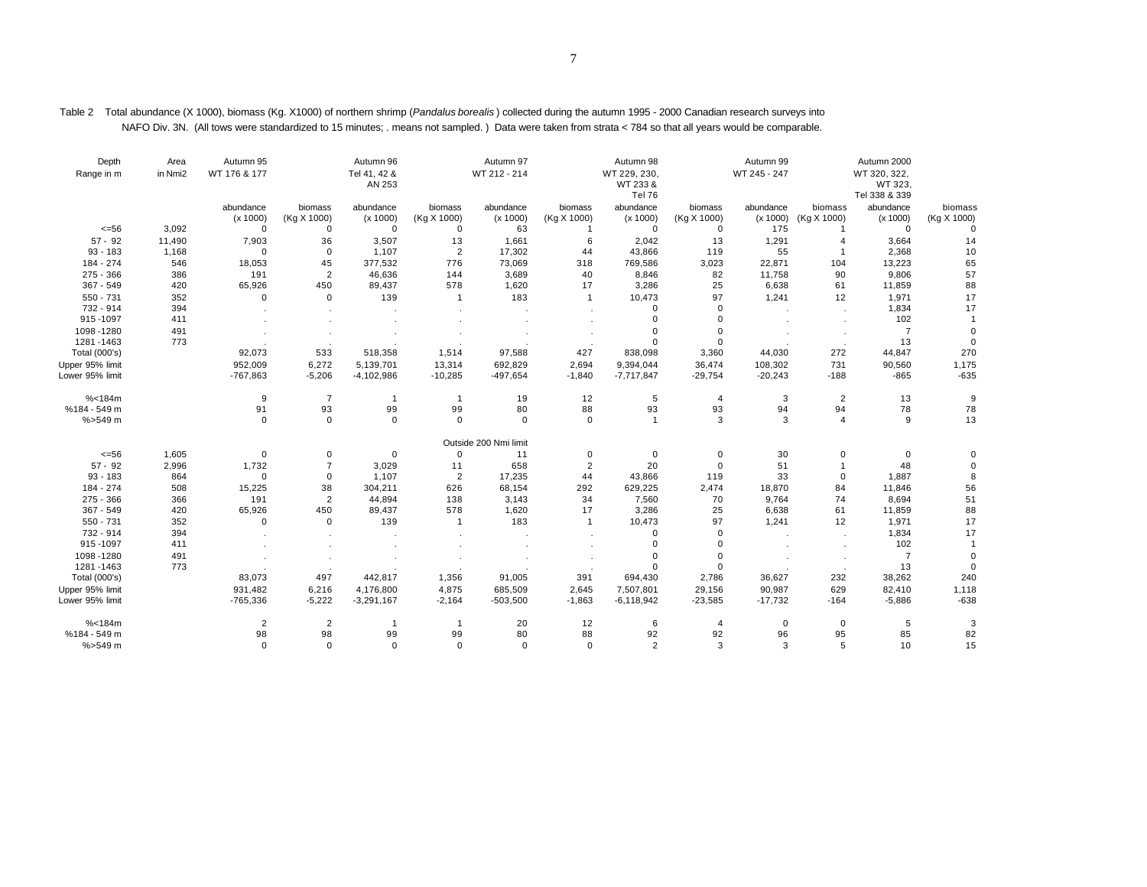| Depth<br>Range in m     | Area<br>in Nmi2 | Autumn 95<br>WT 176 & 177 |                        | Autumn 96<br>Tel 41, 42 &<br>AN 253 |                        | Autumn 97<br>WT 212 - 214 |                        | Autumn 98<br>WT 229, 230,<br>WT 233 &<br>Tel 76 |                        | Autumn 99<br>WT 245 - 247 |                        | Autumn 2000<br>WT 320, 322,<br>WT 323.<br>Tel 338 & 339 |                        |
|-------------------------|-----------------|---------------------------|------------------------|-------------------------------------|------------------------|---------------------------|------------------------|-------------------------------------------------|------------------------|---------------------------|------------------------|---------------------------------------------------------|------------------------|
|                         |                 | abundance<br>(x 1000)     | biomass<br>(Kg X 1000) | abundance<br>(x 1000)               | biomass<br>(Kg X 1000) | abundance<br>(x 1000)     | biomass<br>(Kg X 1000) | abundance<br>(x 1000)                           | biomass<br>(Kg X 1000) | abundance<br>(x 1000)     | biomass<br>(Kg X 1000) | abundance<br>(x 1000)                                   | biomass<br>(Kg X 1000) |
| $<=56$                  | 3,092           | $\Omega$                  | 0                      | 0                                   | 0                      | 63                        |                        | $\mathbf 0$                                     | $\mathbf 0$            | 175                       |                        | $\Omega$                                                | $\Omega$               |
| $57 - 92$               | 11,490          | 7,903                     | 36                     | 3,507                               | 13                     | 1,661                     | 6                      | 2,042                                           | 13                     | 1,291                     | $\overline{4}$         | 3,664                                                   | 14                     |
| $93 - 183$<br>184 - 274 | 1,168<br>546    | $\Omega$<br>18,053        | $\mathbf 0$<br>45      | 1,107<br>377,532                    | $\sqrt{2}$<br>776      | 17,302<br>73,069          | 44<br>318              | 43,866<br>769,586                               | 119<br>3,023           | 55<br>22,871              | -1<br>104              | 2,368<br>13,223                                         | 10<br>65               |
| $275 - 366$             | 386             | 191                       | $\overline{2}$         | 46,636                              | 144                    | 3,689                     | 40                     | 8,846                                           | 82                     | 11,758                    | 90                     | 9,806                                                   | 57                     |
| 367 - 549               | 420             | 65,926                    | 450                    | 89,437                              | 578                    | 1,620                     | 17                     | 3,286                                           | 25                     | 6,638                     | 61                     | 11,859                                                  | 88                     |
| $550 - 731$             | 352             | $\Omega$                  | 0                      | 139                                 | $\mathbf{1}$           | 183                       | $\mathbf{1}$           | 10,473                                          | 97                     | 1,241                     | 12                     | 1,971                                                   | 17                     |
| 732 - 914               | 394             |                           |                        |                                     |                        |                           |                        | $\Omega$                                        | $\mathbf 0$            |                           |                        | 1,834                                                   | 17                     |
| 915-1097                | 411             |                           |                        |                                     |                        |                           |                        | $\Omega$                                        | $\Omega$               |                           |                        | 102                                                     |                        |
| 1098-1280               | 491             |                           |                        |                                     |                        |                           |                        |                                                 | $\Omega$               |                           |                        | $\overline{7}$                                          | $\Omega$               |
| 1281-1463               | 773             |                           |                        |                                     |                        |                           |                        |                                                 | $\mathbf 0$            |                           |                        | 13                                                      | $\sqrt{ }$             |
| Total (000's)           |                 | 92,073                    | 533                    | 518,358                             | 1,514                  | 97,588                    | 427                    | 838,098                                         | 3,360                  | 44,030                    | 272                    | 44,847                                                  | 270                    |
| Upper 95% limit         |                 | 952,009                   | 6,272                  | 5,139,701                           | 13,314                 | 692,829                   | 2,694                  | 9,394,044                                       | 36,474                 | 108,302                   | 731                    | 90,560                                                  | 1,175                  |
| Lower 95% limit         |                 | $-767,863$                | $-5,206$               | $-4,102,986$                        | $-10,285$              | $-497,654$                | $-1,840$               | $-7,717,847$                                    | $-29,754$              | $-20,243$                 | $-188$                 | $-865$                                                  | $-635$                 |
| % < 184m                |                 | 9                         | $\overline{7}$         | $\overline{1}$                      | $\mathbf{1}$           | 19                        | 12                     | 5                                               | $\overline{4}$         | 3                         | $\overline{2}$         | 13                                                      | 9                      |
| %184 - 549 m            |                 | 91                        | 93                     | 99                                  | 99                     | 80                        | 88                     | 93                                              | 93                     | 94                        | 94                     | 78                                                      | 78                     |
| %>549 m                 |                 | $\mathbf 0$               | $\mathbf 0$            | $\mathbf 0$                         | $\mathbf 0$            | $\mathbf 0$               | $\mathbf 0$            | $\overline{1}$                                  | 3                      | 3                         | $\overline{4}$         | 9                                                       | 13                     |
|                         |                 |                           |                        |                                     |                        | Outside 200 Nmi limit     |                        |                                                 |                        |                           |                        |                                                         |                        |
| $<=56$                  | 1,605           | $\mathbf 0$               | 0                      | $\mathbf 0$                         | $\mathbf 0$            | 11                        | 0                      | $\mathbf 0$                                     | $\mathbf 0$            | 30                        | $\mathbf 0$            | 0                                                       | $\sqrt{ }$             |
| $57 - 92$<br>$93 - 183$ | 2,996<br>864    | 1,732<br>$\mathbf 0$      | $\overline{7}$<br>0    | 3,029                               | 11<br>$\overline{2}$   | 658                       | $\overline{2}$         | 20                                              | $\mathbf 0$<br>119     | 51                        | $\Omega$               | 48<br>1,887                                             | $\Omega$<br>8          |
| 184 - 274               | 508             | 15,225                    | 38                     | 1,107<br>304,211                    | 626                    | 17,235<br>68,154          | 44<br>292              | 43,866<br>629,225                               | 2,474                  | 33<br>18,870              | 84                     | 11,846                                                  | 56                     |
| $275 - 366$             | 366             | 191                       | $\overline{2}$         | 44,894                              | 138                    | 3,143                     | 34                     | 7,560                                           | 70                     | 9,764                     | 74                     | 8,694                                                   | 51                     |
| $367 - 549$             | 420             | 65,926                    | 450                    | 89,437                              | 578                    | 1,620                     | 17                     | 3,286                                           | 25                     | 6,638                     | 61                     | 11,859                                                  | 88                     |
| 550 - 731               | 352             | $\mathbf 0$               | 0                      | 139                                 | $\mathbf{1}$           | 183                       | -1                     | 10,473                                          | 97                     | 1,241                     | 12                     | 1,971                                                   | 17                     |
| 732 - 914               | 394             |                           |                        |                                     |                        |                           |                        | $\mathbf 0$                                     | $\mathbf 0$            |                           |                        | 1,834                                                   | 17                     |
| 915-1097                | 411             |                           |                        |                                     |                        |                           |                        | $\Omega$                                        | $\mathbf 0$            |                           |                        | 102                                                     | $\overline{1}$         |
| 1098-1280               | 491             |                           |                        |                                     |                        |                           |                        | $\Omega$                                        | $\mathbf 0$            |                           |                        | $\overline{7}$                                          | $\cup$                 |
| 1281-1463               | 773             |                           |                        |                                     |                        |                           |                        | $\Omega$                                        | $\mathbf 0$            |                           |                        | 13                                                      | $\Omega$               |
| Total (000's)           |                 | 83,073                    | 497                    | 442,817                             | 1,356                  | 91,005                    | 391                    | 694,430                                         | 2,786                  | 36,627                    | 232                    | 38,262                                                  | 240                    |
| Upper 95% limit         |                 | 931,482                   | 6,216                  | 4,176,800                           | 4,875                  | 685,509                   | 2,645                  | 7,507,801                                       | 29,156                 | 90,987                    | 629                    | 82,410                                                  | 1,118                  |
| Lower 95% limit         |                 | $-765,336$                | $-5,222$               | $-3,291,167$                        | $-2,164$               | $-503,500$                | $-1,863$               | $-6,118,942$                                    | $-23,585$              | $-17,732$                 | $-164$                 | $-5,886$                                                | $-638$                 |
| % < 184m                |                 | $\overline{2}$            | $\overline{2}$         | $\overline{1}$                      | $\mathbf{1}$           | 20                        | 12                     | 6                                               | $\overline{4}$         | $\mathbf 0$               | $\mathbf 0$            | 5                                                       | 3                      |
| %184 - 549 m            |                 | 98                        | 98                     | 99                                  | 99                     | 80                        | 88                     | 92                                              | 92                     | 96                        | 95                     | 85                                                      | 82                     |
| %>549 m                 |                 | $\mathbf 0$               | 0                      | $\mathbf 0$                         | $\mathbf 0$            | $\mathbf 0$               | $\mathbf 0$            | $\overline{2}$                                  | 3                      | 3                         | 5                      | 10                                                      | 15                     |

Table 2 Total abundance (X 1000), biomass (Kg. X1000) of northern shrimp (*Pandalus borealis* ) collected during the autumn 1995 - 2000 Canadian research surveys into NAFO Div. 3N. (All tows were standardized to 15 minutes; . means not sampled. ) Data were taken from strata < 784 so that all years would be comparable.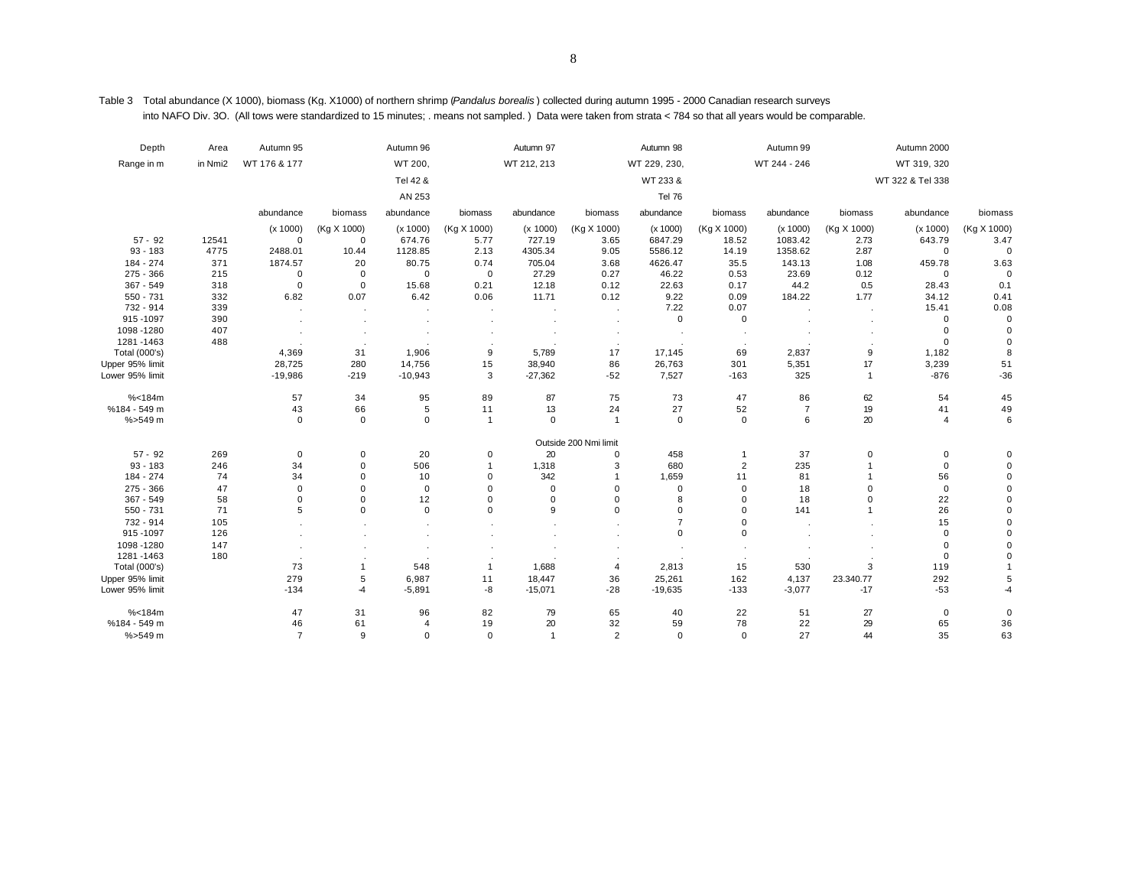Table 3 Total abundance (X 1000), biomass (Kg. X1000) of northern shrimp (*Pandalus borealis* ) collected during autumn 1995 - 2000 Canadian research surveys into NAFO Div. 3O. (All tows were standardized to 15 minutes; . means not sampled. ) Data were taken from strata < 784 so that all years would be comparable.

| Depth           | Area    | Autumn 95      |                     | Autumn 96      |                | Autumn 97      |                       | Autumn 98     |                | Autumn 99      |                | Autumn 2000      |             |
|-----------------|---------|----------------|---------------------|----------------|----------------|----------------|-----------------------|---------------|----------------|----------------|----------------|------------------|-------------|
| Range in m      | in Nmi2 | WT 176 & 177   |                     | WT 200,        |                | WT 212, 213    |                       | WT 229, 230,  |                | WT 244 - 246   |                | WT 319, 320      |             |
|                 |         |                |                     | Tel 42 &       |                |                |                       | WT 233 &      |                |                |                | WT 322 & Tel 338 |             |
|                 |         |                |                     | AN 253         |                |                |                       | <b>Tel 76</b> |                |                |                |                  |             |
|                 |         | abundance      | biomass             | abundance      | biomass        | abundance      | biomass               | abundance     | biomass        | abundance      | biomass        | abundance        | biomass     |
|                 |         | (x 1000)       | (Kg X 1000)         | (x 1000)       | (Kg X 1000)    | (x 1000)       | (Kg X 1000)           | (x 1000)      | (Kg X 1000)    | (x 1000)       | (Kg X 1000)    | (x 1000)         | (Kg X 1000) |
| $57 - 92$       | 12541   | $\mathbf 0$    | 0                   | 674.76         | 5.77           | 727.19         | 3.65                  | 6847.29       | 18.52          | 1083.42        | 2.73           | 643.79           | 3.47        |
| $93 - 183$      | 4775    | 2488.01        | 10.44               | 1128.85        | 2.13           | 4305.34        | 9.05                  | 5586.12       | 14.19          | 1358.62        | 2.87           | $\Omega$         | $\mathbf 0$ |
| 184 - 274       | 371     | 1874.57        | 20                  | 80.75          | 0.74           | 705.04         | 3.68                  | 4626.47       | 35.5           | 143.13         | 1.08           | 459.78           | 3.63        |
| $275 - 366$     | 215     | $\mathbf 0$    | $\mathbf 0$         | $\mathbf 0$    | $\mathbf{0}$   | 27.29          | 0.27                  | 46.22         | 0.53           | 23.69          | 0.12           | $\mathbf 0$      | $\mathbf 0$ |
| 367 - 549       | 318     | $\mathbf 0$    | $\mathbf 0$         | 15.68          | 0.21           | 12.18          | 0.12                  | 22.63         | 0.17           | 44.2           | 0.5            | 28.43            | 0.1         |
| 550 - 731       | 332     | 6.82           | 0.07                | 6.42           | 0.06           | 11.71          | 0.12                  | 9.22          | 0.09           | 184.22         | 1.77           | 34.12            | 0.41        |
| 732 - 914       | 339     |                |                     |                |                |                |                       | 7.22          | 0.07           |                |                | 15.41            | 0.08        |
| 915-1097        | 390     |                |                     |                |                |                |                       | $\mathbf 0$   | 0              |                |                | $\Omega$         | $\mathbf 0$ |
| 1098-1280       | 407     |                |                     |                |                |                |                       |               |                |                |                | $\Omega$         | $\Omega$    |
| 1281-1463       | 488     |                |                     |                |                |                |                       |               |                |                |                | $\mathbf 0$      | $\Omega$    |
| Total (000's)   |         | 4,369          | 31                  | 1,906          | 9              | 5,789          | 17                    | 17,145        | 69             | 2,837          | 9              | 1,182            | 8           |
| Upper 95% limit |         | 28,725         | 280                 | 14,756         | 15             | 38,940         | 86                    | 26,763        | 301            | 5,351          | 17             | 3,239            | 51          |
| Lower 95% limit |         | $-19,986$      | $-219$              | $-10,943$      | 3              | $-27,362$      | $-52$                 | 7,527         | $-163$         | 325            | $\overline{1}$ | $-876$           | $-36$       |
| % < 184m        |         | 57             | 34                  | 95             | 89             | 87             | 75                    | 73            | 47             | 86             | 62             | 54               | 45          |
| %184 - 549 m    |         | 43             | 66                  | 5              | 11             | 13             | 24                    | 27            | 52             | $\overline{7}$ | 19             | 41               | 49          |
| %>549 m         |         | $\mathbf 0$    | $\mathsf 0$         | $\mathbf 0$    | $\overline{1}$ | 0              | $\overline{1}$        | $\mathbf 0$   | $\mathbf 0$    | 6              | 20             | $\overline{4}$   | 6           |
|                 |         |                |                     |                |                |                | Outside 200 Nmi limit |               |                |                |                |                  |             |
| $57 - 92$       | 269     | $\mathbf 0$    | $\mathsf{O}\xspace$ | 20             | 0              | 20             | $\mathbf 0$           | 458           | $\overline{1}$ | 37             | 0              | 0                | $\Omega$    |
| $93 - 183$      | 246     | 34             | 0                   | 506            | -1             | 1,318          | 3                     | 680           | $\overline{c}$ | 235            |                | $\mathbf 0$      | $\mathbf 0$ |
| 184 - 274       | 74      | 34             | 0                   | 10             | 0              | 342            |                       | 1,659         | 11             | 81             |                | 56               | $\mathbf 0$ |
| 275 - 366       | 47      | $\mathbf 0$    | $\Omega$            | $\mathbf 0$    | $\mathbf 0$    | $\Omega$       | $\mathbf 0$           | $\mathbf 0$   | 0              | 18             | $\mathbf 0$    | $\mathbf 0$      | $\Omega$    |
| 367 - 549       | 58      | $\mathbf 0$    | $\Omega$            | 12             | $\mathbf 0$    | $\mathbf 0$    | $\mathbf 0$           | 8             | $\mathbf 0$    | 18             | $\Omega$       | 22               | $\Omega$    |
| 550 - 731       | 71      | 5              | $\mathbf 0$         | $\mathbf 0$    | $\Omega$       | 9              | $\mathbf 0$           | $\Omega$      | $\mathbf 0$    | 141            | $\overline{1}$ | 26               | $\Omega$    |
| 732 - 914       | 105     |                |                     |                |                |                |                       | 7             | $\mathbf 0$    |                |                | 15               | $\Omega$    |
| 915-1097        | 126     |                |                     |                |                |                |                       | $\mathbf 0$   | $\mathbf 0$    |                |                | $\mathbf 0$      | $\Omega$    |
| 1098-1280       | 147     |                |                     |                |                |                |                       |               |                |                |                | $\Omega$         | $\Omega$    |
| 1281-1463       | 180     |                |                     |                |                |                |                       |               |                |                |                | $\mathbf 0$      | $\Omega$    |
| Total (000's)   |         | 73             | $\mathbf{1}$        | 548            | $\mathbf{1}$   | 1,688          | $\overline{4}$        | 2,813         | 15             | 530            | 3              | 119              |             |
| Upper 95% limit |         | 279            | 5                   | 6,987          | 11             | 18,447         | 36                    | 25,261        | 162            | 4,137          | 23.340.77      | 292              | 5           |
| Lower 95% limit |         | $-134$         | $-4$                | $-5,891$       | $-8$           | $-15,071$      | $-28$                 | $-19,635$     | $-133$         | $-3,077$       | $-17$          | $-53$            | $-4$        |
| % < 184m        |         | 47             | 31                  | 96             | 82             | 79             | 65                    | 40            | 22             | 51             | 27             | $\mathbf 0$      | $\mathbf 0$ |
| %184 - 549 m    |         | 46             | 61                  | $\overline{4}$ | 19             | 20             | 32                    | 59            | 78             | 22             | 29             | 65               | 36          |
| $% > 549$ m     |         | $\overline{7}$ | 9                   | $\mathbf 0$    | $\mathbf 0$    | $\overline{1}$ | $\overline{2}$        | $\mathbf 0$   | $\mathbf 0$    | 27             | 44             | 35               | 63          |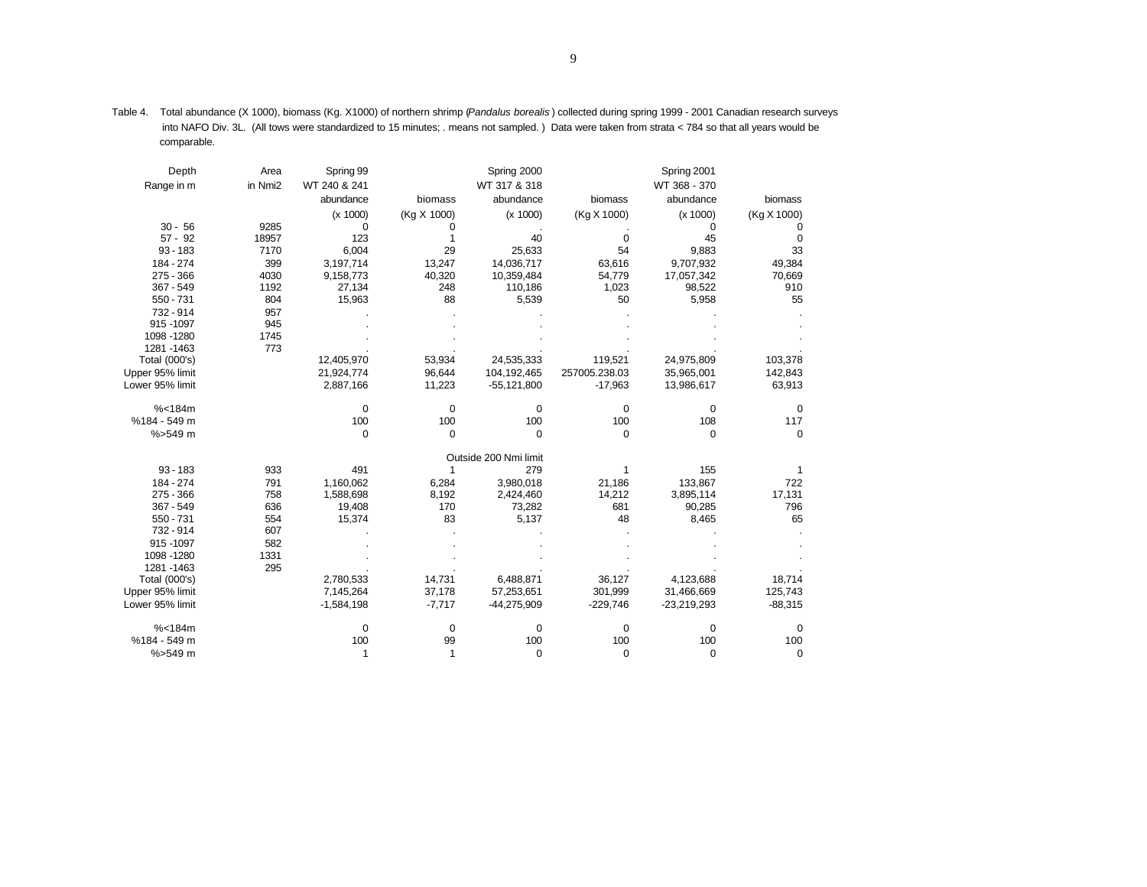| Depth           | Area    | Spring 99    |             | Spring 2000           |               | Spring 2001   |             |
|-----------------|---------|--------------|-------------|-----------------------|---------------|---------------|-------------|
| Range in m      | in Nmi2 | WT 240 & 241 |             | WT 317 & 318          |               | WT 368 - 370  |             |
|                 |         | abundance    | biomass     | abundance             | biomass       | abundance     | biomass     |
|                 |         | (x 1000)     | (Kg X 1000) | (x 1000)              | (Kg X 1000)   | (x 1000)      | (Kg X 1000) |
| $30 - 56$       | 9285    | 0            | 0           |                       |               | 0             | 0           |
| $57 - 92$       | 18957   | 123          |             | 40                    | 0             | 45            | 0           |
| $93 - 183$      | 7170    | 6,004        | 29          | 25,633                | 54            | 9,883         | 33          |
| 184 - 274       | 399     | 3,197,714    | 13,247      | 14,036,717            | 63,616        | 9,707,932     | 49,384      |
| $275 - 366$     | 4030    | 9,158,773    | 40,320      | 10,359,484            | 54,779        | 17,057,342    | 70,669      |
| $367 - 549$     | 1192    | 27,134       | 248         | 110,186               | 1,023         | 98,522        | 910         |
| 550 - 731       | 804     | 15,963       | 88          | 5,539                 | 50            | 5,958         | 55          |
| 732 - 914       | 957     |              |             |                       |               |               |             |
| 915 - 1097      | 945     |              |             |                       |               |               |             |
| 1098 - 1280     | 1745    |              |             |                       |               |               |             |
| 1281 - 1463     | 773     |              |             |                       |               |               |             |
| Total (000's)   |         | 12,405,970   | 53,934      | 24,535,333            | 119,521       | 24,975,809    | 103,378     |
| Upper 95% limit |         | 21,924,774   | 96,644      | 104, 192, 465         | 257005.238.03 | 35,965,001    | 142,843     |
| Lower 95% limit |         | 2,887,166    | 11,223      | $-55,121,800$         | $-17,963$     | 13,986,617    | 63,913      |
| % < 184m        |         | 0            | $\mathbf 0$ | $\mathbf 0$           | 0             | $\mathbf 0$   | $\mathbf 0$ |
| %184 - 549 m    |         | 100          | 100         | 100                   | 100           | 108           | 117         |
| $% > 549$ m     |         | $\mathbf 0$  | $\Omega$    | $\Omega$              | $\Omega$      | $\Omega$      | $\Omega$    |
|                 |         |              |             | Outside 200 Nmi limit |               |               |             |
| $93 - 183$      | 933     | 491          | 1           | 279                   | 1             | 155           | 1           |
| 184 - 274       | 791     | 1,160,062    | 6,284       | 3,980,018             | 21,186        | 133,867       | 722         |
| $275 - 366$     | 758     | 1,588,698    | 8,192       | 2,424,460             | 14,212        | 3,895,114     | 17,131      |
| $367 - 549$     | 636     | 19,408       | 170         | 73,282                | 681           | 90,285        | 796         |
| 550 - 731       | 554     | 15,374       | 83          | 5,137                 | 48            | 8,465         | 65          |
| 732 - 914       | 607     |              |             |                       |               |               |             |
| 915 - 1097      | 582     |              |             |                       |               |               |             |
| 1098 - 1280     | 1331    |              |             |                       |               |               |             |
| 1281 - 1463     | 295     |              |             |                       |               |               |             |
| Total (000's)   |         | 2,780,533    | 14,731      | 6,488,871             | 36,127        | 4,123,688     | 18,714      |
| Upper 95% limit |         | 7,145,264    | 37,178      | 57,253,651            | 301,999       | 31,466,669    | 125,743     |
| Lower 95% limit |         | $-1,584,198$ | $-7,717$    | -44,275,909           | $-229,746$    | $-23,219,293$ | $-88,315$   |
| % < 184m        |         | 0            | $\mathbf 0$ | 0                     | 0             | 0             | 0           |
| %184 - 549 m    |         | 100          | 99          | 100                   | 100           | 100           | 100         |
| %>549 m         |         | 1            | 1           | $\mathbf 0$           | $\mathbf 0$   | $\mathbf 0$   | $\mathbf 0$ |

Table 4. Total abundance (X 1000), biomass (Kg. X1000) of northern shrimp (*Pandalus borealis* ) collected during spring 1999 - 2001 Canadian research surveys into NAFO Div. 3L. (All tows were standardized to 15 minutes; . means not sampled. ) Data were taken from strata < 784 so that all years would be comparable.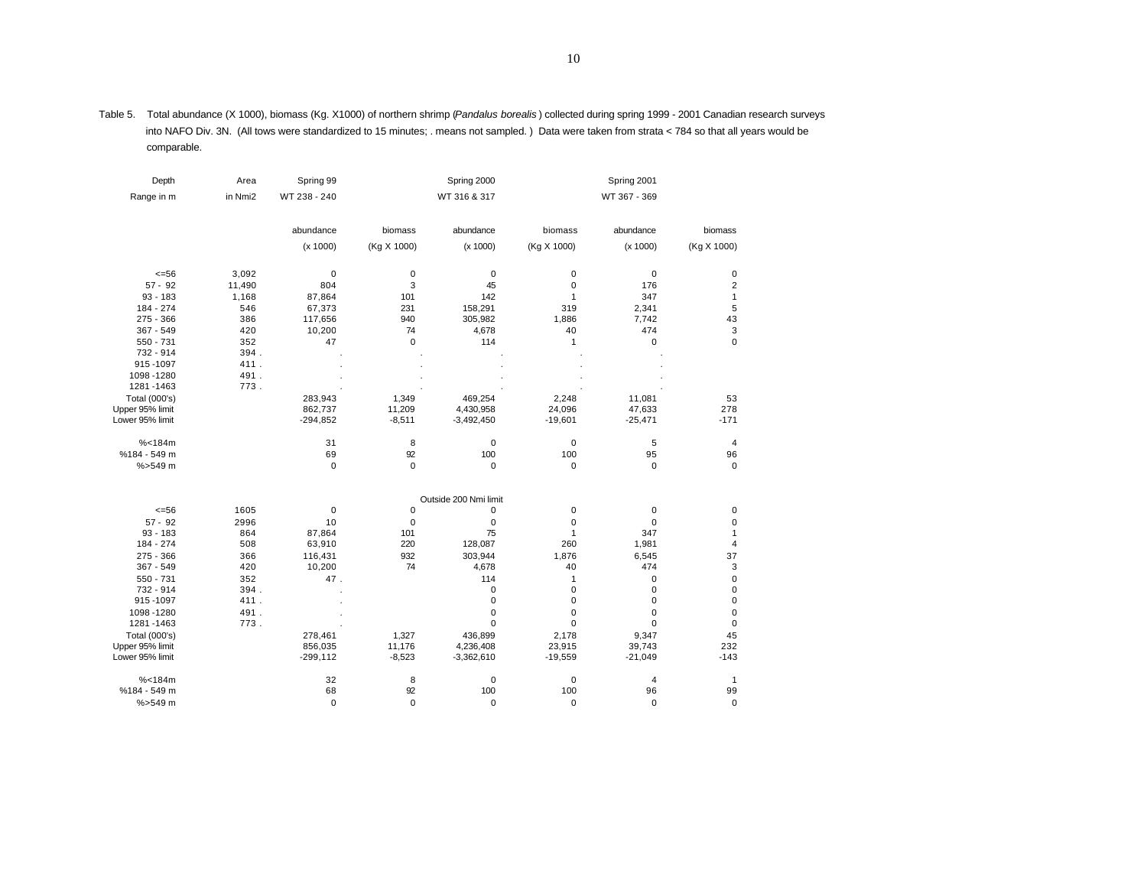Table 5. Total abundance (X 1000), biomass (Kg. X1000) of northern shrimp (*Pandalus borealis* ) collected during spring 1999 - 2001 Canadian research surveys into NAFO Div. 3N. (All tows were standardized to 15 minutes; . means not sampled. ) Data were taken from strata < 784 so that all years would be comparable.

| Depth           | Area    | Spring 99    |             | Spring 2000           |              | Spring 2001    |                |
|-----------------|---------|--------------|-------------|-----------------------|--------------|----------------|----------------|
| Range in m      | in Nmi2 | WT 238 - 240 |             | WT 316 & 317          |              | WT 367 - 369   |                |
|                 |         | abundance    | biomass     | abundance             | biomass      | abundance      | biomass        |
|                 |         | (x 1000)     | (Kg X 1000) | (x 1000)              | (Kg X 1000)  | (x 1000)       | (Kg X 1000)    |
| $= 56$          | 3,092   | 0            | $\pmb{0}$   | 0                     | $\mathbf 0$  | $\mathbf 0$    | 0              |
| $57 - 92$       | 11,490  | 804          | 3           | 45                    | 0            | 176            | $\overline{2}$ |
| $93 - 183$      | 1,168   | 87,864       | 101         | 142                   | $\mathbf{1}$ | 347            | 1              |
| 184 - 274       | 546     | 67,373       | 231         | 158,291               | 319          | 2,341          | 5              |
| $275 - 366$     | 386     | 117,656      | 940         | 305,982               | 1,886        | 7,742          | 43             |
| 367 - 549       | 420     | 10,200       | 74          | 4,678                 | 40           | 474            | 3              |
| 550 - 731       | 352     | 47           | $\mathbf 0$ | 114                   | 1            | 0              | $\mathbf 0$    |
| 732 - 914       | 394.    |              |             |                       |              |                |                |
| 915-1097        | 411.    |              |             |                       |              |                |                |
| 1098-1280       | 491.    |              |             |                       |              |                |                |
| 1281-1463       | 773.    |              |             |                       |              |                |                |
| Total (000's)   |         | 283,943      | 1,349       | 469,254               | 2,248        | 11,081         | 53             |
| Upper 95% limit |         | 862,737      | 11,209      | 4,430,958             | 24,096       | 47,633         | 278            |
| Lower 95% limit |         | $-294,852$   | $-8,511$    | $-3,492,450$          | $-19,601$    | $-25,471$      | $-171$         |
| % < 184m        |         | 31           | 8           | 0                     | 0            | 5              | 4              |
| %184 - 549 m    |         | 69           | 92          | 100                   | 100          | 95             | 96             |
| $% > 549$ m     |         | 0            | $\mathbf 0$ | 0                     | $\pmb{0}$    | 0              | $\mathbf 0$    |
|                 |         |              |             | Outside 200 Nmi limit |              |                |                |
| $= 56$          | 1605    | 0            | 0           | 0                     | 0            | 0              | 0              |
| $57 - 92$       | 2996    | 10           | $\mathbf 0$ | $\mathbf 0$           | $\mathbf 0$  | $\mathbf 0$    | 0              |
| $93 - 183$      | 864     | 87,864       | 101         | 75                    | 1            | 347            | $\mathbf{1}$   |
| 184 - 274       | 508     | 63,910       | 220         | 128,087               | 260          | 1,981          | 4              |
| $275 - 366$     | 366     | 116,431      | 932         | 303,944               | 1,876        | 6,545          | 37             |
| 367 - 549       | 420     | 10,200       | 74          | 4,678                 | 40           | 474            | 3              |
| $550 - 731$     | 352     | 47.          |             | 114                   | $\mathbf{1}$ | $\mathbf 0$    | $\mathbf 0$    |
| 732 - 914       | 394.    |              |             | 0                     | $\mathbf 0$  | $\overline{0}$ | $\mathbf 0$    |
| 915-1097        | 411.    |              |             | 0                     | 0            | 0              | 0              |
| 1098-1280       | 491.    |              |             | 0                     | 0            | 0              | 0              |
| 1281-1463       | 773.    |              |             | 0                     | 0            | 0              | $\mathbf 0$    |
| Total (000's)   |         | 278,461      | 1,327       | 436,899               | 2,178        | 9,347          | 45             |
| Upper 95% limit |         | 856,035      | 11,176      | 4,236,408             | 23,915       | 39,743         | 232            |
| Lower 95% limit |         | $-299,112$   | $-8,523$    | $-3,362,610$          | $-19,559$    | $-21,049$      | $-143$         |
| % < 184m        |         | 32           | 8           | 0                     | 0            | 4              | 1              |
| %184 - 549 m    |         | 68           | 92          | 100                   | 100          | 96             | 99             |
| %>549 m         |         | 0            | $\mathbf 0$ | $\mathbf 0$           | $\mathbf 0$  | 0              | $\mathbf 0$    |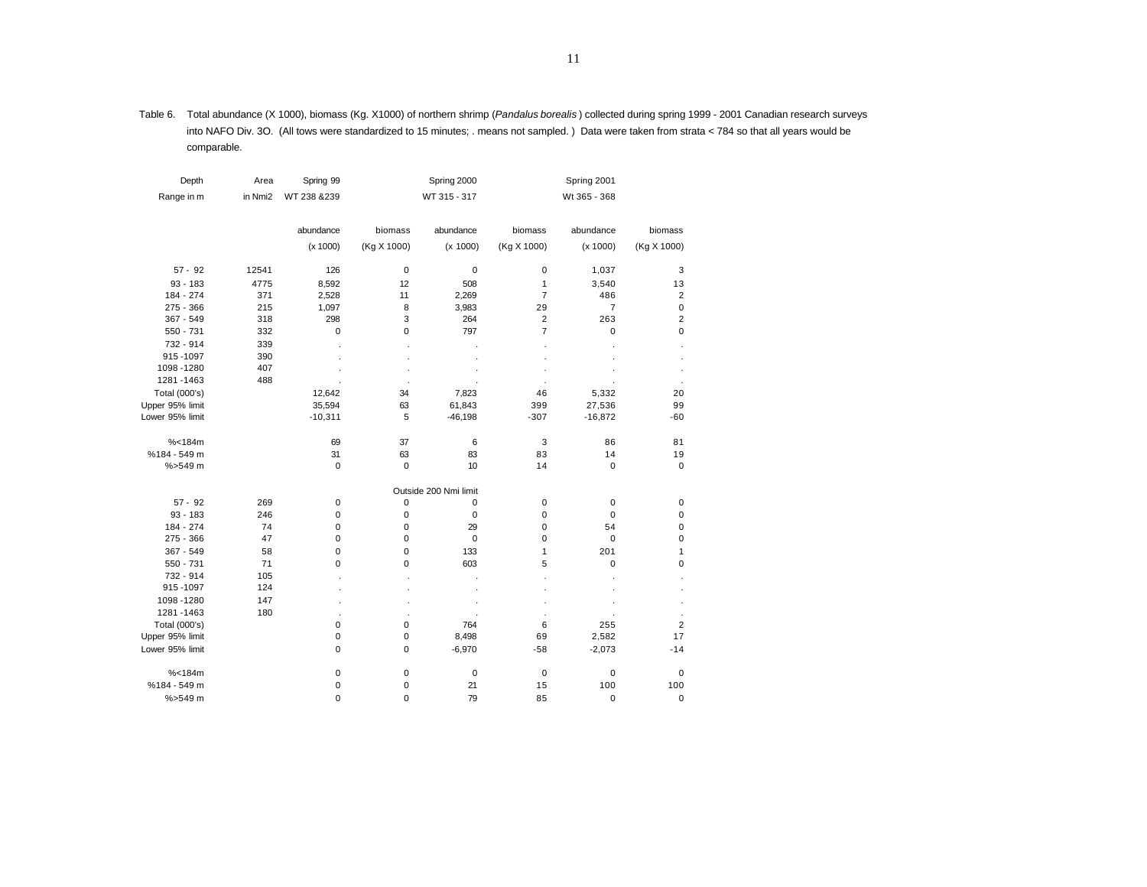Table 6. Total abundance (X 1000), biomass (Kg. X1000) of northern shrimp (*Pandalus borealis* ) collected during spring 1999 - 2001 Canadian research surveys into NAFO Div. 3O. (All tows were standardized to 15 minutes; . means not sampled. ) Data were taken from strata < 784 so that all years would be comparable.

| Depth           | Area    | Spring 99    |             | Spring 2000           |                | Spring 2001    |                |
|-----------------|---------|--------------|-------------|-----------------------|----------------|----------------|----------------|
| Range in m      | in Nmi2 | WT 238 & 239 |             | WT 315 - 317          |                | Wt 365 - 368   |                |
|                 |         | abundance    | biomass     | abundance             | biomass        | abundance      | biomass        |
|                 |         | (x 1000)     | (Kg X 1000) | (x 1000)              | (Kg X 1000)    | (x 1000)       | (Kg X 1000)    |
| $57 - 92$       | 12541   | 126          | $\mathbf 0$ | 0                     | 0              | 1,037          | 3              |
| $93 - 183$      | 4775    | 8,592        | 12          | 508                   | 1              | 3,540          | 13             |
| 184 - 274       | 371     | 2,528        | 11          | 2,269                 | $\overline{7}$ | 486            | $\mathbf 2$    |
| 275 - 366       | 215     | 1,097        | 8           | 3,983                 | 29             | $\overline{7}$ | $\mathbf 0$    |
| 367 - 549       | 318     | 298          | 3           | 264                   | $\overline{2}$ | 263            | $\overline{2}$ |
| 550 - 731       | 332     | $\mathbf 0$  | $\mathbf 0$ | 797                   | $\overline{7}$ | 0              | $\mathbf 0$    |
| 732 - 914       | 339     |              |             |                       |                |                |                |
| 915-1097        | 390     |              |             |                       |                |                |                |
| 1098 - 1280     | 407     |              |             |                       |                |                |                |
| 1281 - 1463     | 488     |              |             |                       |                |                |                |
|                 |         |              |             |                       |                |                |                |
| Total (000's)   |         | 12,642       | 34          | 7,823                 | 46             | 5,332          | 20             |
| Upper 95% limit |         | 35,594       | 63          | 61,843                | 399            | 27,536         | 99             |
| Lower 95% limit |         | $-10,311$    | 5           | $-46,198$             | $-307$         | $-16,872$      | $-60$          |
| % < 184m        |         | 69           | 37          | 6                     | 3              | 86             | 81             |
| %184 - 549 m    |         | 31           | 63          | 83                    | 83             | 14             | 19             |
| %>549 m         |         | $\mathbf 0$  | $\mathbf 0$ | 10                    | 14             | $\mathbf 0$    | 0              |
|                 |         |              |             | Outside 200 Nmi limit |                |                |                |
| $57 - 92$       | 269     | 0            | 0           | 0                     | 0              | 0              | $\mathbf 0$    |
| $93 - 183$      | 246     | 0            | $\mathbf 0$ | 0                     | 0              | $\mathbf 0$    | $\mathbf 0$    |
| 184 - 274       | 74      | 0            | 0           | 29                    | 0              | 54             | $\mathbf 0$    |
| 275 - 366       | 47      | 0            | 0           | 0                     | 0              | 0              | $\pmb{0}$      |
| 367 - 549       | 58      | 0            | 0           | 133                   | 1              | 201            | 1              |
| 550 - 731       | 71      | 0            | 0           | 603                   | 5              | 0              | $\mathbf 0$    |
| 732 - 914       | 105     |              |             |                       |                |                |                |
| 915-1097        | 124     |              |             |                       |                |                |                |
| 1098-1280       | 147     |              |             |                       |                |                |                |
| 1281-1463       | 180     |              |             |                       |                |                |                |
| Total (000's)   |         | 0            | 0           | 764                   | 6              | 255            | $\mathbf 2$    |
| Upper 95% limit |         | 0            | $\mathbf 0$ | 8,498                 | 69             | 2,582          | 17             |
| Lower 95% limit |         | $\mathbf 0$  | 0           | $-6,970$              | $-58$          | $-2,073$       | $-14$          |
|                 |         |              |             |                       |                |                |                |
| % < 184m        |         | 0            | $\mathbf 0$ | 0                     | $\mathbf 0$    | 0              | $\mathbf 0$    |
| %184 - 549 m    |         | 0            | 0           | 21                    | 15             | 100            | 100            |
| %>549 m         |         | $\mathbf 0$  | 0           | 79                    | 85             | $\mathbf 0$    | 0              |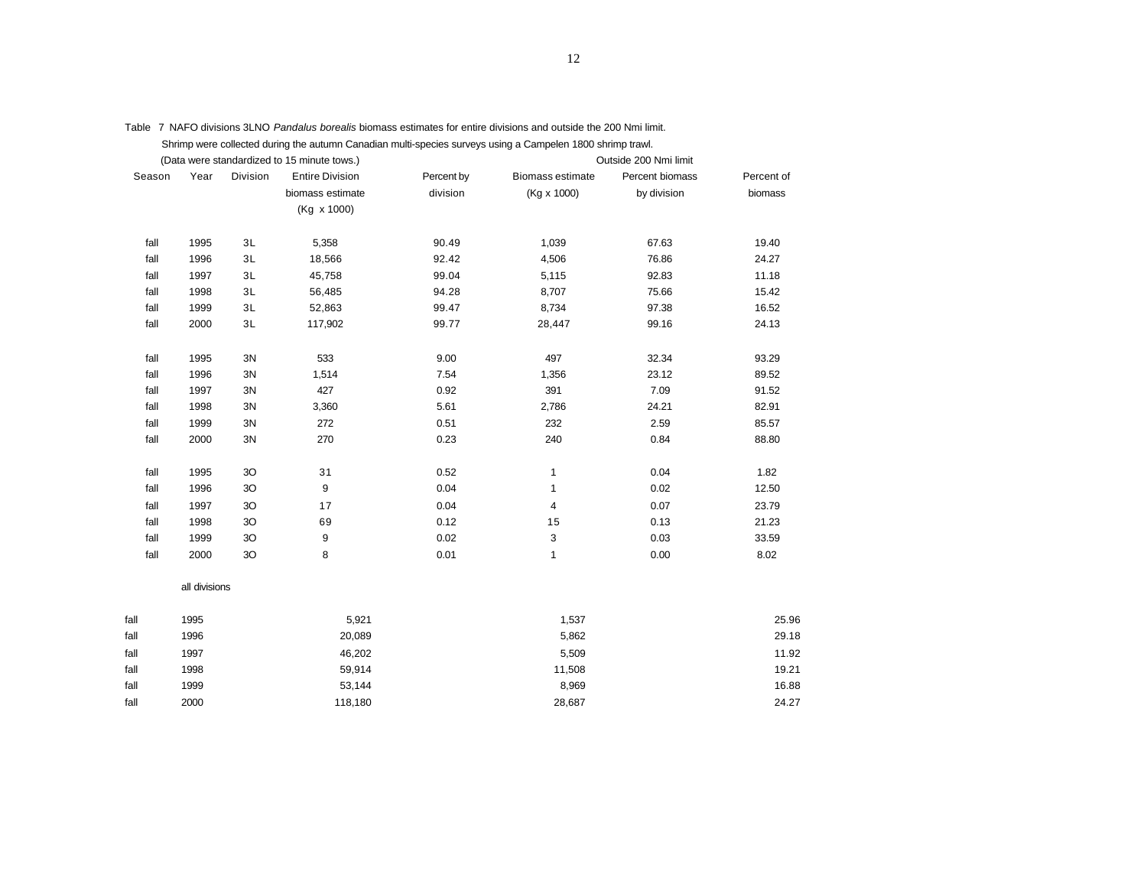|        |                |          | Shrimp were collected during the autumn Canadian multi-species surveys using a Campelen 1800 shrimp trawl. |            |                  |                       |            |
|--------|----------------|----------|------------------------------------------------------------------------------------------------------------|------------|------------------|-----------------------|------------|
|        |                |          | (Data were standardized to 15 minute tows.)                                                                |            |                  | Outside 200 Nmi limit |            |
| Season | Year           | Division | <b>Entire Division</b>                                                                                     | Percent by | Biomass estimate | Percent biomass       | Percent of |
|        |                |          | biomass estimate                                                                                           | division   | (Kg x 1000)      | by division           | biomass    |
|        |                |          | (Kg x 1000)                                                                                                |            |                  |                       |            |
| fall   | 1995           | 3L       | 5,358                                                                                                      | 90.49      | 1,039            | 67.63                 | 19.40      |
| fall   | 1996           | 3L       | 18,566                                                                                                     | 92.42      | 4,506            | 76.86                 | 24.27      |
| fall   | 1997           | 3L       | 45,758                                                                                                     | 99.04      | 5,115            | 92.83                 | 11.18      |
| fall   | 1998           | 3L       | 56,485                                                                                                     | 94.28      | 8,707            | 75.66                 | 15.42      |
| fall   | 1999           | 3L       | 52,863                                                                                                     | 99.47      | 8,734            | 97.38                 | 16.52      |
| fall   | 2000           | 3L       | 117,902                                                                                                    | 99.77      | 28,447           | 99.16                 | 24.13      |
| fall   | 1995           | 3N       | 533                                                                                                        | 9.00       | 497              | 32.34                 | 93.29      |
| fall   | 1996           | 3N       | 1,514                                                                                                      | 7.54       | 1,356            | 23.12                 | 89.52      |
| fall   | 1997           | 3N       | 427                                                                                                        | 0.92       | 391              | 7.09                  | 91.52      |
| fall   | 1998           | 3N       | 3,360                                                                                                      | 5.61       | 2,786            | 24.21                 | 82.91      |
| fall   | 1999           | 3N       | 272                                                                                                        | 0.51       | 232              | 2.59                  | 85.57      |
| fall   | 2000           | 3N       | 270                                                                                                        | 0.23       | 240              | 0.84                  | 88.80      |
| fall   | 1995           | 3O       | 31                                                                                                         | 0.52       | $\mathbf{1}$     | 0.04                  | 1.82       |
| fall   | 1996           | 3O       | 9                                                                                                          | 0.04       | 1                | 0.02                  | 12.50      |
| fall   | 1997           | 3O       | 17                                                                                                         | 0.04       | 4                | 0.07                  | 23.79      |
| fall   | 1998           | 3O       | 69                                                                                                         | 0.12       | 15               | 0.13                  | 21.23      |
| fall   | 1999           | 3O       | 9                                                                                                          | 0.02       | 3                | 0.03                  | 33.59      |
| fall   | 2000           | 3O       | 8                                                                                                          | 0.01       | $\mathbf{1}$     | 0.00                  | 8.02       |
|        | all divisions  |          |                                                                                                            |            |                  |                       |            |
| fall   | 1995           |          | 5,921                                                                                                      |            | 1,537            |                       | 25.96      |
| fall   | 1996           |          | 20,089                                                                                                     |            | 5,862            |                       | 29.18      |
| fall   | 1997           |          | 46,202                                                                                                     |            | 5,509            |                       | 11.92      |
| fall   | 1998<br>59,914 |          | 11,508                                                                                                     |            | 19.21            |                       |            |
| fall   | 1999<br>53,144 |          | 8,969                                                                                                      | 16.88      |                  |                       |            |
| fall   | 2000           |          | 118,180                                                                                                    |            | 28,687           |                       | 24.27      |
|        |                |          |                                                                                                            |            |                  |                       |            |

Table 7 NAFO divisions 3LNO *Pandalus borealis* biomass estimates for entire divisions and outside the 200 Nmi limit. Shrimp were collected during the autumn Canadian multi-species surveys using a Campelen 1800 shrimp trawl.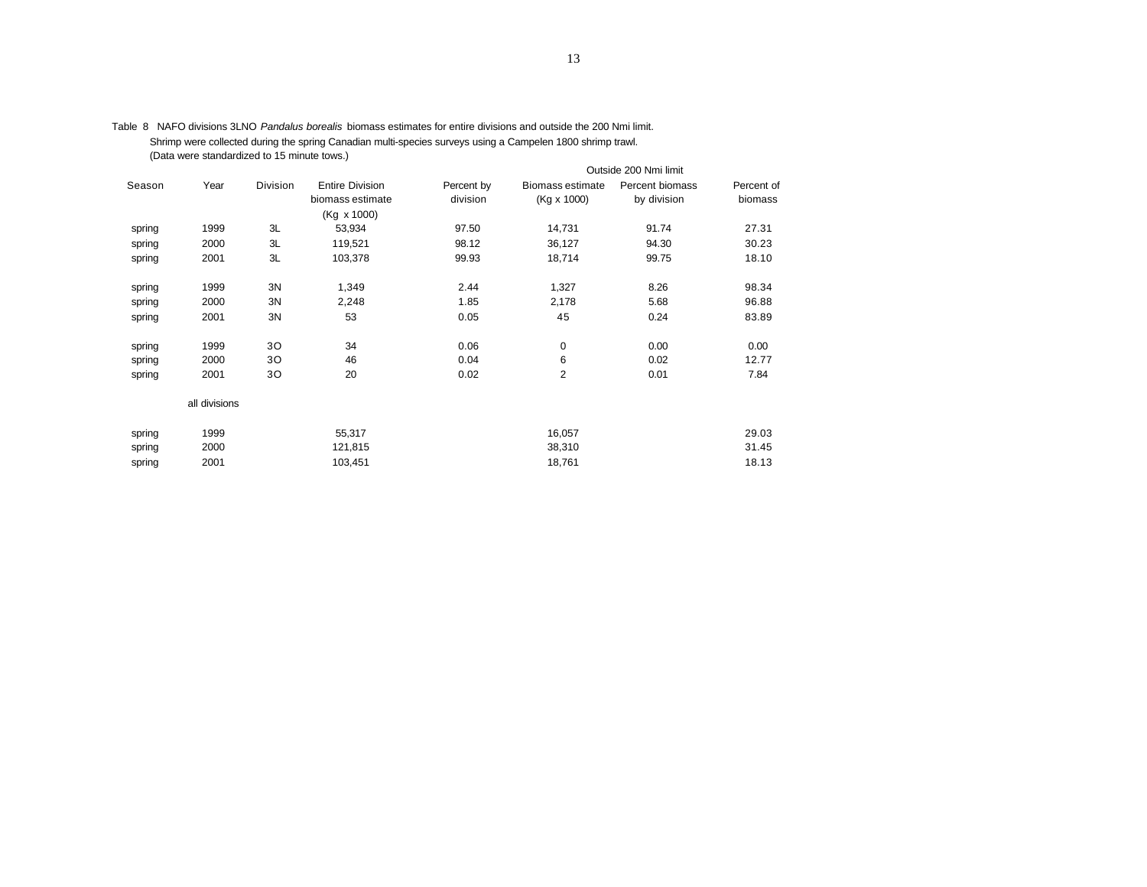|        |               |          |                                            |                        |                                        | Outside 200 Nmi limit          |                       |
|--------|---------------|----------|--------------------------------------------|------------------------|----------------------------------------|--------------------------------|-----------------------|
| Season | Year          | Division | <b>Entire Division</b><br>biomass estimate | Percent by<br>division | <b>Biomass estimate</b><br>(Kg x 1000) | Percent biomass<br>by division | Percent of<br>biomass |
|        |               |          | (Kg x 1000)                                |                        |                                        |                                |                       |
| spring | 1999          | 3L       | 53,934                                     | 97.50                  | 14,731                                 | 91.74                          | 27.31                 |
| spring | 2000          | 3L       | 119,521                                    | 98.12                  | 36,127                                 | 94.30                          | 30.23                 |
| spring | 2001          | 3L       | 103,378                                    | 99.93                  | 18,714                                 | 99.75                          | 18.10                 |
| spring | 1999          | 3N       | 1,349                                      | 2.44                   | 1,327                                  | 8.26                           | 98.34                 |
| spring | 2000          | 3N       | 2,248                                      | 1.85                   | 2,178                                  | 5.68                           | 96.88                 |
| spring | 2001          | 3N       | 53                                         | 0.05                   | 45                                     | 0.24                           | 83.89                 |
| spring | 1999          | 30       | 34                                         | 0.06                   | 0                                      | 0.00                           | 0.00                  |
| spring | 2000          | 30       | 46                                         | 0.04                   | 6                                      | 0.02                           | 12.77                 |
| spring | 2001          | 30       | 20                                         | 0.02                   | $\overline{2}$                         | 0.01                           | 7.84                  |
|        | all divisions |          |                                            |                        |                                        |                                |                       |
| spring | 1999          |          | 55,317                                     |                        | 16,057                                 |                                | 29.03                 |
| spring | 2000          |          | 121,815                                    |                        | 38,310                                 |                                | 31.45                 |
| spring | 2001          |          | 103,451                                    |                        | 18,761                                 |                                | 18.13                 |

Table 8 NAFO divisions 3LNO *Pandalus borealis* biomass estimates for entire divisions and outside the 200 Nmi limit. Shrimp were collected during the spring Canadian multi-species surveys using a Campelen 1800 shrimp trawl. (Data were standardized to 15 minute tows.)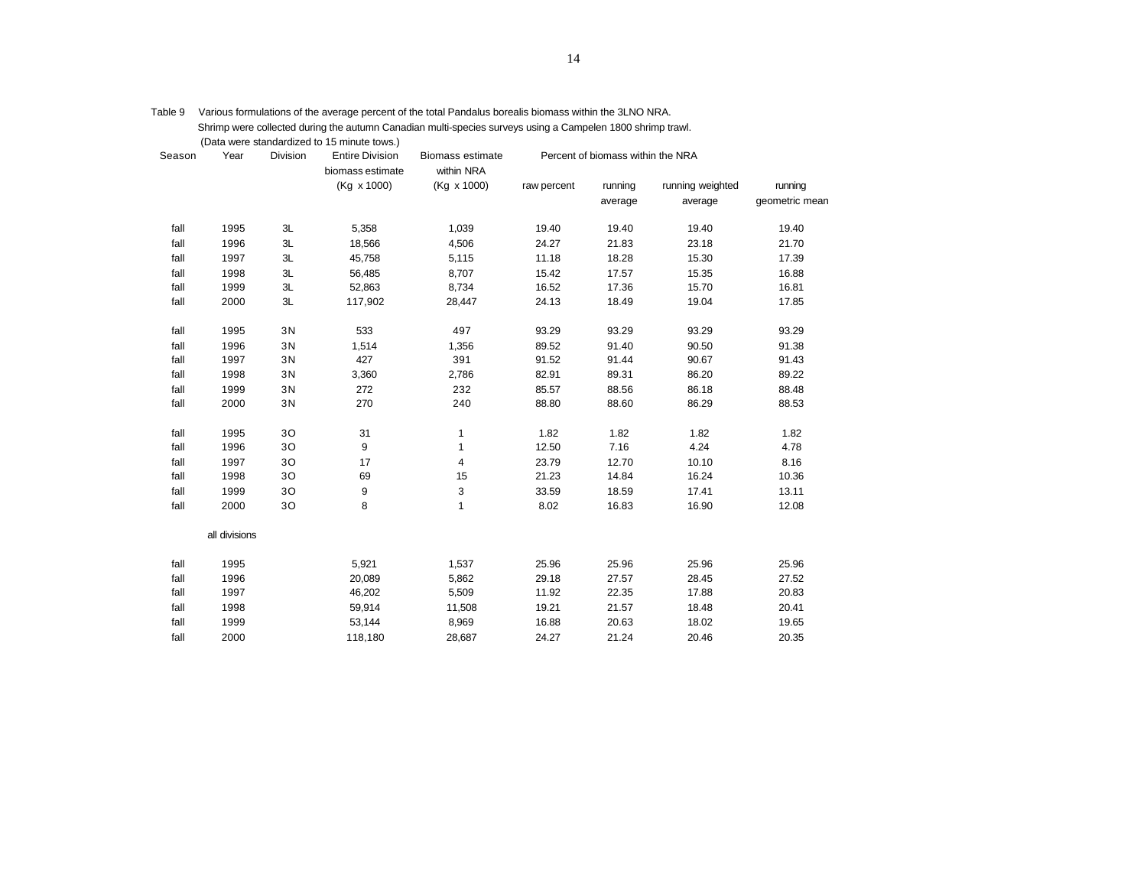|        |               |                 | (Data were standardized to 15 minute tows.) |                                |             |                                   |                  |                |
|--------|---------------|-----------------|---------------------------------------------|--------------------------------|-------------|-----------------------------------|------------------|----------------|
| Season | Year          | <b>Division</b> | <b>Entire Division</b><br>biomass estimate  | Biomass estimate<br>within NRA |             | Percent of biomass within the NRA |                  |                |
|        |               |                 | (Kg x 1000)                                 | (Kg x 1000)                    | raw percent | running                           | running weighted | running        |
|        |               |                 |                                             |                                |             | average                           | average          | geometric mean |
| fall   | 1995          | 3L              | 5,358                                       | 1,039                          | 19.40       | 19.40                             | 19.40            | 19.40          |
| fall   | 1996          | 3L              | 18,566                                      | 4,506                          | 24.27       | 21.83                             | 23.18            | 21.70          |
| fall   | 1997          | 3L              | 45,758                                      | 5,115                          | 11.18       | 18.28                             | 15.30            | 17.39          |
| fall   | 1998          | 3L              | 56,485                                      | 8,707                          | 15.42       | 17.57                             | 15.35            | 16.88          |
| fall   | 1999          | 3L              | 52,863                                      | 8,734                          | 16.52       | 17.36                             | 15.70            | 16.81          |
| fall   | 2000          | 3L              | 117,902                                     | 28,447                         | 24.13       | 18.49                             | 19.04            | 17.85          |
| fall   | 1995          | 3N              | 533                                         | 497                            | 93.29       | 93.29                             | 93.29            | 93.29          |
| fall   | 1996          | 3N              | 1,514                                       | 1,356                          | 89.52       | 91.40                             | 90.50            | 91.38          |
| fall   | 1997          | 3N              | 427                                         | 391                            | 91.52       | 91.44                             | 90.67            | 91.43          |
| fall   | 1998          | 3N              | 3,360                                       | 2,786                          | 82.91       | 89.31                             | 86.20            | 89.22          |
| fall   | 1999          | 3N              | 272                                         | 232                            | 85.57       | 88.56                             | 86.18            | 88.48          |
| fall   | 2000          | 3N              | 270                                         | 240                            | 88.80       | 88.60                             | 86.29            | 88.53          |
| fall   | 1995          | 30              | 31                                          | $\mathbf{1}$                   | 1.82        | 1.82                              | 1.82             | 1.82           |
| fall   | 1996          | 30              | 9                                           | 1                              | 12.50       | 7.16                              | 4.24             | 4.78           |
| fall   | 1997          | 30              | 17                                          | 4                              | 23.79       | 12.70                             | 10.10            | 8.16           |
| fall   | 1998          | 30              | 69                                          | 15                             | 21.23       | 14.84                             | 16.24            | 10.36          |
| fall   | 1999          | 30              | 9                                           | 3                              | 33.59       | 18.59                             | 17.41            | 13.11          |
| fall   | 2000          | 30              | 8                                           | $\mathbf{1}$                   | 8.02        | 16.83                             | 16.90            | 12.08          |
|        | all divisions |                 |                                             |                                |             |                                   |                  |                |
| fall   | 1995          |                 | 5,921                                       | 1,537                          | 25.96       | 25.96                             | 25.96            | 25.96          |
| fall   | 1996          |                 | 20,089                                      | 5,862                          | 29.18       | 27.57                             | 28.45            | 27.52          |
| fall   | 1997          |                 | 46,202                                      | 5,509                          | 11.92       | 22.35                             | 17.88            | 20.83          |
| fall   | 1998          |                 | 59,914                                      | 11,508                         | 19.21       | 21.57                             | 18.48            | 20.41          |
| fall   | 1999          |                 | 53,144                                      | 8,969                          | 16.88       | 20.63                             | 18.02            | 19.65          |
| fall   | 2000          |                 | 118,180                                     | 28,687                         | 24.27       | 21.24                             | 20.46            | 20.35          |
|        |               |                 |                                             |                                |             |                                   |                  |                |

Table 9 Various formulations of the average percent of the total Pandalus borealis biomass within the 3LNO NRA. Shrimp were collected during the autumn Canadian multi-species surveys using a Campelen 1800 shrimp trawl.<br>(Data were standardized to 15 minute tows.)  $\sim$  ctandardized to 15 minute tows.)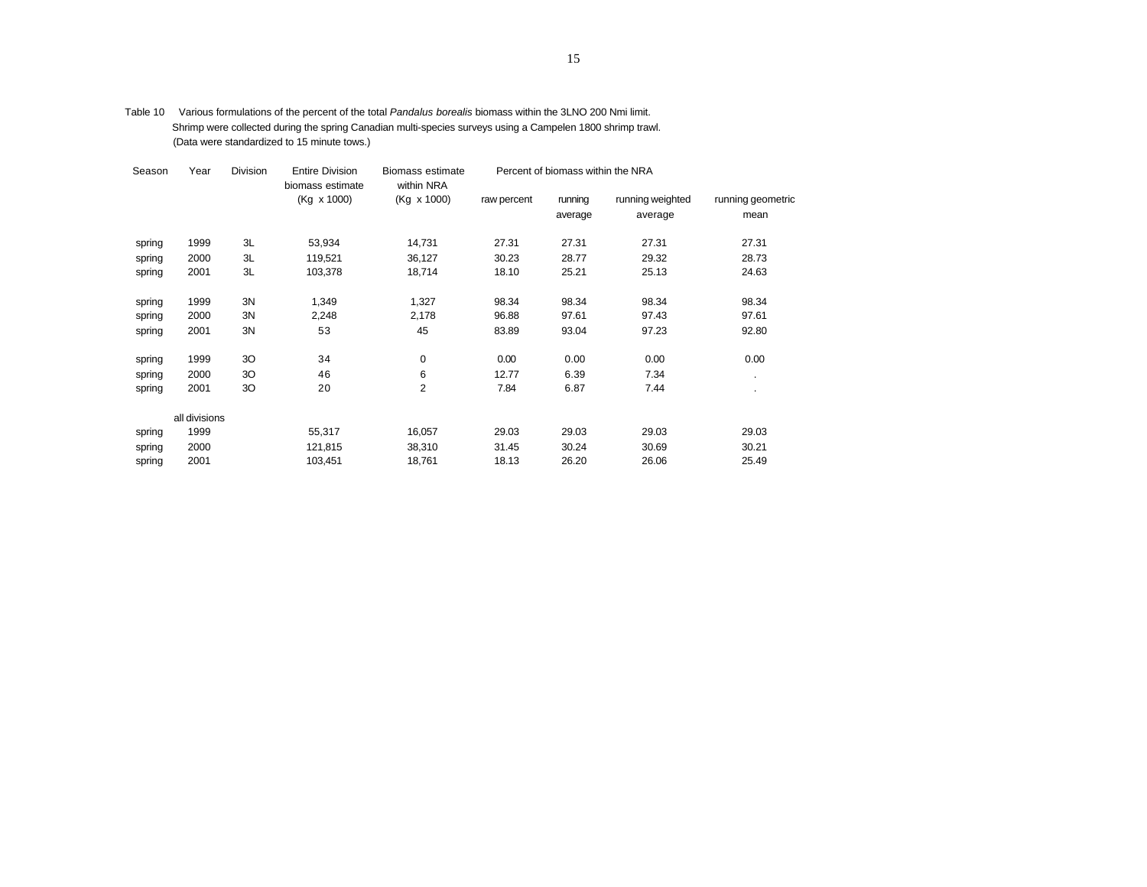| Table 10 | Various formulations of the percent of the total Pandalus borealis biomass within the 3LNO 200 Nmi limit.  |
|----------|------------------------------------------------------------------------------------------------------------|
|          | Shrimp were collected during the spring Canadian multi-species surveys using a Campelen 1800 shrimp trawl. |
|          | (Data were standardized to 15 minute tows.)                                                                |

| Season | Year          | Division | <b>Entire Division</b><br>biomass estimate | <b>Biomass estimate</b><br>within NRA |             | Percent of biomass within the NRA |                  |                   |
|--------|---------------|----------|--------------------------------------------|---------------------------------------|-------------|-----------------------------------|------------------|-------------------|
|        |               |          | (Kg x 1000)                                | (Kg x 1000)                           | raw percent | running                           | running weighted | running geometric |
|        |               |          |                                            |                                       |             | average                           | average          | mean              |
| spring | 1999          | 3L       | 53,934                                     | 14,731                                | 27.31       | 27.31                             | 27.31            | 27.31             |
| spring | 2000          | 3L       | 119,521                                    | 36,127                                | 30.23       | 28.77                             | 29.32            | 28.73             |
| spring | 2001          | 3L       | 103,378                                    | 18,714                                | 18.10       | 25.21                             | 25.13            | 24.63             |
| spring | 1999          | 3N       | 1,349                                      | 1,327                                 | 98.34       | 98.34                             | 98.34            | 98.34             |
| spring | 2000          | 3N       | 2,248                                      | 2,178                                 | 96.88       | 97.61                             | 97.43            | 97.61             |
| spring | 2001          | 3N       | 53                                         | 45                                    | 83.89       | 93.04                             | 97.23            | 92.80             |
| spring | 1999          | 30       | 34                                         | $\mathbf 0$                           | 0.00        | 0.00                              | 0.00             | 0.00              |
| spring | 2000          | 30       | 46                                         | 6                                     | 12.77       | 6.39                              | 7.34             | ٠                 |
| spring | 2001          | 30       | 20                                         | $\overline{2}$                        | 7.84        | 6.87                              | 7.44             | $\bullet$         |
|        | all divisions |          |                                            |                                       |             |                                   |                  |                   |
| spring | 1999          |          | 55,317                                     | 16,057                                | 29.03       | 29.03                             | 29.03            | 29.03             |
| spring | 2000          |          | 121,815                                    | 38,310                                | 31.45       | 30.24                             | 30.69            | 30.21             |
| spring | 2001          |          | 103,451                                    | 18,761                                | 18.13       | 26.20                             | 26.06            | 25.49             |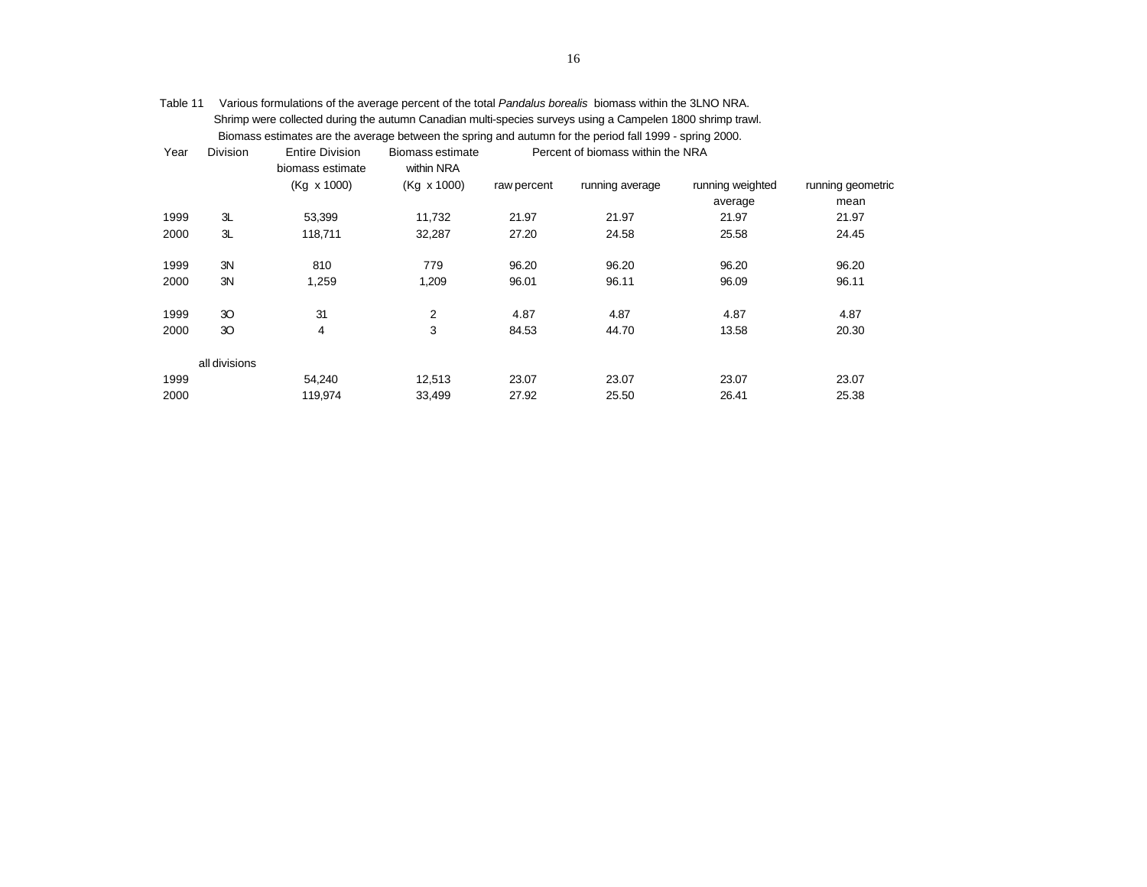| Table 11 | Various formulations of the average percent of the total Pandalus borealis biomass within the 3LNO NRA.    |                        |                  |                                   |  |  |  |  |
|----------|------------------------------------------------------------------------------------------------------------|------------------------|------------------|-----------------------------------|--|--|--|--|
|          | Shrimp were collected during the autumn Canadian multi-species surveys using a Campelen 1800 shrimp trawl. |                        |                  |                                   |  |  |  |  |
|          | Biomass estimates are the average between the spring and autumn for the period fall 1999 - spring 2000.    |                        |                  |                                   |  |  |  |  |
| Year     | <b>Division</b>                                                                                            | <b>Entire Division</b> | Biomass estimate | Percent of biomass within the NRA |  |  |  |  |

|      |               | biomass estimate | within NRA  |             |                 |                  |                   |
|------|---------------|------------------|-------------|-------------|-----------------|------------------|-------------------|
|      |               | (Kg x 1000)      | (Kg x 1000) | raw percent | running average | running weighted | running geometric |
|      |               |                  |             |             |                 | average          | mean              |
| 1999 | 3L            | 53,399           | 11,732      | 21.97       | 21.97           | 21.97            | 21.97             |
| 2000 | 3L            | 118,711          | 32,287      | 27.20       | 24.58           | 25.58            | 24.45             |
| 1999 | 3N            | 810              | 779         | 96.20       | 96.20           | 96.20            | 96.20             |
| 2000 | 3N            | 1,259            | 1,209       | 96.01       | 96.11           | 96.09            | 96.11             |
| 1999 | 30            | 31               | 2           | 4.87        | 4.87            | 4.87             | 4.87              |
| 2000 | 30            | 4                | 3           | 84.53       | 44.70           | 13.58            | 20.30             |
|      | all divisions |                  |             |             |                 |                  |                   |
| 1999 |               | 54,240           | 12,513      | 23.07       | 23.07           | 23.07            | 23.07             |
| 2000 |               | 119.974          | 33.499      | 27.92       | 25.50           | 26.41            | 25.38             |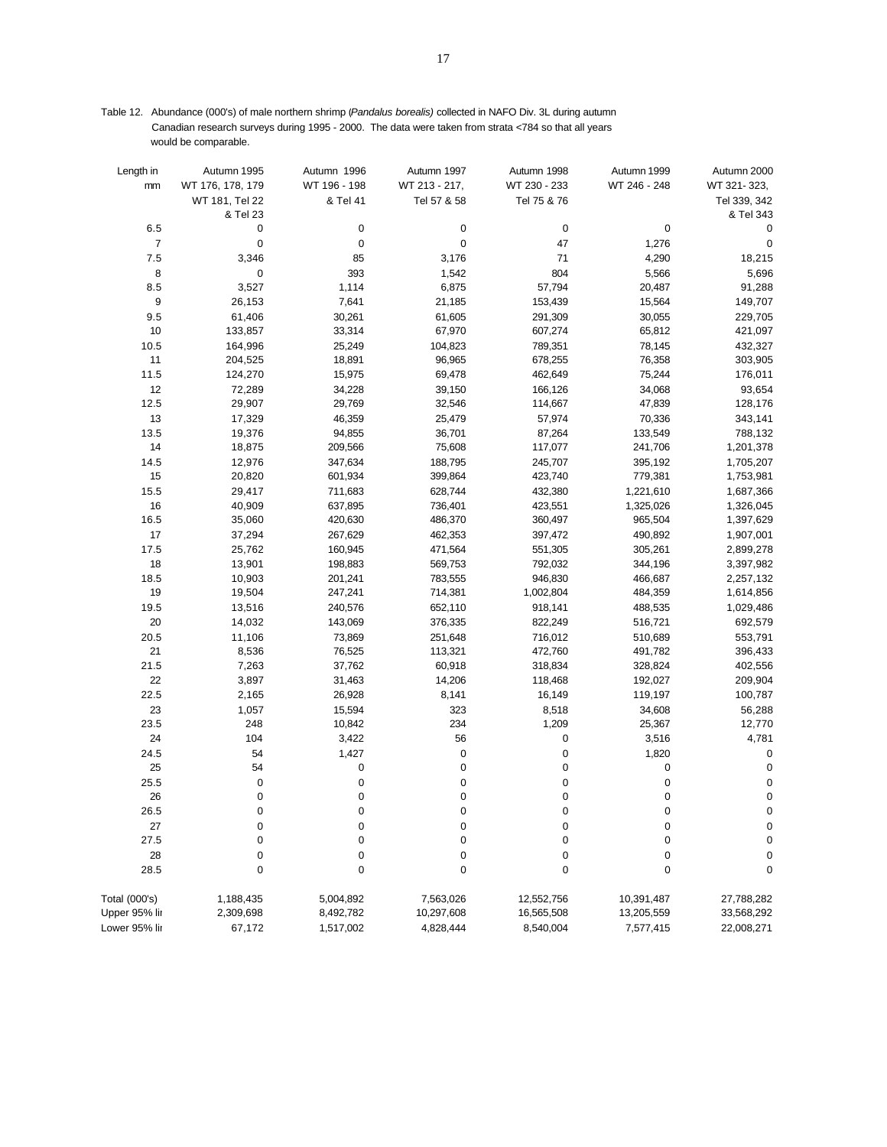Table 12. Abundance (000's) of male northern shrimp (*Pandalus borealis)* collected in NAFO Div. 3L during autumn Canadian research surveys during 1995 - 2000. The data were taken from strata <784 so that all years would be comparable.

| Length in      | Autumn 1995      | Autumn 1996    | Autumn 1997   | Autumn 1998  | Autumn 1999  | Autumn 2000    |
|----------------|------------------|----------------|---------------|--------------|--------------|----------------|
| mm             | WT 176, 178, 179 | WT 196 - 198   | WT 213 - 217, | WT 230 - 233 | WT 246 - 248 | WT 321-323,    |
|                | WT 181, Tel 22   | & Tel 41       | Tel 57 & 58   | Tel 75 & 76  |              | Tel 339, 342   |
| 6.5            | & Tel 23<br>0    | 0              | $\pmb{0}$     | 0            |              | & Tel 343<br>0 |
|                |                  |                |               |              | 0            |                |
| $\overline{7}$ | 0                | $\pmb{0}$      | $\pmb{0}$     | 47<br>71     | 1,276        | 0              |
| $7.5$          | 3,346            | 85             | 3,176         |              | 4,290        | 18,215         |
| 8              | 0                | 393            | 1,542         | 804          | 5,566        | 5,696          |
| 8.5<br>9       | 3,527<br>26,153  | 1,114<br>7,641 | 6,875         | 57,794       | 20,487       | 91,288         |
|                |                  |                | 21,185        | 153,439      | 15,564       | 149,707        |
| 9.5            | 61,406           | 30,261         | 61,605        | 291,309      | 30,055       | 229,705        |
| 10             | 133,857          | 33,314         | 67,970        | 607,274      | 65,812       | 421,097        |
| 10.5           | 164,996          | 25,249         | 104,823       | 789,351      | 78,145       | 432,327        |
| 11             | 204,525          | 18,891         | 96,965        | 678,255      | 76,358       | 303,905        |
| 11.5           | 124,270          | 15,975         | 69,478        | 462,649      | 75,244       | 176,011        |
| 12             | 72,289           | 34,228         | 39,150        | 166,126      | 34,068       | 93,654         |
| 12.5           | 29,907           | 29,769         | 32,546        | 114,667      | 47,839       | 128,176        |
| 13             | 17,329           | 46,359         | 25,479        | 57,974       | 70,336       | 343,141        |
| 13.5           | 19,376           | 94,855         | 36,701        | 87,264       | 133,549      | 788,132        |
| 14             | 18,875           | 209,566        | 75,608        | 117,077      | 241,706      | 1,201,378      |
| 14.5           | 12,976           | 347,634        | 188,795       | 245,707      | 395,192      | 1,705,207      |
| 15             | 20,820           | 601,934        | 399,864       | 423,740      | 779,381      | 1,753,981      |
| 15.5           | 29,417           | 711,683        | 628,744       | 432,380      | 1,221,610    | 1,687,366      |
| 16             | 40,909           | 637,895        | 736,401       | 423,551      | 1,325,026    | 1,326,045      |
| 16.5           | 35,060           | 420,630        | 486,370       | 360,497      | 965,504      | 1,397,629      |
| 17             | 37,294           | 267,629        | 462,353       | 397,472      | 490,892      | 1,907,001      |
| 17.5           | 25,762           | 160,945        | 471,564       | 551,305      | 305,261      | 2,899,278      |
| 18             | 13,901           | 198,883        | 569,753       | 792,032      | 344,196      | 3,397,982      |
| 18.5           | 10,903           | 201,241        | 783,555       | 946,830      | 466,687      | 2,257,132      |
| 19             | 19,504           | 247,241        | 714,381       | 1,002,804    | 484,359      | 1,614,856      |
| 19.5           | 13,516           | 240,576        | 652,110       | 918,141      | 488,535      | 1,029,486      |
| $20\,$         | 14,032           | 143,069        | 376,335       | 822,249      | 516,721      | 692,579        |
| 20.5           | 11,106           | 73,869         | 251,648       | 716,012      | 510,689      | 553,791        |
| 21             | 8,536            | 76,525         | 113,321       | 472,760      | 491,782      | 396,433        |
| 21.5           | 7,263            | 37,762         | 60,918        | 318,834      | 328,824      | 402,556        |
| 22             | 3,897            | 31,463         | 14,206        | 118,468      | 192,027      | 209,904        |
| 22.5           | 2,165            | 26,928         | 8,141         | 16,149       | 119,197      | 100,787        |
| 23             | 1,057            | 15,594         | 323           | 8,518        | 34,608       | 56,288         |
| 23.5           | 248              | 10,842         | 234           | 1,209        | 25,367       | 12,770         |
| 24             | 104              | 3,422          | 56            | 0            | 3,516        | 4,781          |
| 24.5           | 54               | 1,427          | $\pmb{0}$     | 0            | 1,820        | 0              |
| 25             | 54               | 0              | $\pmb{0}$     | 0            | 0            | 0              |
| 25.5           | 0                | $\pmb{0}$      | $\pmb{0}$     | 0            | 0            | $\mathbf 0$    |
| 26             | 0                | 0              | $\pmb{0}$     | 0            | 0            | $\pmb{0}$      |
| 26.5           | 0                | 0              | 0             | 0            | 0            | 0              |
| 27             | 0                | $\mathbf 0$    | $\mathbf 0$   | $\mathbf 0$  | $\mathbf 0$  | $\pmb{0}$      |
| 27.5           | 0                | 0              | 0             | 0            | 0            | 0              |
| 28             | 0                | $\pmb{0}$      | $\pmb{0}$     | 0            | 0            | 0              |
| 28.5           | 0                | $\mathbf 0$    | $\pmb{0}$     | $\mathbf 0$  | $\mathbf 0$  | 0              |
| Total (000's)  | 1,188,435        | 5,004,892      | 7,563,026     | 12,552,756   | 10,391,487   | 27,788,282     |
| Upper 95% lir  | 2,309,698        | 8,492,782      | 10,297,608    | 16,565,508   | 13,205,559   | 33,568,292     |
| Lower 95% lir  | 67,172           | 1,517,002      | 4,828,444     | 8,540,004    | 7,577,415    | 22,008,271     |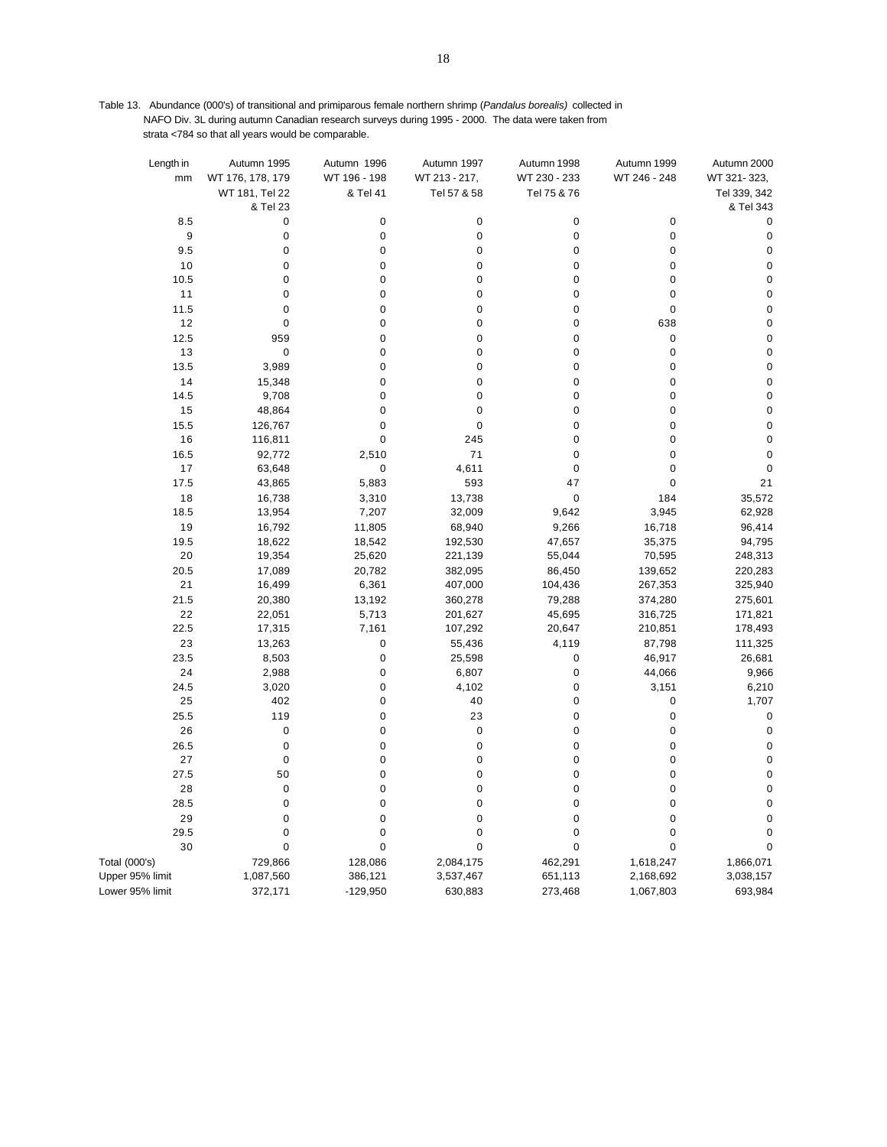Table 13. Abundance (000's) of transitional and primiparous female northern shrimp (*Pandalus borealis)* collected in NAFO Div. 3L during autumn Canadian research surveys during 1995 - 2000. The data were taken from strata <784 so that all years would be comparable.

| Length in<br>mm      | Autumn 1995<br>WT 176, 178, 179 | Autumn 1996<br>WT 196 - 198 | Autumn 1997<br>WT 213 - 217, | Autumn 1998<br>WT 230 - 233 | Autumn 1999<br>WT 246 - 248 | Autumn 2000<br>WT 321-323, |
|----------------------|---------------------------------|-----------------------------|------------------------------|-----------------------------|-----------------------------|----------------------------|
|                      | WT 181, Tel 22<br>& Tel 23      | & Tel 41                    | Tel 57 & 58                  | Tel 75 & 76                 |                             | Tel 339, 342<br>& Tel 343  |
| 8.5                  | $\mathbf 0$                     | 0                           | 0                            | $\pmb{0}$                   | $\pmb{0}$                   | $\mathbf 0$                |
| 9                    | $\mathbf 0$                     | 0                           | $\pmb{0}$                    | $\pmb{0}$                   | $\pmb{0}$                   | $\mathbf 0$                |
| 9.5                  | $\pmb{0}$                       | 0                           | $\mathbf 0$                  | $\pmb{0}$                   | $\pmb{0}$                   | $\mathsf 0$                |
| 10                   | $\mathbf 0$                     | 0                           | $\mathbf 0$                  | $\mathbf 0$                 | $\mathbf 0$                 | $\mathbf 0$                |
| 10.5                 | $\mathbf 0$                     | 0                           | $\pmb{0}$                    | $\pmb{0}$                   | $\pmb{0}$                   | $\mathbf 0$                |
| 11                   | $\mathbf 0$                     | 0                           | $\mathbf 0$                  | $\pmb{0}$                   | $\pmb{0}$                   | $\mathbf 0$                |
| 11.5                 | $\mathbf 0$                     | 0                           | $\mathbf 0$                  | $\mathbf 0$                 | $\mathbf 0$                 | $\pmb{0}$                  |
| 12                   | $\mathbf 0$                     | 0                           | $\pmb{0}$                    | 0                           | 638                         | $\mathbf 0$                |
| 12.5                 | 959                             | 0                           | $\mathbf 0$                  | $\pmb{0}$                   | $\pmb{0}$                   | $\mathbf 0$                |
| 13                   | $\mathbf 0$                     | 0                           | $\mathbf 0$                  | 0                           | $\mathbf 0$                 | $\pmb{0}$                  |
| 13.5                 | 3,989                           | 0                           | $\mathbf 0$                  | $\pmb{0}$                   | $\pmb{0}$                   | $\mathbf 0$                |
| 14                   | 15,348                          | 0                           | $\mathbf 0$                  | 0                           | $\mathbf 0$                 | $\pmb{0}$                  |
| 14.5                 | 9,708                           | 0                           | $\mathbf 0$                  | $\pmb{0}$                   | $\pmb{0}$                   | $\pmb{0}$                  |
| 15                   | 48,864                          | 0                           | $\mathbf 0$                  | $\pmb{0}$                   | $\pmb{0}$                   | $\pmb{0}$                  |
| 15.5                 | 126,767                         | 0                           | $\mathbf 0$                  | $\mathbf 0$                 | $\mathbf 0$                 | $\pmb{0}$                  |
| 16                   | 116,811                         | 0                           | 245                          | $\pmb{0}$                   | $\pmb{0}$                   | $\mathbf 0$                |
| 16.5                 | 92,772                          | 2,510                       | 71                           | $\mathbf 0$                 | $\mathbf 0$                 | $\mathbf{0}$               |
| 17                   | 63,648                          | 0                           | 4,611                        | $\mathbf 0$                 | $\mathbf 0$                 | $\mathbf 0$                |
| 17.5                 | 43,865                          | 5,883                       | 593                          | 47                          | $\pmb{0}$                   | 21                         |
| 18                   | 16,738                          | 3,310                       | 13,738                       | $\pmb{0}$                   | 184                         | 35,572                     |
| 18.5                 | 13,954                          | 7,207                       | 32,009                       | 9,642                       | 3,945                       | 62,928                     |
| 19                   | 16,792                          | 11,805                      | 68,940                       | 9,266                       | 16,718                      | 96,414                     |
| 19.5                 | 18,622                          | 18,542                      | 192,530                      | 47,657                      | 35,375                      | 94,795                     |
| 20                   | 19,354                          | 25,620                      | 221,139                      | 55,044                      | 70,595                      | 248,313                    |
| 20.5                 | 17,089                          | 20,782                      | 382,095                      | 86,450                      | 139,652                     | 220,283                    |
| 21                   | 16,499                          | 6,361                       | 407,000                      | 104,436                     | 267,353                     | 325,940                    |
| 21.5                 | 20,380                          | 13,192                      | 360,278                      | 79,288                      | 374,280                     | 275,601                    |
| 22                   | 22,051                          | 5,713                       | 201,627                      | 45,695                      | 316,725                     | 171,821                    |
| 22.5                 | 17,315                          | 7,161                       | 107,292                      | 20,647                      | 210,851                     | 178,493                    |
| 23                   | 13,263                          | 0                           | 55,436                       | 4,119                       | 87,798                      | 111,325                    |
| 23.5                 | 8,503                           | 0                           | 25,598                       | $\pmb{0}$                   | 46,917                      | 26,681                     |
| 24                   | 2,988                           | 0                           | 6,807                        | $\pmb{0}$                   | 44,066                      | 9,966                      |
| 24.5                 | 3,020                           | 0                           | 4,102                        | $\mathsf 0$                 | 3,151                       | 6,210                      |
| 25                   | 402                             | 0                           | 40                           | 0                           | 0                           | 1,707                      |
| 25.5                 | 119                             | 0                           | 23                           | $\pmb{0}$                   | $\pmb{0}$                   | $\mathbf 0$                |
| 26                   | $\pmb{0}$                       | 0                           | $\mathbf 0$                  | 0                           | $\pmb{0}$                   | $\mathbf 0$                |
| 26.5                 | $\mathbf 0$                     | 0                           | $\mathbf 0$                  | $\pmb{0}$                   | $\pmb{0}$                   | $\mathbf 0$                |
| 27                   | $\mathbf 0$                     | 0                           | $\mathbf 0$                  | 0                           | $\mathbf 0$                 | $\mathbf 0$                |
| 27.5                 | 50                              | 0                           | $\pmb{0}$                    | $\pmb{0}$                   | $\pmb{0}$                   | $\pmb{0}$                  |
| 28                   | $\mathbf 0$                     | 0                           | $\mathbf 0$                  | $\pmb{0}$                   | $\pmb{0}$                   | $\pmb{0}$                  |
| 28.5                 | $\mathbf 0$                     | 0                           | $\mathbf 0$                  | $\pmb{0}$                   | $\pmb{0}$                   | $\mathbf 0$                |
| 29                   | $\mathbf 0$                     | 0                           | $\pmb{0}$                    | $\pmb{0}$                   | $\pmb{0}$                   | $\pmb{0}$                  |
| 29.5                 | $\mathbf 0$                     | 0                           | $\mathbf 0$                  | $\mathbf 0$                 | $\pmb{0}$                   | $\mathbf 0$                |
| 30                   | $\mathbf 0$                     | 0                           | $\mathbf 0$                  | $\mathbf 0$                 | $\pmb{0}$                   | $\mathbf 0$                |
| <b>Total (000's)</b> | 729,866                         | 128,086                     | 2,084,175                    | 462,291                     | 1,618,247                   | 1,866,071                  |
| Upper 95% limit      | 1,087,560                       | 386,121                     | 3,537,467                    | 651,113                     | 2,168,692                   | 3,038,157                  |
| Lower 95% limit      | 372,171                         | $-129,950$                  | 630,883                      | 273,468                     | 1,067,803                   | 693,984                    |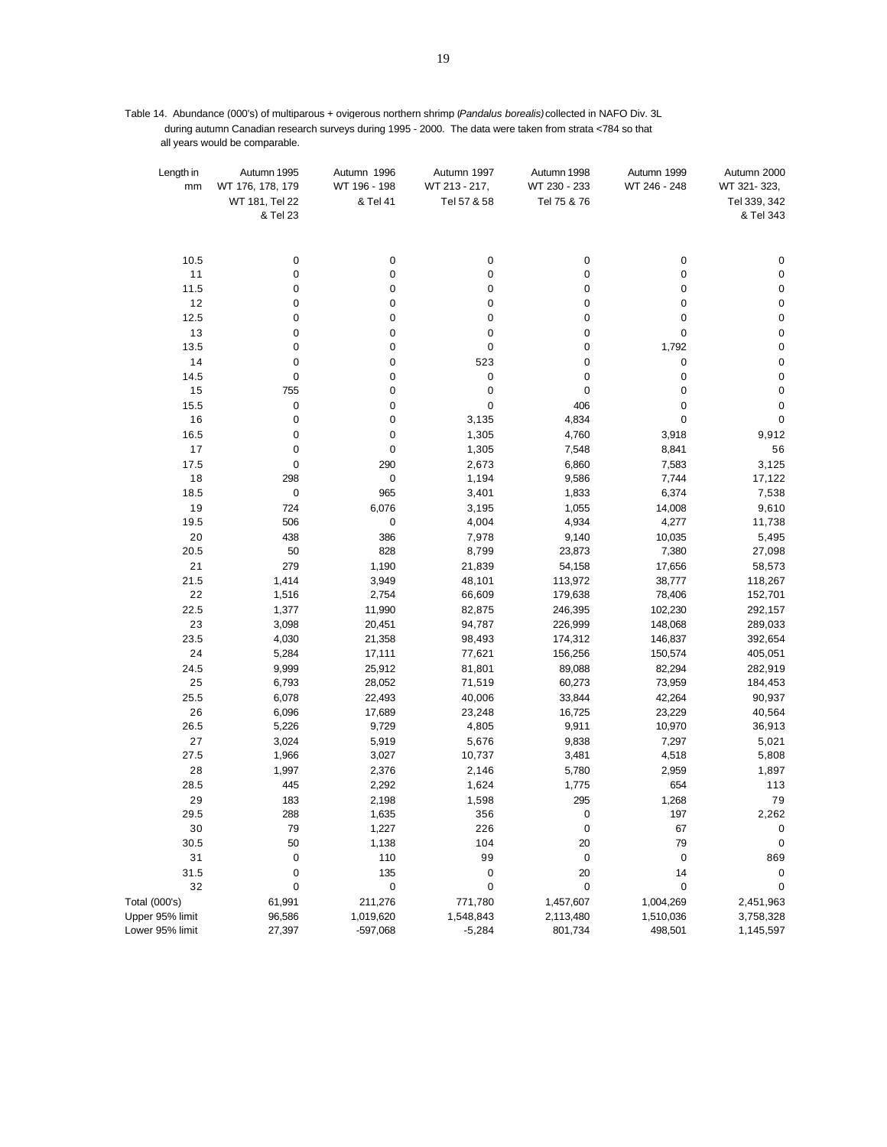Table 14. Abundance (000's) of multiparous + ovigerous northern shrimp (*Pandalus borealis)*collected in NAFO Div. 3L during autumn Canadian research surveys during 1995 - 2000. The data were taken from strata <784 so that all years would be comparable.

| Length in<br>mm | Autumn 1995<br>WT 176, 178, 179<br>WT 181, Tel 22<br>& Tel 23 | Autumn 1996<br>WT 196 - 198<br>& Tel 41 | Autumn 1997<br>WT 213 - 217,<br>Tel 57 & 58 | Autumn 1998<br>WT 230 - 233<br>Tel 75 & 76 | Autumn 1999<br>WT 246 - 248 | Autumn 2000<br>WT 321-323,<br>Tel 339, 342<br>& Tel 343 |
|-----------------|---------------------------------------------------------------|-----------------------------------------|---------------------------------------------|--------------------------------------------|-----------------------------|---------------------------------------------------------|
| 10.5            | 0                                                             | $\pmb{0}$                               | 0                                           | 0                                          | 0                           | 0                                                       |
| 11              | 0                                                             | $\pmb{0}$                               | 0                                           | 0                                          | 0                           | 0                                                       |
| 11.5            | 0                                                             | $\pmb{0}$                               | 0                                           | 0                                          | 0                           | $\pmb{0}$                                               |
| $12$            | 0                                                             | $\pmb{0}$                               | 0                                           | $\pmb{0}$                                  | 0                           | $\pmb{0}$                                               |
| 12.5            | 0                                                             | $\pmb{0}$                               | 0                                           | 0                                          | 0                           | $\pmb{0}$                                               |
| 13              | 0                                                             | $\pmb{0}$                               | 0                                           | 0                                          | 0                           | $\pmb{0}$                                               |
| 13.5            | 0                                                             | $\pmb{0}$                               | $\pmb{0}$                                   | $\pmb{0}$                                  | 1,792                       | $\pmb{0}$                                               |
| 14              | 0                                                             | $\pmb{0}$                               | 523                                         | $\pmb{0}$                                  | 0                           | $\pmb{0}$                                               |
| 14.5            | 0                                                             | $\pmb{0}$                               | 0                                           | 0                                          | 0                           | $\pmb{0}$                                               |
| 15              | 755                                                           | $\pmb{0}$                               | 0                                           | $\pmb{0}$                                  | 0                           | $\pmb{0}$                                               |
| 15.5            | 0                                                             | $\pmb{0}$                               | $\pmb{0}$                                   | 406                                        | 0                           | $\pmb{0}$                                               |
| 16              | 0                                                             | $\pmb{0}$                               | 3,135                                       | 4,834                                      | 0                           | 0                                                       |
| 16.5            | 0                                                             | $\pmb{0}$                               | 1,305                                       | 4,760                                      | 3,918                       | 9,912                                                   |
| 17              | 0                                                             | $\pmb{0}$                               | 1,305                                       | 7,548                                      | 8,841                       | 56                                                      |
| 17.5            | 0                                                             | 290                                     | 2,673                                       | 6,860                                      | 7,583                       | 3,125                                                   |
| 18              | 298                                                           | $\mathbf 0$                             | 1,194                                       | 9,586                                      | 7,744                       | 17,122                                                  |
| 18.5            | $\pmb{0}$                                                     | 965                                     | 3,401                                       | 1,833                                      | 6,374                       | 7,538                                                   |
| 19              | 724                                                           | 6,076                                   | 3,195                                       | 1,055                                      | 14,008                      | 9,610                                                   |
| 19.5            | 506                                                           | $\pmb{0}$                               | 4,004                                       | 4,934                                      | 4,277                       | 11,738                                                  |
| 20              | 438                                                           | 386                                     | 7,978                                       | 9,140                                      | 10,035                      | 5,495                                                   |
| 20.5            | 50                                                            | 828                                     | 8,799                                       | 23,873                                     | 7,380                       | 27,098                                                  |
| 21              | 279                                                           | 1,190                                   | 21,839                                      | 54,158                                     | 17,656                      | 58,573                                                  |
| 21.5            | 1,414                                                         | 3,949                                   | 48,101                                      | 113,972                                    | 38,777                      | 118,267                                                 |
| 22              | 1,516                                                         | 2,754                                   | 66,609                                      | 179,638                                    | 78,406                      | 152,701                                                 |
| 22.5            | 1,377                                                         | 11,990                                  | 82,875                                      | 246,395                                    | 102,230                     | 292,157                                                 |
| 23              | 3,098                                                         | 20,451                                  | 94,787                                      | 226,999                                    | 148,068                     | 289,033                                                 |
| 23.5            | 4,030                                                         | 21,358                                  | 98,493                                      | 174,312                                    | 146,837                     | 392,654                                                 |
| 24              | 5,284                                                         | 17,111                                  | 77,621                                      | 156,256                                    | 150,574                     | 405,051                                                 |
| 24.5            | 9,999                                                         | 25,912                                  | 81,801                                      | 89,088                                     | 82,294                      | 282,919                                                 |
| 25              | 6,793                                                         | 28,052                                  | 71,519                                      | 60,273                                     | 73,959                      | 184,453                                                 |
| 25.5            | 6,078                                                         | 22,493                                  | 40,006                                      | 33,844                                     | 42,264                      | 90,937                                                  |
| 26              | 6,096                                                         | 17,689                                  | 23,248                                      | 16,725                                     | 23,229                      | 40,564                                                  |
| 26.5            | 5,226                                                         | 9,729                                   | 4,805                                       | 9,911                                      | 10,970                      | 36,913                                                  |
| 27              | 3,024                                                         | 5,919                                   | 5,676                                       | 9,838                                      | 7,297                       | 5,021                                                   |
| 27.5            | 1,966                                                         | 3,027                                   | 10,737                                      | 3,481                                      | 4,518                       | 5,808                                                   |
| 28              | 1,997                                                         | 2,376                                   | 2,146                                       | 5,780                                      | 2,959                       | 1,897                                                   |
| 28.5            | 445                                                           | 2,292                                   | 1,624                                       | 1,775                                      | 654                         | 113                                                     |
| 29              | 183                                                           | 2,198                                   | 1,598                                       | 295                                        | 1,268                       | 79                                                      |
| 29.5            | 288                                                           | 1,635                                   | 356                                         | 0                                          | 197                         | 2,262                                                   |
| 30              | 79                                                            | 1,227                                   | 226<br>104                                  | 0                                          | 67                          | $\mathbf 0$                                             |
| 30.5<br>31      | 50                                                            | 1,138<br>110                            | 99                                          | 20                                         | 79<br>$\pmb{0}$             | $\mathbf 0$                                             |
|                 | $\pmb{0}$                                                     |                                         |                                             | 0                                          |                             | 869                                                     |
| 31.5<br>32      | 0<br>0                                                        | 135<br>$\pmb{0}$                        | $\pmb{0}$<br>0                              | 20<br>0                                    | 14<br>0                     | 0<br>0                                                  |
| Total (000's)   | 61,991                                                        | 211,276                                 | 771,780                                     |                                            | 1,004,269                   | 2,451,963                                               |
|                 |                                                               |                                         |                                             | 1,457,607                                  |                             |                                                         |
| Upper 95% limit | 96,586                                                        | 1,019,620                               | 1,548,843                                   | 2,113,480                                  | 1,510,036                   | 3,758,328                                               |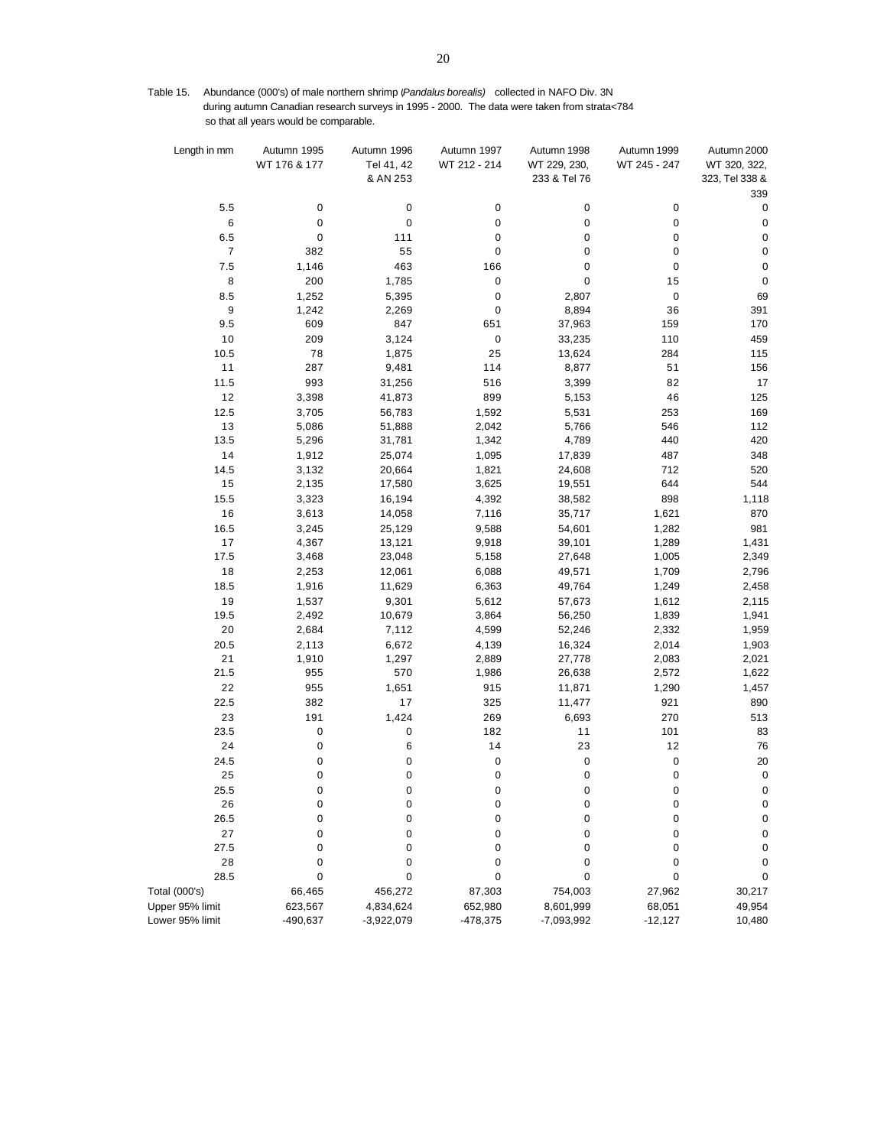Table 15. Abundance (000's) of male northern shrimp (*Pandalus borealis)* collected in NAFO Div. 3N during autumn Canadian research surveys in 1995 - 2000. The data were taken from strata<784 so that all years would be comparable.

| WT 176 & 177<br>Tel 41, 42<br>WT 212 - 214<br>WT 229, 230,<br>WT 245 - 247<br>WT 320, 322,<br>& AN 253<br>233 & Tel 76<br>323, Tel 338 &<br>339<br>5.5<br>0<br>0<br>$\pmb{0}$<br>0<br>0<br>0<br>$\,6$<br>0<br>0<br>0<br>$\pmb{0}$<br>$\pmb{0}$<br>$\pmb{0}$<br>$\pmb{0}$<br>$\pmb{0}$<br>6.5<br>111<br>0<br>0<br>$\pmb{0}$<br>$\overline{7}$<br>382<br>55<br>0<br>$\mathbf 0$<br>0<br>$\pmb{0}$<br>7.5<br>1,146<br>463<br>166<br>0<br>0<br>$\pmb{0}$<br>$\pmb{0}$<br>8<br>200<br>1,785<br>0<br>15<br>$\mathbf 0$<br>8.5<br>1,252<br>5,395<br>0<br>2,807<br>0<br>69<br>$\boldsymbol{9}$<br>0<br>8,894<br>36<br>391<br>1,242<br>2,269<br>9.5<br>609<br>847<br>651<br>170<br>37,963<br>159<br>10<br>209<br>3,124<br>$\pmb{0}$<br>33,235<br>459<br>110<br>10.5<br>78<br>1,875<br>25<br>284<br>115<br>13,624<br>11<br>287<br>9,481<br>114<br>51<br>156<br>8,877<br>11.5<br>993<br>31,256<br>516<br>82<br>17<br>3,399<br>12<br>41,873<br>899<br>46<br>125<br>3,398<br>5,153<br>12.5<br>3,705<br>56,783<br>1,592<br>5,531<br>253<br>169<br>13<br>2,042<br>112<br>5,086<br>51,888<br>5,766<br>546<br>420<br>13.5<br>5,296<br>31,781<br>1,342<br>4,789<br>440<br>14<br>1,095<br>487<br>348<br>1,912<br>25,074<br>17,839<br>1,821<br>712<br>520<br>14.5<br>3,132<br>20,664<br>24,608<br>15<br>644<br>544<br>2,135<br>17,580<br>3,625<br>19,551<br>15.5<br>16,194<br>4,392<br>898<br>1,118<br>3,323<br>38,582<br>16<br>7,116<br>1,621<br>870<br>3,613<br>14,058<br>35,717<br>9,588<br>1,282<br>981<br>16.5<br>3,245<br>25,129<br>54,601<br>17<br>9,918<br>4,367<br>13,121<br>39,101<br>1,289<br>1,431<br>17.5<br>3,468<br>23,048<br>5,158<br>27,648<br>1,005<br>2,349<br>18<br>2,253<br>12,061<br>6,088<br>49,571<br>1,709<br>2,796<br>18.5<br>11,629<br>6,363<br>1,916<br>49,764<br>1,249<br>2,458<br>19<br>9,301<br>5,612<br>57,673<br>1,612<br>2,115<br>1,537<br>19.5<br>10,679<br>3,864<br>56,250<br>1,839<br>1,941<br>2,492<br>20<br>2,684<br>7,112<br>4,599<br>52,246<br>2,332<br>1,959<br>20.5<br>6,672<br>2,014<br>1,903<br>2,113<br>4,139<br>16,324<br>21<br>1,910<br>1,297<br>2,889<br>27,778<br>2,083<br>2,021<br>21.5<br>955<br>570<br>1,986<br>26,638<br>2,572<br>1,622<br>22<br>955<br>1,651<br>915<br>1,290<br>11,871<br>1,457<br>22.5<br>382<br>17<br>325<br>921<br>890<br>11,477<br>23<br>191<br>1,424<br>269<br>270<br>513<br>6,693<br>23.5<br>0<br>0<br>182<br>11<br>101<br>83<br>24<br>0<br>6<br>14<br>23<br>12<br>76<br>24.5<br>0<br>0<br>0<br>$\pmb{0}$<br>0<br>20<br>0<br>$\pmb{0}$<br>0<br>25<br>0<br>0<br>$\pmb{0}$<br>0<br>25.5<br>0<br>0<br>$\mathbf 0$<br>0<br>0<br>26<br>0<br>0<br>0<br>0<br>0<br>0<br>26.5<br>0<br>0<br>0<br>0<br>0<br>0<br>27<br>0<br>0<br>0<br>0<br>0<br>0<br>27.5<br>0<br>0<br>0<br>0<br>0<br>0<br>28<br>0<br>0<br>0<br>0<br>0<br>0<br>28.5<br>0<br>0<br>0<br>0<br>0<br>0<br>Total (000's)<br>456,272<br>87,303<br>754,003<br>27,962<br>30,217<br>66,465<br>Upper 95% limit<br>49,954<br>623,567<br>4,834,624<br>652,980<br>8,601,999<br>68,051<br>Lower 95% limit<br>-490,637<br>$-3,922,079$<br>$-478,375$<br>$-7,093,992$<br>$-12,127$<br>10,480 | Length in mm | Autumn 1995 | Autumn 1996 | Autumn 1997 | Autumn 1998 | Autumn 1999 | Autumn 2000 |
|-------------------------------------------------------------------------------------------------------------------------------------------------------------------------------------------------------------------------------------------------------------------------------------------------------------------------------------------------------------------------------------------------------------------------------------------------------------------------------------------------------------------------------------------------------------------------------------------------------------------------------------------------------------------------------------------------------------------------------------------------------------------------------------------------------------------------------------------------------------------------------------------------------------------------------------------------------------------------------------------------------------------------------------------------------------------------------------------------------------------------------------------------------------------------------------------------------------------------------------------------------------------------------------------------------------------------------------------------------------------------------------------------------------------------------------------------------------------------------------------------------------------------------------------------------------------------------------------------------------------------------------------------------------------------------------------------------------------------------------------------------------------------------------------------------------------------------------------------------------------------------------------------------------------------------------------------------------------------------------------------------------------------------------------------------------------------------------------------------------------------------------------------------------------------------------------------------------------------------------------------------------------------------------------------------------------------------------------------------------------------------------------------------------------------------------------------------------------------------------------------------------------------------------------------------------------------------------------------------------------------------------------------------------------------------------------------------------------------------------------------------------------------------------------------------------------------------------------------------------------------------------------------------------------------------------------------------------------------------------------------------------------------------------------------------------------------------------------|--------------|-------------|-------------|-------------|-------------|-------------|-------------|
|                                                                                                                                                                                                                                                                                                                                                                                                                                                                                                                                                                                                                                                                                                                                                                                                                                                                                                                                                                                                                                                                                                                                                                                                                                                                                                                                                                                                                                                                                                                                                                                                                                                                                                                                                                                                                                                                                                                                                                                                                                                                                                                                                                                                                                                                                                                                                                                                                                                                                                                                                                                                                                                                                                                                                                                                                                                                                                                                                                                                                                                                                           |              |             |             |             |             |             |             |
|                                                                                                                                                                                                                                                                                                                                                                                                                                                                                                                                                                                                                                                                                                                                                                                                                                                                                                                                                                                                                                                                                                                                                                                                                                                                                                                                                                                                                                                                                                                                                                                                                                                                                                                                                                                                                                                                                                                                                                                                                                                                                                                                                                                                                                                                                                                                                                                                                                                                                                                                                                                                                                                                                                                                                                                                                                                                                                                                                                                                                                                                                           |              |             |             |             |             |             |             |
|                                                                                                                                                                                                                                                                                                                                                                                                                                                                                                                                                                                                                                                                                                                                                                                                                                                                                                                                                                                                                                                                                                                                                                                                                                                                                                                                                                                                                                                                                                                                                                                                                                                                                                                                                                                                                                                                                                                                                                                                                                                                                                                                                                                                                                                                                                                                                                                                                                                                                                                                                                                                                                                                                                                                                                                                                                                                                                                                                                                                                                                                                           |              |             |             |             |             |             |             |
|                                                                                                                                                                                                                                                                                                                                                                                                                                                                                                                                                                                                                                                                                                                                                                                                                                                                                                                                                                                                                                                                                                                                                                                                                                                                                                                                                                                                                                                                                                                                                                                                                                                                                                                                                                                                                                                                                                                                                                                                                                                                                                                                                                                                                                                                                                                                                                                                                                                                                                                                                                                                                                                                                                                                                                                                                                                                                                                                                                                                                                                                                           |              |             |             |             |             |             |             |
|                                                                                                                                                                                                                                                                                                                                                                                                                                                                                                                                                                                                                                                                                                                                                                                                                                                                                                                                                                                                                                                                                                                                                                                                                                                                                                                                                                                                                                                                                                                                                                                                                                                                                                                                                                                                                                                                                                                                                                                                                                                                                                                                                                                                                                                                                                                                                                                                                                                                                                                                                                                                                                                                                                                                                                                                                                                                                                                                                                                                                                                                                           |              |             |             |             |             |             |             |
|                                                                                                                                                                                                                                                                                                                                                                                                                                                                                                                                                                                                                                                                                                                                                                                                                                                                                                                                                                                                                                                                                                                                                                                                                                                                                                                                                                                                                                                                                                                                                                                                                                                                                                                                                                                                                                                                                                                                                                                                                                                                                                                                                                                                                                                                                                                                                                                                                                                                                                                                                                                                                                                                                                                                                                                                                                                                                                                                                                                                                                                                                           |              |             |             |             |             |             |             |
|                                                                                                                                                                                                                                                                                                                                                                                                                                                                                                                                                                                                                                                                                                                                                                                                                                                                                                                                                                                                                                                                                                                                                                                                                                                                                                                                                                                                                                                                                                                                                                                                                                                                                                                                                                                                                                                                                                                                                                                                                                                                                                                                                                                                                                                                                                                                                                                                                                                                                                                                                                                                                                                                                                                                                                                                                                                                                                                                                                                                                                                                                           |              |             |             |             |             |             |             |
|                                                                                                                                                                                                                                                                                                                                                                                                                                                                                                                                                                                                                                                                                                                                                                                                                                                                                                                                                                                                                                                                                                                                                                                                                                                                                                                                                                                                                                                                                                                                                                                                                                                                                                                                                                                                                                                                                                                                                                                                                                                                                                                                                                                                                                                                                                                                                                                                                                                                                                                                                                                                                                                                                                                                                                                                                                                                                                                                                                                                                                                                                           |              |             |             |             |             |             |             |
|                                                                                                                                                                                                                                                                                                                                                                                                                                                                                                                                                                                                                                                                                                                                                                                                                                                                                                                                                                                                                                                                                                                                                                                                                                                                                                                                                                                                                                                                                                                                                                                                                                                                                                                                                                                                                                                                                                                                                                                                                                                                                                                                                                                                                                                                                                                                                                                                                                                                                                                                                                                                                                                                                                                                                                                                                                                                                                                                                                                                                                                                                           |              |             |             |             |             |             |             |
|                                                                                                                                                                                                                                                                                                                                                                                                                                                                                                                                                                                                                                                                                                                                                                                                                                                                                                                                                                                                                                                                                                                                                                                                                                                                                                                                                                                                                                                                                                                                                                                                                                                                                                                                                                                                                                                                                                                                                                                                                                                                                                                                                                                                                                                                                                                                                                                                                                                                                                                                                                                                                                                                                                                                                                                                                                                                                                                                                                                                                                                                                           |              |             |             |             |             |             |             |
|                                                                                                                                                                                                                                                                                                                                                                                                                                                                                                                                                                                                                                                                                                                                                                                                                                                                                                                                                                                                                                                                                                                                                                                                                                                                                                                                                                                                                                                                                                                                                                                                                                                                                                                                                                                                                                                                                                                                                                                                                                                                                                                                                                                                                                                                                                                                                                                                                                                                                                                                                                                                                                                                                                                                                                                                                                                                                                                                                                                                                                                                                           |              |             |             |             |             |             |             |
|                                                                                                                                                                                                                                                                                                                                                                                                                                                                                                                                                                                                                                                                                                                                                                                                                                                                                                                                                                                                                                                                                                                                                                                                                                                                                                                                                                                                                                                                                                                                                                                                                                                                                                                                                                                                                                                                                                                                                                                                                                                                                                                                                                                                                                                                                                                                                                                                                                                                                                                                                                                                                                                                                                                                                                                                                                                                                                                                                                                                                                                                                           |              |             |             |             |             |             |             |
|                                                                                                                                                                                                                                                                                                                                                                                                                                                                                                                                                                                                                                                                                                                                                                                                                                                                                                                                                                                                                                                                                                                                                                                                                                                                                                                                                                                                                                                                                                                                                                                                                                                                                                                                                                                                                                                                                                                                                                                                                                                                                                                                                                                                                                                                                                                                                                                                                                                                                                                                                                                                                                                                                                                                                                                                                                                                                                                                                                                                                                                                                           |              |             |             |             |             |             |             |
|                                                                                                                                                                                                                                                                                                                                                                                                                                                                                                                                                                                                                                                                                                                                                                                                                                                                                                                                                                                                                                                                                                                                                                                                                                                                                                                                                                                                                                                                                                                                                                                                                                                                                                                                                                                                                                                                                                                                                                                                                                                                                                                                                                                                                                                                                                                                                                                                                                                                                                                                                                                                                                                                                                                                                                                                                                                                                                                                                                                                                                                                                           |              |             |             |             |             |             |             |
|                                                                                                                                                                                                                                                                                                                                                                                                                                                                                                                                                                                                                                                                                                                                                                                                                                                                                                                                                                                                                                                                                                                                                                                                                                                                                                                                                                                                                                                                                                                                                                                                                                                                                                                                                                                                                                                                                                                                                                                                                                                                                                                                                                                                                                                                                                                                                                                                                                                                                                                                                                                                                                                                                                                                                                                                                                                                                                                                                                                                                                                                                           |              |             |             |             |             |             |             |
|                                                                                                                                                                                                                                                                                                                                                                                                                                                                                                                                                                                                                                                                                                                                                                                                                                                                                                                                                                                                                                                                                                                                                                                                                                                                                                                                                                                                                                                                                                                                                                                                                                                                                                                                                                                                                                                                                                                                                                                                                                                                                                                                                                                                                                                                                                                                                                                                                                                                                                                                                                                                                                                                                                                                                                                                                                                                                                                                                                                                                                                                                           |              |             |             |             |             |             |             |
|                                                                                                                                                                                                                                                                                                                                                                                                                                                                                                                                                                                                                                                                                                                                                                                                                                                                                                                                                                                                                                                                                                                                                                                                                                                                                                                                                                                                                                                                                                                                                                                                                                                                                                                                                                                                                                                                                                                                                                                                                                                                                                                                                                                                                                                                                                                                                                                                                                                                                                                                                                                                                                                                                                                                                                                                                                                                                                                                                                                                                                                                                           |              |             |             |             |             |             |             |
|                                                                                                                                                                                                                                                                                                                                                                                                                                                                                                                                                                                                                                                                                                                                                                                                                                                                                                                                                                                                                                                                                                                                                                                                                                                                                                                                                                                                                                                                                                                                                                                                                                                                                                                                                                                                                                                                                                                                                                                                                                                                                                                                                                                                                                                                                                                                                                                                                                                                                                                                                                                                                                                                                                                                                                                                                                                                                                                                                                                                                                                                                           |              |             |             |             |             |             |             |
|                                                                                                                                                                                                                                                                                                                                                                                                                                                                                                                                                                                                                                                                                                                                                                                                                                                                                                                                                                                                                                                                                                                                                                                                                                                                                                                                                                                                                                                                                                                                                                                                                                                                                                                                                                                                                                                                                                                                                                                                                                                                                                                                                                                                                                                                                                                                                                                                                                                                                                                                                                                                                                                                                                                                                                                                                                                                                                                                                                                                                                                                                           |              |             |             |             |             |             |             |
|                                                                                                                                                                                                                                                                                                                                                                                                                                                                                                                                                                                                                                                                                                                                                                                                                                                                                                                                                                                                                                                                                                                                                                                                                                                                                                                                                                                                                                                                                                                                                                                                                                                                                                                                                                                                                                                                                                                                                                                                                                                                                                                                                                                                                                                                                                                                                                                                                                                                                                                                                                                                                                                                                                                                                                                                                                                                                                                                                                                                                                                                                           |              |             |             |             |             |             |             |
|                                                                                                                                                                                                                                                                                                                                                                                                                                                                                                                                                                                                                                                                                                                                                                                                                                                                                                                                                                                                                                                                                                                                                                                                                                                                                                                                                                                                                                                                                                                                                                                                                                                                                                                                                                                                                                                                                                                                                                                                                                                                                                                                                                                                                                                                                                                                                                                                                                                                                                                                                                                                                                                                                                                                                                                                                                                                                                                                                                                                                                                                                           |              |             |             |             |             |             |             |
|                                                                                                                                                                                                                                                                                                                                                                                                                                                                                                                                                                                                                                                                                                                                                                                                                                                                                                                                                                                                                                                                                                                                                                                                                                                                                                                                                                                                                                                                                                                                                                                                                                                                                                                                                                                                                                                                                                                                                                                                                                                                                                                                                                                                                                                                                                                                                                                                                                                                                                                                                                                                                                                                                                                                                                                                                                                                                                                                                                                                                                                                                           |              |             |             |             |             |             |             |
|                                                                                                                                                                                                                                                                                                                                                                                                                                                                                                                                                                                                                                                                                                                                                                                                                                                                                                                                                                                                                                                                                                                                                                                                                                                                                                                                                                                                                                                                                                                                                                                                                                                                                                                                                                                                                                                                                                                                                                                                                                                                                                                                                                                                                                                                                                                                                                                                                                                                                                                                                                                                                                                                                                                                                                                                                                                                                                                                                                                                                                                                                           |              |             |             |             |             |             |             |
|                                                                                                                                                                                                                                                                                                                                                                                                                                                                                                                                                                                                                                                                                                                                                                                                                                                                                                                                                                                                                                                                                                                                                                                                                                                                                                                                                                                                                                                                                                                                                                                                                                                                                                                                                                                                                                                                                                                                                                                                                                                                                                                                                                                                                                                                                                                                                                                                                                                                                                                                                                                                                                                                                                                                                                                                                                                                                                                                                                                                                                                                                           |              |             |             |             |             |             |             |
|                                                                                                                                                                                                                                                                                                                                                                                                                                                                                                                                                                                                                                                                                                                                                                                                                                                                                                                                                                                                                                                                                                                                                                                                                                                                                                                                                                                                                                                                                                                                                                                                                                                                                                                                                                                                                                                                                                                                                                                                                                                                                                                                                                                                                                                                                                                                                                                                                                                                                                                                                                                                                                                                                                                                                                                                                                                                                                                                                                                                                                                                                           |              |             |             |             |             |             |             |
|                                                                                                                                                                                                                                                                                                                                                                                                                                                                                                                                                                                                                                                                                                                                                                                                                                                                                                                                                                                                                                                                                                                                                                                                                                                                                                                                                                                                                                                                                                                                                                                                                                                                                                                                                                                                                                                                                                                                                                                                                                                                                                                                                                                                                                                                                                                                                                                                                                                                                                                                                                                                                                                                                                                                                                                                                                                                                                                                                                                                                                                                                           |              |             |             |             |             |             |             |
|                                                                                                                                                                                                                                                                                                                                                                                                                                                                                                                                                                                                                                                                                                                                                                                                                                                                                                                                                                                                                                                                                                                                                                                                                                                                                                                                                                                                                                                                                                                                                                                                                                                                                                                                                                                                                                                                                                                                                                                                                                                                                                                                                                                                                                                                                                                                                                                                                                                                                                                                                                                                                                                                                                                                                                                                                                                                                                                                                                                                                                                                                           |              |             |             |             |             |             |             |
|                                                                                                                                                                                                                                                                                                                                                                                                                                                                                                                                                                                                                                                                                                                                                                                                                                                                                                                                                                                                                                                                                                                                                                                                                                                                                                                                                                                                                                                                                                                                                                                                                                                                                                                                                                                                                                                                                                                                                                                                                                                                                                                                                                                                                                                                                                                                                                                                                                                                                                                                                                                                                                                                                                                                                                                                                                                                                                                                                                                                                                                                                           |              |             |             |             |             |             |             |
|                                                                                                                                                                                                                                                                                                                                                                                                                                                                                                                                                                                                                                                                                                                                                                                                                                                                                                                                                                                                                                                                                                                                                                                                                                                                                                                                                                                                                                                                                                                                                                                                                                                                                                                                                                                                                                                                                                                                                                                                                                                                                                                                                                                                                                                                                                                                                                                                                                                                                                                                                                                                                                                                                                                                                                                                                                                                                                                                                                                                                                                                                           |              |             |             |             |             |             |             |
|                                                                                                                                                                                                                                                                                                                                                                                                                                                                                                                                                                                                                                                                                                                                                                                                                                                                                                                                                                                                                                                                                                                                                                                                                                                                                                                                                                                                                                                                                                                                                                                                                                                                                                                                                                                                                                                                                                                                                                                                                                                                                                                                                                                                                                                                                                                                                                                                                                                                                                                                                                                                                                                                                                                                                                                                                                                                                                                                                                                                                                                                                           |              |             |             |             |             |             |             |
|                                                                                                                                                                                                                                                                                                                                                                                                                                                                                                                                                                                                                                                                                                                                                                                                                                                                                                                                                                                                                                                                                                                                                                                                                                                                                                                                                                                                                                                                                                                                                                                                                                                                                                                                                                                                                                                                                                                                                                                                                                                                                                                                                                                                                                                                                                                                                                                                                                                                                                                                                                                                                                                                                                                                                                                                                                                                                                                                                                                                                                                                                           |              |             |             |             |             |             |             |
|                                                                                                                                                                                                                                                                                                                                                                                                                                                                                                                                                                                                                                                                                                                                                                                                                                                                                                                                                                                                                                                                                                                                                                                                                                                                                                                                                                                                                                                                                                                                                                                                                                                                                                                                                                                                                                                                                                                                                                                                                                                                                                                                                                                                                                                                                                                                                                                                                                                                                                                                                                                                                                                                                                                                                                                                                                                                                                                                                                                                                                                                                           |              |             |             |             |             |             |             |
|                                                                                                                                                                                                                                                                                                                                                                                                                                                                                                                                                                                                                                                                                                                                                                                                                                                                                                                                                                                                                                                                                                                                                                                                                                                                                                                                                                                                                                                                                                                                                                                                                                                                                                                                                                                                                                                                                                                                                                                                                                                                                                                                                                                                                                                                                                                                                                                                                                                                                                                                                                                                                                                                                                                                                                                                                                                                                                                                                                                                                                                                                           |              |             |             |             |             |             |             |
|                                                                                                                                                                                                                                                                                                                                                                                                                                                                                                                                                                                                                                                                                                                                                                                                                                                                                                                                                                                                                                                                                                                                                                                                                                                                                                                                                                                                                                                                                                                                                                                                                                                                                                                                                                                                                                                                                                                                                                                                                                                                                                                                                                                                                                                                                                                                                                                                                                                                                                                                                                                                                                                                                                                                                                                                                                                                                                                                                                                                                                                                                           |              |             |             |             |             |             |             |
|                                                                                                                                                                                                                                                                                                                                                                                                                                                                                                                                                                                                                                                                                                                                                                                                                                                                                                                                                                                                                                                                                                                                                                                                                                                                                                                                                                                                                                                                                                                                                                                                                                                                                                                                                                                                                                                                                                                                                                                                                                                                                                                                                                                                                                                                                                                                                                                                                                                                                                                                                                                                                                                                                                                                                                                                                                                                                                                                                                                                                                                                                           |              |             |             |             |             |             |             |
|                                                                                                                                                                                                                                                                                                                                                                                                                                                                                                                                                                                                                                                                                                                                                                                                                                                                                                                                                                                                                                                                                                                                                                                                                                                                                                                                                                                                                                                                                                                                                                                                                                                                                                                                                                                                                                                                                                                                                                                                                                                                                                                                                                                                                                                                                                                                                                                                                                                                                                                                                                                                                                                                                                                                                                                                                                                                                                                                                                                                                                                                                           |              |             |             |             |             |             |             |
|                                                                                                                                                                                                                                                                                                                                                                                                                                                                                                                                                                                                                                                                                                                                                                                                                                                                                                                                                                                                                                                                                                                                                                                                                                                                                                                                                                                                                                                                                                                                                                                                                                                                                                                                                                                                                                                                                                                                                                                                                                                                                                                                                                                                                                                                                                                                                                                                                                                                                                                                                                                                                                                                                                                                                                                                                                                                                                                                                                                                                                                                                           |              |             |             |             |             |             |             |
|                                                                                                                                                                                                                                                                                                                                                                                                                                                                                                                                                                                                                                                                                                                                                                                                                                                                                                                                                                                                                                                                                                                                                                                                                                                                                                                                                                                                                                                                                                                                                                                                                                                                                                                                                                                                                                                                                                                                                                                                                                                                                                                                                                                                                                                                                                                                                                                                                                                                                                                                                                                                                                                                                                                                                                                                                                                                                                                                                                                                                                                                                           |              |             |             |             |             |             |             |
|                                                                                                                                                                                                                                                                                                                                                                                                                                                                                                                                                                                                                                                                                                                                                                                                                                                                                                                                                                                                                                                                                                                                                                                                                                                                                                                                                                                                                                                                                                                                                                                                                                                                                                                                                                                                                                                                                                                                                                                                                                                                                                                                                                                                                                                                                                                                                                                                                                                                                                                                                                                                                                                                                                                                                                                                                                                                                                                                                                                                                                                                                           |              |             |             |             |             |             |             |
|                                                                                                                                                                                                                                                                                                                                                                                                                                                                                                                                                                                                                                                                                                                                                                                                                                                                                                                                                                                                                                                                                                                                                                                                                                                                                                                                                                                                                                                                                                                                                                                                                                                                                                                                                                                                                                                                                                                                                                                                                                                                                                                                                                                                                                                                                                                                                                                                                                                                                                                                                                                                                                                                                                                                                                                                                                                                                                                                                                                                                                                                                           |              |             |             |             |             |             |             |
|                                                                                                                                                                                                                                                                                                                                                                                                                                                                                                                                                                                                                                                                                                                                                                                                                                                                                                                                                                                                                                                                                                                                                                                                                                                                                                                                                                                                                                                                                                                                                                                                                                                                                                                                                                                                                                                                                                                                                                                                                                                                                                                                                                                                                                                                                                                                                                                                                                                                                                                                                                                                                                                                                                                                                                                                                                                                                                                                                                                                                                                                                           |              |             |             |             |             |             |             |
|                                                                                                                                                                                                                                                                                                                                                                                                                                                                                                                                                                                                                                                                                                                                                                                                                                                                                                                                                                                                                                                                                                                                                                                                                                                                                                                                                                                                                                                                                                                                                                                                                                                                                                                                                                                                                                                                                                                                                                                                                                                                                                                                                                                                                                                                                                                                                                                                                                                                                                                                                                                                                                                                                                                                                                                                                                                                                                                                                                                                                                                                                           |              |             |             |             |             |             |             |
|                                                                                                                                                                                                                                                                                                                                                                                                                                                                                                                                                                                                                                                                                                                                                                                                                                                                                                                                                                                                                                                                                                                                                                                                                                                                                                                                                                                                                                                                                                                                                                                                                                                                                                                                                                                                                                                                                                                                                                                                                                                                                                                                                                                                                                                                                                                                                                                                                                                                                                                                                                                                                                                                                                                                                                                                                                                                                                                                                                                                                                                                                           |              |             |             |             |             |             |             |
|                                                                                                                                                                                                                                                                                                                                                                                                                                                                                                                                                                                                                                                                                                                                                                                                                                                                                                                                                                                                                                                                                                                                                                                                                                                                                                                                                                                                                                                                                                                                                                                                                                                                                                                                                                                                                                                                                                                                                                                                                                                                                                                                                                                                                                                                                                                                                                                                                                                                                                                                                                                                                                                                                                                                                                                                                                                                                                                                                                                                                                                                                           |              |             |             |             |             |             |             |
|                                                                                                                                                                                                                                                                                                                                                                                                                                                                                                                                                                                                                                                                                                                                                                                                                                                                                                                                                                                                                                                                                                                                                                                                                                                                                                                                                                                                                                                                                                                                                                                                                                                                                                                                                                                                                                                                                                                                                                                                                                                                                                                                                                                                                                                                                                                                                                                                                                                                                                                                                                                                                                                                                                                                                                                                                                                                                                                                                                                                                                                                                           |              |             |             |             |             |             |             |
|                                                                                                                                                                                                                                                                                                                                                                                                                                                                                                                                                                                                                                                                                                                                                                                                                                                                                                                                                                                                                                                                                                                                                                                                                                                                                                                                                                                                                                                                                                                                                                                                                                                                                                                                                                                                                                                                                                                                                                                                                                                                                                                                                                                                                                                                                                                                                                                                                                                                                                                                                                                                                                                                                                                                                                                                                                                                                                                                                                                                                                                                                           |              |             |             |             |             |             |             |
|                                                                                                                                                                                                                                                                                                                                                                                                                                                                                                                                                                                                                                                                                                                                                                                                                                                                                                                                                                                                                                                                                                                                                                                                                                                                                                                                                                                                                                                                                                                                                                                                                                                                                                                                                                                                                                                                                                                                                                                                                                                                                                                                                                                                                                                                                                                                                                                                                                                                                                                                                                                                                                                                                                                                                                                                                                                                                                                                                                                                                                                                                           |              |             |             |             |             |             |             |
|                                                                                                                                                                                                                                                                                                                                                                                                                                                                                                                                                                                                                                                                                                                                                                                                                                                                                                                                                                                                                                                                                                                                                                                                                                                                                                                                                                                                                                                                                                                                                                                                                                                                                                                                                                                                                                                                                                                                                                                                                                                                                                                                                                                                                                                                                                                                                                                                                                                                                                                                                                                                                                                                                                                                                                                                                                                                                                                                                                                                                                                                                           |              |             |             |             |             |             |             |
|                                                                                                                                                                                                                                                                                                                                                                                                                                                                                                                                                                                                                                                                                                                                                                                                                                                                                                                                                                                                                                                                                                                                                                                                                                                                                                                                                                                                                                                                                                                                                                                                                                                                                                                                                                                                                                                                                                                                                                                                                                                                                                                                                                                                                                                                                                                                                                                                                                                                                                                                                                                                                                                                                                                                                                                                                                                                                                                                                                                                                                                                                           |              |             |             |             |             |             |             |
|                                                                                                                                                                                                                                                                                                                                                                                                                                                                                                                                                                                                                                                                                                                                                                                                                                                                                                                                                                                                                                                                                                                                                                                                                                                                                                                                                                                                                                                                                                                                                                                                                                                                                                                                                                                                                                                                                                                                                                                                                                                                                                                                                                                                                                                                                                                                                                                                                                                                                                                                                                                                                                                                                                                                                                                                                                                                                                                                                                                                                                                                                           |              |             |             |             |             |             |             |
|                                                                                                                                                                                                                                                                                                                                                                                                                                                                                                                                                                                                                                                                                                                                                                                                                                                                                                                                                                                                                                                                                                                                                                                                                                                                                                                                                                                                                                                                                                                                                                                                                                                                                                                                                                                                                                                                                                                                                                                                                                                                                                                                                                                                                                                                                                                                                                                                                                                                                                                                                                                                                                                                                                                                                                                                                                                                                                                                                                                                                                                                                           |              |             |             |             |             |             |             |
|                                                                                                                                                                                                                                                                                                                                                                                                                                                                                                                                                                                                                                                                                                                                                                                                                                                                                                                                                                                                                                                                                                                                                                                                                                                                                                                                                                                                                                                                                                                                                                                                                                                                                                                                                                                                                                                                                                                                                                                                                                                                                                                                                                                                                                                                                                                                                                                                                                                                                                                                                                                                                                                                                                                                                                                                                                                                                                                                                                                                                                                                                           |              |             |             |             |             |             |             |
|                                                                                                                                                                                                                                                                                                                                                                                                                                                                                                                                                                                                                                                                                                                                                                                                                                                                                                                                                                                                                                                                                                                                                                                                                                                                                                                                                                                                                                                                                                                                                                                                                                                                                                                                                                                                                                                                                                                                                                                                                                                                                                                                                                                                                                                                                                                                                                                                                                                                                                                                                                                                                                                                                                                                                                                                                                                                                                                                                                                                                                                                                           |              |             |             |             |             |             |             |
|                                                                                                                                                                                                                                                                                                                                                                                                                                                                                                                                                                                                                                                                                                                                                                                                                                                                                                                                                                                                                                                                                                                                                                                                                                                                                                                                                                                                                                                                                                                                                                                                                                                                                                                                                                                                                                                                                                                                                                                                                                                                                                                                                                                                                                                                                                                                                                                                                                                                                                                                                                                                                                                                                                                                                                                                                                                                                                                                                                                                                                                                                           |              |             |             |             |             |             |             |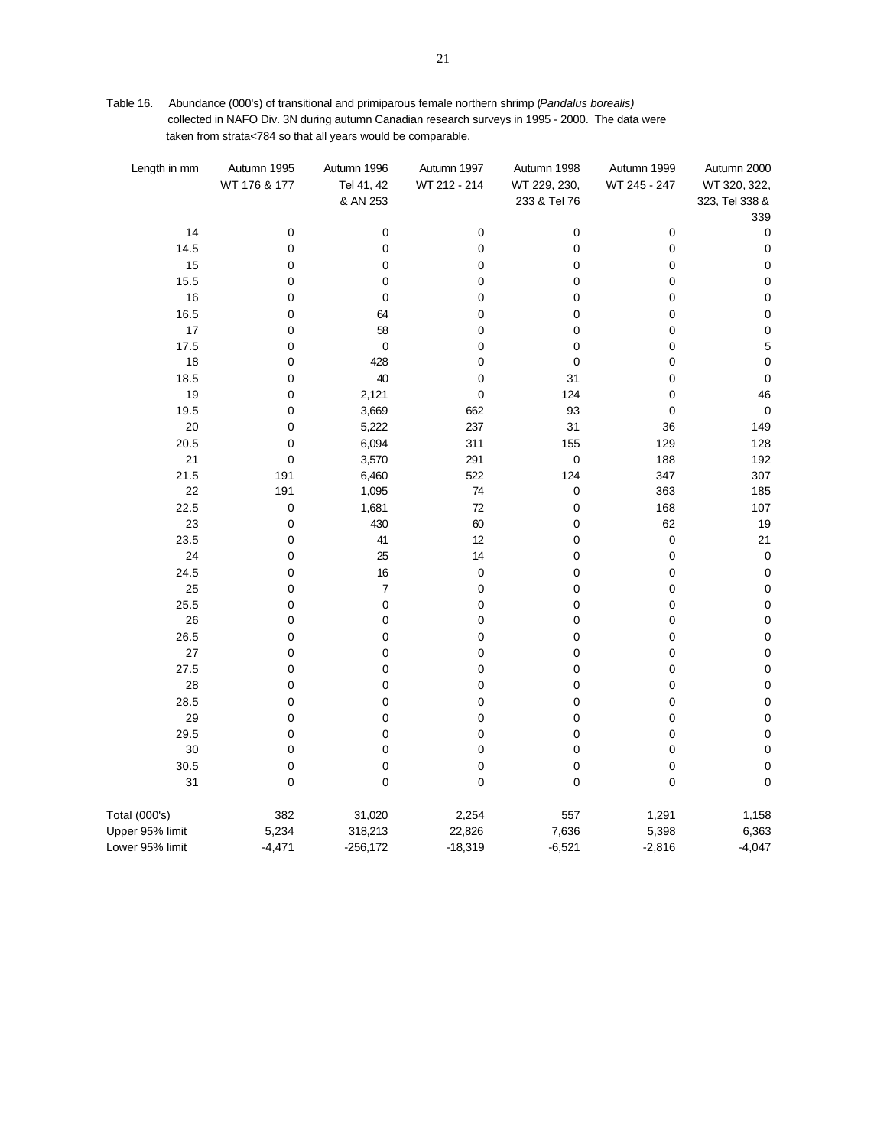| Length in mm    | Autumn 1995<br>WT 176 & 177 | Autumn 1996<br>Tel 41, 42<br>& AN 253 | Autumn 1997<br>WT 212 - 214 | Autumn 1998<br>WT 229, 230,<br>233 & Tel 76 | Autumn 1999<br>WT 245 - 247 | Autumn 2000<br>WT 320, 322,<br>323, Tel 338 & |
|-----------------|-----------------------------|---------------------------------------|-----------------------------|---------------------------------------------|-----------------------------|-----------------------------------------------|
|                 |                             |                                       |                             |                                             |                             | 339                                           |
| 14              | $\pmb{0}$                   | 0                                     | 0                           | $\pmb{0}$                                   | 0                           | 0                                             |
| 14.5            | $\pmb{0}$                   | 0                                     | 0                           | $\pmb{0}$                                   | 0                           | 0                                             |
| 15              | 0                           | 0                                     | 0                           | 0                                           | 0                           | 0                                             |
| 15.5            | 0                           | 0                                     | 0                           | 0                                           | 0                           | $\mathbf 0$                                   |
| 16              | 0                           | $\pmb{0}$                             | 0                           | 0                                           | 0                           | $\pmb{0}$                                     |
| 16.5            | $\mathbf 0$                 | 64                                    | 0                           | $\pmb{0}$                                   | $\mathbf 0$                 | $\mathbf 0$                                   |
| 17              | 0                           | 58                                    | 0                           | $\mathbf 0$                                 | $\mathbf 0$                 | $\mathbf 0$                                   |
| 17.5            | 0                           | $\mathbf 0$                           | 0                           | $\mathbf 0$                                 | 0                           | $\sqrt{5}$                                    |
| 18              | 0                           | 428                                   | 0                           | $\mathbf 0$                                 | 0                           | $\pmb{0}$                                     |
| 18.5            | 0                           | 40                                    | 0                           | 31                                          | 0                           | $\pmb{0}$                                     |
| 19              | 0                           | 2,121                                 | 0                           | 124                                         | 0                           | 46                                            |
| 19.5            | 0                           | 3,669                                 | 662                         | 93                                          | 0                           | $\pmb{0}$                                     |
| 20              | 0                           | 5,222                                 | 237                         | 31                                          | 36                          | 149                                           |
| 20.5            | 0                           | 6,094                                 | 311                         | 155                                         | 129                         | 128                                           |
| 21              | $\mathbf 0$                 | 3,570                                 | 291                         | $\mathbf 0$                                 | 188                         | 192                                           |
| 21.5            | 191                         | 6,460                                 | 522                         | 124                                         | 347                         | 307                                           |
| 22              | 191                         | 1,095                                 | 74                          | $\pmb{0}$                                   | 363                         | 185                                           |
| 22.5            | $\pmb{0}$                   | 1,681                                 | 72                          | $\pmb{0}$                                   | 168                         | 107                                           |
| 23              | $\mathbf 0$                 | 430                                   | 60                          | $\mathbf 0$                                 | 62                          | 19                                            |
| 23.5            | 0                           | 41                                    | 12                          | 0                                           | $\pmb{0}$                   | 21                                            |
| 24              | 0                           | 25                                    | 14                          | $\mathbf 0$                                 | $\mathbf 0$                 | $\pmb{0}$                                     |
| 24.5            | 0                           | 16                                    | $\mathbf 0$                 | $\mathbf 0$                                 | $\mathbf 0$                 | $\mathbf 0$                                   |
| 25              | 0                           | $\overline{7}$                        | 0                           | $\mathbf 0$                                 | 0                           | $\pmb{0}$                                     |
| 25.5            | 0                           | 0                                     | 0                           | 0                                           | 0                           | $\pmb{0}$                                     |
| 26              | 0                           | 0                                     | 0                           | $\mathbf 0$                                 | 0                           | $\pmb{0}$                                     |
| 26.5            | 0                           | 0                                     | 0                           | $\mathbf 0$                                 | 0                           | $\pmb{0}$                                     |
| 27              | 0                           | 0                                     | 0                           | $\pmb{0}$                                   | 0                           | $\mathbf 0$                                   |
| 27.5            | 0                           | 0                                     | 0                           | 0                                           | 0                           | $\pmb{0}$                                     |
| 28              | 0                           | 0                                     | 0                           | $\mathbf 0$                                 | 0                           | $\pmb{0}$<br>$\pmb{0}$                        |
| 28.5            | 0                           | 0                                     | 0                           | 0                                           | 0                           |                                               |
| 29              | $\mathbf 0$                 | 0                                     | 0                           | 0                                           | $\mathbf 0$                 | $\pmb{0}$                                     |
| 29.5<br>30      | 0<br>$\mathbf 0$            | $\mathbf 0$<br>0                      | 0<br>0                      | $\pmb{0}$<br>$\mathbf 0$                    | 0<br>0                      | $\pmb{0}$<br>$\mathbf 0$                      |
| 30.5            | $\mathbf 0$                 | 0                                     | 0                           | $\mathbf 0$                                 | 0                           | $\pmb{0}$                                     |
| 31              | $\mathbf 0$                 | $\mathbf 0$                           | 0                           | $\mathbf 0$                                 | $\mathbf 0$                 | $\pmb{0}$                                     |
| Total (000's)   | 382                         | 31,020                                | 2,254                       | 557                                         | 1,291                       | 1,158                                         |
| Upper 95% limit | 5,234                       | 318,213                               | 22,826                      | 7,636                                       | 5,398                       | 6,363                                         |
| Lower 95% limit | $-4,471$                    | $-256,172$                            | $-18,319$                   | $-6,521$                                    | $-2,816$                    | $-4,047$                                      |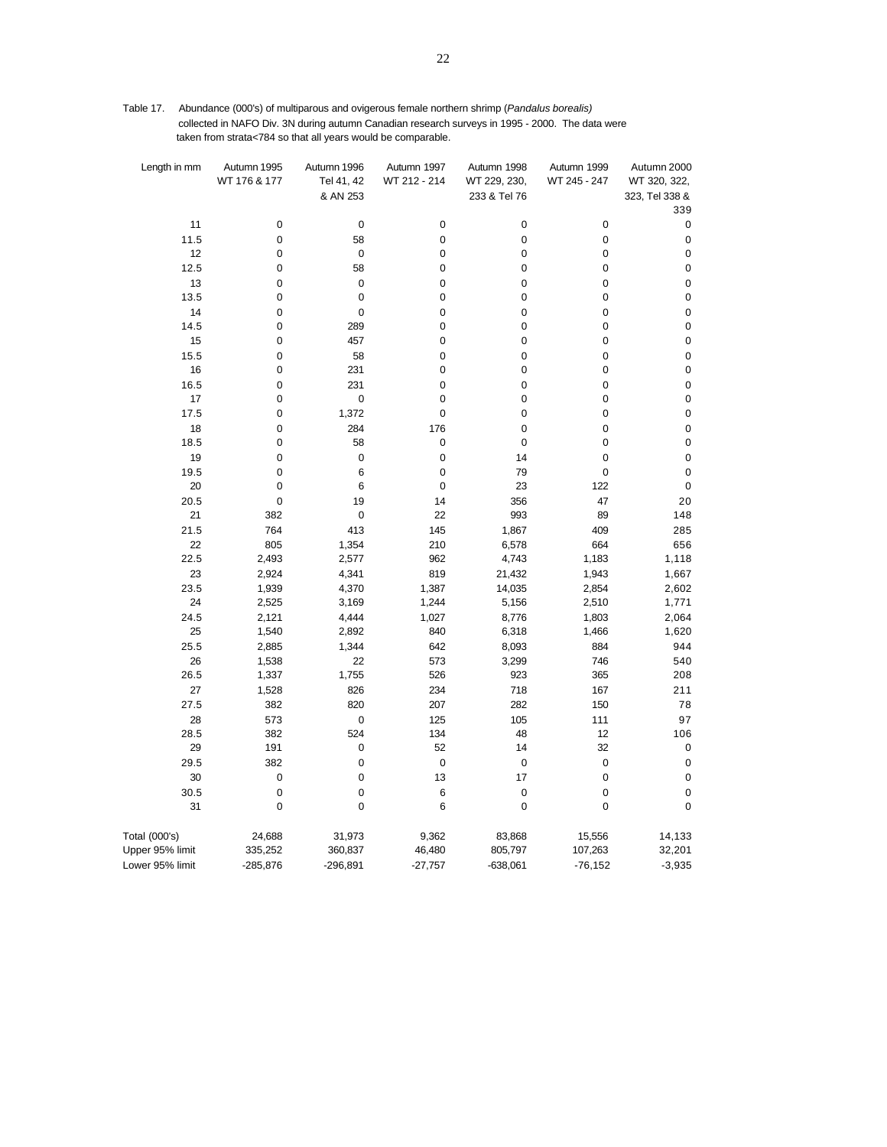Table 17. Abundance (000's) of multiparous and ovigerous female northern shrimp (*Pandalus borealis)*  collected in NAFO Div. 3N during autumn Canadian research surveys in 1995 - 2000. The data were taken from strata<784 so that all years would be comparable.

| Length in mm    | Autumn 1995    | Autumn 1996      | Autumn 1997    | Autumn 1998  | Autumn 1999      | Autumn 2000              |
|-----------------|----------------|------------------|----------------|--------------|------------------|--------------------------|
|                 | WT 176 & 177   | Tel 41, 42       | WT 212 - 214   | WT 229, 230, | WT 245 - 247     | WT 320, 322,             |
|                 |                | & AN 253         |                | 233 & Tel 76 |                  | 323, Tel 338 &           |
|                 |                |                  |                |              |                  | 339                      |
| 11              | $\pmb{0}$      | $\mathbf 0$      | $\pmb{0}$      | 0            | $\pmb{0}$        | 0                        |
| 11.5            | $\mathbf 0$    | 58               | $\mathbf 0$    | 0            | $\pmb{0}$        | $\pmb{0}$                |
| 12              | 0              | $\mathbf 0$      | 0              | 0            | 0                | 0                        |
| 12.5            | 0              | 58               | 0              | 0            | 0                | 0                        |
| 13              | 0              | 0                | $\pmb{0}$      | 0            | $\mathbf 0$      | $\pmb{0}$                |
| 13.5            | $\mathbf 0$    | 0                | $\pmb{0}$      | 0            | $\mathbf 0$      | $\mathbf 0$              |
| 14              | 0              | 0                | 0              | 0            | 0                | $\pmb{0}$                |
| 14.5            | 0              | 289<br>457       | 0<br>$\pmb{0}$ | 0            | 0<br>$\pmb{0}$   | $\pmb{0}$                |
| 15<br>15.5      | 0<br>$\pmb{0}$ | 58               | $\mathbf 0$    | 0<br>0       | $\mathbf 0$      | $\pmb{0}$<br>$\mathbf 0$ |
| 16              | 0              | 231              | 0              | 0            | 0                | $\pmb{0}$                |
| 16.5            | 0              | 231              | $\mathbf 0$    | 0            | $\mathbf 0$      | $\pmb{0}$                |
| 17              | 0              | $\pmb{0}$        | $\pmb{0}$      | 0            | $\mathbf 0$      | $\pmb{0}$                |
| 17.5            | $\mathbf 0$    | 1,372            | $\pmb{0}$      | 0            | $\mathbf 0$      | $\pmb{0}$                |
| 18              | 0              | 284              | 176            | 0            | $\mathbf 0$      | $\pmb{0}$                |
| 18.5            | 0              | 58               | $\mathbf 0$    | 0            | 0                | $\pmb{0}$                |
| 19              | $\mathbf 0$    | 0                | $\mathbf 0$    | 14           | $\mathbf 0$      | $\pmb{0}$                |
| 19.5            | 0              | 6                | 0              | 79           | $\mathbf 0$      | 0                        |
| 20              | 0              | 6                | $\mathbf 0$    | 23           | 122              | 0                        |
| 20.5            | $\mathbf 0$    | 19               | 14             | 356          | 47               | 20                       |
| 21              | 382            | 0                | 22             | 993          | 89               | 148                      |
| 21.5            | 764            | 413              | 145            | 1,867        | 409              | 285                      |
| 22              | 805            | 1,354            | 210            | 6,578        | 664              | 656                      |
| 22.5            | 2,493          | 2,577            | 962            | 4,743        | 1,183            | 1,118                    |
| 23              | 2,924          | 4,341            | 819            | 21,432       | 1,943            | 1,667                    |
| 23.5            | 1,939          | 4,370            | 1,387          | 14,035       | 2,854            | 2,602                    |
| 24              | 2,525          | 3,169            | 1,244          | 5,156        | 2,510            | 1,771                    |
| 24.5            | 2,121          | 4,444            | 1,027          | 8,776        | 1,803            | 2,064                    |
| 25              | 1,540          | 2,892            | 840            | 6,318        | 1,466            | 1,620                    |
| 25.5            | 2,885          | 1,344            | 642            | 8,093        | 884              | 944                      |
| 26              | 1,538          | 22               | 573            | 3,299        | 746              | 540                      |
| 26.5            | 1,337          | 1,755            | 526            | 923          | 365              | 208                      |
| 27              | 1,528          | 826              | 234            | 718          | 167              | 211                      |
| 27.5            | 382            | 820              | 207            | 282          | 150              | 78                       |
| 28              | 573            | $\pmb{0}$        | 125            | 105          | 111              | 97                       |
| 28.5            | 382            | 524              | 134            | 48           | 12               | 106                      |
| 29              | 191            | 0                | 52             | 14           | 32               | 0                        |
| 29.5            | 382            | 0                | $\mathbf 0$    | 0            | $\mathbf 0$      | $\pmb{0}$                |
| 30              | $\pmb{0}$      | 0                | 13             | 17           | $\pmb{0}$        | 0                        |
| 30.5<br>31      | 0<br>$\pmb{0}$ | 0<br>$\mathbf 0$ | 6<br>6         | 0<br>0       | 0<br>$\mathbf 0$ | 0<br>0                   |
|                 |                |                  |                |              |                  |                          |
| Total (000's)   | 24,688         | 31,973           | 9,362          | 83,868       | 15,556           | 14,133                   |
| Upper 95% limit | 335,252        | 360,837          | 46,480         | 805,797      | 107,263          | 32,201                   |
| Lower 95% limit | $-285,876$     | $-296,891$       | $-27,757$      | $-638,061$   | $-76, 152$       | $-3,935$                 |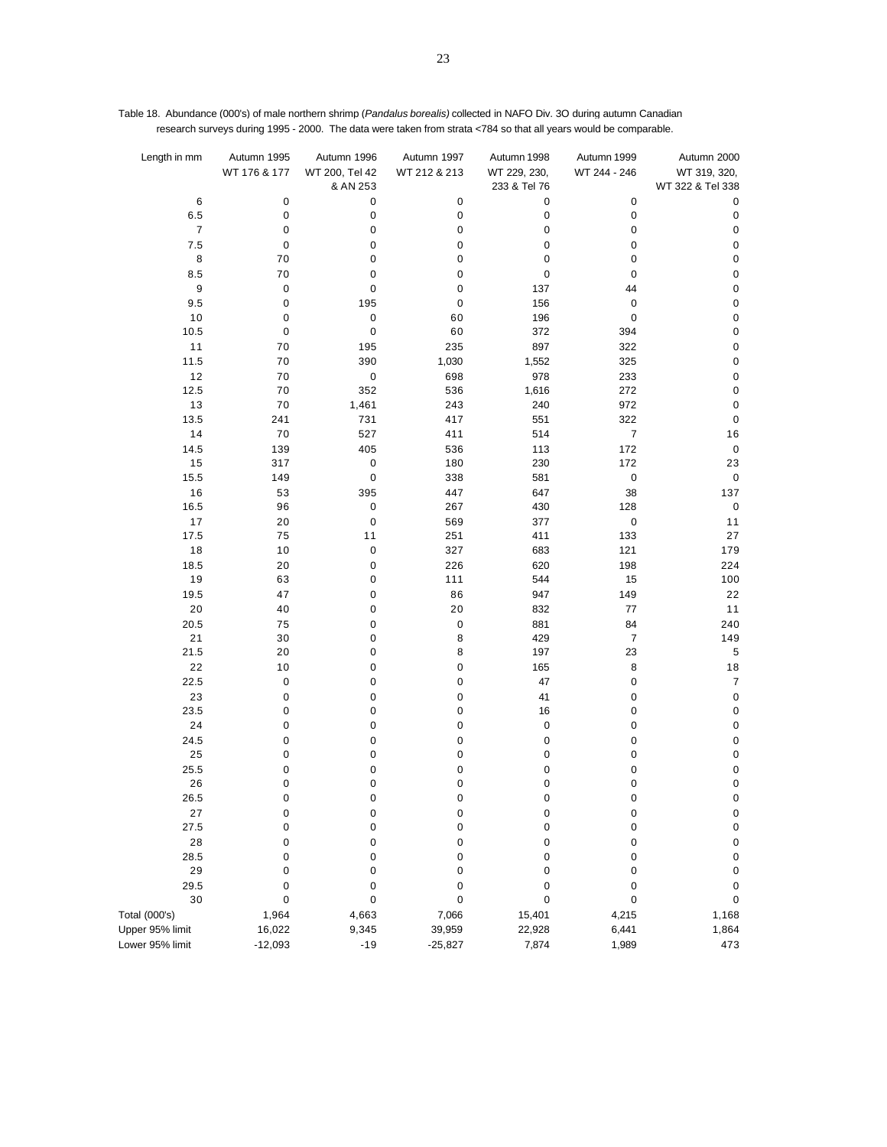| Length in mm     | Autumn 1995  | Autumn 1996    | Autumn 1997  | Autumn 1998  | Autumn 1999      | Autumn 2000      |
|------------------|--------------|----------------|--------------|--------------|------------------|------------------|
|                  |              |                |              |              |                  |                  |
|                  | WT 176 & 177 | WT 200, Tel 42 | WT 212 & 213 | WT 229, 230, | WT 244 - 246     | WT 319, 320,     |
|                  |              | & AN 253       |              | 233 & Tel 76 |                  | WT 322 & Tel 338 |
| 6                | 0            | $\pmb{0}$      | 0            | 0            | 0                | 0                |
| 6.5              | 0            | $\pmb{0}$      | 0            | 0            | 0                | $\pmb{0}$        |
| $\boldsymbol{7}$ | 0            | 0              | 0            | 0            | $\pmb{0}$        | $\pmb{0}$        |
| 7.5              | $\pmb{0}$    | 0              | 0            | 0            | $\mathbf 0$      | $\pmb{0}$        |
| 8                | 70           | 0              | 0            | 0            | 0                | $\mathbf 0$      |
| 8.5              | $70\,$       | 0              | 0            | $\pmb{0}$    | $\mathbf 0$      | $\mathbf 0$      |
| 9                | $\pmb{0}$    | $\pmb{0}$      | 0            | 137          | 44               | $\pmb{0}$        |
| 9.5              | $\pmb{0}$    | 195            | 0            | 156          | $\pmb{0}$        | $\mathbf 0$      |
| 10               | 0            | $\pmb{0}$      | 60           | 196          | $\pmb{0}$        | $\pmb{0}$        |
| 10.5             | 0            | $\pmb{0}$      | 60           | 372          | 394              | $\mathbf 0$      |
| 11               | 70           | 195            | 235          | 897          | 322              | $\mathbf 0$      |
| 11.5             | 70           | 390            | 1,030        | 1,552        | 325              | $\mathbf 0$      |
| $12$             | 70           |                | 698          | 978          | 233              | $\pmb{0}$        |
|                  |              | $\mathbf 0$    |              |              |                  |                  |
| 12.5             | 70           | 352            | 536          | 1,616        | 272              | $\pmb{0}$        |
| 13               | 70           | 1,461          | 243          | 240          | 972              | $\pmb{0}$        |
| 13.5             | 241          | 731            | 417          | 551          | 322              | $\pmb{0}$        |
| 14               | 70           | 527            | 411          | 514          | $\boldsymbol{7}$ | 16               |
| 14.5             | 139          | 405            | 536          | 113          | 172              | $\pmb{0}$        |
| 15               | 317          | 0              | 180          | 230          | 172              | 23               |
| 15.5             | 149          | $\pmb{0}$      | 338          | 581          | 0                | $\pmb{0}$        |
| $16$             | 53           | 395            | 447          | 647          | 38               | 137              |
| 16.5             | 96           | 0              | 267          | 430          | 128              | $\pmb{0}$        |
| 17               | 20           | $\pmb{0}$      | 569          | 377          | $\pmb{0}$        | 11               |
| 17.5             | 75           | 11             | 251          | 411          | 133              | 27               |
| 18               | 10           | 0              | 327          | 683          | 121              | 179              |
| 18.5             | 20           | $\pmb{0}$      | 226          | 620          | 198              | 224              |
| 19               | 63           | 0              | 111          | 544          | 15               | 100              |
| 19.5             | 47           | 0              | 86           | 947          | 149              | 22               |
| 20               | 40           | 0              | 20           | 832          | 77               | 11               |
|                  |              |                |              |              |                  |                  |
| 20.5             | 75           | 0              | 0            | 881          | 84               | 240              |
| 21               | 30           | 0              | 8            | 429          | $\boldsymbol{7}$ | 149              |
| 21.5             | 20           | 0              | 8            | 197          | 23               | 5                |
| 22               | 10           | 0              | 0            | 165          | 8                | $18\,$           |
| 22.5             | 0            | 0              | 0            | 47           | $\pmb{0}$        | $\overline{7}$   |
| 23               | 0            | 0              | 0            | 41           | $\mathbf 0$      | $\pmb{0}$        |
| 23.5             | 0            | 0              | 0            | 16           | 0                | $\mathbf 0$      |
| 24               | $\pmb{0}$    | 0              | 0            | 0            | $\mathbf 0$      | $\pmb{0}$        |
| 24.5             | $\pmb{0}$    | $\mathbf 0$    | 0            | 0            | $\pmb{0}$        | $\pmb{0}$        |
| 25               | 0            | 0              | 0            | 0            | 0                | $\mathbf 0$      |
| 25.5             | 0            | 0              | 0            | 0            | $\pmb{0}$        | $\pmb{0}$        |
| 26               | 0            | $\pmb{0}$      | 0            | 0            | $\mathbf 0$      | $\pmb{0}$        |
| 26.5             | 0            | o              | O            | O            | 0                | 0                |
| 27               | 0            | 0              | 0            | 0            | 0                | $\pmb{0}$        |
| 27.5             | 0            | 0              | 0            | 0            | 0                | $\pmb{0}$        |
| 28               | 0            | 0              | 0            | 0            | 0                | $\pmb{0}$        |
| 28.5             | 0            | 0              | 0            | 0            | 0                | $\pmb{0}$        |
| 29               | 0            | 0              | 0            | 0            | 0                | $\pmb{0}$        |
| 29.5             |              |                |              |              |                  |                  |
| 30               | 0            | 0              | 0<br>0       | 0<br>0       | 0                | 0                |
|                  | 0            | 0              |              |              | 0                | $\pmb{0}$        |
| Total (000's)    | 1,964        | 4,663          | 7,066        | 15,401       | 4,215            | 1,168            |
| Upper 95% limit  | 16,022       | 9,345          | 39,959       | 22,928       | 6,441            | 1,864            |
| Lower 95% limit  | $-12,093$    | $-19$          | $-25,827$    | 7,874        | 1,989            | 473              |

Table 18. Abundance (000's) of male northern shrimp (*Pandalus borealis)* collected in NAFO Div. 3O during autumn Canadian research surveys during 1995 - 2000. The data were taken from strata <784 so that all years would be comparable.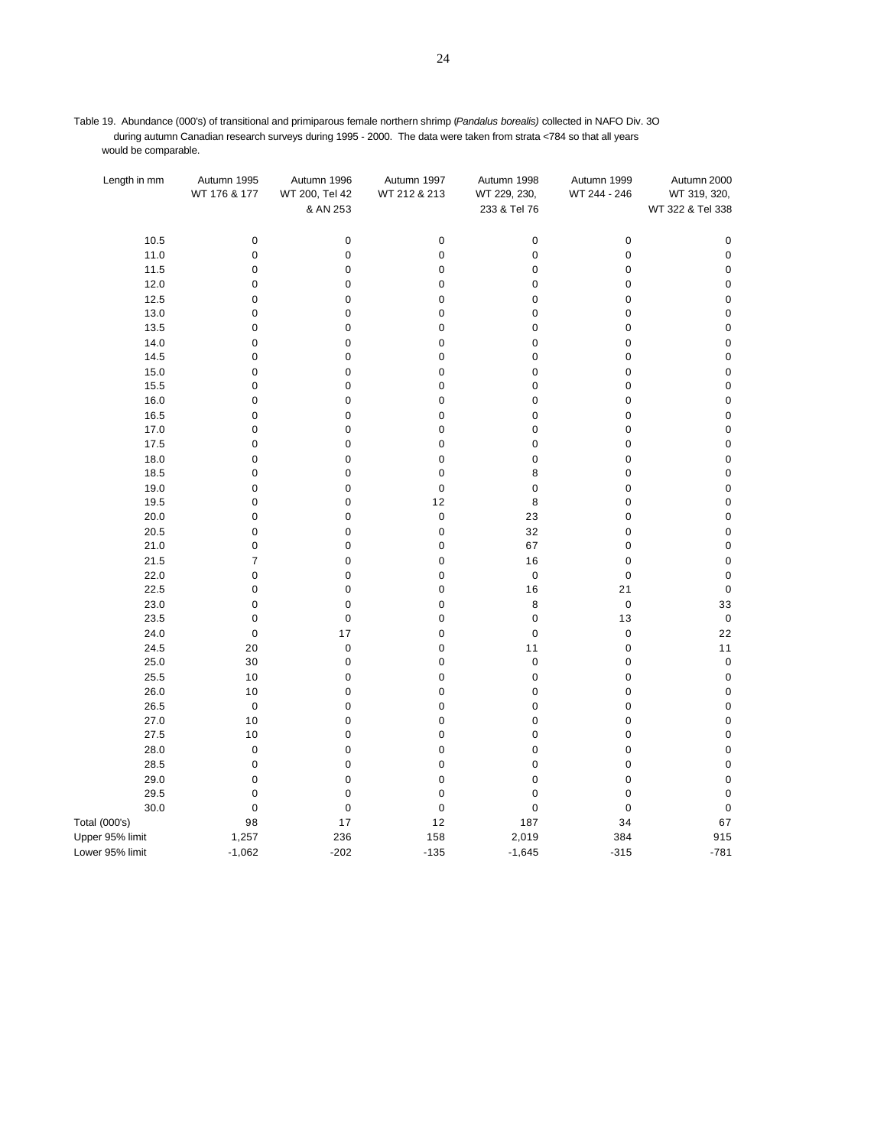Table 19. Abundance (000's) of transitional and primiparous female northern shrimp (*Pandalus borealis)* collected in NAFO Div. 3O during autumn Canadian research surveys during 1995 - 2000. The data were taken from strata <784 so that all years would be comparable.

| Length in mm    | Autumn 1995    | Autumn 1996    | Autumn 1997  | Autumn 1998  | Autumn 1999  | Autumn 2000      |
|-----------------|----------------|----------------|--------------|--------------|--------------|------------------|
|                 | WT 176 & 177   | WT 200, Tel 42 | WT 212 & 213 | WT 229, 230, | WT 244 - 246 | WT 319, 320,     |
|                 |                | & AN 253       |              | 233 & Tel 76 |              | WT 322 & Tel 338 |
|                 |                |                |              |              |              |                  |
| 10.5            | $\pmb{0}$      | $\pmb{0}$      | $\pmb{0}$    | $\pmb{0}$    | $\pmb{0}$    | $\pmb{0}$        |
| 11.0            | $\mathbf 0$    | $\pmb{0}$      | $\pmb{0}$    | $\pmb{0}$    | $\pmb{0}$    | $\pmb{0}$        |
| 11.5            | $\pmb{0}$      | 0              | $\mathbf 0$  | $\pmb{0}$    | $\pmb{0}$    | $\pmb{0}$        |
| 12.0            | $\pmb{0}$      | $\mathbf 0$    | $\mathbf 0$  | $\pmb{0}$    | $\pmb{0}$    | $\pmb{0}$        |
| 12.5            | 0              | 0              | $\mathbf 0$  | $\pmb{0}$    | $\pmb{0}$    | $\pmb{0}$        |
| 13.0            | 0              | 0              | $\mathbf 0$  | $\pmb{0}$    | $\pmb{0}$    | $\pmb{0}$        |
| 13.5            | 0              | 0              | $\mathbf 0$  | $\pmb{0}$    | $\mathbf 0$  | $\mathbf 0$      |
| 14.0            | $\pmb{0}$      | 0              | $\mathbf 0$  | $\pmb{0}$    | $\pmb{0}$    | $\pmb{0}$        |
| 14.5            | $\pmb{0}$      | $\pmb{0}$      | $\mathbf 0$  | $\pmb{0}$    | $\pmb{0}$    | $\pmb{0}$        |
| 15.0            | $\pmb{0}$      | 0              | $\mathbf 0$  | $\pmb{0}$    | $\pmb{0}$    | $\pmb{0}$        |
| 15.5            | $\pmb{0}$      | 0              | $\mathbf 0$  | $\pmb{0}$    | $\pmb{0}$    | $\pmb{0}$        |
| 16.0            | 0              | 0              | 0            | $\pmb{0}$    | $\pmb{0}$    | $\pmb{0}$        |
| 16.5            | $\pmb{0}$      | 0              | $\mathbf 0$  | $\pmb{0}$    | $\pmb{0}$    | $\pmb{0}$        |
| 17.0            | 0              | 0              | $\mathbf 0$  | 0            | 0            | 0                |
| 17.5            | $\pmb{0}$      | 0              | $\pmb{0}$    | $\pmb{0}$    | $\pmb{0}$    | $\pmb{0}$        |
| 18.0            | $\pmb{0}$      | $\pmb{0}$      | $\mathbf 0$  | $\pmb{0}$    | $\pmb{0}$    | $\mathbf 0$      |
| 18.5            | $\pmb{0}$      | 0              | $\mathbf 0$  | 8            | $\pmb{0}$    | $\pmb{0}$        |
| 19.0            | $\pmb{0}$      | 0              | $\mathbf 0$  | $\pmb{0}$    | $\mathbf 0$  | $\mathbf 0$      |
| 19.5            | 0              | 0              | 12           | 8            | $\pmb{0}$    | $\pmb{0}$        |
| 20.0            | $\pmb{0}$      | 0              | $\mathbf 0$  | 23           | $\pmb{0}$    | $\mathbf 0$      |
| 20.5            | 0              | $\pmb{0}$      | $\mathbf 0$  | 32           | $\pmb{0}$    | $\pmb{0}$        |
| 21.0            | $\pmb{0}$      | 0              | $\mathbf 0$  | 67           | $\pmb{0}$    | $\pmb{0}$        |
| 21.5            | $\overline{7}$ | 0              | $\mathbf 0$  | 16           | 0            | $\mathbf 0$      |
| 22.0            | 0              | 0              | $\mathbf 0$  | $\pmb{0}$    | $\pmb{0}$    | $\pmb{0}$        |
| 22.5            | $\pmb{0}$      | 0              | $\mathbf 0$  | 16           | 21           | $\pmb{0}$        |
| 23.0            | 0              | 0              | $\mathbf 0$  | 8            | $\pmb{0}$    | 33               |
| 23.5            | $\pmb{0}$      | $\pmb{0}$      | $\mathbf 0$  | $\pmb{0}$    | 13           | $\pmb{0}$        |
| 24.0            | $\mathbf 0$    | 17             | $\mathbf 0$  | $\pmb{0}$    | $\pmb{0}$    | 22               |
| 24.5            | 20             | $\pmb{0}$      | $\mathbf 0$  | 11           | $\pmb{0}$    | 11               |
| 25.0            | 30             | 0              | $\mathbf 0$  | $\pmb{0}$    | $\pmb{0}$    | $\pmb{0}$        |
| 25.5            | 10             | 0              | $\mathbf 0$  | $\pmb{0}$    | $\pmb{0}$    | $\pmb{0}$        |
| 26.0            | 10             | 0              | $\mathbf 0$  | $\pmb{0}$    | $\pmb{0}$    | $\pmb{0}$        |
| 26.5            | $\pmb{0}$      | $\pmb{0}$      | $\mathbf 0$  | $\pmb{0}$    | $\pmb{0}$    | $\pmb{0}$        |
| 27.0            | 10             | $\pmb{0}$      | $\mathbf 0$  | $\pmb{0}$    | $\pmb{0}$    | $\mathbf 0$      |
| 27.5            | 10             | 0              | $\mathbf 0$  | 0            | 0            | $\pmb{0}$        |
| 28.0            | $\pmb{0}$      | 0              | $\mathbf 0$  | $\pmb{0}$    | $\pmb{0}$    | $\pmb{0}$        |
| 28.5            | $\pmb{0}$      | 0              | $\mathbf 0$  | $\pmb{0}$    | $\mathbf 0$  | $\pmb{0}$        |
| 29.0            | $\pmb{0}$      | $\pmb{0}$      | $\mathbf 0$  | $\pmb{0}$    | $\pmb{0}$    | $\pmb{0}$        |
| 29.5            | $\mathbf 0$    | $\pmb{0}$      | $\mathbf 0$  | $\pmb{0}$    | $\mathbf 0$  | $\mathbf 0$      |
| 30.0            | $\pmb{0}$      | $\mathbf 0$    | $\pmb{0}$    | $\pmb{0}$    | $\pmb{0}$    | $\pmb{0}$        |
| Total (000's)   | 98             | 17             | 12           | 187          | 34           | 67               |
| Upper 95% limit | 1,257          | 236            | 158          | 2,019        | 384          | 915              |
| Lower 95% limit | $-1,062$       | $-202$         | $-135$       | $-1,645$     | $-315$       | $-781$           |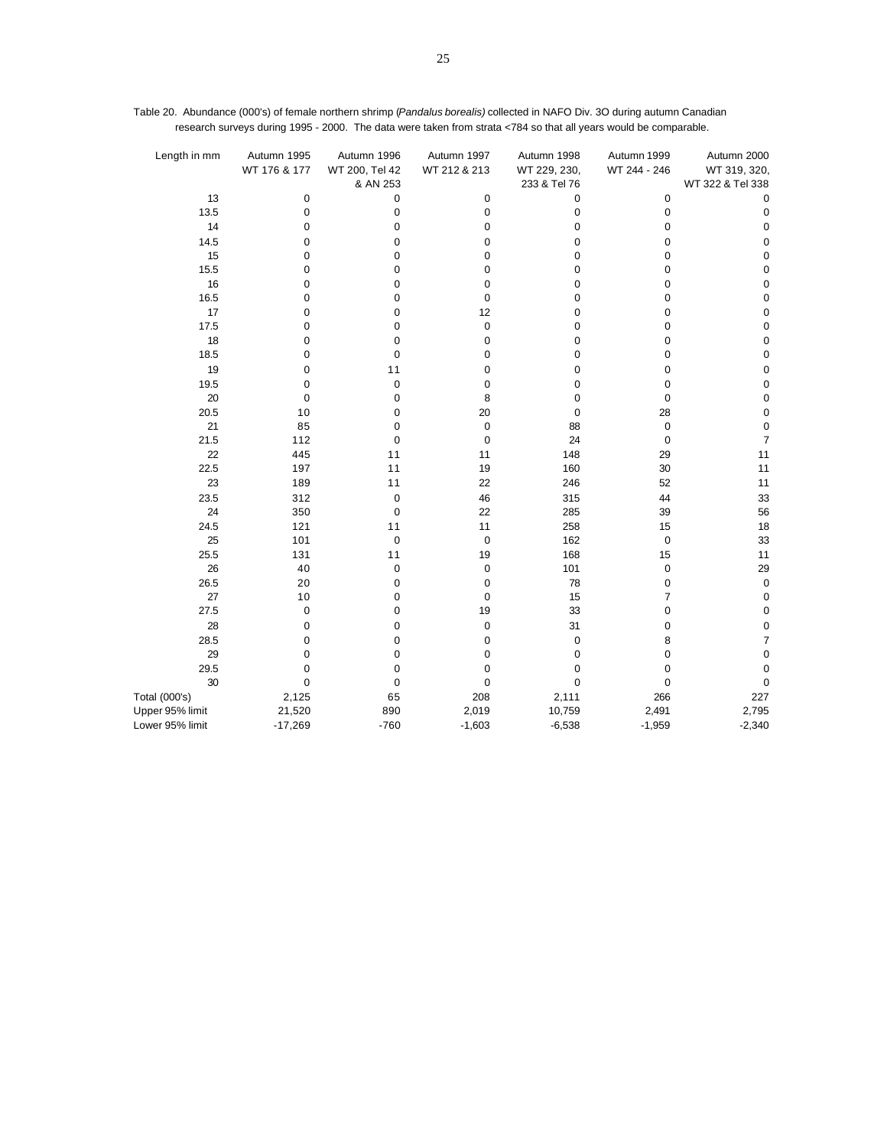| Length in mm    | Autumn 1995<br>WT 176 & 177 | Autumn 1996<br>WT 200, Tel 42<br>& AN 253 | Autumn 1997<br>WT 212 & 213 | Autumn 1998<br>WT 229, 230,<br>233 & Tel 76 | Autumn 1999<br>WT 244 - 246 | Autumn 2000<br>WT 319, 320,<br>WT 322 & Tel 338 |
|-----------------|-----------------------------|-------------------------------------------|-----------------------------|---------------------------------------------|-----------------------------|-------------------------------------------------|
| 13              | 0                           | 0                                         | 0                           | 0                                           | 0                           | 0                                               |
| 13.5            | $\pmb{0}$                   | $\mathbf 0$                               | $\mathbf 0$                 | 0                                           | $\mathbf 0$                 | $\pmb{0}$                                       |
| 14              | $\mathbf 0$                 | 0                                         | $\mathbf 0$                 | 0                                           | 0                           | $\pmb{0}$                                       |
| 14.5            | 0                           | 0                                         | 0                           | 0                                           | 0                           | 0                                               |
| 15              | $\mathbf 0$                 | $\mathbf 0$                               | $\mathbf 0$                 | 0                                           | 0                           | $\mathbf 0$                                     |
| 15.5            | 0                           | 0                                         | $\mathbf 0$                 | 0                                           | 0                           | $\pmb{0}$                                       |
| 16              | $\mathbf 0$                 | $\mathbf 0$                               | $\mathbf 0$                 | 0                                           | 0                           | 0                                               |
| 16.5            | $\mathbf 0$                 | $\mathbf 0$                               | $\mathbf 0$                 | 0                                           | 0                           | $\pmb{0}$                                       |
| 17              | 0                           | 0                                         | 12                          | 0                                           | 0                           | $\mathbf 0$                                     |
| 17.5            | 0                           | $\mathbf 0$                               | $\mathbf 0$                 | 0                                           | 0                           | $\mathbf 0$                                     |
| 18              | $\mathbf 0$                 | $\mathbf 0$                               | $\mathbf 0$                 | 0                                           | 0                           | 0                                               |
| 18.5            | 0                           | 0                                         | $\mathbf 0$                 | 0                                           | 0                           | $\pmb{0}$                                       |
| 19              | 0                           | 11                                        | $\mathbf 0$                 | 0                                           | 0                           | $\pmb{0}$                                       |
| 19.5            | $\mathbf 0$                 | $\mathbf 0$                               | $\mathbf 0$                 | 0                                           | 0                           | $\mathbf 0$                                     |
| 20              | 0                           | 0                                         | 8                           | 0                                           | 0                           | $\mathbf 0$                                     |
| 20.5            | 10                          | $\mathbf 0$                               | 20                          | 0                                           | 28                          | $\mathbf 0$                                     |
| 21              | 85                          | $\mathbf 0$                               | $\mathbf 0$                 | 88                                          | $\pmb{0}$                   | $\pmb{0}$                                       |
| 21.5            | 112                         | 0                                         | $\mathbf 0$                 | 24                                          | $\pmb{0}$                   | $\overline{7}$                                  |
| 22              | 445                         | 11                                        | 11                          | 148                                         | 29                          | 11                                              |
| 22.5            | 197                         | 11                                        | 19                          | 160                                         | 30                          | 11                                              |
| 23              | 189                         | 11                                        | 22                          | 246                                         | 52                          | 11                                              |
| 23.5            | 312                         | $\mathbf 0$                               | 46                          | 315                                         | 44                          | 33                                              |
| 24              | 350                         | $\mathbf 0$                               | 22                          | 285                                         | 39                          | 56                                              |
| 24.5            | 121                         | 11                                        | 11                          | 258                                         | 15                          | 18                                              |
| 25              | 101                         | $\mathbf 0$                               | $\mathbf 0$                 | 162                                         | $\mathbf 0$                 | 33                                              |
| 25.5            | 131                         | 11                                        | 19                          | 168                                         | 15                          | 11                                              |
| 26              | 40                          | 0                                         | 0                           | 101                                         | 0                           | 29                                              |
| 26.5            | 20                          | $\mathbf 0$                               | $\mathbf 0$                 | 78                                          | $\mathbf 0$                 | $\pmb{0}$                                       |
| 27              | 10                          | $\mathbf 0$                               | $\mathbf 0$                 | 15                                          | 7                           | $\pmb{0}$                                       |
| 27.5            | 0                           | 0                                         | 19                          | 33                                          | 0                           | $\pmb{0}$                                       |
| 28              | 0                           | 0                                         | $\mathbf 0$                 | 31                                          | 0                           | $\mathbf 0$                                     |
| 28.5            | $\mathbf 0$                 | $\mathbf 0$                               | $\mathbf 0$                 | 0                                           | 8                           | $\overline{7}$                                  |
| 29              | 0                           | 0                                         | 0                           | 0                                           | 0                           | $\pmb{0}$                                       |
| 29.5            | $\mathbf 0$                 | 0                                         | $\mathbf 0$                 | 0                                           | 0                           | $\mathbf 0$                                     |
| 30              | $\mathbf 0$                 | $\mathbf 0$                               | $\mathbf 0$                 | $\mathbf 0$                                 | $\mathbf 0$                 | 0                                               |
| Total (000's)   | 2,125                       | 65                                        | 208                         | 2,111                                       | 266                         | 227                                             |
| Upper 95% limit | 21,520                      | 890                                       | 2,019                       | 10,759                                      | 2,491                       | 2,795                                           |
| Lower 95% limit | $-17,269$                   | $-760$                                    | $-1,603$                    | $-6,538$                                    | $-1,959$                    | $-2,340$                                        |

Table 20. Abundance (000's) of female northern shrimp (*Pandalus borealis)* collected in NAFO Div. 3O during autumn Canadian research surveys during 1995 - 2000. The data were taken from strata <784 so that all years would be comparable.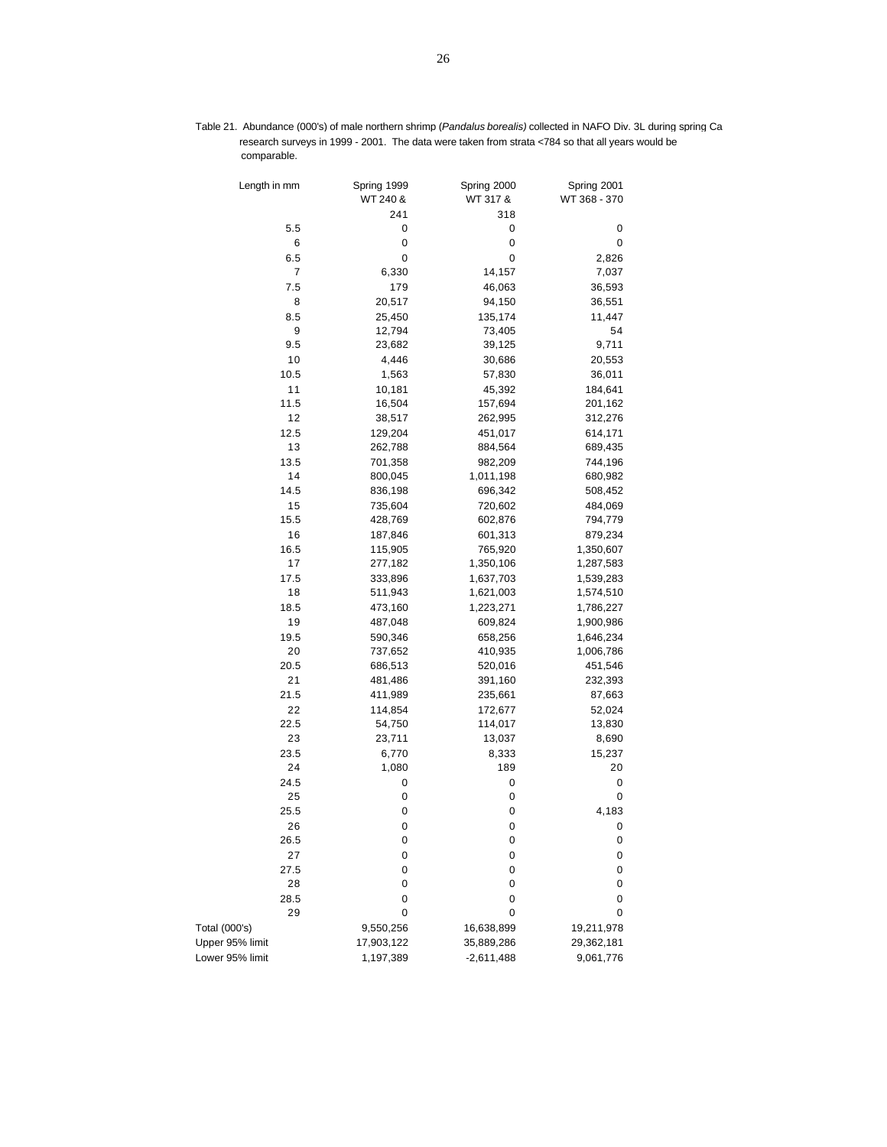| Length in mm    | Spring 1999           | Spring 2000       | Spring 2001  |
|-----------------|-----------------------|-------------------|--------------|
|                 | WT 240 &              | WT 317 &          | WT 368 - 370 |
|                 | 241                   | 318               |              |
| 5.5             | 0                     | 0                 | 0            |
|                 | 6<br>0                | 0                 | 0            |
| 6.5             | 0                     | 0                 | 2,826        |
|                 | 7<br>6,330            | 14,157            | 7,037        |
| 7.5             | 179                   | 46,063            | 36,593       |
|                 | 8<br>20,517           | 94,150            | 36,551       |
|                 |                       |                   |              |
| 8.5             | 25,450<br>9<br>12,794 | 135,174<br>73,405 | 11,447<br>54 |
| 9.5             |                       |                   | 9,711        |
| 10              | 23,682                | 39,125            |              |
|                 | 4,446<br>1,563        | 30,686            | 20,553       |
| 10.5            |                       | 57,830            | 36,011       |
| 11              | 10,181                | 45,392            | 184,641      |
| 11.5            | 16,504                | 157,694           | 201,162      |
| 12              | 38,517                | 262,995           | 312,276      |
| 12.5            | 129,204               | 451,017           | 614,171      |
| 13              | 262,788               | 884,564           | 689,435      |
| 13.5            | 701,358               | 982,209           | 744,196      |
| 14              | 800,045               | 1,011,198         | 680,982      |
| 14.5            | 836,198               | 696,342           | 508,452      |
| 15              | 735,604               | 720,602           | 484,069      |
| 15.5            | 428,769               | 602,876           | 794,779      |
| 16              | 187,846               | 601,313           | 879,234      |
| 16.5            | 115,905               | 765,920           | 1,350,607    |
| 17              | 277,182               | 1,350,106         | 1,287,583    |
| 17.5            | 333,896               | 1,637,703         | 1,539,283    |
| 18              | 511,943               | 1,621,003         | 1,574,510    |
| 18.5            | 473,160               | 1,223,271         | 1,786,227    |
| 19              | 487,048               | 609,824           | 1,900,986    |
| 19.5            | 590,346               | 658,256           | 1,646,234    |
| 20              | 737,652               | 410,935           | 1,006,786    |
| 20.5            | 686,513               | 520,016           | 451,546      |
| 21              | 481,486               | 391,160           | 232,393      |
| 21.5            | 411,989               | 235,661           | 87,663       |
| 22              | 114,854               | 172,677           | 52,024       |
| 22.5            | 54,750                | 114,017           | 13,830       |
| 23              | 23,711                | 13,037            | 8,690        |
| 23.5            | 6,770                 | 8,333             | 15,237       |
| 24              | 1,080                 | 189               | 20           |
| 24.5            | 0                     | 0                 | 0            |
| 25              | 0                     | 0                 | 0            |
| 25.5            | 0                     | 0                 | 4,183        |
| 26              | 0                     | 0                 | 0            |
| 26.5            | 0                     | 0                 | 0            |
| 27              | 0                     | 0                 |              |
| 27.5            | 0                     | 0                 | 0<br>0       |
| 28              | 0                     | 0                 | 0            |
|                 |                       |                   |              |
| 28.5            | 0                     | 0                 | 0            |
| 29              | 0                     | 0                 | 0            |
| Total (000's)   | 9,550,256             | 16,638,899        | 19,211,978   |
| Upper 95% limit | 17,903,122            | 35,889,286        | 29,362,181   |
| Lower 95% limit | 1,197,389             | $-2,611,488$      | 9,061,776    |

Table 21. Abundance (000's) of male northern shrimp (*Pandalus borealis)* collected in NAFO Div. 3L during spring Canadian research surveys in 1999 - 2001. The data were taken from strata <784 so that all years would be comparable.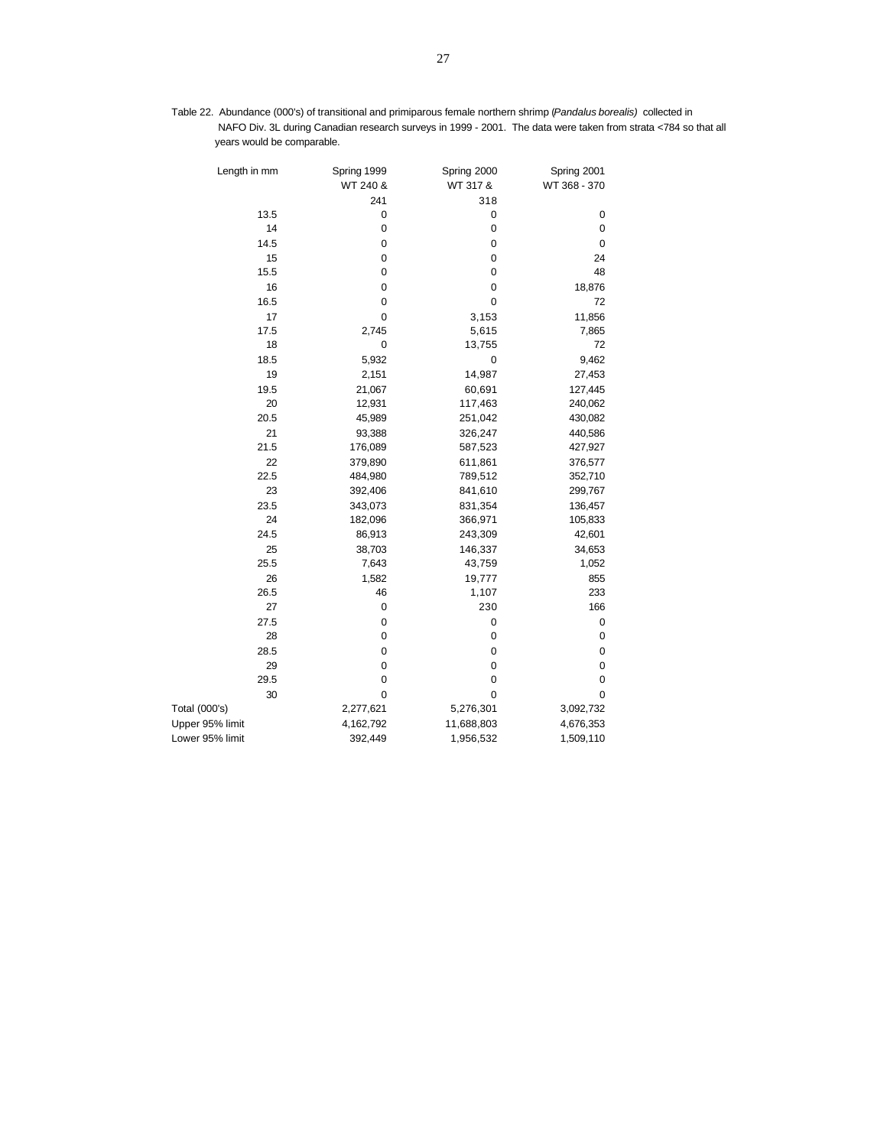Table 22. Abundance (000's) of transitional and primiparous female northern shrimp (*Pandalus borealis)* collected in NAFO Div. 3L during Canadian research surveys in 1999 - 2001. The data were taken from strata <784 so that all years would be comparable.

| Length in mm    | Spring 1999 | Spring 2000 | Spring 2001  |
|-----------------|-------------|-------------|--------------|
|                 | WT 240 &    | WT 317 &    | WT 368 - 370 |
|                 | 241         | 318         |              |
| 13.5            | 0           | 0           | 0            |
| 14              | $\mathbf 0$ | 0           | 0            |
| 14.5            | 0           | $\pmb{0}$   | 0            |
| 15              | 0           | $\mathbf 0$ | 24           |
| 15.5            | 0           | $\mathbf 0$ | 48           |
| 16              | 0           | 0           | 18,876       |
| 16.5            | 0           | 0           | 72           |
| 17              | 0           | 3,153       | 11,856       |
| 17.5            | 2,745       | 5,615       | 7,865        |
| 18              | 0           | 13,755      | 72           |
| 18.5            | 5,932       | $\mathbf 0$ | 9,462        |
| 19              | 2,151       | 14,987      | 27,453       |
| 19.5            | 21,067      | 60,691      | 127,445      |
| 20              | 12,931      | 117,463     | 240,062      |
| 20.5            | 45,989      | 251,042     | 430,082      |
| 21              | 93,388      | 326,247     | 440,586      |
| 21.5            | 176,089     | 587,523     | 427,927      |
| 22              | 379,890     | 611,861     | 376,577      |
| 22.5            | 484,980     | 789,512     | 352,710      |
| 23              | 392,406     | 841,610     | 299,767      |
| 23.5            | 343,073     | 831,354     | 136,457      |
| 24              | 182,096     | 366,971     | 105,833      |
| 24.5            | 86,913      | 243,309     | 42,601       |
| 25              | 38,703      | 146,337     | 34,653       |
| 25.5            | 7,643       | 43,759      | 1,052        |
| 26              | 1,582       | 19,777      | 855          |
| 26.5            | 46          | 1,107       | 233          |
| 27              | 0           | 230         | 166          |
| 27.5            | 0           | 0           | 0            |
| 28              | 0           | 0           | 0            |
| 28.5            | 0           | 0           | $\pmb{0}$    |
| 29              | $\mathbf 0$ | 0           | 0            |
| 29.5            | $\mathbf 0$ | $\mathbf 0$ | 0            |
| 30              | $\mathbf 0$ | $\mathbf 0$ | 0            |
| Total (000's)   | 2,277,621   | 5,276,301   | 3,092,732    |
| Upper 95% limit | 4,162,792   | 11,688,803  | 4,676,353    |
| Lower 95% limit | 392,449     | 1,956,532   | 1,509,110    |
|                 |             |             |              |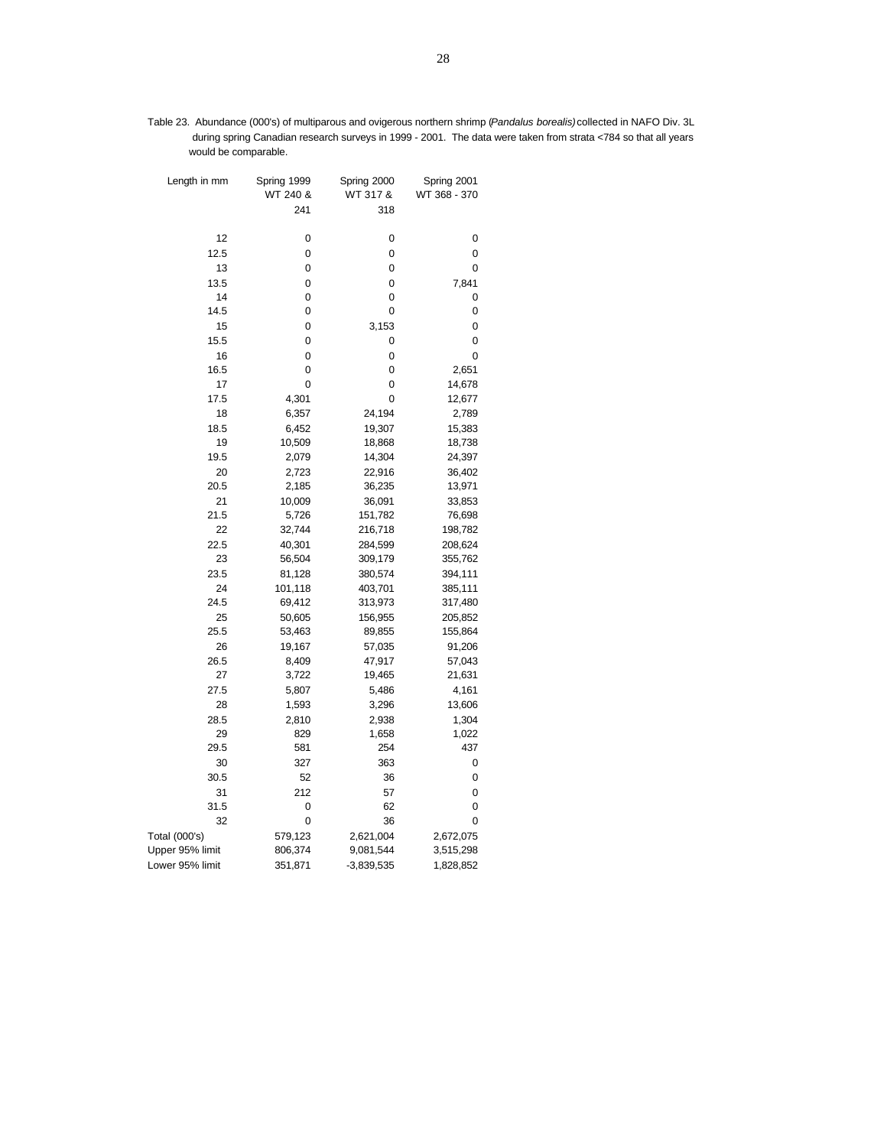Table 23. Abundance (000's) of multiparous and ovigerous northern shrimp (*Pandalus borealis)*collected in NAFO Div. 3L during spring Canadian research surveys in 1999 - 2001. The data were taken from strata <784 so that all years would be comparable.

| Length in mm    | Spring 1999 | Spring 2000  | Spring 2001  |
|-----------------|-------------|--------------|--------------|
|                 | WT 240 &    | WT 317 &     | WT 368 - 370 |
|                 | 241         | 318          |              |
| 12              | 0           | 0            | 0            |
| 12.5            | 0           | 0            | 0            |
| 13              | 0           | 0            | 0            |
| 13.5            | 0           | 0            | 7,841        |
| 14              | 0           | 0            | 0            |
| 14.5            | 0           | 0            | 0            |
| 15              | 0           | 3,153        | 0            |
| 15.5            | 0           | 0            | 0            |
| 16              | 0           | 0            | 0            |
| 16.5            | 0           | 0            | 2,651        |
| 17              | 0           | 0            | 14,678       |
| 17.5            | 4,301       | 0            | 12,677       |
| 18              | 6,357       | 24,194       | 2,789        |
| 18.5            | 6,452       | 19,307       | 15,383       |
| 19              | 10,509      | 18,868       | 18,738       |
| 19.5            | 2,079       | 14,304       | 24,397       |
| 20              | 2,723       | 22,916       | 36,402       |
| 20.5            | 2,185       | 36,235       | 13,971       |
| 21              | 10,009      | 36,091       | 33,853       |
| 21.5            | 5,726       | 151,782      | 76,698       |
| 22              | 32,744      | 216,718      | 198,782      |
| 22.5            | 40,301      | 284,599      | 208,624      |
| 23              | 56,504      | 309,179      | 355,762      |
| 23.5            | 81,128      | 380,574      | 394,111      |
| 24              | 101,118     | 403,701      | 385,111      |
| 24.5            | 69,412      | 313,973      | 317,480      |
| 25              | 50,605      | 156,955      | 205,852      |
| 25.5            | 53,463      | 89,855       | 155,864      |
| 26              | 19,167      | 57,035       | 91,206       |
| 26.5            | 8,409       | 47,917       | 57,043       |
| 27              | 3,722       | 19,465       | 21,631       |
| 27.5            | 5,807       | 5,486        | 4,161        |
| 28              | 1,593       | 3,296        | 13,606       |
| 28.5            | 2,810       | 2,938        | 1,304        |
| 29              | 829         | 1,658        | 1,022        |
| 29.5            | 581         | 254          | 437          |
| 30              | 327         | 363          | 0            |
| 30.5            | 52          | 36           | 0            |
| 31              | 212         | 57           | 0            |
| 31.5            | 0           | 62           | 0            |
| 32              | 0           | 36           | 0            |
| Total (000's)   | 579,123     | 2,621,004    | 2,672,075    |
| Upper 95% limit | 806,374     | 9,081,544    | 3,515,298    |
| Lower 95% limit | 351,871     | $-3,839,535$ | 1,828,852    |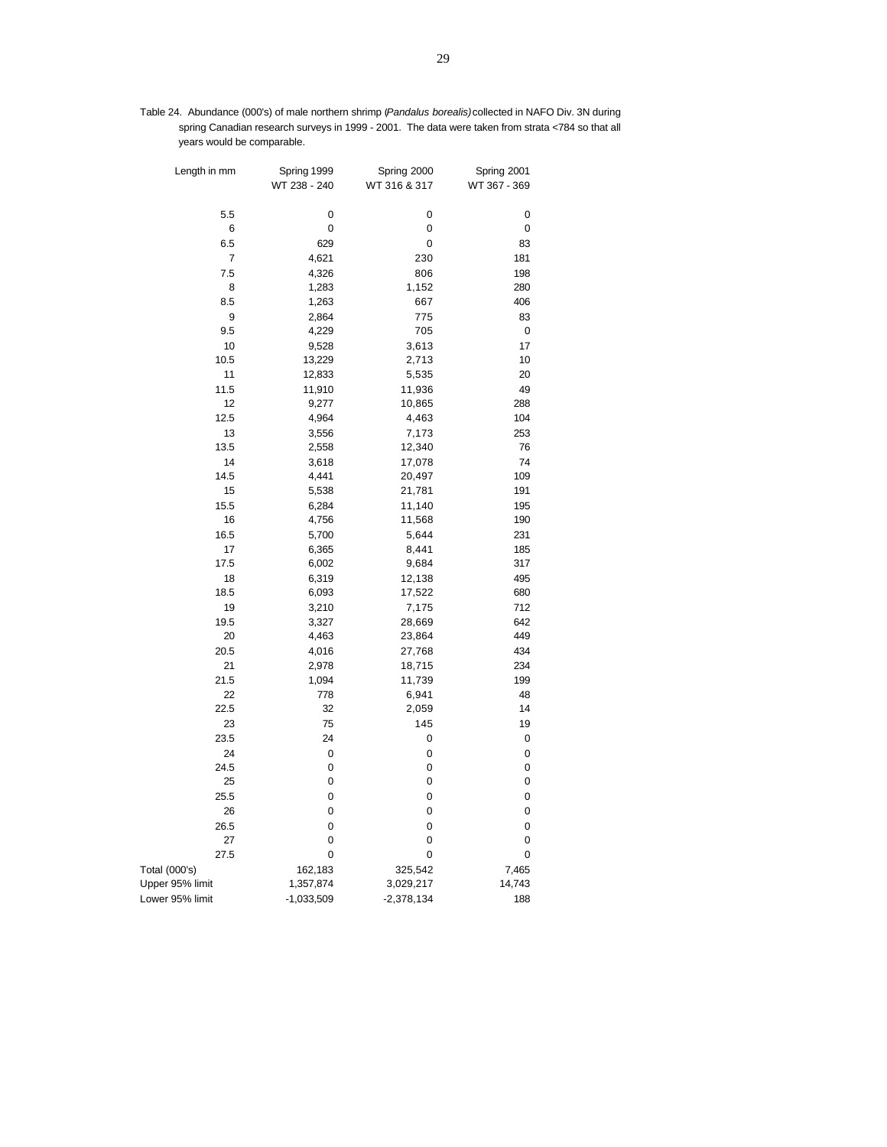Table 24. Abundance (000's) of male northern shrimp (*Pandalus borealis)*collected in NAFO Div. 3N during spring Canadian research surveys in 1999 - 2001. The data were taken from strata <784 so that all years would be comparable.

| Length in mm         | Spring 1999<br>WT 238 - 240 | Spring 2000<br>WT 316 & 317 | Spring 2001<br>WT 367 - 369 |
|----------------------|-----------------------------|-----------------------------|-----------------------------|
| 5.5                  | 0                           | 0                           | 0                           |
| 6                    | 0                           | 0                           | 0                           |
| 6.5                  | 629                         | 0                           | 83                          |
| 7                    | 4,621                       | 230                         | 181                         |
| 7.5                  | 4,326                       | 806                         | 198                         |
| 8                    | 1,283                       | 1,152                       | 280                         |
| 8.5                  | 1,263                       | 667                         | 406                         |
| 9                    | 2,864                       | 775                         | 83                          |
| 9.5                  | 4,229                       | 705                         | 0                           |
| 10                   | 9,528                       | 3,613                       | 17                          |
| 10.5                 | 13,229                      | 2,713                       | 10                          |
| 11                   | 12,833                      | 5,535                       | 20                          |
| 11.5                 | 11,910                      | 11,936                      | 49                          |
| 12                   | 9,277                       | 10,865                      | 288                         |
| 12.5                 | 4,964                       | 4,463                       | 104                         |
| 13                   | 3,556                       | 7,173                       | 253                         |
| 13.5                 | 2,558                       | 12,340                      | 76                          |
| 14                   | 3,618                       | 17,078                      | 74                          |
| 14.5                 | 4,441                       | 20,497                      | 109                         |
| 15                   | 5,538                       | 21,781                      | 191                         |
| 15.5                 | 6,284                       | 11,140                      | 195                         |
| 16                   | 4,756                       | 11,568                      | 190                         |
| 16.5                 | 5,700                       | 5,644                       | 231                         |
| 17                   | 6,365                       | 8,441                       | 185                         |
| 17.5                 | 6,002                       | 9,684                       | 317                         |
| 18                   | 6,319                       | 12,138                      | 495                         |
| 18.5                 | 6,093                       | 17,522                      | 680                         |
| 19                   | 3,210                       | 7,175                       | 712                         |
| 19.5                 | 3,327                       | 28,669                      | 642                         |
| 20                   | 4,463                       | 23,864                      | 449                         |
| 20.5                 | 4,016                       | 27,768                      | 434                         |
| 21                   | 2,978                       | 18,715                      | 234                         |
| 21.5                 | 1,094                       | 11,739                      | 199                         |
| 22                   | 778                         | 6,941                       | 48                          |
| 22.5                 | 32                          | 2,059                       | 14                          |
| 23                   | 75                          | 145                         | 19                          |
| 23.5                 | 24                          | 0                           | 0                           |
| 24                   | 0                           | 0                           | 0                           |
| 24.5                 | 0                           | 0                           | 0                           |
| 25                   | 0                           | 0                           | 0                           |
| 25.5                 | 0                           | 0                           | 0                           |
| 26                   | 0                           | 0                           | 0                           |
| 26.5                 | 0                           | 0                           | 0                           |
| 27                   | 0                           | 0                           | 0                           |
| 27.5                 | 0                           | 0                           | 0                           |
| <b>Total (000's)</b> | 162,183                     | 325,542                     | 7,465                       |
| Upper 95% limit      | 1,357,874                   | 3,029,217                   | 14,743                      |
| Lower 95% limit      | $-1,033,509$                | $-2,378,134$                | 188                         |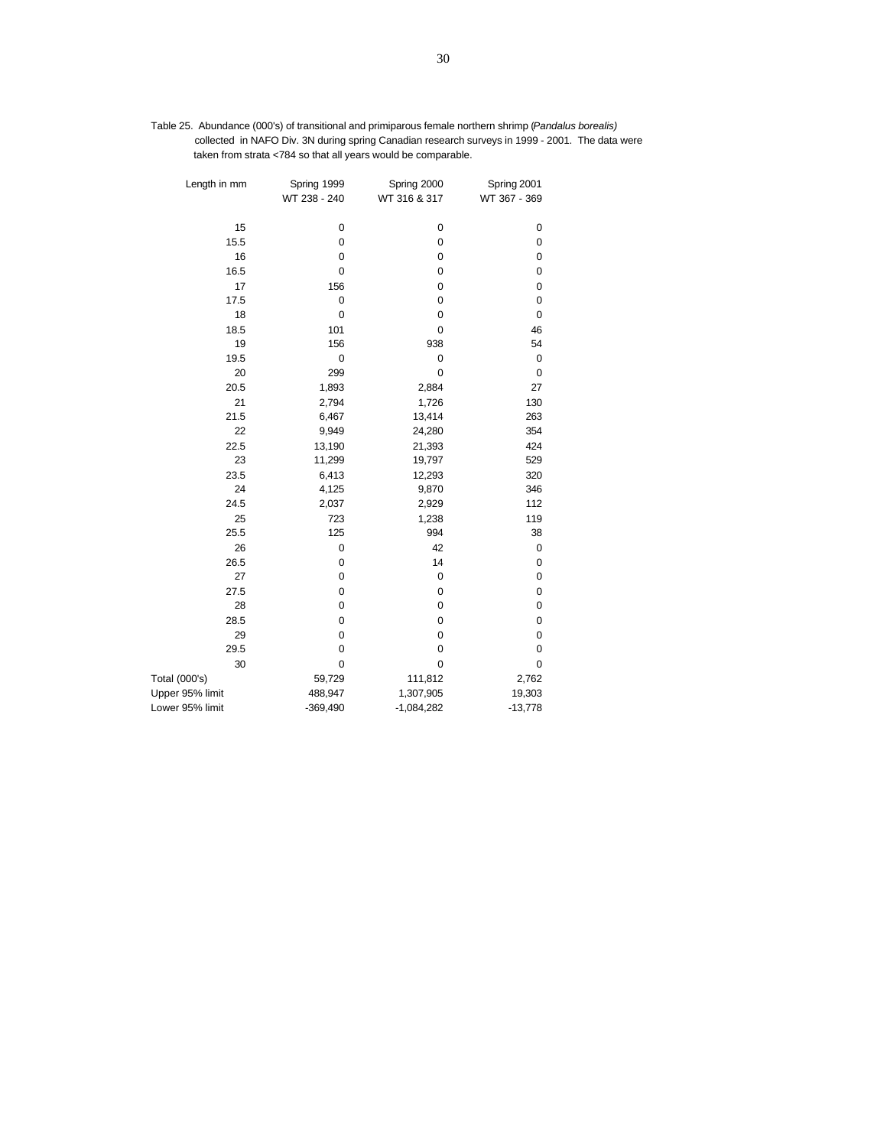| Table 25. Abundance (000's) of transitional and primiparous female northern shrimp (Pandalus borealis) |
|--------------------------------------------------------------------------------------------------------|
| collected in NAFO Div. 3N during spring Canadian research surveys in 1999 - 2001. The data were        |
| taken from strata <784 so that all years would be comparable.                                          |

| Length in mm    | Spring 1999<br>WT 238 - 240 | Spring 2000<br>WT 316 & 317 | Spring 2001<br>WT 367 - 369 |
|-----------------|-----------------------------|-----------------------------|-----------------------------|
|                 |                             |                             |                             |
| 15              | 0                           | 0                           | 0                           |
| 15.5            | 0                           | 0                           | $\mathbf 0$                 |
| 16              | $\pmb{0}$                   | 0                           | 0                           |
| 16.5            | $\mathbf 0$                 | 0                           | 0                           |
| 17              | 156                         | 0                           | 0                           |
| 17.5            | 0                           | 0                           | 0                           |
| 18              | $\mathbf 0$                 | 0                           | $\mathbf 0$                 |
| 18.5            | 101                         | 0                           | 46                          |
| 19              | 156                         | 938                         | 54                          |
| 19.5            | 0                           | 0                           | $\mathbf 0$                 |
| 20              | 299                         | 0                           | $\mathbf 0$                 |
| 20.5            | 1,893                       | 2,884                       | 27                          |
| 21              | 2,794                       | 1,726                       | 130                         |
| 21.5            | 6,467                       | 13,414                      | 263                         |
| 22              | 9,949                       | 24,280                      | 354                         |
| 22.5            | 13,190                      | 21,393                      | 424                         |
| 23              | 11,299                      | 19,797                      | 529                         |
| 23.5            | 6,413                       | 12,293                      | 320                         |
| 24              | 4,125                       | 9,870                       | 346                         |
| 24.5            | 2,037                       | 2,929                       | 112                         |
| 25              | 723                         | 1,238                       | 119                         |
| 25.5            | 125                         | 994                         | 38                          |
| 26              | 0                           | 42                          | 0                           |
| 26.5            | 0                           | 14                          | $\mathbf 0$                 |
| 27              | $\mathbf 0$                 | $\mathbf 0$                 | 0                           |
| 27.5            | $\pmb{0}$                   | 0                           | 0                           |
| 28              | $\pmb{0}$                   | 0                           | 0                           |
| 28.5            | 0                           | 0                           | 0                           |
| 29              | 0                           | 0                           | 0                           |
| 29.5            | $\mathbf 0$                 | 0                           | 0                           |
| 30              | 0                           | 0                           | 0                           |
| Total (000's)   | 59,729                      | 111,812                     | 2,762                       |
| Upper 95% limit | 488,947                     | 1,307,905                   | 19,303                      |
| Lower 95% limit | $-369,490$                  | $-1,084,282$                | $-13,778$                   |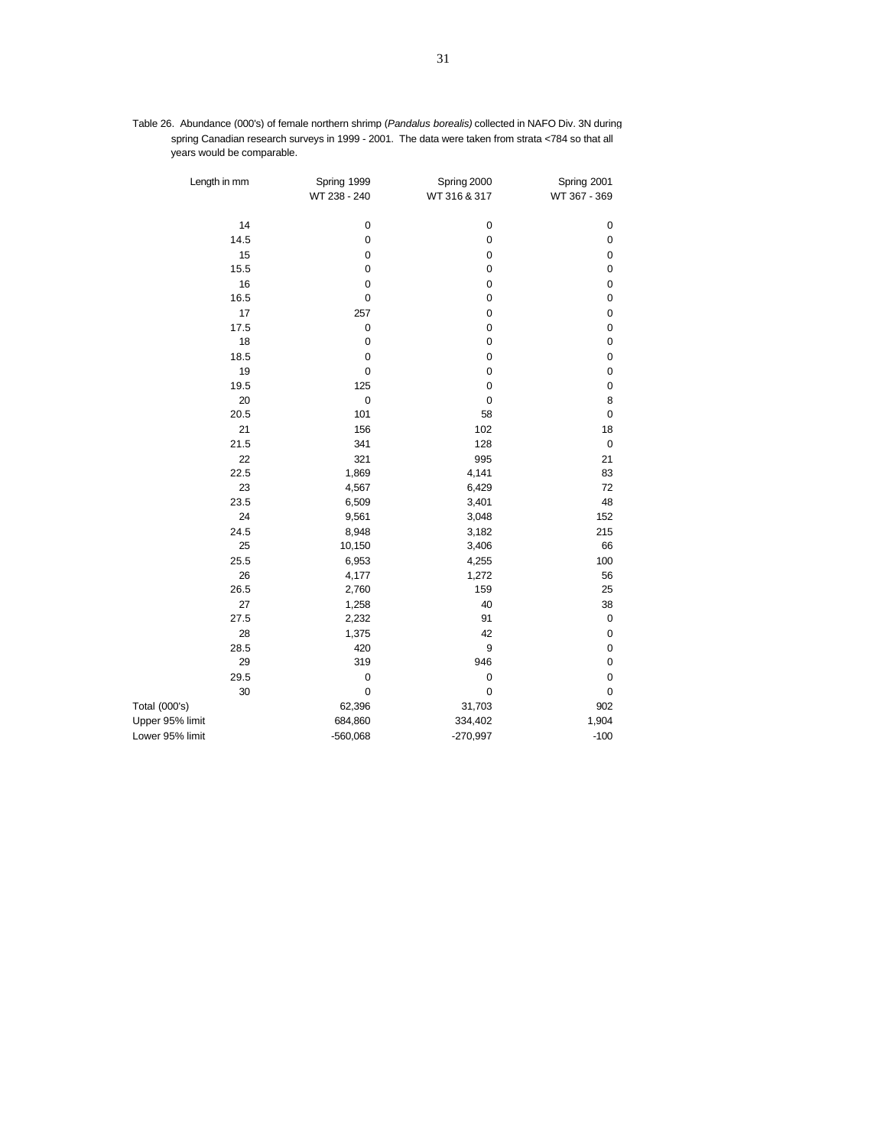| Table 26. Abundance (000's) of female northern shrimp ( <i>Pandalus borealis</i> ) collected in NAFO Div. 3N during |
|---------------------------------------------------------------------------------------------------------------------|
| spring Canadian research surveys in 1999 - 2001. The data were taken from strata <784 so that all                   |
| years would be comparable.                                                                                          |

| Length in mm    | Spring 1999<br>WT 238 - 240 | Spring 2000<br>WT 316 & 317 | Spring 2001<br>WT 367 - 369 |
|-----------------|-----------------------------|-----------------------------|-----------------------------|
| 14              | $\pmb{0}$                   | $\pmb{0}$                   | $\pmb{0}$                   |
| 14.5            | $\mathbf 0$                 | $\mathbf 0$                 | $\mathbf 0$                 |
| 15              | $\mathbf 0$                 | $\mathbf 0$                 | $\mathbf 0$                 |
| 15.5            | $\mathbf 0$                 | $\mathbf 0$                 | $\mathbf 0$                 |
| 16              | $\pmb{0}$                   | $\mathbf 0$                 | $\mathbf 0$                 |
| 16.5            | $\mathbf 0$                 | $\mathbf 0$                 | $\mathbf 0$                 |
| 17              | 257                         | $\mathbf 0$                 | $\mathbf 0$                 |
| 17.5            | $\pmb{0}$                   | $\pmb{0}$                   | $\pmb{0}$                   |
| 18              | $\mathbf 0$                 | $\mathbf 0$                 | $\mathbf 0$                 |
| 18.5            | $\pmb{0}$                   | $\pmb{0}$                   | $\pmb{0}$                   |
| 19              | $\pmb{0}$                   | $\pmb{0}$                   | $\mathbf 0$                 |
| 19.5            | 125                         | $\mathbf 0$                 | $\mathbf 0$                 |
| 20              | $\mathbf 0$                 | $\mathbf 0$                 | 8                           |
| 20.5            | 101                         | 58                          | $\mathbf 0$                 |
| 21              | 156                         | 102                         | 18                          |
| 21.5            | 341                         | 128                         | $\mathbf 0$                 |
| 22              | 321                         | 995                         | 21                          |
| 22.5            | 1,869                       | 4,141                       | 83                          |
| 23              | 4,567                       | 6,429                       | 72                          |
| 23.5            | 6,509                       | 3,401                       | 48                          |
| 24              | 9,561                       | 3,048                       | 152                         |
| 24.5            | 8,948                       | 3,182                       | 215                         |
| 25              | 10,150                      | 3,406                       | 66                          |
| 25.5            | 6,953                       | 4,255                       | 100                         |
| 26              | 4,177                       | 1,272                       | 56                          |
| 26.5            | 2,760                       | 159                         | 25                          |
| 27              | 1,258                       | 40                          | 38                          |
| 27.5            | 2,232                       | 91                          | $\pmb{0}$                   |
| 28              | 1,375                       | 42                          | $\mathbf 0$                 |
| 28.5            | 420                         | 9                           | $\mathbf 0$                 |
| 29              | 319                         | 946                         | $\mathbf 0$                 |
| 29.5            | $\pmb{0}$                   | $\pmb{0}$                   | $\mathbf 0$                 |
| 30              | $\mathbf 0$                 | $\mathbf 0$                 | $\mathbf 0$                 |
| Total (000's)   | 62,396                      | 31,703                      | 902                         |
| Upper 95% limit | 684,860                     | 334,402                     | 1,904                       |
| Lower 95% limit | $-560,068$                  | $-270,997$                  | $-100$                      |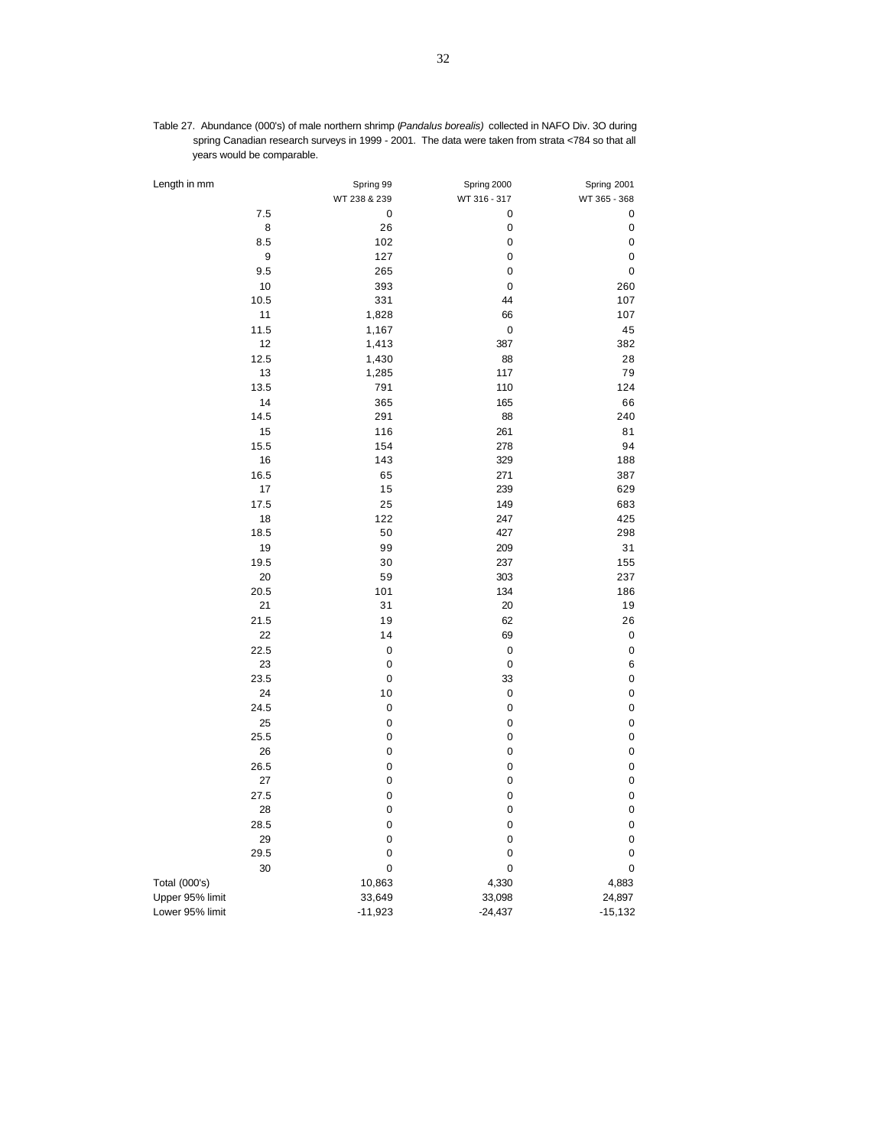| Table 27. Abundance (000's) of male northern shrimp (Pandalus borealis) collected in NAFO Div. 3O during |  |  |  |
|----------------------------------------------------------------------------------------------------------|--|--|--|
| spring Canadian research surveys in 1999 - 2001. The data were taken from strata <784 so that all        |  |  |  |
| years would be comparable.                                                                               |  |  |  |

| Length in mm    | Spring 99    | Spring 2000  | Spring 2001  |
|-----------------|--------------|--------------|--------------|
|                 | WT 238 & 239 | WT 316 - 317 | WT 365 - 368 |
| 7.5             | 0            | 0            | 0            |
| 8               | 26           | $\pmb{0}$    | 0            |
| 8.5             | 102          | 0            | 0            |
| 9               | 127          | 0            | 0            |
| 9.5             | 265          | 0            | 0            |
| 10              | 393          | $\mathbf 0$  | 260          |
| 10.5            | 331          | 44           | 107          |
| 11              | 1,828        | 66           | 107          |
| 11.5            | 1,167        | 0            | 45           |
| 12              | 1,413        | 387          | 382          |
| 12.5            | 1,430        | 88           | 28           |
| 13              | 1,285        | 117          | 79           |
| 13.5            | 791          | 110          | 124          |
| 14              | 365          | 165          | 66           |
| 14.5            | 291          | 88           | 240          |
| 15              | 116          | 261          | 81           |
| 15.5            | 154          | 278          | 94           |
| 16              | 143          | 329          | 188          |
| 16.5            | 65           | 271          | 387          |
| 17              | 15           | 239          | 629          |
| 17.5            | 25           | 149          | 683          |
| 18              | 122          | 247          | 425          |
| 18.5            | 50           | 427          | 298          |
| 19              | 99           | 209          | 31           |
| 19.5            | 30           | 237          | 155          |
| 20              | 59           | 303          | 237          |
| 20.5            | 101          | 134          | 186          |
| 21              | 31           | 20           | 19           |
| 21.5            | 19           | 62           | 26           |
| 22              | 14           | 69           | 0            |
| 22.5            | $\pmb{0}$    | $\pmb{0}$    | 0            |
| 23              | 0            | $\mathbf 0$  | 6            |
| 23.5            | 0            | 33           | 0            |
| 24              | 10           | $\pmb{0}$    | 0            |
| 24.5            | 0            | 0            | 0            |
| 25              | 0            | 0            | 0            |
| 25.5            | 0            | 0            | 0            |
| 26              | 0            | 0            | 0            |
| 26.5            | 0            | 0            | 0            |
| 27              | 0            | 0            | 0            |
| 27.5            | 0            | 0            | 0            |
| 28              | 0            | 0            | 0            |
| 28.5            | 0            | 0            | 0            |
| 29              | 0            | 0            | 0            |
| 29.5            | 0            | 0            | 0            |
| 30              | 0            | 0            | 0            |
| Total (000's)   | 10,863       | 4,330        | 4,883        |
| Upper 95% limit | 33,649       | 33,098       | 24,897       |
| Lower 95% limit | $-11,923$    | $-24,437$    | $-15,132$    |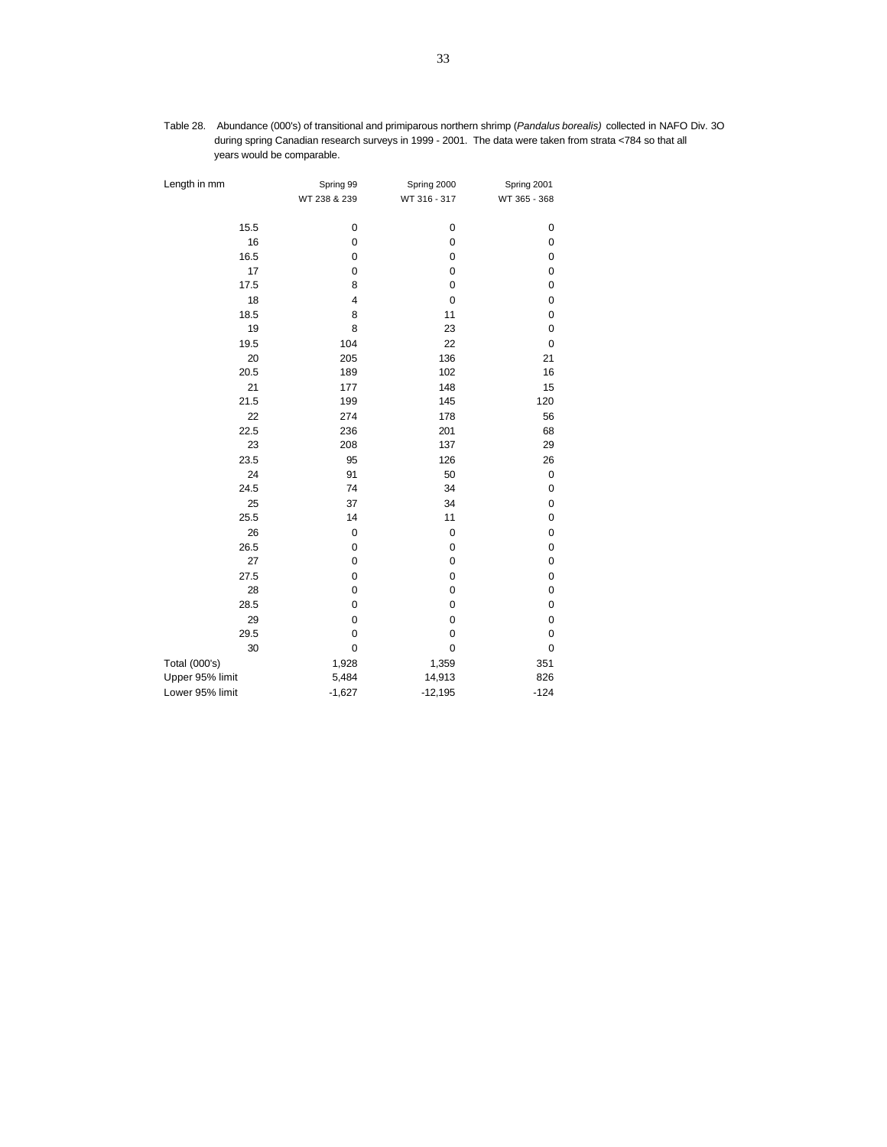| Table 28. Abundance (000's) of transitional and primiparous northern shrimp (Pandalus borealis) collected in NAFO Div. 30              |  |  |  |  |
|----------------------------------------------------------------------------------------------------------------------------------------|--|--|--|--|
| during spring Canadian research surveys in 1999 - 2001. The data were taken from strata <784 so that all<br>vears would be comparable. |  |  |  |  |
|                                                                                                                                        |  |  |  |  |

| Length in mm    | Spring 99    | Spring 2000  | Spring 2001  |
|-----------------|--------------|--------------|--------------|
|                 | WT 238 & 239 | WT 316 - 317 | WT 365 - 368 |
| 15.5            | $\mathbf 0$  | 0            | 0            |
| 16              | $\mathbf 0$  | $\mathbf 0$  | $\mathbf 0$  |
| 16.5            | $\pmb{0}$    | $\mathbf 0$  | $\mathbf 0$  |
| 17              | $\mathbf 0$  | $\mathbf 0$  | $\mathbf 0$  |
| 17.5            | 8            | $\mathbf 0$  | $\mathbf 0$  |
| 18              | 4            | $\mathbf 0$  | 0            |
| 18.5            | 8            | 11           | 0            |
| 19              | 8            | 23           | 0            |
| 19.5            | 104          | 22           | $\mathbf 0$  |
| 20              | 205          | 136          | 21           |
| 20.5            | 189          | 102          | 16           |
| 21              | 177          | 148          | 15           |
| 21.5            | 199          | 145          | 120          |
| 22              | 274          | 178          | 56           |
| 22.5            | 236          | 201          | 68           |
| 23              | 208          | 137          | 29           |
| 23.5            | 95           | 126          | 26           |
| 24              | 91           | 50           | $\pmb{0}$    |
| 24.5            | 74           | 34           | 0            |
| 25              | 37           | 34           | $\mathbf 0$  |
| 25.5            | 14           | 11           | $\mathbf 0$  |
| 26              | $\pmb{0}$    | $\mathbf 0$  | $\pmb{0}$    |
| 26.5            | $\pmb{0}$    | $\mathbf 0$  | $\pmb{0}$    |
| 27              | $\pmb{0}$    | $\mathbf 0$  | $\pmb{0}$    |
| 27.5            | $\pmb{0}$    | 0            | 0            |
| 28              | $\mathbf 0$  | 0            | $\mathbf 0$  |
| 28.5            | $\mathbf 0$  | 0            | $\mathbf 0$  |
| 29              | 0            | 0            | 0            |
| 29.5            | 0            | 0            | 0            |
| 30              | $\mathbf 0$  | $\mathbf 0$  | 0            |
| Total (000's)   | 1,928        | 1,359        | 351          |
| Upper 95% limit | 5,484        | 14,913       | 826          |
| Lower 95% limit | $-1,627$     | $-12,195$    | $-124$       |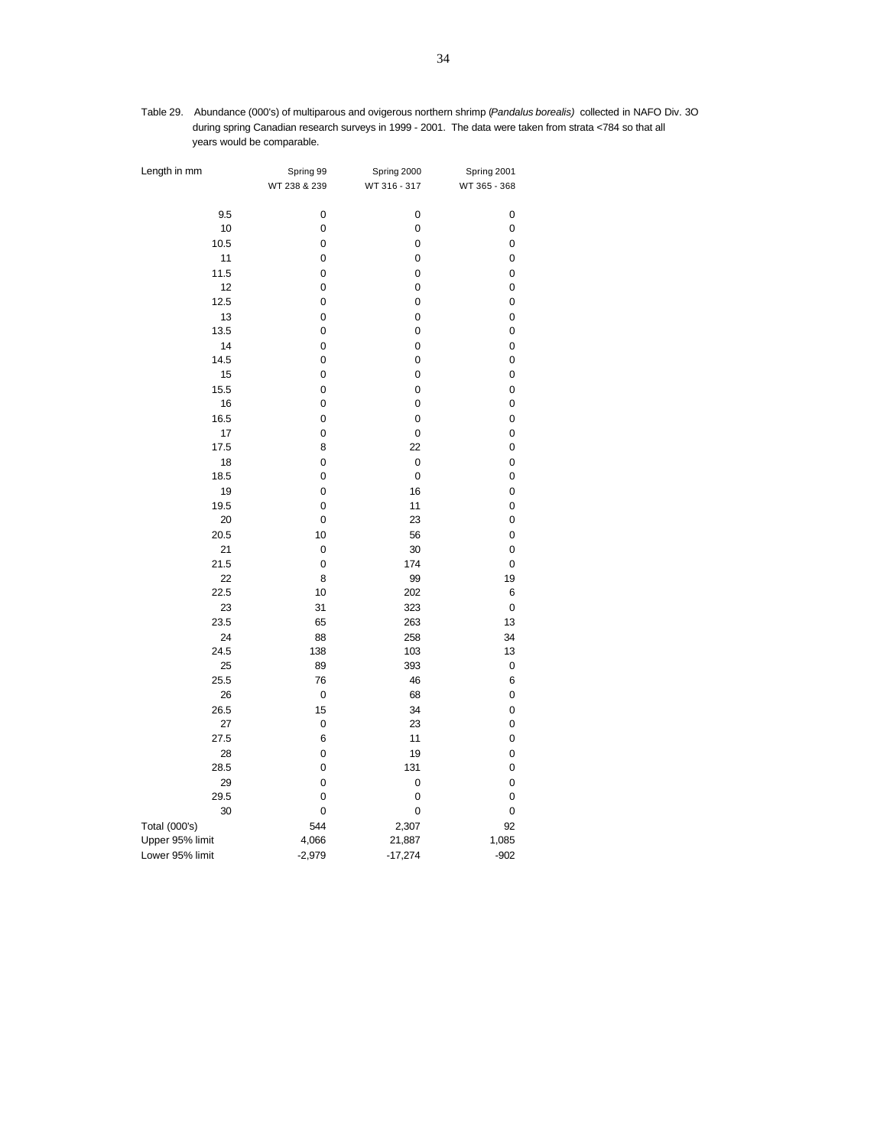Table 29. Abundance (000's) of multiparous and ovigerous northern shrimp (*Pandalus borealis)* collected in NAFO Div. 3O during spring Canadian research surveys in 1999 - 2001. The data were taken from strata <784 so that all years would be comparable.

| Length in mm    | Spring 99    | Spring 2000  | Spring 2001  |
|-----------------|--------------|--------------|--------------|
|                 | WT 238 & 239 | WT 316 - 317 | WT 365 - 368 |
|                 |              |              |              |
| 9.5             | 0            | 0            | 0            |
| 10              | 0            | 0            | 0            |
| 10.5            | 0            | 0            | 0            |
| 11              | 0            | 0            | 0            |
| 11.5            | 0            | 0            | 0            |
| 12              | 0            | 0            | 0            |
| 12.5            | 0            | 0            | 0            |
| 13              | 0            | 0            | 0            |
| 13.5            | 0            | 0            | 0            |
| 14              | 0            | 0            | 0            |
| 14.5            | 0            | 0            | 0            |
| 15              | 0            | 0            | 0            |
| 15.5            | 0            | 0            | 0            |
| 16              | 0            | 0            | 0            |
| 16.5            | 0            | 0            | 0            |
| 17              | 0            | 0            | 0            |
| 17.5            | 8            | 22           | 0            |
| 18              | 0            | $\mathbf 0$  | 0            |
| 18.5            | 0            | 0            | 0            |
| 19              | 0            | 16           | 0            |
| 19.5            | 0            | 11           | 0            |
| 20              | 0            | 23           | 0            |
| 20.5            | 10           | 56           | 0            |
| 21              | 0            | 30           | 0            |
| 21.5            | 0            | 174          | 0            |
| 22              | 8            | 99           | 19           |
| 22.5            | 10           | 202          | 6            |
| 23              | 31           | 323          | 0            |
| 23.5            | 65           | 263          | 13           |
| 24<br>24.5      | 88           | 258          | 34           |
| 25              | 138<br>89    | 103<br>393   | 13           |
| 25.5            | 76           | 46           | 0<br>6       |
| 26              | $\pmb{0}$    | 68           | 0            |
| 26.5            | 15           | 34           | 0            |
| 27              | $\pmb{0}$    | 23           | 0            |
| 27.5            | 6            | 11           | 0            |
| 28              | 0            | 19           | 0            |
| 28.5            | 0            | 131          | 0            |
| 29              | 0            | 0            | 0            |
| 29.5            | 0            | 0            | 0            |
| 30              | 0            | 0            | 0            |
| Total (000's)   | 544          | 2,307        | 92           |
| Upper 95% limit | 4,066        | 21,887       | 1,085        |
| Lower 95% limit | $-2,979$     | $-17,274$    | $-902$       |
|                 |              |              |              |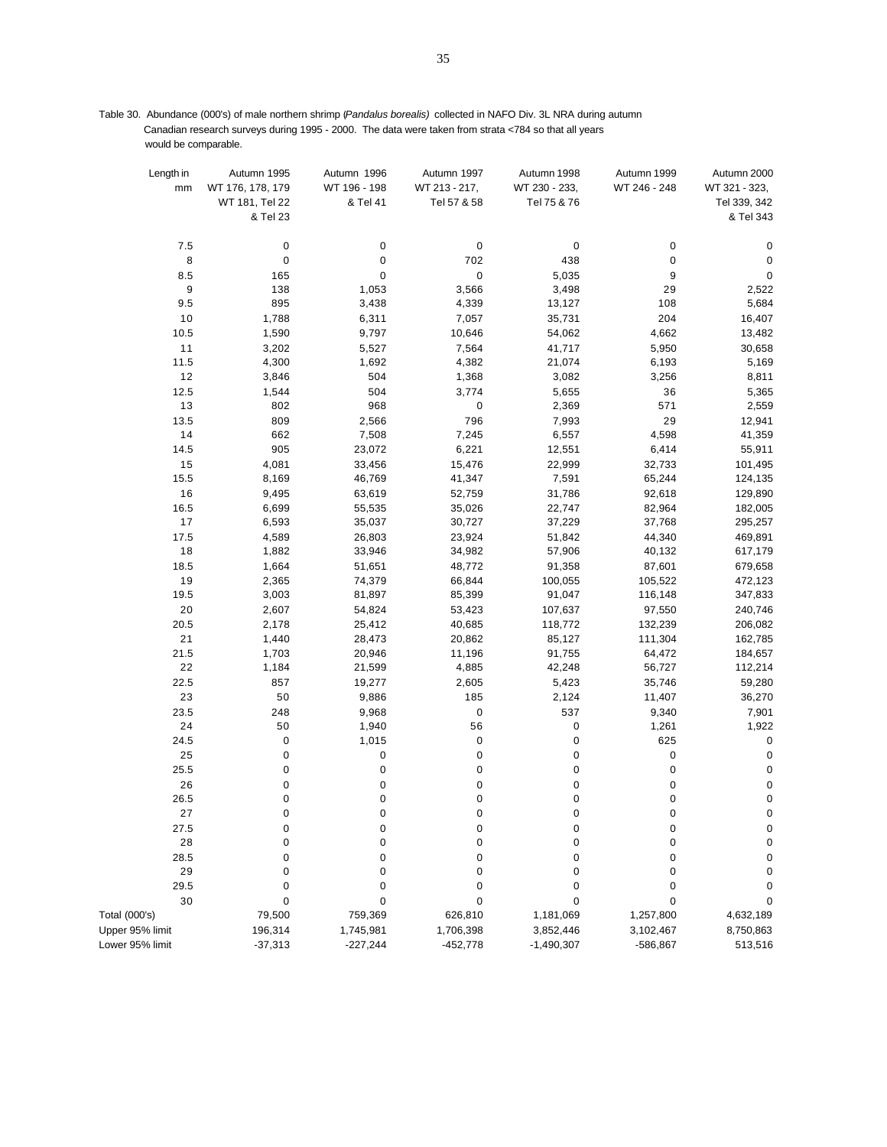Table 30. Abundance (000's) of male northern shrimp (*Pandalus borealis)* collected in NAFO Div. 3L NRA during autumn Canadian research surveys during 1995 - 2000. The data were taken from strata <784 so that all years would be comparable.

| Length in<br>mm | Autumn 1995<br>WT 176, 178, 179 | Autumn 1996<br>WT 196 - 198 | Autumn 1997<br>WT 213 - 217, | Autumn 1998<br>WT 230 - 233, | Autumn 1999<br>WT 246 - 248 | Autumn 2000<br>WT 321 - 323, |
|-----------------|---------------------------------|-----------------------------|------------------------------|------------------------------|-----------------------------|------------------------------|
|                 | WT 181, Tel 22<br>& Tel 23      | & Tel 41                    | Tel 57 & 58                  | Tel 75 & 76                  |                             | Tel 339, 342<br>& Tel 343    |
|                 |                                 |                             |                              |                              |                             |                              |
| 7.5             | $\mathbf 0$                     | 0                           | 0                            | 0                            | 0                           | 0                            |
| 8               | $\pmb{0}$                       | 0                           | 702                          | 438                          | 0                           | 0                            |
| 8.5             | 165                             | $\pmb{0}$                   | 0                            | 5,035                        | 9                           | 0                            |
| 9               | 138                             | 1,053                       | 3,566                        | 3,498                        | 29                          | 2,522                        |
| 9.5             | 895                             | 3,438                       | 4,339                        | 13,127                       | 108                         | 5,684                        |
| 10              | 1,788                           | 6,311                       | 7,057                        | 35,731                       | 204                         | 16,407                       |
| 10.5            | 1,590                           | 9,797                       | 10,646                       | 54,062                       | 4,662                       | 13,482                       |
| 11              | 3,202                           | 5,527                       | 7,564                        | 41,717                       | 5,950                       | 30,658                       |
| 11.5            | 4,300                           | 1,692                       | 4,382                        | 21,074                       | 6,193                       | 5,169                        |
| 12              | 3,846                           | 504                         | 1,368                        | 3,082                        | 3,256                       | 8,811                        |
| 12.5            | 1,544                           | 504                         | 3,774                        | 5,655                        | 36                          | 5,365                        |
| 13              | 802                             | 968                         | 0                            | 2,369                        | 571                         | 2,559                        |
| 13.5            | 809                             | 2,566                       | 796                          | 7,993                        | 29                          | 12,941                       |
| 14              | 662                             | 7,508                       | 7,245                        | 6,557                        | 4,598                       | 41,359                       |
| 14.5            | 905                             | 23,072                      | 6,221                        | 12,551                       | 6,414                       | 55,911                       |
| 15              | 4,081                           | 33,456                      | 15,476                       | 22,999                       | 32,733                      | 101,495                      |
| 15.5            | 8,169                           | 46,769                      | 41,347                       | 7,591                        | 65,244                      | 124,135                      |
| 16              | 9,495                           | 63,619                      | 52,759                       | 31,786                       | 92,618                      | 129,890                      |
| 16.5            | 6,699                           | 55,535                      | 35,026                       | 22,747                       | 82,964                      | 182,005                      |
| 17              | 6,593                           | 35,037                      | 30,727                       | 37,229                       | 37,768                      | 295,257                      |
| 17.5            | 4,589                           | 26,803                      | 23,924                       | 51,842                       | 44,340                      | 469,891                      |
| 18              | 1,882                           | 33,946                      | 34,982                       | 57,906                       | 40,132                      | 617,179                      |
| 18.5            | 1,664                           | 51,651                      | 48,772                       | 91,358                       | 87,601                      | 679,658                      |
| 19              | 2,365                           | 74,379                      | 66,844                       | 100,055                      | 105,522                     | 472,123                      |
| 19.5            | 3,003                           | 81,897                      | 85,399                       | 91,047                       | 116,148                     | 347,833                      |
| 20              | 2,607                           | 54,824                      | 53,423                       | 107,637                      | 97,550                      | 240,746                      |
| 20.5            | 2,178                           | 25,412                      | 40,685                       | 118,772                      | 132,239                     | 206,082                      |
| 21              | 1,440                           | 28,473                      | 20,862                       | 85,127                       | 111,304                     | 162,785                      |
| 21.5            | 1,703                           | 20,946                      | 11,196                       | 91,755                       | 64,472                      | 184,657                      |
| 22              | 1,184                           | 21,599                      | 4,885                        | 42,248                       | 56,727                      | 112,214                      |
| 22.5            | 857                             | 19,277                      | 2,605                        | 5,423                        | 35,746                      | 59,280                       |
| 23              | 50                              | 9,886                       | 185                          | 2,124                        | 11,407                      | 36,270                       |
| 23.5            | 248                             | 9,968                       | 0                            | 537                          | 9,340                       | 7,901                        |
| 24              | 50                              | 1,940                       | 56                           | 0                            | 1,261                       | 1,922                        |
| 24.5            | 0                               | 1,015                       | 0                            | 0                            | 625                         | 0                            |
| 25              | 0                               | 0                           | 0                            | 0                            | 0                           | 0                            |
| 25.5            | 0                               | 0                           | 0                            | 0                            | 0                           | 0                            |
| 26              | 0                               | 0                           | 0                            | 0                            | 0                           | 0                            |
| 26.5            | 0                               | 0                           | 0                            | 0                            | 0                           | $\pmb{0}$                    |
| 27              | 0                               | 0                           | 0                            | 0                            | 0                           | 0                            |
| 27.5            | 0                               | 0                           | 0                            | 0                            | 0                           | 0                            |
| 28              | 0                               | 0                           | 0                            | 0                            | 0                           | 0                            |
| 28.5            | 0                               | 0                           | 0                            | 0                            | 0                           | 0                            |
| 29              | 0                               | 0                           | 0                            | 0                            | 0                           | 0                            |
| 29.5            | 0                               | 0                           | 0                            | 0                            | 0                           | 0                            |
| 30              | 0                               | 0                           | 0                            | 0                            | 0                           | 0                            |
| Total (000's)   | 79,500                          | 759,369                     | 626,810                      | 1,181,069                    | 1,257,800                   | 4,632,189                    |
| Upper 95% limit | 196,314                         | 1,745,981                   | 1,706,398                    | 3,852,446                    | 3,102,467                   | 8,750,863                    |
| Lower 95% limit | $-37,313$                       | $-227,244$                  | $-452,778$                   | $-1,490,307$                 | $-586,867$                  | 513,516                      |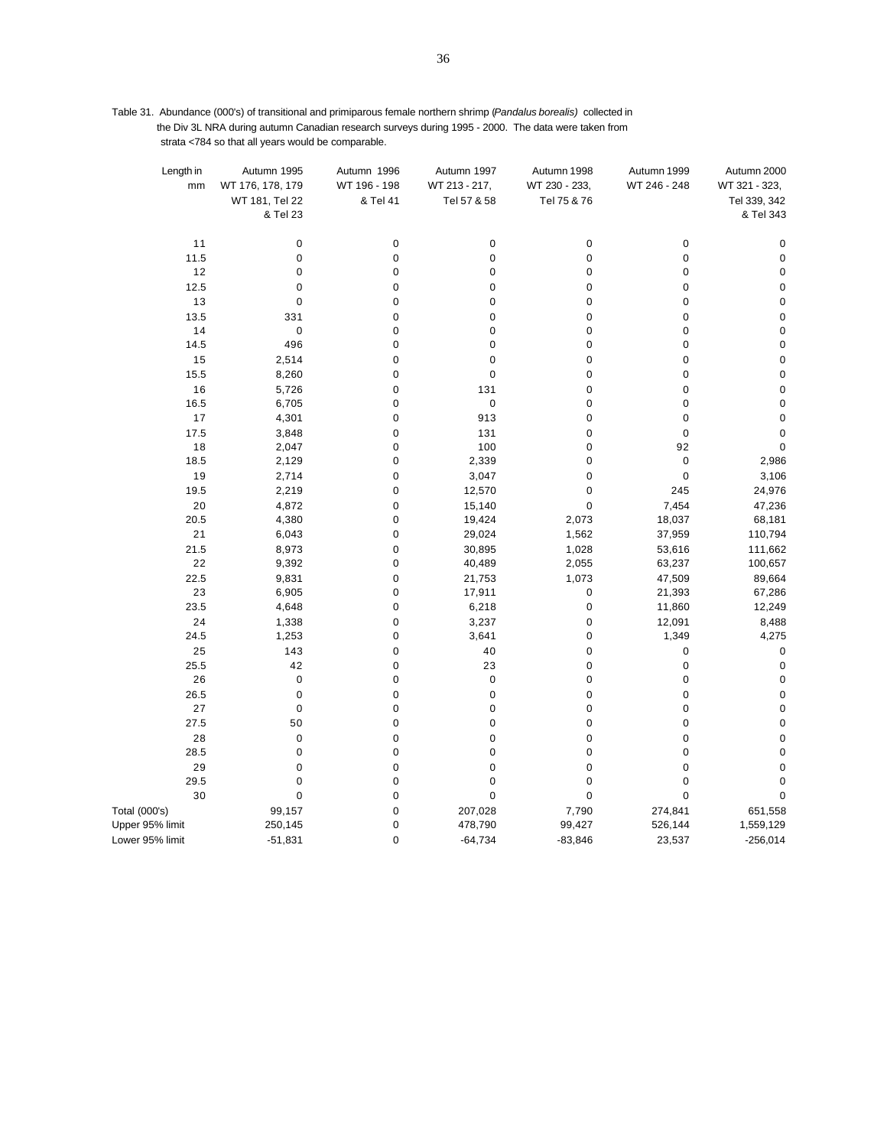Table 31. Abundance (000's) of transitional and primiparous female northern shrimp (*Pandalus borealis)* collected in the Div 3L NRA during autumn Canadian research surveys during 1995 - 2000. The data were taken from strata <784 so that all years would be comparable.

| Length in<br>mm | Autumn 1995<br>WT 176, 178, 179 | Autumn 1996<br>WT 196 - 198 | Autumn 1997<br>WT 213 - 217, | Autumn 1998<br>WT 230 - 233, | Autumn 1999<br>WT 246 - 248 | Autumn 2000<br>WT 321 - 323, |
|-----------------|---------------------------------|-----------------------------|------------------------------|------------------------------|-----------------------------|------------------------------|
|                 | WT 181, Tel 22<br>& Tel 23      | & Tel 41                    | Tel 57 & 58                  | Tel 75 & 76                  |                             | Tel 339, 342<br>& Tel 343    |
|                 |                                 |                             |                              |                              |                             |                              |
| 11              | 0                               | $\mathbf 0$                 | 0                            | $\mathbf 0$                  | 0                           | 0                            |
| 11.5            | $\pmb{0}$                       | $\mathbf 0$                 | $\pmb{0}$                    | $\mathbf 0$                  | $\pmb{0}$                   | $\pmb{0}$                    |
| 12              | $\pmb{0}$                       | $\pmb{0}$                   | $\pmb{0}$                    | $\pmb{0}$                    | $\pmb{0}$                   | $\mathbf 0$                  |
| 12.5            | $\mathbf 0$                     | $\mathbf 0$                 | 0                            | $\mathbf 0$                  | 0                           | 0                            |
| 13              | $\pmb{0}$                       | $\mathbf 0$                 | $\pmb{0}$                    | $\pmb{0}$                    | $\pmb{0}$                   | $\pmb{0}$                    |
| 13.5            | 331                             | $\mathbf 0$                 | $\pmb{0}$                    | $\mathbf 0$                  | $\pmb{0}$                   | $\pmb{0}$                    |
| 14              | 0                               | $\mathbf 0$                 | $\pmb{0}$                    | $\mathbf 0$                  | 0                           | $\pmb{0}$                    |
| 14.5            | 496                             | $\mathbf 0$                 | $\pmb{0}$                    | $\pmb{0}$                    | $\pmb{0}$                   | $\pmb{0}$                    |
| 15              | 2,514                           | $\pmb{0}$                   | $\pmb{0}$                    | $\mathbf 0$                  | $\pmb{0}$                   | $\mathbf 0$                  |
| 15.5            | 8,260                           | $\mathbf 0$                 | $\pmb{0}$                    | $\mathbf 0$                  | 0                           | $\pmb{0}$                    |
| 16              | 5,726                           | $\mathbf 0$                 | 131                          | $\mathbf 0$                  | $\pmb{0}$                   | $\pmb{0}$                    |
| 16.5            | 6,705                           | $\mathbf 0$                 | $\pmb{0}$                    | $\mathbf 0$                  | $\pmb{0}$                   | $\mathbf 0$                  |
| 17              | 4,301                           | 0                           | 913                          | $\mathbf 0$                  | 0                           | $\mathbf 0$                  |
| 17.5            | 3,848                           | $\pmb{0}$                   | 131                          | $\mathbf 0$                  | $\pmb{0}$                   | 0                            |
| 18              | 2,047                           | $\pmb{0}$                   | 100                          | $\pmb{0}$                    | 92                          | $\pmb{0}$                    |
| 18.5            | 2,129                           | $\mathbf 0$                 | 2,339                        | $\mathbf 0$                  | 0                           | 2,986                        |
| 19              | 2,714                           | $\pmb{0}$                   | 3,047                        | $\mathbf 0$                  | $\pmb{0}$                   | 3,106                        |
| 19.5            | 2,219                           | $\mathbf 0$                 | 12,570                       | $\mathbf 0$                  | 245                         | 24,976                       |
| 20              | 4,872                           | $\pmb{0}$                   | 15,140                       | $\mathbf 0$                  | 7,454                       | 47,236                       |
| 20.5<br>21      | 4,380<br>6,043                  | $\pmb{0}$<br>$\pmb{0}$      | 19,424<br>29,024             | 2,073<br>1,562               | 18,037<br>37,959            | 68,181<br>110,794            |
| 21.5            | 8,973                           | $\mathbf 0$                 | 30,895                       | 1,028                        | 53,616                      | 111,662                      |
| 22              | 9,392                           | $\mathbf 0$                 | 40,489                       | 2,055                        | 63,237                      | 100,657                      |
| 22.5            | 9,831                           | $\mathbf 0$                 | 21,753                       | 1,073                        | 47,509                      | 89,664                       |
| 23              | 6,905                           | $\mathbf 0$                 | 17,911                       | $\pmb{0}$                    | 21,393                      | 67,286                       |
| 23.5            | 4,648                           | $\pmb{0}$                   | 6,218                        | $\pmb{0}$                    | 11,860                      | 12,249                       |
| 24              | 1,338                           | $\mathbf 0$                 | 3,237                        | $\pmb{0}$                    | 12,091                      | 8,488                        |
| 24.5            | 1,253                           | $\mathbf 0$                 | 3,641                        | $\mathbf 0$                  | 1,349                       | 4,275                        |
| 25              | 143                             | $\mathbf 0$                 | 40                           | $\mathbf 0$                  | 0                           | 0                            |
| 25.5            | 42                              | $\mathbf 0$                 | 23                           | $\mathbf 0$                  | $\pmb{0}$                   | $\pmb{0}$                    |
| 26              | $\pmb{0}$                       | $\pmb{0}$                   | $\pmb{0}$                    | $\mathbf 0$                  | $\pmb{0}$                   | $\pmb{0}$                    |
| 26.5            | $\pmb{0}$                       | $\pmb{0}$                   | $\pmb{0}$                    | $\pmb{0}$                    | $\pmb{0}$                   | $\pmb{0}$                    |
| 27              | $\pmb{0}$                       | $\pmb{0}$                   | $\pmb{0}$                    | $\pmb{0}$                    | $\pmb{0}$                   | $\mathbf 0$                  |
| 27.5            | 50                              | $\mathbf 0$                 | $\pmb{0}$                    | $\mathbf 0$                  | 0                           | $\mathbf 0$                  |
| 28              | $\pmb{0}$                       | $\pmb{0}$                   | $\pmb{0}$                    | $\pmb{0}$                    | $\pmb{0}$                   | $\pmb{0}$                    |
| 28.5            | $\pmb{0}$                       | $\mathbf 0$                 | $\pmb{0}$                    | $\mathbf 0$                  | $\mathbf 0$                 | $\mathbf 0$                  |
| 29              | 0                               | $\pmb{0}$                   | $\pmb{0}$                    | $\mathbf 0$                  | 0                           | $\pmb{0}$                    |
| 29.5            | $\pmb{0}$                       | $\pmb{0}$                   | $\pmb{0}$                    | $\pmb{0}$                    | $\pmb{0}$                   | 0                            |
| 30              | $\pmb{0}$                       | $\mathbf 0$                 | $\mathbf 0$                  | $\pmb{0}$                    | $\pmb{0}$                   | $\mathbf 0$                  |
| Total (000's)   | 99,157                          | $\pmb{0}$                   | 207,028                      | 7,790                        | 274,841                     | 651,558                      |
| Upper 95% limit | 250,145                         | $\mathbf 0$                 | 478,790                      | 99,427                       | 526,144                     | 1,559,129                    |
| Lower 95% limit | $-51,831$                       | $\mathbf 0$                 | $-64,734$                    | $-83,846$                    | 23,537                      | $-256,014$                   |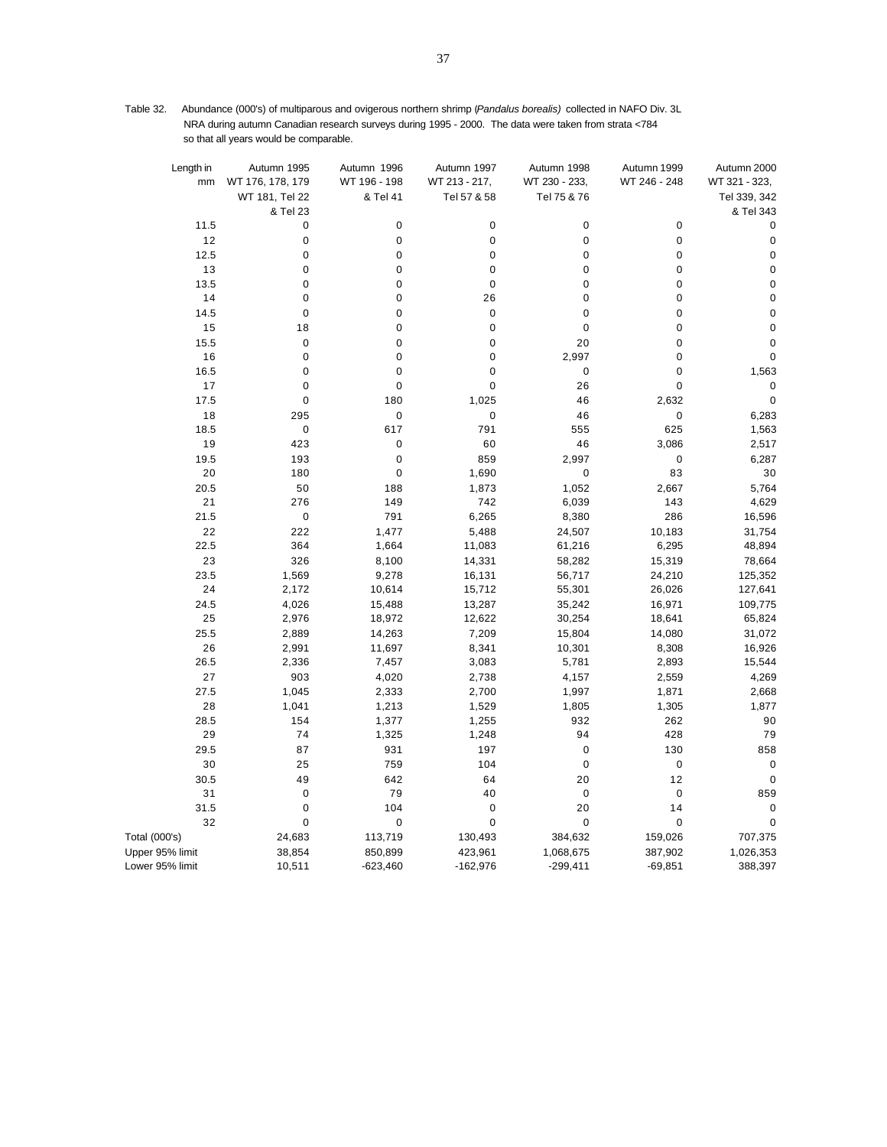Table 32. Abundance (000's) of multiparous and ovigerous northern shrimp (*Pandalus borealis)* collected in NAFO Div. 3L NRA during autumn Canadian research surveys during 1995 - 2000. The data were taken from strata <784 so that all years would be comparable.

| Length in<br>mm | Autumn 1995<br>WT 176, 178, 179 | Autumn 1996<br>WT 196 - 198 | Autumn 1997<br>WT 213 - 217, | Autumn 1998<br>WT 230 - 233, | Autumn 1999<br>WT 246 - 248 | Autumn 2000<br>WT 321 - 323, |
|-----------------|---------------------------------|-----------------------------|------------------------------|------------------------------|-----------------------------|------------------------------|
|                 | WT 181, Tel 22<br>& Tel 23      | & Tel 41                    | Tel 57 & 58                  | Tel 75 & 76                  |                             | Tel 339, 342<br>& Tel 343    |
| 11.5            | $\mathbf 0$                     | 0                           | $\mathbf 0$                  | 0                            | $\mathbf 0$                 | $\mathbf 0$                  |
| 12              | $\mathbf 0$                     | $\pmb{0}$                   | $\mathbf 0$                  | $\mathbf 0$                  | $\pmb{0}$                   | $\mathbf 0$                  |
| 12.5            | $\pmb{0}$                       | 0                           | $\mathbf 0$                  | $\mathbf 0$                  | $\mathbf 0$                 | $\pmb{0}$                    |
| 13              | $\mathbf 0$                     | 0                           | $\mathbf 0$                  | $\mathbf 0$                  | $\pmb{0}$                   | $\pmb{0}$                    |
| 13.5            | $\mathbf 0$                     | $\pmb{0}$                   | $\mathbf 0$                  | $\mathbf 0$                  | $\mathbf 0$                 | $\pmb{0}$                    |
| 14              | $\mathbf 0$                     | $\mathbf 0$                 | 26                           | $\mathbf 0$                  | $\mathbf 0$                 | $\pmb{0}$                    |
| 14.5            | $\mathbf 0$                     | $\mathbf 0$                 | $\mathbf 0$                  | $\mathbf 0$                  | $\mathbf 0$                 | $\mathbf 0$                  |
| 15              | 18                              | $\overline{0}$              | $\mathbf 0$                  | $\mathbf 0$                  | $\mathbf 0$                 | $\pmb{0}$                    |
| 15.5            | $\mathbf 0$                     | $\mathbf 0$                 | $\mathbf 0$                  | 20                           | $\mathbf 0$                 | $\mathbf 0$                  |
| 16              | $\mathbf 0$                     | 0                           | $\mathbf 0$                  | 2,997                        | $\mathbf 0$                 | $\mathbf 0$                  |
| 16.5            | $\mathbf 0$                     | $\pmb{0}$                   | $\mathbf 0$                  | $\pmb{0}$                    | $\mathbf 0$                 | 1,563                        |
| 17              | $\mathbf 0$                     | $\mathbf 0$                 | $\mathbf 0$                  | 26                           | $\mathbf 0$                 | $\mathbf 0$                  |
| 17.5            | $\mathbf 0$                     | 180                         | 1,025                        | 46                           | 2,632                       | $\mathbf 0$                  |
| 18              | 295                             | $\mathbf 0$                 | $\mathbf 0$                  | 46                           | $\mathbf 0$                 | 6,283                        |
| 18.5            | $\pmb{0}$                       | 617                         | 791                          | 555                          | 625                         | 1,563                        |
| 19              | 423                             | $\mathbf 0$                 | 60                           | 46                           | 3,086                       | 2,517                        |
| 19.5            | 193                             | $\mathbf 0$                 | 859                          | 2,997                        | $\mathbf 0$                 | 6,287                        |
| 20              | 180                             | $\mathbf 0$                 | 1,690                        | $\pmb{0}$                    | 83                          | 30                           |
| 20.5            | 50                              | 188                         | 1,873                        | 1,052                        | 2,667                       | 5,764                        |
| 21              | 276                             | 149                         | 742                          | 6,039                        | 143                         | 4,629                        |
| 21.5            | $\pmb{0}$                       | 791                         | 6,265                        | 8,380                        | 286                         | 16,596                       |
| 22              | 222                             | 1,477                       | 5,488                        | 24,507                       | 10,183                      | 31,754                       |
| 22.5            | 364                             | 1,664                       | 11,083                       | 61,216                       | 6,295                       | 48,894                       |
| 23              | 326                             | 8,100                       | 14,331                       | 58,282                       | 15,319                      | 78,664                       |
| 23.5            | 1,569                           | 9,278                       | 16,131                       | 56,717                       | 24,210                      | 125,352                      |
| 24              | 2,172                           | 10,614                      | 15,712                       | 55,301                       | 26,026                      | 127,641                      |
| 24.5            | 4,026                           | 15,488                      | 13,287                       | 35,242                       | 16,971                      | 109,775                      |
| 25              | 2,976                           | 18,972                      | 12,622                       | 30,254                       | 18,641                      | 65,824                       |
| 25.5            | 2,889                           | 14,263                      | 7,209                        | 15,804                       | 14,080                      | 31,072                       |
| 26              | 2,991                           | 11,697                      | 8,341                        | 10,301                       | 8,308                       | 16,926                       |
| 26.5            | 2,336                           | 7,457                       | 3,083                        | 5,781                        | 2,893                       | 15,544                       |
| 27              | 903                             | 4,020                       | 2,738                        | 4,157                        | 2,559                       | 4,269                        |
| 27.5            | 1,045                           | 2,333                       | 2,700                        | 1,997                        | 1,871                       | 2,668                        |
| 28              | 1,041                           | 1,213                       | 1,529                        | 1,805                        | 1,305                       | 1,877                        |
| 28.5            | 154                             | 1,377                       | 1,255                        | 932                          | 262                         | 90                           |
| 29              | 74                              | 1,325                       | 1,248                        | 94                           | 428                         | 79                           |
| 29.5            | 87                              | 931                         | 197                          | $\mathbf 0$                  | 130                         | 858                          |
| 30              | 25                              | 759                         | 104                          | $\mathbf 0$                  | $\mathbf 0$                 | $\mathbf 0$                  |
| 30.5            | 49                              | 642                         | 64                           | 20                           | 12                          | $\pmb{0}$                    |
| 31              | $\mathbf 0$                     | 79                          | 40                           | $\pmb{0}$                    | $\mathbf 0$                 | 859                          |
| 31.5            | $\mathbf 0$                     | 104                         | $\mathbf 0$                  | 20                           | 14                          | $\mathbf 0$                  |
| 32              | $\mathbf 0$                     | $\pmb{0}$                   | $\mathbf 0$                  | $\pmb{0}$                    | $\mathbf 0$                 | $\mathbf 0$                  |
| Total (000's)   | 24,683                          | 113,719                     | 130,493                      | 384,632                      | 159,026                     | 707,375                      |
| Upper 95% limit | 38,854                          | 850,899                     | 423,961                      | 1,068,675                    | 387,902                     | 1,026,353                    |
| Lower 95% limit | 10,511                          | $-623,460$                  | $-162,976$                   | $-299,411$                   | $-69,851$                   | 388,397                      |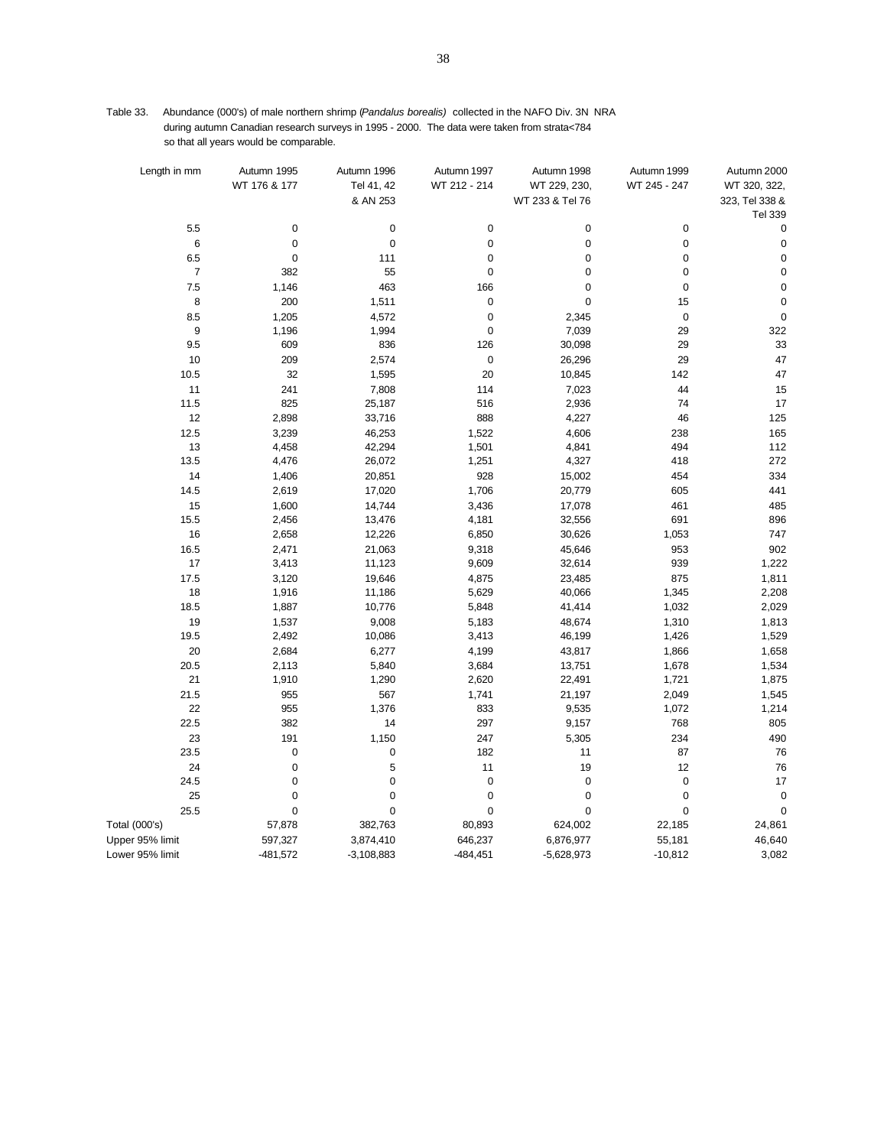| Table 33. Abundance (000's) of male northern shrimp (Pandalus borealis) collected in the NAFO Div. 3N NRA |
|-----------------------------------------------------------------------------------------------------------|
| during autumn Canadian research surveys in 1995 - 2000. The data were taken from strata<784               |
| so that all years would be comparable.                                                                    |

| Length in mm     | Autumn 1995  | Autumn 1996  | Autumn 1997  | Autumn 1998     | Autumn 1999  | Autumn 2000    |
|------------------|--------------|--------------|--------------|-----------------|--------------|----------------|
|                  | WT 176 & 177 | Tel 41, 42   | WT 212 - 214 | WT 229, 230,    | WT 245 - 247 | WT 320, 322,   |
|                  |              | & AN 253     |              | WT 233 & Tel 76 |              | 323, Tel 338 & |
|                  |              |              |              |                 |              | Tel 339        |
| 5.5              | 0            | $\pmb{0}$    | $\pmb{0}$    | $\pmb{0}$       | 0            | $\pmb{0}$      |
| 6                | 0            | $\pmb{0}$    | $\pmb{0}$    | $\pmb{0}$       | $\pmb{0}$    | $\pmb{0}$      |
| 6.5              | 0            | 111          | $\pmb{0}$    | $\pmb{0}$       | $\pmb{0}$    | $\pmb{0}$      |
| $\boldsymbol{7}$ | 382          | 55           | $\mathbf 0$  | $\overline{0}$  | $\pmb{0}$    | $\pmb{0}$      |
| 7.5              | 1,146        | 463          | 166          | $\mathbf 0$     | $\mathbf 0$  | $\mathbf 0$    |
| 8                | 200          | 1,511        | $\pmb{0}$    | 0               | 15           | $\mathbf 0$    |
| 8.5              | 1,205        | 4,572        | $\mathbf 0$  | 2,345           | $\pmb{0}$    | $\mathbf 0$    |
| 9                | 1,196        | 1,994        | $\pmb{0}$    | 7,039           | 29           | 322            |
| 9.5              | 609          | 836          | 126          | 30,098          | 29           | 33             |
| 10               | 209          | 2,574        | $\pmb{0}$    | 26,296          | 29           | 47             |
| 10.5             | 32           | 1,595        | 20           | 10,845          | 142          | 47             |
| 11               | 241          | 7,808        | 114          | 7,023           | 44           | 15             |
| 11.5             | 825          | 25,187       | 516          | 2,936           | 74           | 17             |
| 12               | 2,898        | 33,716       | 888          | 4,227           | 46           | 125            |
| 12.5             | 3,239        | 46,253       | 1,522        | 4,606           | 238          | 165            |
| 13               | 4,458        | 42,294       | 1,501        | 4,841           | 494          | 112            |
| 13.5             | 4,476        | 26,072       | 1,251        | 4,327           | 418          | 272            |
| 14               | 1,406        | 20,851       | 928          | 15,002          | 454          | 334            |
| 14.5             | 2,619        | 17,020       | 1,706        | 20,779          | 605          | 441            |
| 15               | 1,600        | 14,744       | 3,436        | 17,078          | 461          | 485            |
| 15.5             | 2,456        | 13,476       | 4,181        | 32,556          | 691          | 896            |
| 16               | 2,658        | 12,226       | 6,850        | 30,626          | 1,053        | 747            |
| 16.5             | 2,471        | 21,063       | 9,318        | 45,646          | 953          | 902            |
| 17               | 3,413        | 11,123       | 9,609        | 32,614          | 939          | 1,222          |
| 17.5             | 3,120        | 19,646       | 4,875        | 23,485          | 875          | 1,811          |
| 18               | 1,916        | 11,186       | 5,629        | 40,066          | 1,345        | 2,208          |
| 18.5             | 1,887        | 10,776       | 5,848        | 41,414          | 1,032        | 2,029          |
| 19               | 1,537        | 9,008        | 5,183        | 48,674          | 1,310        | 1,813          |
| 19.5             | 2,492        | 10,086       | 3,413        | 46,199          | 1,426        | 1,529          |
| 20               | 2,684        | 6,277        | 4,199        | 43,817          | 1,866        | 1,658          |
| 20.5             | 2,113        | 5,840        | 3,684        | 13,751          | 1,678        | 1,534          |
| 21               | 1,910        | 1,290        | 2,620        | 22,491          | 1,721        | 1,875          |
| 21.5             | 955          | 567          | 1,741        | 21,197          | 2,049        | 1,545          |
| 22               | 955          | 1,376        | 833          | 9,535           | 1,072        | 1,214          |
| 22.5             | 382          | 14           | 297          | 9,157           | 768          | 805            |
| 23               | 191          | 1,150        | 247          | 5,305           | 234          | 490            |
| 23.5             | 0            | 0            | 182          | 11              | 87           | 76             |
| 24               | 0            | 5            | 11           | 19              | 12           | 76             |
| 24.5             | 0            | $\pmb{0}$    | $\mathbf 0$  | $\mathbf 0$     | $\mathbf 0$  | 17             |
| 25               | 0            | $\pmb{0}$    | $\pmb{0}$    | $\pmb{0}$       | $\mathbf 0$  | $\pmb{0}$      |
| 25.5             | 0            | $\pmb{0}$    | $\pmb{0}$    | $\pmb{0}$       | $\pmb{0}$    | 0              |
| Total (000's)    | 57,878       | 382,763      | 80,893       | 624,002         | 22,185       | 24,861         |
| Upper 95% limit  | 597,327      | 3,874,410    | 646,237      | 6,876,977       | 55,181       | 46,640         |
| Lower 95% limit  | $-481,572$   | $-3,108,883$ | $-484,451$   | $-5,628,973$    | $-10,812$    | 3,082          |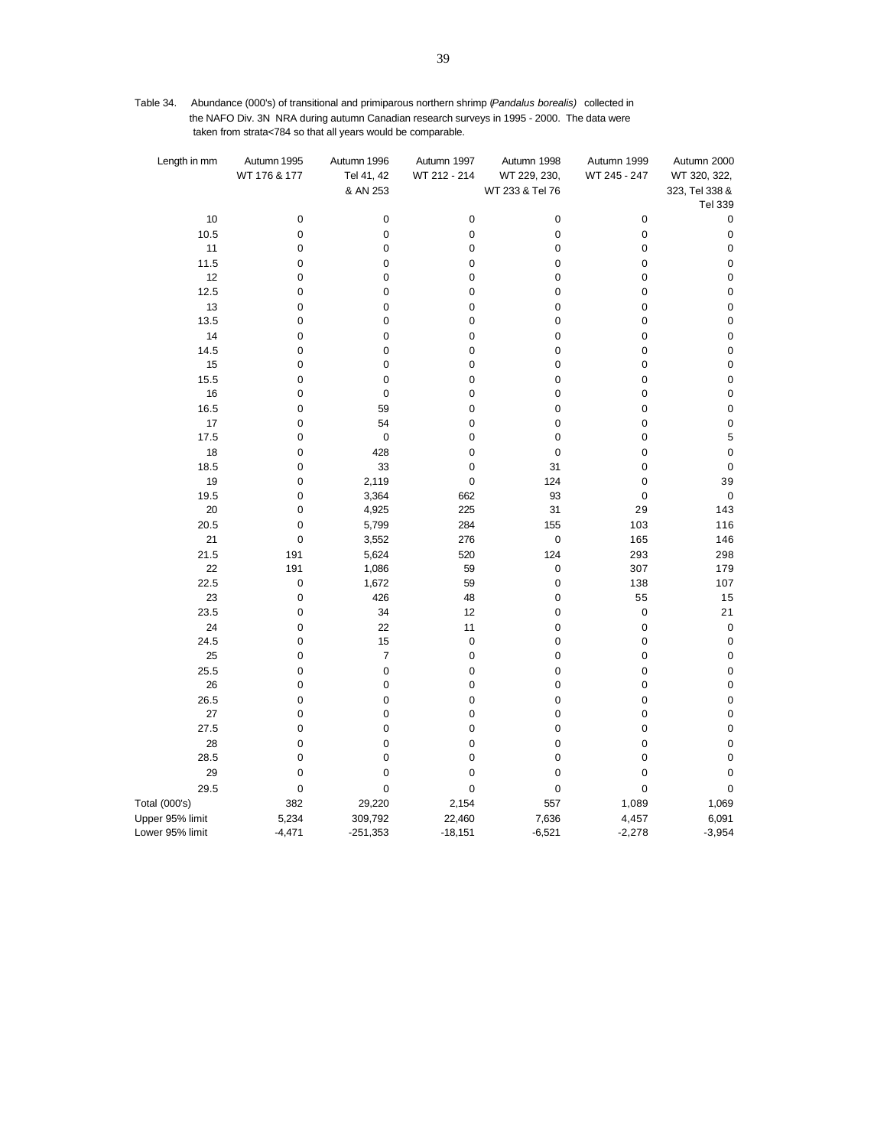Table 34. Abundance (000's) of transitional and primiparous northern shrimp (*Pandalus borealis)* collected in the NAFO Div. 3N NRA during autumn Canadian research surveys in 1995 - 2000. The data were taken from strata<784 so that all years would be comparable.

| Length in mm    | Autumn 1995<br>WT 176 & 177 | Autumn 1996<br>Tel 41, 42<br>& AN 253 | Autumn 1997<br>WT 212 - 214 | Autumn 1998<br>WT 229, 230,<br>WT 233 & Tel 76 | Autumn 1999<br>WT 245 - 247 | Autumn 2000<br>WT 320, 322,<br>323, Tel 338 &<br><b>Tel 339</b> |
|-----------------|-----------------------------|---------------------------------------|-----------------------------|------------------------------------------------|-----------------------------|-----------------------------------------------------------------|
| 10              | $\pmb{0}$                   | $\pmb{0}$                             | $\pmb{0}$                   | $\pmb{0}$                                      | 0                           | $\pmb{0}$                                                       |
| 10.5            | $\pmb{0}$                   | $\pmb{0}$                             | $\pmb{0}$                   | 0                                              | 0                           | $\pmb{0}$                                                       |
| 11              | $\mathbf 0$                 | $\mathbf 0$                           | 0                           | $\mathbf 0$                                    | 0                           | $\pmb{0}$                                                       |
| 11.5            | 0                           | 0                                     | 0                           | $\pmb{0}$                                      | 0                           | $\pmb{0}$                                                       |
| 12              | $\mathbf 0$                 | $\mathbf 0$                           | 0                           | $\mathbf 0$                                    | 0                           | $\pmb{0}$                                                       |
| 12.5            | 0                           | 0                                     | 0                           | 0                                              | 0                           | $\pmb{0}$                                                       |
| 13              | $\mathbf 0$                 | $\mathbf 0$                           | 0                           | $\mathbf 0$                                    | 0                           | $\mathbf 0$                                                     |
| 13.5            | 0                           | 0                                     | 0                           | $\pmb{0}$                                      | 0                           | $\pmb{0}$                                                       |
| 14              | $\pmb{0}$                   | $\pmb{0}$                             | $\pmb{0}$                   | $\pmb{0}$                                      | 0                           | $\pmb{0}$                                                       |
| 14.5<br>15      | $\pmb{0}$<br>$\mathbf 0$    | 0<br>$\pmb{0}$                        | 0<br>0                      | $\pmb{0}$<br>$\pmb{0}$                         | 0<br>0                      | $\pmb{0}$<br>$\mathbf 0$                                        |
| 15.5            | $\mathbf 0$                 | $\mathbf 0$                           | 0                           | $\pmb{0}$                                      | 0                           | $\pmb{0}$                                                       |
| 16              | $\mathbf 0$                 | $\mathbf 0$                           | 0                           | $\mathbf 0$                                    | 0                           | $\mathbf 0$                                                     |
| 16.5            | 0                           | 59                                    | 0                           | 0                                              | 0                           | $\pmb{0}$                                                       |
| 17              | $\mathbf 0$                 | 54                                    | 0                           | $\mathbf 0$                                    | 0                           | $\pmb{0}$                                                       |
| 17.5            | 0                           | $\mathbf 0$                           | 0                           | 0                                              | 0                           | 5                                                               |
| 18              | $\mathbf 0$                 | 428                                   | 0                           | $\mathbf 0$                                    | 0                           | $\mathbf 0$                                                     |
| 18.5            | 0                           | 33                                    | 0                           | 31                                             | 0                           | $\pmb{0}$                                                       |
| 19              | $\pmb{0}$                   | 2,119                                 | $\pmb{0}$                   | 124                                            | 0                           | 39                                                              |
| 19.5            | 0                           | 3,364                                 | 662                         | 93                                             | 0                           | $\pmb{0}$                                                       |
| 20              | 0                           | 4,925                                 | 225                         | 31                                             | 29                          | 143                                                             |
| 20.5            | $\pmb{0}$                   | 5,799                                 | 284                         | 155                                            | 103                         | 116                                                             |
| 21              | $\pmb{0}$                   | 3,552                                 | 276                         | $\pmb{0}$                                      | 165                         | 146                                                             |
| 21.5<br>22      | 191<br>191                  | 5,624<br>1,086                        | 520<br>59                   | 124<br>$\pmb{0}$                               | 293<br>307                  | 298<br>179                                                      |
| 22.5            | $\mathbf 0$                 | 1,672                                 | 59                          | 0                                              | 138                         | 107                                                             |
| 23              | $\pmb{0}$                   | 426                                   | 48                          | $\mathbf 0$                                    | 55                          | 15                                                              |
| 23.5            | 0                           | 34                                    | 12                          | 0                                              | 0                           | 21                                                              |
| 24              | $\mathbf 0$                 | 22                                    | 11                          | $\mathbf 0$                                    | 0                           | $\pmb{0}$                                                       |
| 24.5            | 0                           | 15                                    | $\pmb{0}$                   | 0                                              | 0                           | $\pmb{0}$                                                       |
| 25              | $\mathbf 0$                 | $\overline{7}$                        | 0                           | $\mathbf 0$                                    | 0                           | $\pmb{0}$                                                       |
| 25.5            | 0                           | $\pmb{0}$                             | $\pmb{0}$                   | $\pmb{0}$                                      | 0                           | $\pmb{0}$                                                       |
| 26              | 0                           | 0                                     | $\pmb{0}$                   | 0                                              | 0                           | $\pmb{0}$                                                       |
| 26.5            | $\pmb{0}$                   | 0                                     | 0                           | $\pmb{0}$                                      | 0                           | $\pmb{0}$                                                       |
| 27              | $\mathbf 0$                 | 0                                     | 0                           | $\pmb{0}$                                      | 0                           | $\pmb{0}$                                                       |
| 27.5            | $\mathbf 0$                 | $\mathbf 0$                           | 0                           | $\mathbf 0$                                    | 0                           | $\mathbf 0$                                                     |
| 28              | $\mathbf 0$<br>$\mathbf 0$  | $\mathbf 0$<br>0                      | 0<br>0                      | $\mathbf 0$<br>$\mathbf 0$                     | 0<br>0                      | $\mathbf 0$<br>$\pmb{0}$                                        |
| 28.5<br>29      | $\mathbf 0$                 | $\mathbf 0$                           | 0                           | $\mathbf 0$                                    | 0                           | $\pmb{0}$                                                       |
| 29.5            |                             |                                       |                             |                                                | 0                           | $\mathbf 0$                                                     |
| Total (000's)   | 0<br>382                    | 0<br>29,220                           | 0<br>2,154                  | 0<br>557                                       | 1,089                       | 1,069                                                           |
| Upper 95% limit | 5,234                       | 309,792                               | 22,460                      | 7,636                                          | 4,457                       | 6,091                                                           |
| Lower 95% limit | $-4,471$                    | $-251,353$                            | $-18,151$                   | $-6,521$                                       | $-2,278$                    | $-3,954$                                                        |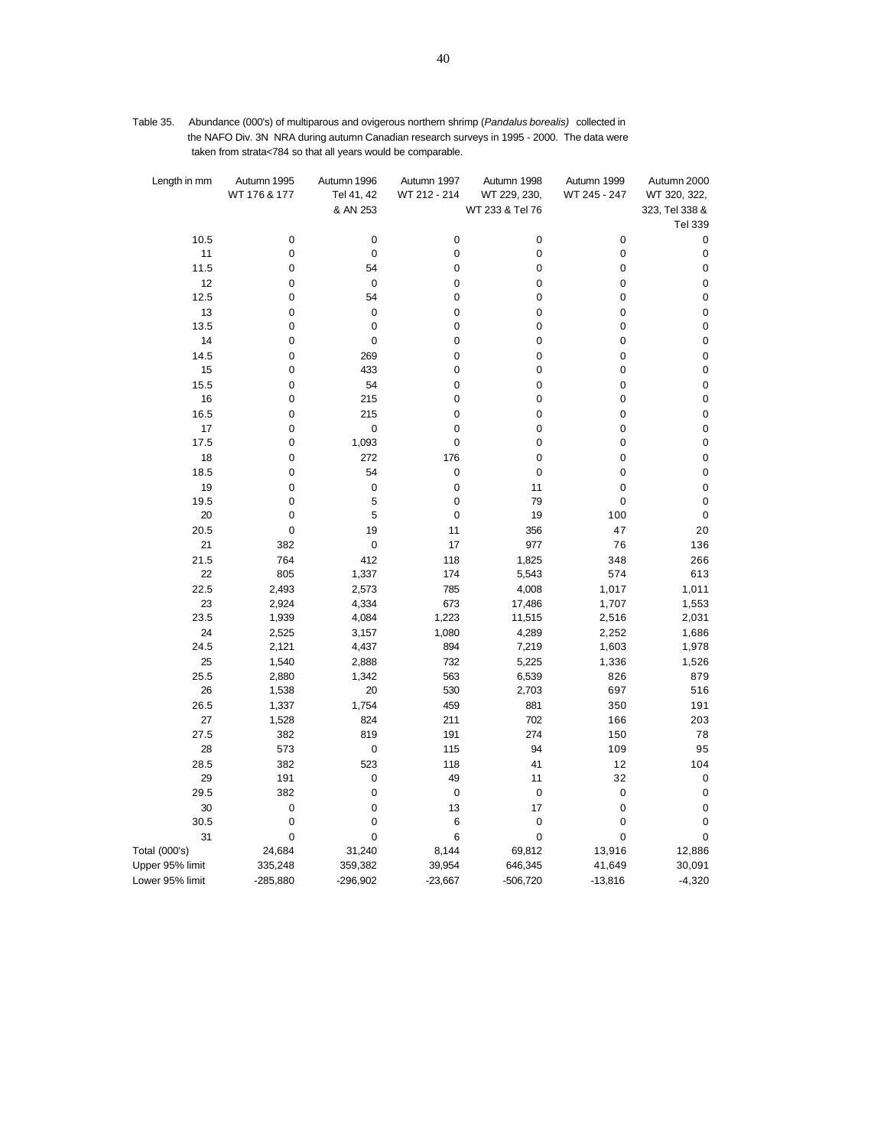| Table 35. | Abundance (000's) of multiparous and ovigerous northern shrimp ( <i>Pandalus borealis</i> ) collected in |
|-----------|----------------------------------------------------------------------------------------------------------|
|           | the NAFO Div. 3N NRA during autumn Canadian research surveys in 1995 - 2000. The data were               |
|           | taken from strata<784 so that all years would be comparable.                                             |

| Length in mm         | Autumn 1995<br>WT 176 & 177 | Autumn 1996<br>Tel 41, 42<br>& AN 253 | Autumn 1997<br>WT 212 - 214 | Autumn 1998<br>WT 229, 230,<br>WT 233 & Tel 76 | Autumn 1999<br>WT 245 - 247 | Autumn 2000<br>WT 320, 322,<br>323, Tel 338 & |
|----------------------|-----------------------------|---------------------------------------|-----------------------------|------------------------------------------------|-----------------------------|-----------------------------------------------|
|                      |                             |                                       |                             |                                                |                             | <b>Tel 339</b>                                |
| 10.5<br>11           | $\pmb{0}$<br>0              | 0<br>$\mathbf 0$                      | $\mathbf 0$<br>$\mathbf 0$  | 0<br>$\pmb{0}$                                 | 0<br>0                      | 0<br>0                                        |
| 11.5                 | 0                           | 54                                    | $\mathbf 0$                 | $\mathbf 0$                                    | 0                           | 0                                             |
| 12                   | 0                           | $\mathbf 0$                           | 0                           | $\mathbf 0$                                    | 0                           | 0                                             |
| 12.5                 | 0                           | 54                                    | $\mathbf 0$                 | 0                                              | 0                           | 0                                             |
| 13                   | 0                           | $\mathbf 0$                           | 0                           | $\mathbf 0$                                    | 0                           | $\pmb{0}$                                     |
| 13.5                 | 0                           | $\pmb{0}$                             | $\mathbf 0$                 | $\mathbf 0$                                    | 0                           | $\pmb{0}$                                     |
| 14                   | 0                           | $\pmb{0}$                             | 0                           | $\pmb{0}$                                      | 0                           | 0                                             |
| 14.5                 | 0                           | 269                                   | $\mathbf 0$                 | $\mathbf 0$                                    | 0                           | $\pmb{0}$                                     |
| 15                   | 0                           | 433                                   | 0                           | $\mathbf 0$                                    | 0                           | $\pmb{0}$                                     |
| 15.5                 | 0                           | 54                                    | 0                           | $\pmb{0}$                                      | 0                           | $\pmb{0}$                                     |
| 16                   | 0                           | 215                                   | $\overline{0}$              | $\mathbf 0$                                    | $\mathbf 0$                 | $\pmb{0}$                                     |
| 16.5                 | 0                           | 215                                   | 0                           | $\pmb{0}$                                      | 0                           | $\pmb{0}$                                     |
| 17                   | 0                           | $\mathbf 0$                           | 0                           | $\pmb{0}$                                      | 0                           | $\pmb{0}$                                     |
| 17.5                 | 0                           | 1,093                                 | 0                           | $\mathbf 0$                                    | 0                           | $\pmb{0}$                                     |
| 18                   | 0                           | 272                                   | 176                         | $\pmb{0}$                                      | 0                           | $\pmb{0}$                                     |
| 18.5                 | 0                           | 54                                    | 0                           | 0                                              | 0                           | $\pmb{0}$                                     |
| 19                   | 0                           | 0                                     | 0                           | 11                                             | 0                           | 0                                             |
| 19.5                 | 0                           | 5                                     | $\pmb{0}$                   | 79                                             | 0                           | $\pmb{0}$                                     |
| 20                   | 0                           | 5                                     | $\mathbf 0$                 | 19                                             | 100                         | 0                                             |
| 20.5                 | 0                           | 19                                    | 11                          | 356                                            | 47                          | 20                                            |
| 21                   | 382                         | $\pmb{0}$                             | 17                          | 977                                            | 76                          | 136                                           |
| 21.5<br>22           | 764<br>805                  | 412                                   | 118                         | 1,825                                          | 348<br>574                  | 266                                           |
| 22.5                 |                             | 1,337                                 | 174                         | 5,543                                          |                             | 613                                           |
| 23                   | 2,493<br>2,924              | 2,573<br>4,334                        | 785<br>673                  | 4,008<br>17,486                                | 1,017<br>1,707              | 1,011<br>1,553                                |
| 23.5                 | 1,939                       | 4,084                                 | 1,223                       | 11,515                                         | 2,516                       | 2,031                                         |
| 24                   | 2,525                       | 3,157                                 | 1,080                       | 4,289                                          | 2,252                       | 1,686                                         |
| 24.5                 | 2,121                       | 4,437                                 | 894                         | 7,219                                          | 1,603                       | 1,978                                         |
| 25                   | 1,540                       | 2,888                                 | 732                         | 5,225                                          | 1,336                       | 1,526                                         |
| 25.5                 | 2,880                       | 1,342                                 | 563                         | 6,539                                          | 826                         | 879                                           |
| 26                   | 1,538                       | 20                                    | 530                         | 2,703                                          | 697                         | 516                                           |
| 26.5                 | 1,337                       | 1,754                                 | 459                         | 881                                            | 350                         | 191                                           |
| 27                   | 1,528                       | 824                                   | 211                         | 702                                            | 166                         | 203                                           |
| 27.5                 | 382                         | 819                                   | 191                         | 274                                            | 150                         | 78                                            |
| 28                   | 573                         | 0                                     | 115                         | 94                                             | 109                         | 95                                            |
| 28.5                 | 382                         | 523                                   | 118                         | 41                                             | 12                          | 104                                           |
| 29                   | 191                         | 0                                     | 49                          | 11                                             | 32                          | 0                                             |
| 29.5                 | 382                         | $\pmb{0}$                             | $\pmb{0}$                   | $\pmb{0}$                                      | 0                           | 0                                             |
| 30                   | 0                           | $\pmb{0}$                             | 13                          | 17                                             | 0                           | $\pmb{0}$                                     |
| 30.5                 | 0                           | $\pmb{0}$                             | 6                           | $\pmb{0}$                                      | 0                           | 0                                             |
| 31                   | 0                           | 0                                     | 6                           | $\mathbf 0$                                    | 0                           | 0                                             |
| <b>Total (000's)</b> | 24,684                      | 31,240                                | 8,144                       | 69,812                                         | 13,916                      | 12,886                                        |
| Upper 95% limit      | 335,248                     | 359,382                               | 39,954                      | 646,345                                        | 41,649                      | 30,091                                        |
| Lower 95% limit      | $-285,880$                  | $-296,902$                            | $-23,667$                   | $-506,720$                                     | $-13,816$                   | $-4,320$                                      |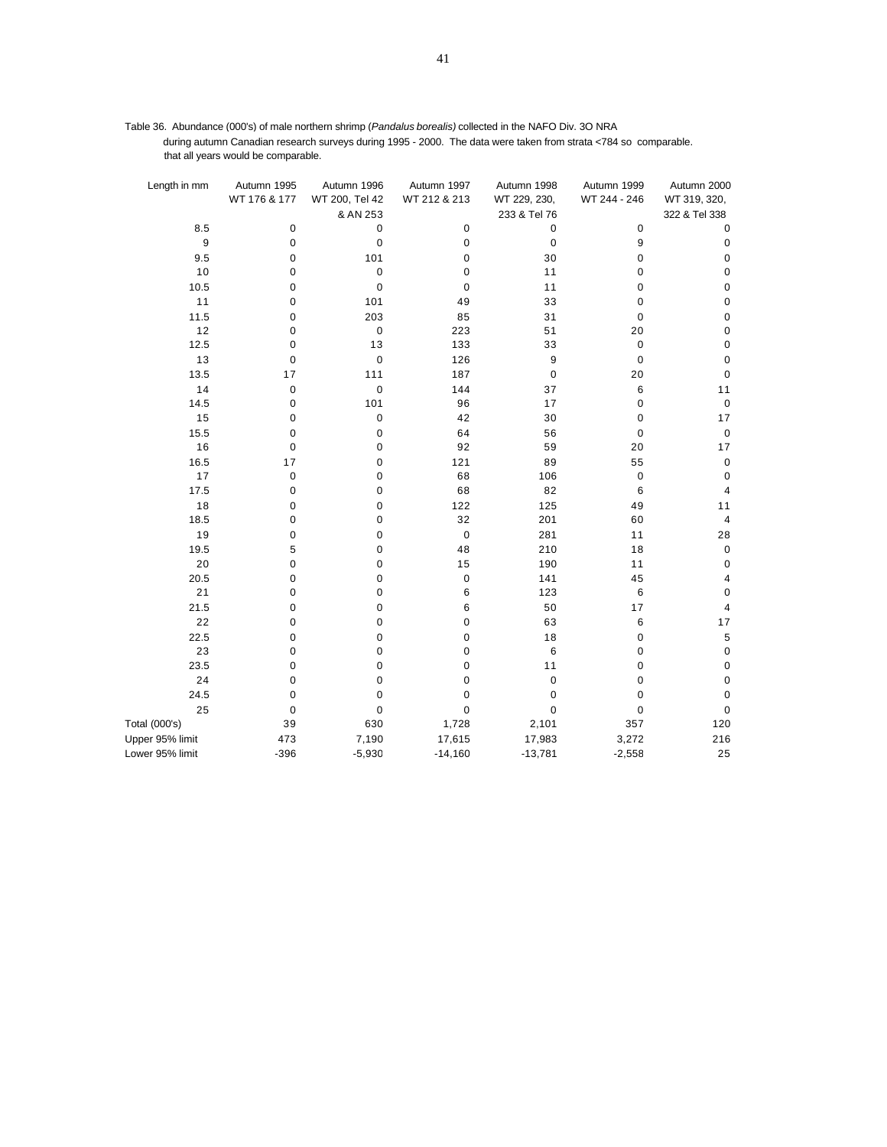Table 36. Abundance (000's) of male northern shrimp (*Pandalus borealis)* collected in the NAFO Div. 3O NRA during autumn Canadian research surveys during 1995 - 2000. The data were taken from strata <784 so comparable. that all years would be comparable.

| Length in mm    | Autumn 1995<br>WT 176 & 177 | Autumn 1996<br>WT 200, Tel 42 | Autumn 1997<br>WT 212 & 213 | Autumn 1998<br>WT 229, 230, | Autumn 1999<br>WT 244 - 246 | Autumn 2000<br>WT 319, 320, |
|-----------------|-----------------------------|-------------------------------|-----------------------------|-----------------------------|-----------------------------|-----------------------------|
|                 |                             | & AN 253                      |                             | 233 & Tel 76                |                             | 322 & Tel 338               |
| 8.5             | 0                           | 0                             | 0                           | 0                           | 0                           | 0                           |
| 9               | 0                           | 0                             | 0                           | 0                           | 9                           | $\pmb{0}$                   |
| 9.5             | 0                           | 101                           | $\pmb{0}$                   | 30                          | 0                           | $\pmb{0}$                   |
| 10              | $\mathbf 0$                 | 0                             | 0                           | 11                          | 0                           | 0                           |
| 10.5            | 0                           | 0                             | 0                           | 11                          | 0                           | $\pmb{0}$                   |
| 11              | 0                           | 101                           | 49                          | 33                          | 0                           | $\pmb{0}$                   |
| 11.5            | 0                           | 203                           | 85                          | 31                          | 0                           | $\pmb{0}$                   |
| 12              | 0                           | 0                             | 223                         | 51                          | 20                          | $\pmb{0}$                   |
| 12.5            | 0                           | 13                            | 133                         | 33                          | 0                           | 0                           |
| 13              | 0                           | 0                             | 126                         | 9                           | 0                           | $\pmb{0}$                   |
| 13.5            | 17                          | 111                           | 187                         | 0                           | 20                          | $\pmb{0}$                   |
| 14              | 0                           | 0                             | 144                         | 37                          | 6                           | 11                          |
| 14.5            | 0                           | 101                           | 96                          | 17                          | 0                           | $\pmb{0}$                   |
| 15              | 0                           | $\pmb{0}$                     | 42                          | 30                          | 0                           | 17                          |
| 15.5            | 0                           | 0                             | 64                          | 56                          | 0                           | $\pmb{0}$                   |
| 16              | $\mathbf 0$                 | 0                             | 92                          | 59                          | 20                          | 17                          |
| 16.5            | 17                          | 0                             | 121                         | 89                          | 55                          | $\pmb{0}$                   |
| 17              | $\pmb{0}$                   | 0                             | 68                          | 106                         | 0                           | $\pmb{0}$                   |
| 17.5            | 0                           | 0                             | 68                          | 82                          | 6                           | 4                           |
| 18              | 0                           | 0                             | 122                         | 125                         | 49                          | 11                          |
| 18.5            | 0                           | 0                             | 32                          | 201                         | 60                          | 4                           |
| 19              | 0                           | 0                             | $\pmb{0}$                   | 281                         | 11                          | 28                          |
| 19.5            | 5                           | 0                             | 48                          | 210                         | 18                          | $\pmb{0}$                   |
| 20              | $\mathbf 0$                 | 0                             | 15                          | 190                         | 11                          | 0                           |
| 20.5            | 0                           | 0                             | 0                           | 141                         | 45                          | 4                           |
| 21              | $\mathbf 0$                 | 0                             | 6                           | 123                         | 6                           | $\pmb{0}$                   |
| 21.5            | 0                           | 0                             | 6                           | 50                          | 17                          | 4                           |
| 22              | 0                           | 0                             | $\pmb{0}$                   | 63                          | 6                           | 17                          |
| 22.5            | 0                           | 0                             | 0                           | 18                          | 0                           | 5                           |
| 23              | 0                           | 0                             | 0                           | 6                           | 0                           | $\pmb{0}$                   |
| 23.5            | $\mathbf 0$                 | 0                             | $\pmb{0}$                   | 11                          | 0                           | $\pmb{0}$                   |
| 24              | $\mathbf 0$                 | 0                             | $\pmb{0}$                   | 0                           | 0                           | $\pmb{0}$                   |
| 24.5            | $\mathbf 0$                 | 0                             | $\mathbf 0$                 | 0                           | $\mathbf 0$                 | $\pmb{0}$                   |
| 25              | 0                           | 0                             | 0                           | 0                           | 0                           | $\pmb{0}$                   |
| Total (000's)   | 39                          | 630                           | 1,728                       | 2,101                       | 357                         | 120                         |
| Upper 95% limit | 473                         | 7,190                         | 17,615                      | 17,983                      | 3,272                       | 216                         |
| Lower 95% limit | $-396$                      | $-5,930$                      | $-14,160$                   | $-13,781$                   | $-2,558$                    | 25                          |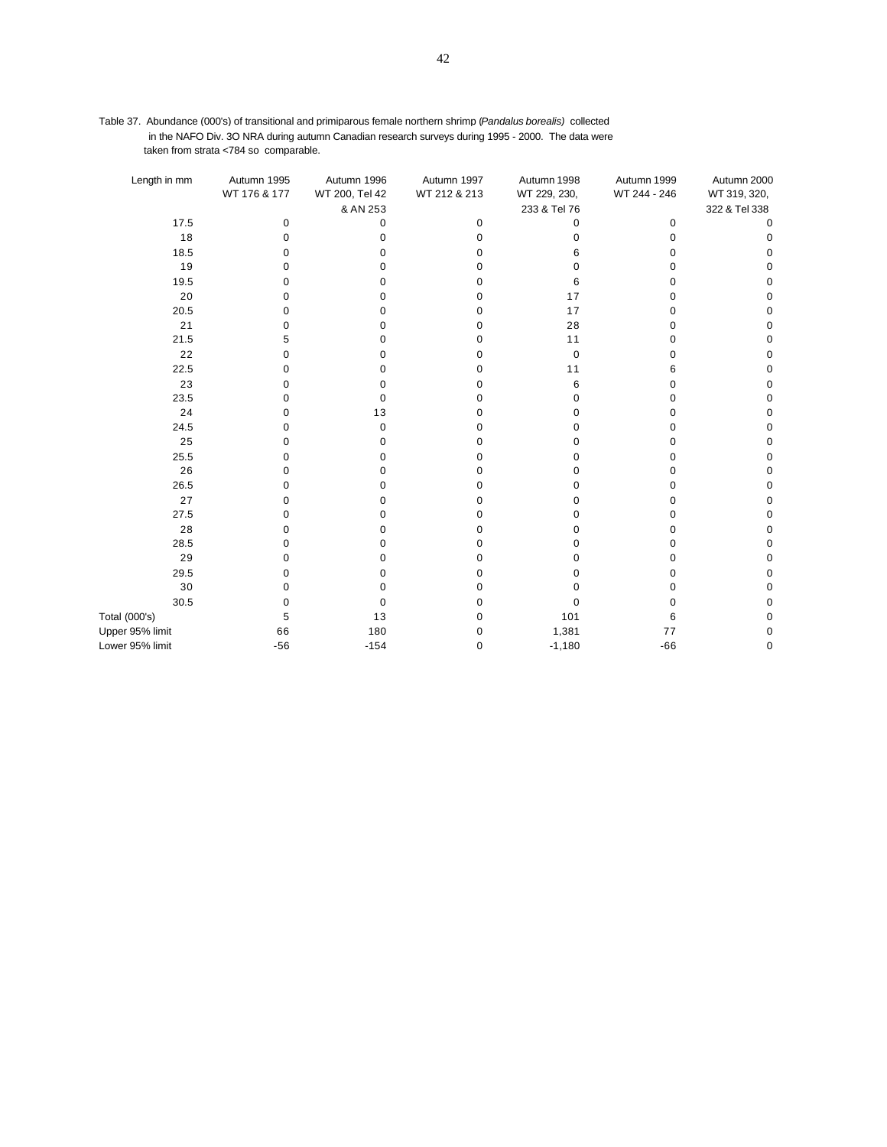Table 37. Abundance (000's) of transitional and primiparous female northern shrimp (*Pandalus borealis)* collected in the NAFO Div. 3O NRA during autumn Canadian research surveys during 1995 - 2000. The data were taken from strata <784 so comparable.

| Length in mm    | Autumn 1995  | Autumn 1996    | Autumn 1997  | Autumn 1998  | Autumn 1999  | Autumn 2000   |
|-----------------|--------------|----------------|--------------|--------------|--------------|---------------|
|                 | WT 176 & 177 | WT 200, Tel 42 | WT 212 & 213 | WT 229, 230, | WT 244 - 246 | WT 319, 320,  |
|                 |              | & AN 253       |              | 233 & Tel 76 |              | 322 & Tel 338 |
| 17.5            | 0            | 0              | 0            | 0            | 0            | $\mathbf 0$   |
| 18              | $\Omega$     | 0              | $\Omega$     | 0            | $\Omega$     | $\Omega$      |
| 18.5            | 0            | O              |              | 6            | O            | 0             |
| 19              | 0            | 0              |              | 0            | 0            | 0             |
| 19.5            | 0            | 0              |              | 6            | 0            | 0             |
| 20              | 0            | O              | U            | 17           | O            | 0             |
| 20.5            | 0            | 0              |              | 17           | 0            | 0             |
| 21              | 0            | 0              | Ω            | 28           | 0            | 0             |
| 21.5            | 5            | 0              |              | 11           | 0            | 0             |
| 22              | 0            | O              | U            | 0            | 0            | 0             |
| 22.5            | 0            | 0              |              | 11           | 6            | 0             |
| 23              | 0            | O              |              | 6            | 0            | 0             |
| 23.5            | 0            | 0              |              | 0            | 0            | 0             |
| 24              | 0            | 13             |              | 0            | 0            | 0             |
| 24.5            | 0            | 0              |              | 0            | 0            | 0             |
| 25              | 0            | 0              |              | 0            | 0            | 0             |
| 25.5            | 0            | 0              | O            | 0            | 0            | 0             |
| 26              | 0            | $\Omega$       |              | 0            | 0            | 0             |
| 26.5            | 0            | 0              |              | 0            | 0            | 0             |
| 27              | 0            | 0              |              | 0            | 0            | 0             |
| 27.5            | 0            | O              |              | O            | 0            | 0             |
| 28              | 0            | O              |              | 0            | O            | 0             |
| 28.5            | 0            | 0              |              | 0            | 0            | 0             |
| 29              | 0            | 0              |              | 0            | 0            | 0             |
| 29.5            | 0            | 0              |              | 0            | 0            | 0             |
| 30              | 0            | 0              |              | 0            | 0            | 0             |
| 30.5            | 0            | 0              | U            | $\Omega$     | 0            | 0             |
| Total (000's)   | 5            | 13             | O            | 101          | 6            | 0             |
| Upper 95% limit | 66           | 180            |              | 1,381        | 77           | 0             |
| Lower 95% limit | $-56$        | $-154$         | 0            | $-1,180$     | $-66$        | 0             |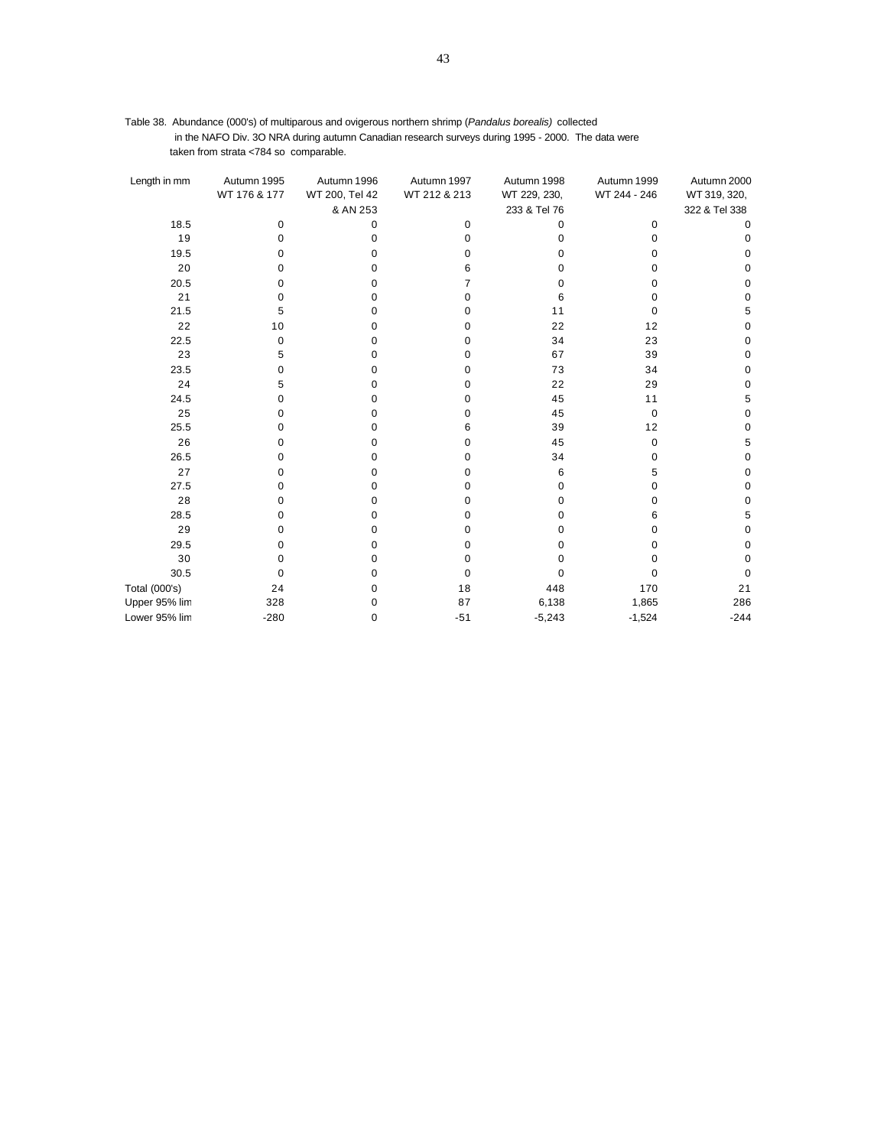| Table 38. Abundance (000's) of multiparous and ovigerous northern shrimp (Pandalus borealis) collected |
|--------------------------------------------------------------------------------------------------------|
| in the NAFO Div. 3O NRA during autumn Canadian research surveys during 1995 - 2000. The data were      |
| taken from strata <784 so comparable.                                                                  |

| Length in mm         | Autumn 1995  | Autumn 1996    | Autumn 1997  | Autumn 1998  | Autumn 1999  | Autumn 2000   |
|----------------------|--------------|----------------|--------------|--------------|--------------|---------------|
|                      | WT 176 & 177 | WT 200, Tel 42 | WT 212 & 213 | WT 229, 230, | WT 244 - 246 | WT 319, 320,  |
|                      |              | & AN 253       |              | 233 & Tel 76 |              | 322 & Tel 338 |
| 18.5                 | 0            | 0              | 0            | $\Omega$     | 0            | 0             |
| 19                   | 0            | $\Omega$       | 0            | O            | 0            | 0             |
| 19.5                 | n            | 0              | o            | n            | 0            | 0             |
| 20                   |              | 0              | 6            |              | O            | 0             |
| 20.5                 | n            | 0              | 7            | n            | 0            | 0             |
| 21                   | n            | 0              | 0            |              | 0            | 0             |
| 21.5                 | 5            | 0              | 0            | 11           | 0            | 5             |
| 22                   | 10           | $\Omega$       | 0            | 22           | 12           | 0             |
| 22.5                 | 0            | 0              | 0            | 34           | 23           | 0             |
| 23                   | 5            | $\Omega$       | 0            | 67           | 39           | 0             |
| 23.5                 | n            | 0              | 0            | 73           | 34           | O             |
| 24                   | 5            | $\Omega$       | 0            | 22           | 29           | C             |
| 24.5                 | o            | $\Omega$       | 0            | 45           | 11           | 5             |
| 25                   | n            | $\Omega$       | 0            | 45           | $\mathbf 0$  | 0             |
| 25.5                 | o            | 0              | 6            | 39           | 12           | 0             |
| 26                   | n            | 0              | 0            | 45           | 0            | 5             |
| 26.5                 | n            | $\Omega$       | 0            | 34           | $\Omega$     | 0             |
| 27                   | n            | 0              | 0            | 6            | 5            | 0             |
| 27.5                 | n            | 0              | 0            | 0            | 0            | $\Omega$      |
| 28                   |              | 0              | 0            |              | 0            | 0             |
| 28.5                 | ი            | 0              | 0            |              | 6            | 5             |
| 29                   |              | $\Omega$       | 0            |              | 0            | 0             |
| 29.5                 | O            | 0              | 0            |              | 0            | 0             |
| 30                   | o            | $\Omega$       | 0            |              | 0            | 0             |
| 30.5                 | ŋ            | $\Omega$       | 0            |              | $\Omega$     | 0             |
| <b>Total (000's)</b> | 24           | $\Omega$       | 18           | 448          | 170          | 21            |
| Upper 95% lim        | 328          | 0              | 87           | 6,138        | 1,865        | 286           |
| Lower 95% lim        | $-280$       | $\mathbf 0$    | $-51$        | $-5,243$     | $-1,524$     | $-244$        |
|                      |              |                |              |              |              |               |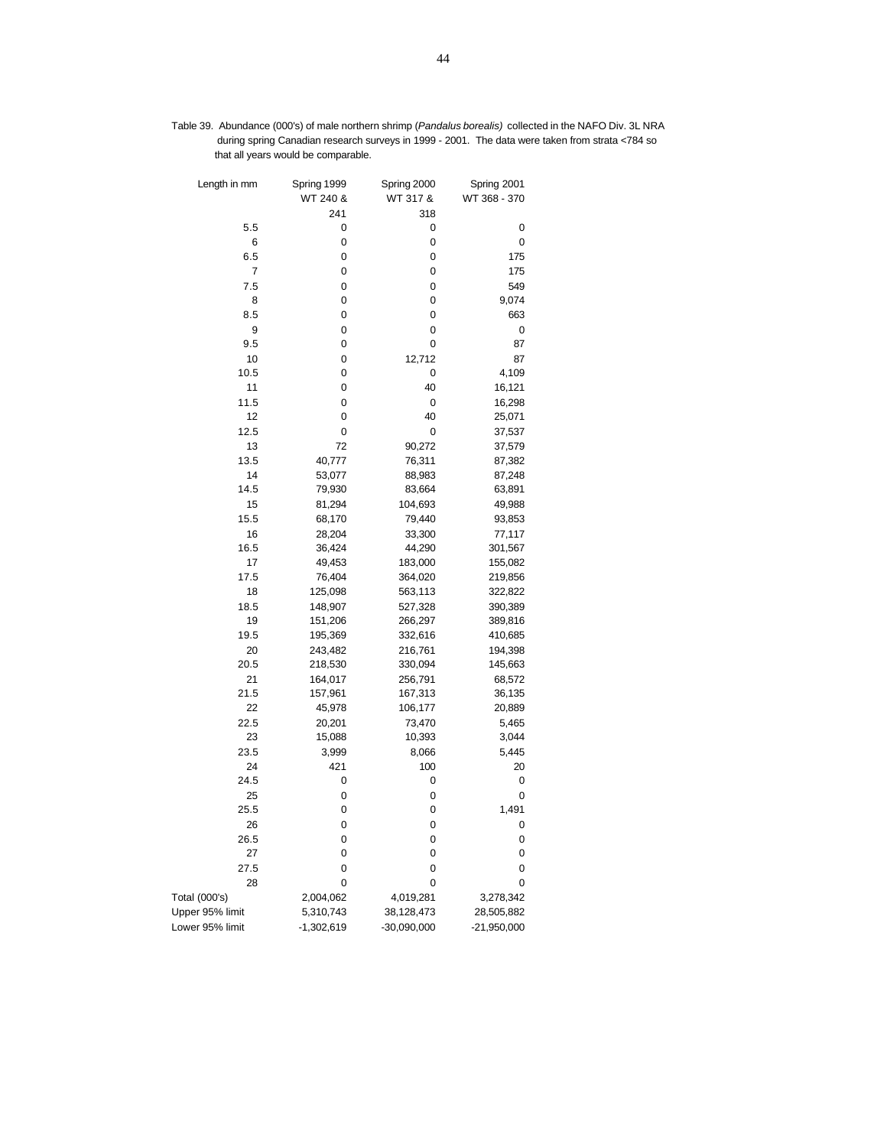Table 39. Abundance (000's) of male northern shrimp (*Pandalus borealis)* collected in the NAFO Div. 3L NRA during spring Canadian research surveys in 1999 - 2001. The data were taken from strata <784 so that all years would be comparable.

| Length in mm    | Spring 1999<br>WT 240 & | Spring 2000<br>WT 317 & | Spring 2001<br>WT 368 - 370 |
|-----------------|-------------------------|-------------------------|-----------------------------|
|                 | 241                     | 318                     |                             |
| 5.5             | 0                       | 0                       | 0                           |
| 6               | 0                       | 0                       | 0                           |
| 6.5             | 0                       | 0                       | 175                         |
| 7               | 0                       | 0                       | 175                         |
| 7.5             | 0                       | 0                       | 549                         |
| 8               | 0                       | 0                       | 9,074                       |
| 8.5             | 0                       | 0                       | 663                         |
| 9               | 0                       | 0                       | 0                           |
| 9.5             | 0                       | 0                       | 87                          |
| 10              | 0                       | 12,712                  | 87                          |
| 10.5            | 0                       | 0                       | 4,109                       |
| 11              | 0                       | 40                      | 16,121                      |
| 11.5            | 0                       | 0                       | 16,298                      |
| 12              | 0                       | 40                      | 25,071                      |
| 12.5            | 0                       | 0                       | 37,537                      |
| 13              | 72                      | 90,272                  | 37,579                      |
| 13.5            | 40,777                  | 76,311                  | 87,382                      |
| 14              | 53,077                  | 88,983                  | 87,248                      |
| 14.5            | 79,930                  | 83,664                  | 63,891                      |
| 15              | 81,294                  | 104,693                 | 49,988                      |
| 15.5            | 68,170                  | 79,440                  | 93,853                      |
| 16              | 28,204                  | 33,300                  | 77,117                      |
| 16.5            | 36,424                  | 44,290                  | 301,567                     |
| 17              | 49,453                  | 183,000                 | 155,082                     |
| 17.5            | 76,404                  | 364,020                 | 219,856                     |
| 18              | 125,098                 | 563,113                 | 322,822                     |
| 18.5            | 148,907                 | 527,328                 | 390,389                     |
| 19              | 151,206                 | 266,297                 | 389,816                     |
| 19.5            | 195,369                 | 332,616                 | 410,685                     |
| 20              | 243,482                 | 216,761                 | 194,398                     |
| 20.5            | 218,530                 | 330,094                 | 145,663                     |
| 21              | 164,017                 | 256,791                 | 68,572                      |
| 21.5            | 157,961                 | 167,313                 | 36,135                      |
| 22              | 45,978                  | 106,177                 | 20,889                      |
| 22.5            | 20,201                  | 73,470                  | 5,465                       |
| 23              | 15,088                  | 10,393                  | 3,044                       |
| 23.5            | 3,999                   | 8,066                   | 5,445                       |
| 24              | 421                     | 100                     | 20                          |
| 24.5            | 0                       | 0                       | 0                           |
| 25              | 0                       | 0                       | 0                           |
| 25.5            | 0                       | 0                       | 1,491                       |
| 26              | 0                       | 0                       | 0                           |
| 26.5            | 0                       | 0                       | 0                           |
| 27              | 0                       | 0                       | 0                           |
| 27.5            | 0                       | 0                       | 0                           |
| 28              | 0                       | 0                       | 0                           |
| Total (000's)   | 2,004,062               | 4,019,281               | 3,278,342                   |
| Upper 95% limit | 5,310,743               | 38,128,473              | 28,505,882                  |
| Lower 95% limit | $-1,302,619$            | $-30,090,000$           | $-21,950,000$               |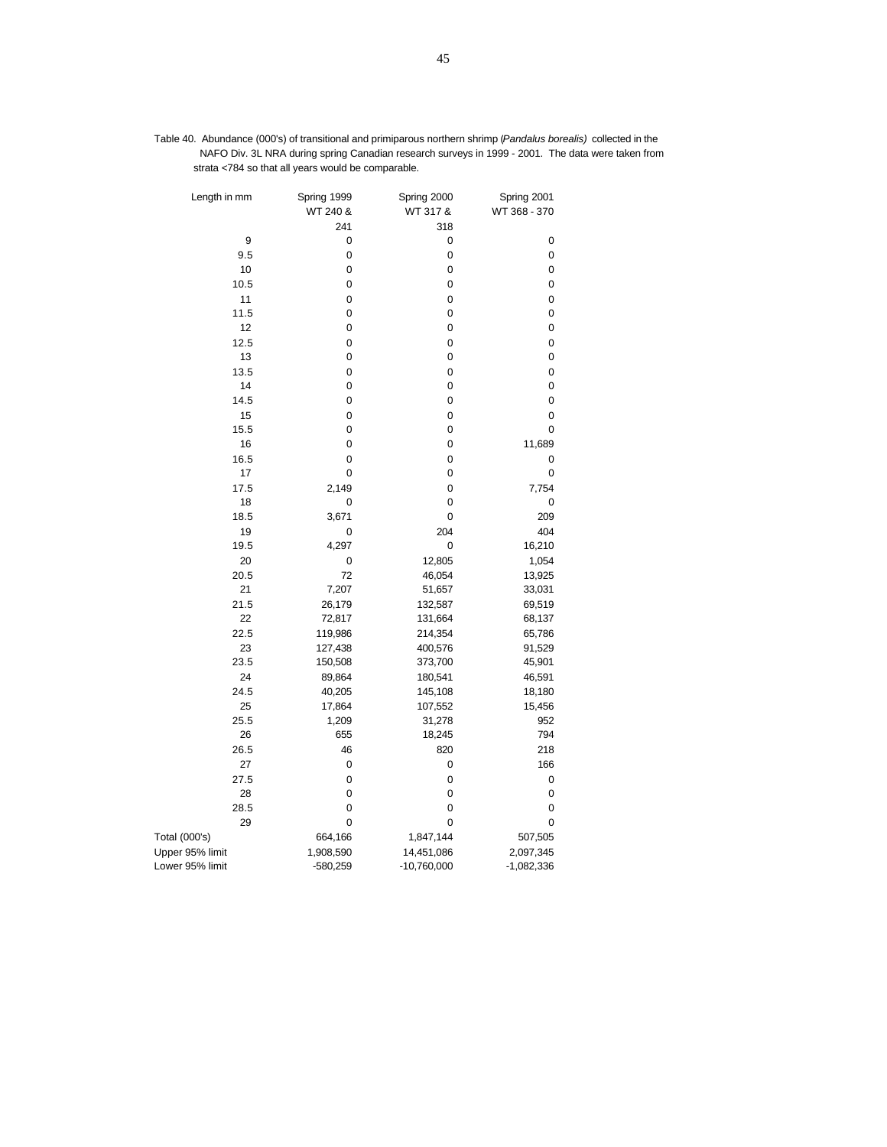| Table 40. Abundance (000's) of transitional and primiparous northern shrimp (Pandalus borealis) collected in the |
|------------------------------------------------------------------------------------------------------------------|
| NAFO Div. 3L NRA during spring Canadian research surveys in 1999 - 2001. The data were taken from                |
| strata <784 so that all years would be comparable.                                                               |

| Length in mm    | Spring 1999<br>WT 240 & | Spring 2000<br>WT 317 & | Spring 2001<br>WT 368 - 370 |  |
|-----------------|-------------------------|-------------------------|-----------------------------|--|
|                 | 241                     | 318                     |                             |  |
| 9               | 0                       | 0                       | 0                           |  |
| 9.5             | 0                       | 0                       | 0                           |  |
| 10              | 0                       | 0                       | 0                           |  |
| 10.5            | 0                       | 0                       | 0                           |  |
| 11              | 0                       | 0                       | 0                           |  |
| 11.5            | 0                       | 0                       | 0                           |  |
| 12              | 0                       | 0                       | 0                           |  |
| 12.5            | 0                       | 0                       | 0                           |  |
| 13              | 0                       | 0                       | 0                           |  |
| 13.5            | 0                       | 0                       | 0                           |  |
| 14              | 0                       | 0                       | 0                           |  |
| 14.5            | 0                       | 0                       | 0                           |  |
| 15              | 0                       | 0                       | 0                           |  |
| 15.5            | 0                       | 0                       | 0                           |  |
| 16              | 0                       | 0                       | 11,689                      |  |
| 16.5            | 0                       | 0                       | 0                           |  |
| 17              | 0                       | 0                       | 0                           |  |
| 17.5            | 2,149                   | 0                       | 7,754                       |  |
| 18              | 0                       | 0                       | 0                           |  |
| 18.5            | 3,671                   | 0                       | 209                         |  |
| 19              | 0                       | 204                     | 404                         |  |
| 19.5            | 4,297                   | 0                       | 16,210                      |  |
| 20              | 0                       | 12,805                  | 1,054                       |  |
| 20.5            | 72                      | 46,054                  | 13,925                      |  |
| 21              | 7,207                   | 51,657                  | 33,031                      |  |
| 21.5            | 26,179                  | 132,587                 | 69,519                      |  |
| 22              | 72,817                  | 131,664                 | 68,137                      |  |
| 22.5            | 119,986                 | 214,354                 | 65,786                      |  |
| 23              | 127,438                 | 400,576                 | 91,529                      |  |
| 23.5            | 150,508                 | 373,700                 | 45,901                      |  |
| 24              | 89,864                  | 180,541                 | 46,591                      |  |
| 24.5            | 40,205                  | 145,108                 | 18,180                      |  |
| 25              | 17,864                  | 107,552                 | 15,456                      |  |
| 25.5            | 1,209                   | 31,278                  | 952                         |  |
| 26              | 655                     | 18,245                  | 794                         |  |
| 26.5            | 46                      | 820                     | 218                         |  |
| 27              | 0                       | 0                       | 166                         |  |
| 27.5            | $\mathbf 0$             | $\mathbf 0$             | $\mathbf 0$                 |  |
| 28              | 0                       | 0                       | 0                           |  |
| 28.5            | 0                       | $\mathbf 0$             | 0                           |  |
| 29              | 0                       | 0                       | 0                           |  |
| Total (000's)   | 664,166                 | 1,847,144               | 507,505                     |  |
| Upper 95% limit | 1,908,590               | 14,451,086              | 2,097,345                   |  |
| Lower 95% limit | -580,259                | $-10,760,000$           | $-1,082,336$                |  |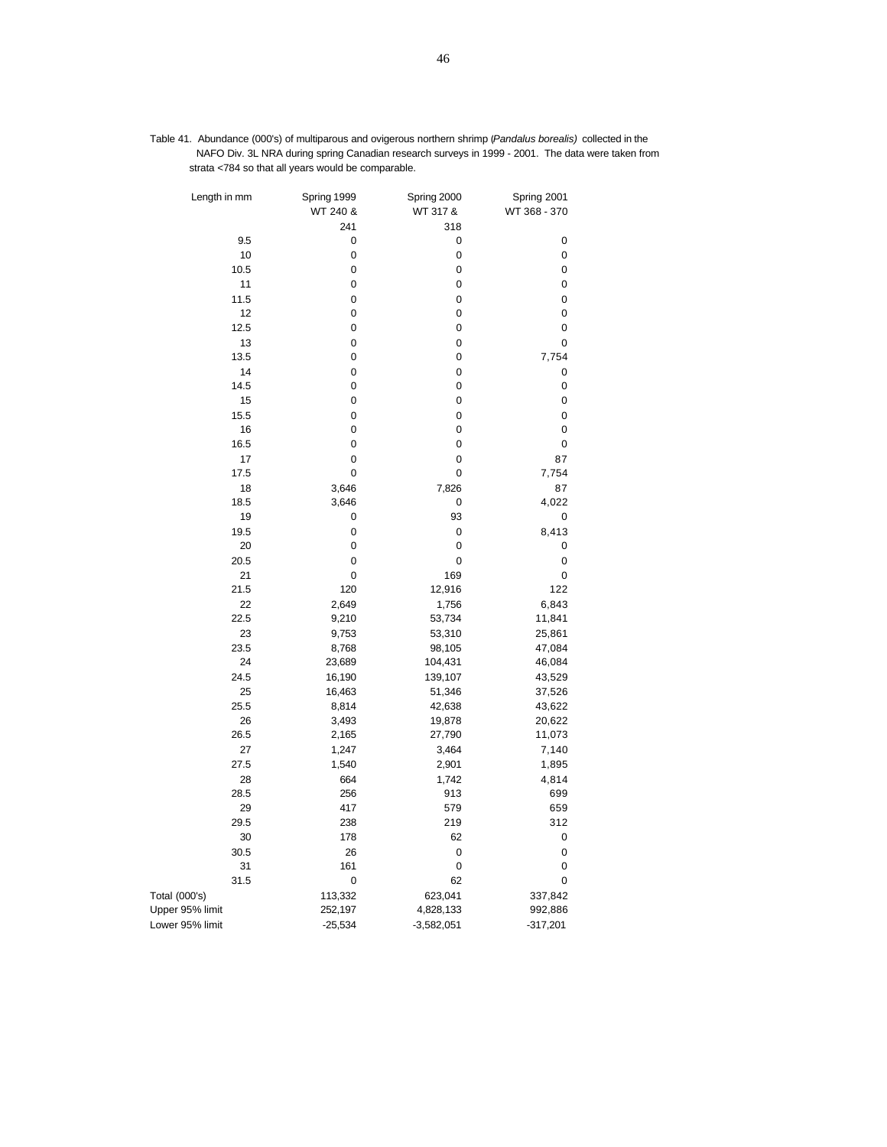| Table 41. Abundance (000's) of multiparous and ovigerous northern shrimp (Pandalus borealis) collected in the |
|---------------------------------------------------------------------------------------------------------------|
| NAFO Div. 3L NRA during spring Canadian research surveys in 1999 - 2001. The data were taken from             |
| strata <784 so that all years would be comparable.                                                            |

| Length in mm    | Spring 1999<br>WT 240 & | Spring 2000<br>WT 317 & | Spring 2001<br>WT 368 - 370 |
|-----------------|-------------------------|-------------------------|-----------------------------|
|                 | 241                     | 318                     |                             |
| 9.5             | 0                       | 0                       | 0                           |
| 10              | 0                       | 0                       | 0                           |
| 10.5            | $\pmb{0}$               | 0                       | 0                           |
| 11              | 0                       | 0                       | 0                           |
| 11.5            | $\pmb{0}$               | 0                       | 0                           |
| 12              | 0                       | 0                       | 0                           |
| 12.5            | $\pmb{0}$               | 0                       | 0                           |
| 13              | 0                       | 0                       | 0                           |
| 13.5            | 0                       | 0                       | 7,754                       |
| 14              | 0                       | 0                       | 0                           |
| 14.5            | $\mathbf 0$             | 0                       | 0                           |
| 15              | 0                       | 0                       | 0                           |
| 15.5            | 0                       | 0                       | 0                           |
| 16              | 0                       | 0                       | 0                           |
| 16.5            | 0                       | 0                       | 0                           |
| 17              | 0                       | 0                       | 87                          |
| 17.5            | 0                       | 0                       | 7,754                       |
| 18              | 3,646                   | 7,826                   | 87                          |
| 18.5            | 3,646                   | 0                       | 4,022                       |
| 19              | 0                       | 93                      | 0                           |
| 19.5            | $\pmb{0}$               | $\mathbf 0$             | 8,413                       |
| 20              | 0                       | 0                       | 0                           |
| 20.5            | 0                       | 0                       | 0                           |
| 21              | $\overline{0}$          | 169                     | 0                           |
| 21.5            | 120                     | 12,916                  | 122                         |
| 22              | 2,649                   | 1,756                   | 6,843                       |
| 22.5            | 9,210                   | 53,734                  | 11,841                      |
| 23              | 9,753                   | 53,310                  | 25,861                      |
| 23.5            | 8,768                   | 98,105                  | 47,084                      |
| 24              | 23,689                  | 104,431                 | 46,084                      |
| 24.5            | 16,190                  | 139,107                 | 43,529                      |
| 25              | 16,463                  | 51,346                  | 37,526                      |
| 25.5            | 8,814                   | 42,638                  | 43,622                      |
| 26              | 3,493                   | 19,878                  | 20,622                      |
| 26.5            | 2,165                   | 27,790                  | 11,073                      |
| 27              | 1,247                   | 3,464                   | 7,140                       |
| 27.5            | 1,540                   | 2,901                   | 1,895                       |
| 28              | 664                     | 1,742                   | 4,814                       |
| 28.5            | 256                     | 913                     | 699                         |
| 29              | 417                     | 579                     | 659                         |
| 29.5            | 238                     | 219                     | 312                         |
| 30              | 178                     | 62                      | 0                           |
|                 |                         |                         |                             |
| 30.5            | 26                      | 0                       | 0                           |
| 31<br>31.5      | 161                     | 0<br>62                 | 0<br>$\mathbf 0$            |
|                 | 0                       |                         |                             |
| Total (000's)   | 113,332                 | 623,041                 | 337,842                     |
| Upper 95% limit | 252,197                 | 4,828,133               | 992,886                     |
| Lower 95% limit | $-25,534$               | $-3,582,051$            | $-317,201$                  |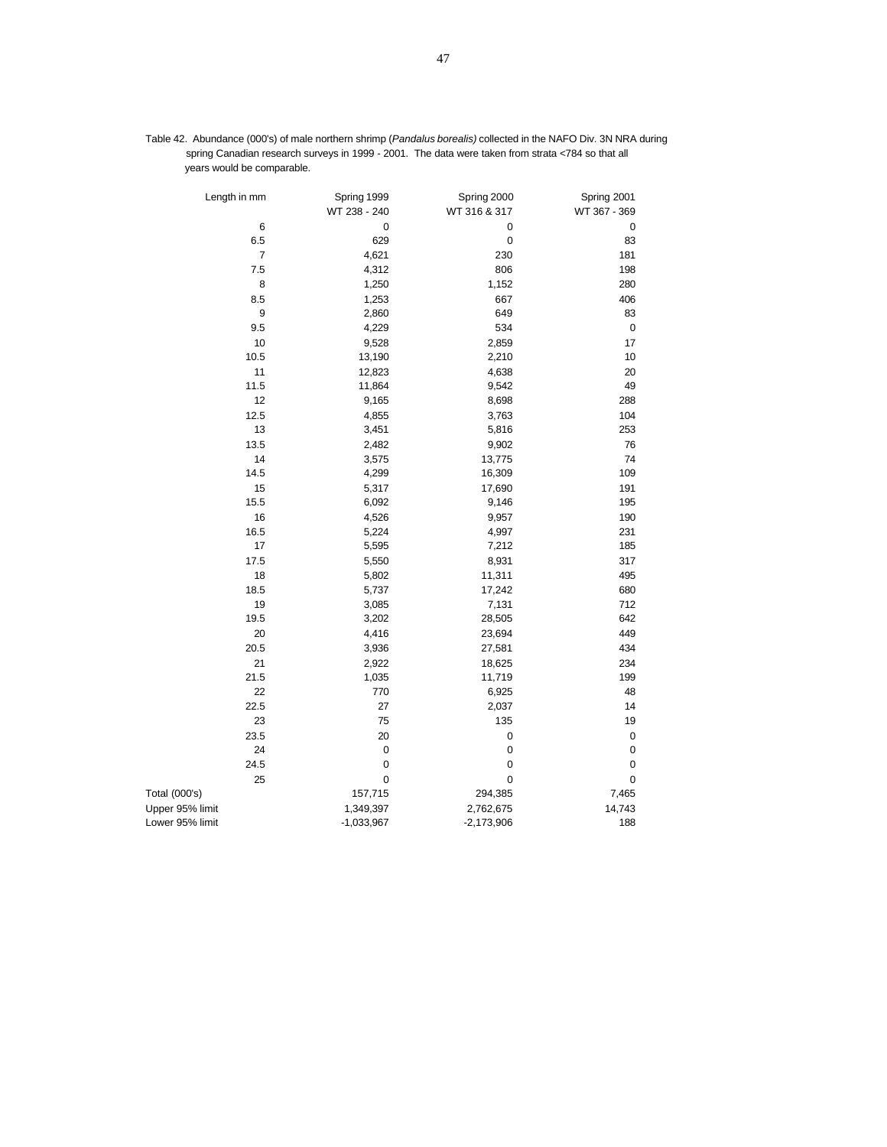| Length in mm    | Spring 1999  | Spring 2000  | Spring 2001  |
|-----------------|--------------|--------------|--------------|
|                 | WT 238 - 240 | WT 316 & 317 | WT 367 - 369 |
| 6               | $\pmb{0}$    | 0            | $\pmb{0}$    |
| 6.5             | 629          | $\mathbf 0$  | 83           |
| 7               | 4,621        | 230          | 181          |
| 7.5             | 4,312        | 806          | 198          |
| 8               | 1,250        | 1,152        | 280          |
| 8.5             | 1,253        | 667          | 406          |
| 9               | 2,860        | 649          | 83           |
| 9.5             | 4,229        | 534          | $\mathbf 0$  |
| 10              | 9,528        | 2,859        | 17           |
| 10.5            | 13,190       | 2,210        | 10           |
| 11              | 12,823       | 4,638        | 20           |
| 11.5            | 11,864       | 9,542        | 49           |
| 12              | 9,165        | 8,698        | 288          |
| 12.5            | 4,855        | 3,763        | 104          |
| 13              | 3,451        | 5,816        | 253          |
| 13.5            | 2,482        | 9,902        | 76           |
| 14              | 3,575        | 13,775       | 74           |
| 14.5            | 4,299        | 16,309       | 109          |
| 15              | 5,317        | 17,690       | 191          |
| 15.5            | 6,092        | 9,146        | 195          |
| 16              | 4,526        | 9,957        | 190          |
| 16.5            | 5,224        | 4,997        | 231          |
| 17              | 5,595        | 7,212        | 185          |
| 17.5            | 5,550        | 8,931        | 317          |
| 18              | 5,802        | 11,311       | 495          |
| 18.5            | 5,737        | 17,242       | 680          |
| 19              | 3,085        | 7,131        | 712          |
| 19.5            | 3,202        | 28,505       | 642          |
| 20              | 4,416        | 23,694       | 449          |
| 20.5            | 3,936        | 27,581       | 434          |
| 21              | 2,922        | 18,625       | 234          |
| 21.5            | 1,035        | 11,719       | 199          |
| 22              | 770          | 6,925        | 48           |
| 22.5            | 27           | 2,037        | 14           |
| 23              | 75           | 135          | 19           |
| 23.5            | 20           | $\mathbf 0$  | 0            |
| 24              | $\mathbf 0$  | 0            | 0            |
| 24.5            | $\mathbf 0$  | 0            | $\pmb{0}$    |
| 25              | $\mathbf 0$  | 0            | $\mathbf 0$  |
| Total (000's)   | 157,715      | 294,385      | 7,465        |
| Upper 95% limit | 1,349,397    | 2,762,675    | 14,743       |
| Lower 95% limit | $-1,033,967$ | $-2,173,906$ | 188          |

Table 42. Abundance (000's) of male northern shrimp (*Pandalus borealis)* collected in the NAFO Div. 3N NRA during spring Canadian research surveys in 1999 - 2001. The data were taken from strata <784 so that all years would be comparable.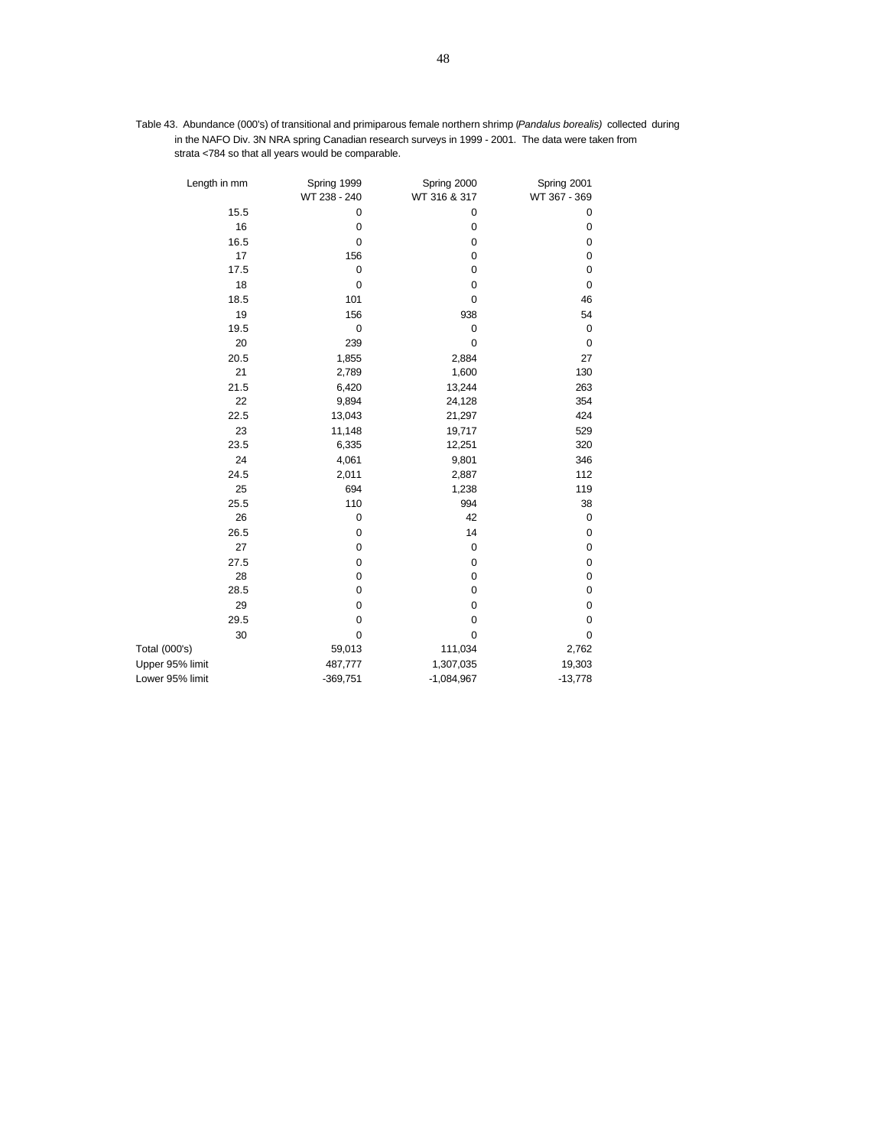| Table 43. Abundance (000's) of transitional and primiparous female northern shrimp ( <i>Pandalus borealis</i> ) collected during |
|----------------------------------------------------------------------------------------------------------------------------------|
| in the NAFO Div. 3N NRA spring Canadian research surveys in 1999 - 2001. The data were taken from                                |
| strata <784 so that all years would be comparable.                                                                               |

| Length in mm    | Spring 1999<br>WT 238 - 240 | Spring 2000<br>WT 316 & 317 | Spring 2001<br>WT 367 - 369 |
|-----------------|-----------------------------|-----------------------------|-----------------------------|
| 15.5            | $\pmb{0}$                   | $\pmb{0}$                   | 0                           |
| 16              | $\pmb{0}$                   | $\pmb{0}$                   | 0                           |
| 16.5            | $\pmb{0}$                   | $\pmb{0}$                   | 0                           |
| 17              | 156                         | $\pmb{0}$                   | $\pmb{0}$                   |
| 17.5            | $\mathbf 0$                 | $\mathbf 0$                 | $\pmb{0}$                   |
| 18              | $\mathbf 0$                 | $\pmb{0}$                   | $\pmb{0}$                   |
| 18.5            | 101                         | $\mathbf 0$                 | 46                          |
| 19              | 156                         | 938                         | 54                          |
| 19.5            | $\pmb{0}$                   | $\pmb{0}$                   | $\mathbf 0$                 |
| 20              | 239                         | $\mathbf 0$                 | $\mathbf 0$                 |
| 20.5            | 1,855                       | 2,884                       | 27                          |
| 21              | 2,789                       | 1,600                       | 130                         |
| 21.5            | 6,420                       | 13,244                      | 263                         |
| 22              | 9,894                       | 24,128                      | 354                         |
| 22.5            | 13,043                      | 21,297                      | 424                         |
| 23              | 11,148                      | 19,717                      | 529                         |
| 23.5            | 6,335                       | 12,251                      | 320                         |
| 24              | 4,061                       | 9,801                       | 346                         |
| 24.5            | 2,011                       | 2,887                       | 112                         |
| 25              | 694                         | 1,238                       | 119                         |
| 25.5            | 110                         | 994                         | 38                          |
| 26              | $\pmb{0}$                   | 42                          | $\mathbf 0$                 |
| 26.5            | $\pmb{0}$                   | 14                          | $\mathbf 0$                 |
| 27              | $\mathbf 0$                 | $\pmb{0}$                   | $\pmb{0}$                   |
| 27.5            | $\mathbf 0$                 | $\pmb{0}$                   | $\pmb{0}$                   |
| 28              | $\pmb{0}$                   | $\pmb{0}$                   | $\pmb{0}$                   |
| 28.5            | $\mathbf 0$                 | $\pmb{0}$                   | $\pmb{0}$                   |
| 29              | $\pmb{0}$                   | $\pmb{0}$                   | $\pmb{0}$                   |
| 29.5            | $\pmb{0}$                   | $\pmb{0}$                   | 0                           |
| 30              | $\pmb{0}$                   | $\pmb{0}$                   | $\mathbf 0$                 |
| Total (000's)   | 59,013                      | 111,034                     | 2,762                       |
| Upper 95% limit | 487,777                     | 1,307,035                   | 19,303                      |
| Lower 95% limit | $-369,751$                  | $-1,084,967$                | $-13,778$                   |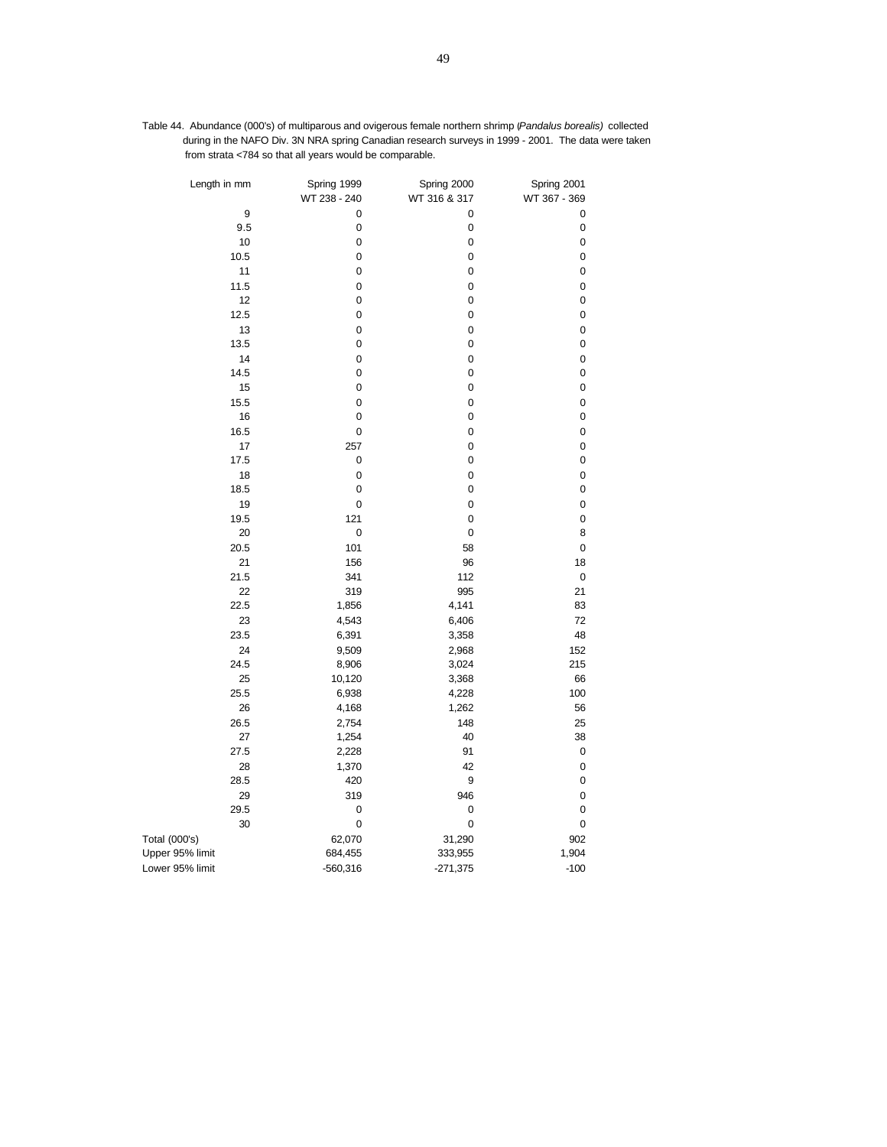| Table 44. Abundance (000's) of multiparous and ovigerous female northern shrimp ( <i>Pandalus borealis</i> ) collected |  |
|------------------------------------------------------------------------------------------------------------------------|--|
| during in the NAFO Div. 3N NRA spring Canadian research surveys in 1999 - 2001. The data were taken                    |  |
| from strata <784 so that all vears would be comparable.                                                                |  |

| Length in mm    | Spring 1999<br>WT 238 - 240 | Spring 2000<br>WT 316 & 317 | Spring 2001<br>WT 367 - 369 |
|-----------------|-----------------------------|-----------------------------|-----------------------------|
| 9               | 0                           | 0                           | 0                           |
| 9.5             | 0                           | $\pmb{0}$                   | 0                           |
| 10              | 0                           | $\pmb{0}$                   | 0                           |
| 10.5            | 0                           | $\pmb{0}$                   | 0                           |
| 11              | $\mathbf 0$                 | $\pmb{0}$                   | 0                           |
| 11.5            | 0                           | $\mathbf 0$                 | $\mathbf 0$                 |
| 12              | 0                           | 0                           | 0                           |
| 12.5            | 0                           | $\pmb{0}$                   | 0                           |
| 13              | 0                           | $\pmb{0}$                   | 0                           |
| 13.5            | 0                           | $\pmb{0}$                   | 0                           |
| 14              | $\mathbf 0$                 | $\pmb{0}$                   | 0                           |
| 14.5            | $\mathbf 0$                 | $\pmb{0}$                   | 0                           |
| 15              | $\mathbf 0$                 | $\pmb{0}$                   | 0                           |
| 15.5            | 0                           | $\pmb{0}$                   | 0                           |
| 16              | 0                           | $\pmb{0}$                   | 0                           |
| 16.5            | $\mathbf 0$                 | $\mathbf 0$                 | $\mathbf 0$                 |
| 17              | 257                         | $\mathbf 0$                 | $\mathbf 0$                 |
| 17.5            | $\pmb{0}$                   | $\mathbf 0$                 | $\mathbf 0$                 |
| 18              | 0                           | $\pmb{0}$                   | 0                           |
| 18.5            | 0                           | $\pmb{0}$                   | 0                           |
| 19              | 0                           | $\mathbf 0$                 | 0                           |
| 19.5            | 121                         | $\pmb{0}$                   | 0                           |
| 20              | 0                           | $\pmb{0}$                   | 8                           |
| 20.5            | 101                         | 58                          | $\mathbf 0$                 |
| 21              | 156                         | 96                          | 18                          |
| 21.5            | 341                         | 112                         | 0                           |
| 22              | 319                         | 995                         | 21                          |
| 22.5            | 1,856                       | 4,141                       | 83                          |
| 23              | 4,543                       | 6,406                       | 72                          |
| 23.5            | 6,391                       | 3,358                       | 48                          |
| 24              | 9,509                       | 2,968                       | 152                         |
| 24.5            | 8,906                       | 3,024                       | 215                         |
| 25              | 10,120                      | 3,368                       | 66                          |
| 25.5            | 6,938                       | 4,228                       | 100                         |
| 26              | 4,168                       | 1,262                       | 56                          |
| 26.5            | 2,754                       | 148                         | 25                          |
| 27              | 1,254                       | 40                          | 38                          |
| 27.5            | 2,228                       | 91                          | 0                           |
| 28              | 1,370                       | 42                          | 0                           |
| 28.5            | 420                         | 9                           | 0                           |
| 29              | 319                         | 946                         | $\mathbf 0$                 |
| 29.5            | $\pmb{0}$                   | $\pmb{0}$                   | 0                           |
| 30              | 0                           | $\pmb{0}$                   | $\pmb{0}$                   |
| Total (000's)   | 62,070                      | 31,290                      | 902                         |
| Upper 95% limit | 684,455                     | 333,955                     | 1,904                       |
| Lower 95% limit | $-560,316$                  | $-271,375$                  | $-100$                      |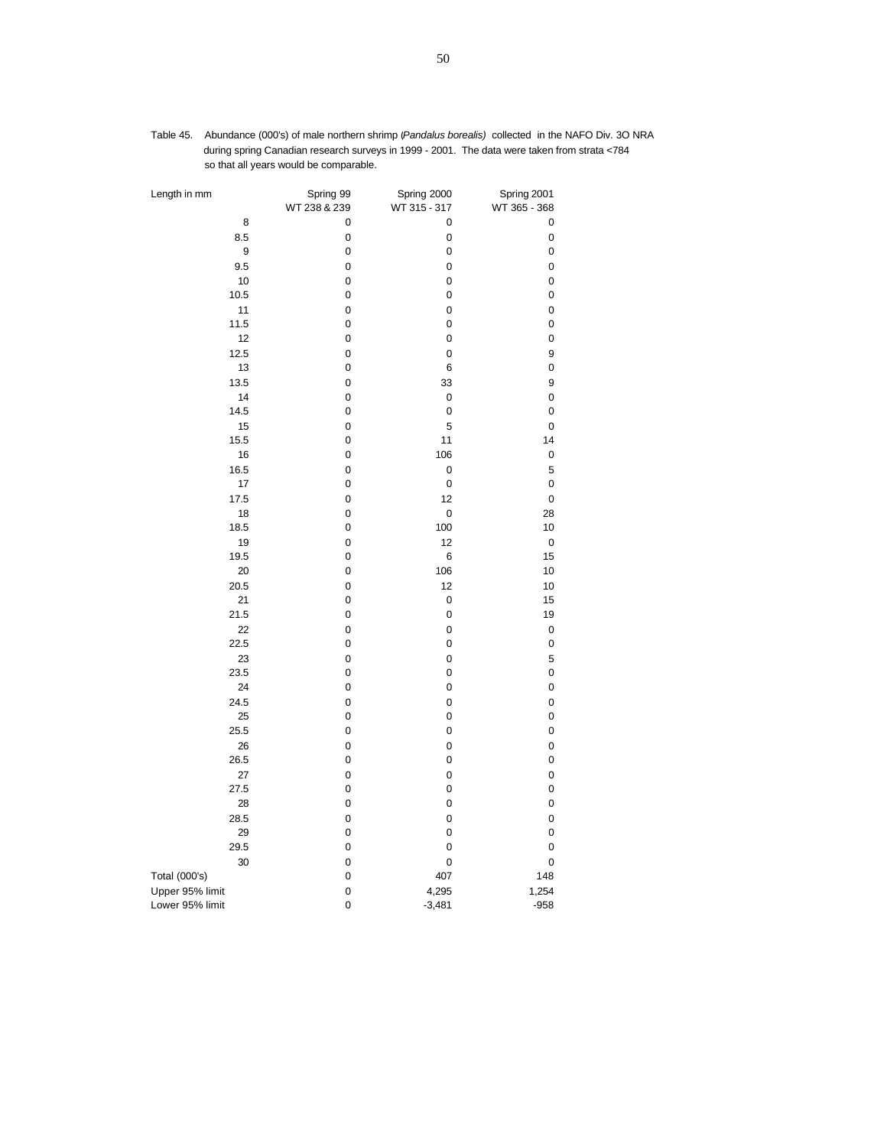| Length in mm    | Spring 99<br>WT 238 & 239 | Spring 2000<br>WT 315 - 317 | Spring 2001<br>WT 365 - 368 |
|-----------------|---------------------------|-----------------------------|-----------------------------|
| 8               | 0                         | 0                           | 0                           |
| 8.5             | 0                         | 0                           | 0                           |
| 9               | 0                         | 0                           | 0                           |
| 9.5             | 0                         | 0                           | 0                           |
| 10              | 0                         | 0                           | 0                           |
| 10.5            | 0                         | 0                           | 0                           |
| 11              | 0                         | 0                           | 0                           |
| 11.5            | 0                         | 0                           | 0                           |
| 12              | 0                         | 0                           | 0                           |
| 12.5            | 0                         | 0                           | 9                           |
| 13              | 0                         | 6                           | 0                           |
| 13.5            | 0                         | 33                          | 9                           |
| 14              | 0                         | 0                           | 0                           |
| 14.5            | 0                         | 0                           | 0                           |
| 15              | 0                         | 5                           | 0                           |
| 15.5            | 0                         | 11                          | 14                          |
| 16              | 0                         | 106                         | 0                           |
| 16.5            | 0                         | 0                           | 5                           |
| 17              | 0                         | 0                           | 0                           |
| 17.5            | 0                         | 12                          | 0                           |
| 18              | 0                         | 0                           | 28                          |
| 18.5            | 0                         | 100                         | 10                          |
| 19              | 0                         | 12                          | $\pmb{0}$                   |
| 19.5            | 0                         | 6                           | 15                          |
| 20              | 0                         | 106                         | 10                          |
| 20.5            | 0                         | 12                          | 10                          |
| 21              | 0                         | 0                           | 15                          |
| 21.5            | 0                         | 0                           | 19                          |
| 22              | 0                         | 0                           | 0                           |
| 22.5            | 0                         | 0                           | 0                           |
| 23              | 0                         | 0                           | 5                           |
| 23.5            | 0                         | 0                           | 0                           |
| 24              | 0                         | 0                           | 0                           |
| 24.5            | 0                         | 0                           | 0                           |
| 25              | 0                         | 0                           | 0                           |
| 25.5            | 0                         | 0                           | 0                           |
| 26              | 0                         | 0                           | 0                           |
| 26.5            | 0                         | 0                           | 0                           |
| 27              | 0                         | 0                           | 0                           |
| 27.5            | 0                         | 0                           | 0                           |
| 28              | 0                         | 0                           | 0                           |
| 28.5            | 0                         | 0                           | 0                           |
| 29              | 0                         | 0                           | 0                           |
| 29.5            | 0                         | 0                           | 0                           |
| 30              | 0                         | 0                           | 0                           |
| Total (000's)   | 0                         | 407                         | 148                         |
| Upper 95% limit | 0                         | 4,295                       | 1,254                       |
| Lower 95% limit | 0                         | $-3,481$                    | $-958$                      |

Table 45. Abundance (000's) of male northern shrimp (*Pandalus borealis)* collected in the NAFO Div. 3O NRA during spring Canadian research surveys in 1999 - 2001. The data were taken from strata <784 so that all years would be comparable.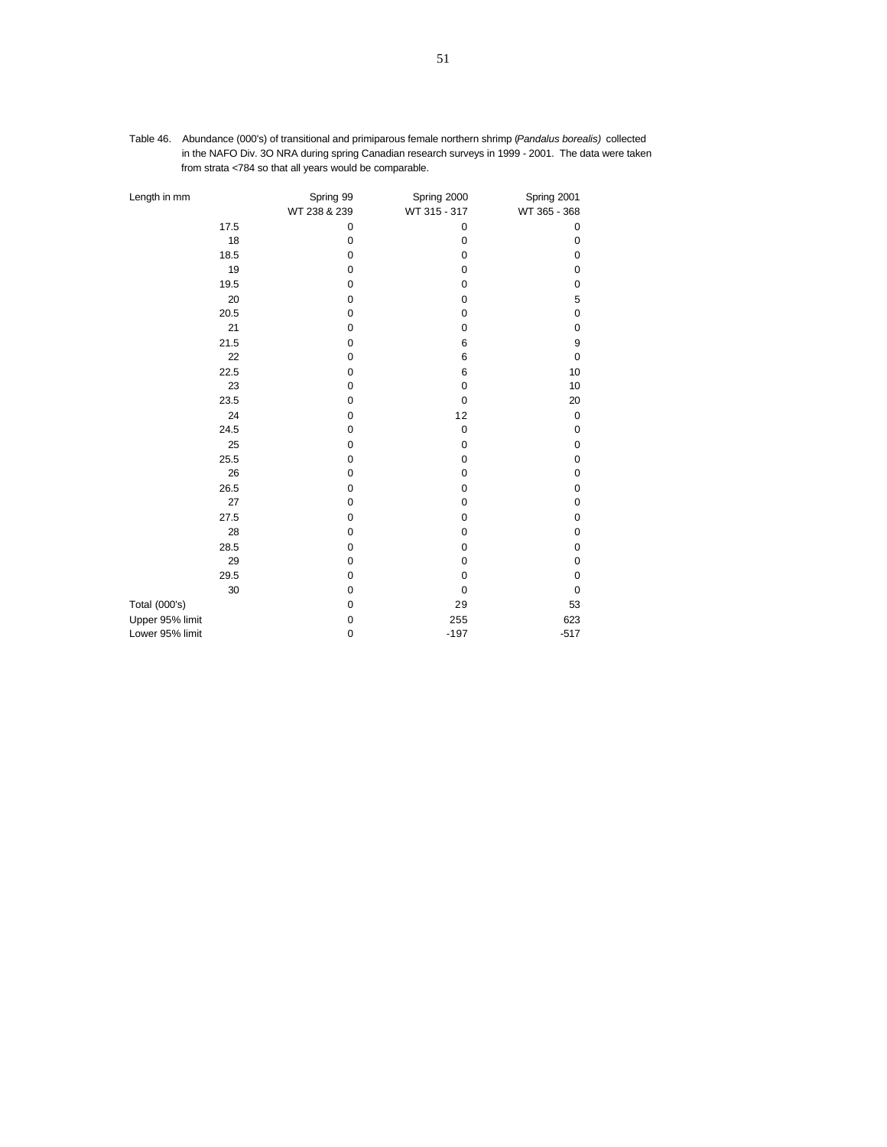| Length in mm    | Spring 99<br>WT 238 & 239 | Spring 2000<br>WT 315 - 317 | Spring 2001<br>WT 365 - 368 |
|-----------------|---------------------------|-----------------------------|-----------------------------|
| 17.5            | 0                         | 0                           | 0                           |
| 18              | 0                         | 0                           | 0                           |
| 18.5            | 0                         | $\mathbf 0$                 | 0                           |
| 19              | $\pmb{0}$                 | $\mathbf 0$                 | 0                           |
| 19.5            | 0                         | $\mathbf 0$                 | 0                           |
| 20              | 0                         | $\mathbf 0$                 | 5                           |
| 20.5            | 0                         | $\pmb{0}$                   | $\pmb{0}$                   |
| 21              | 0                         | $\mathbf 0$                 | 0                           |
| 21.5            | $\pmb{0}$                 | 6                           | 9                           |
| 22              | $\pmb{0}$                 | 6                           | $\mathbf 0$                 |
| 22.5            | 0                         | 6                           | 10                          |
| 23              | $\pmb{0}$                 | $\mathbf 0$                 | 10                          |
| 23.5            | 0                         | $\mathbf 0$                 | 20                          |
| 24              | $\pmb{0}$                 | 12                          | 0                           |
| 24.5            | $\pmb{0}$                 | $\pmb{0}$                   | 0                           |
| 25              | $\mathbf 0$               | $\mathbf 0$                 | 0                           |
| 25.5            | $\pmb{0}$                 | $\mathbf 0$                 | $\mathbf 0$                 |
| 26              | $\pmb{0}$                 | $\mathbf 0$                 | 0                           |
| 26.5            | 0                         | 0                           | 0                           |
| 27              | 0                         | $\mathbf 0$                 | 0                           |
| 27.5            | 0                         | 0                           | 0                           |
| 28              | 0                         | $\mathbf 0$                 | 0                           |
| 28.5            | 0                         | $\mathbf 0$                 | 0                           |
| 29              | 0                         | $\mathbf 0$                 | 0                           |
| 29.5            | $\pmb{0}$                 | $\mathbf 0$                 | 0                           |
| 30              | 0                         | $\mathbf 0$                 | 0                           |
| Total (000's)   | 0                         | 29                          | 53                          |
| Upper 95% limit | 0                         | 255                         | 623                         |
| Lower 95% limit | $\pmb{0}$                 | $-197$                      | $-517$                      |

Table 46. Abundance (000's) of transitional and primiparous female northern shrimp (*Pandalus borealis)* collected in the NAFO Div. 3O NRA during spring Canadian research surveys in 1999 - 2001. The data were taken from strata <784 so that all years would be comparable.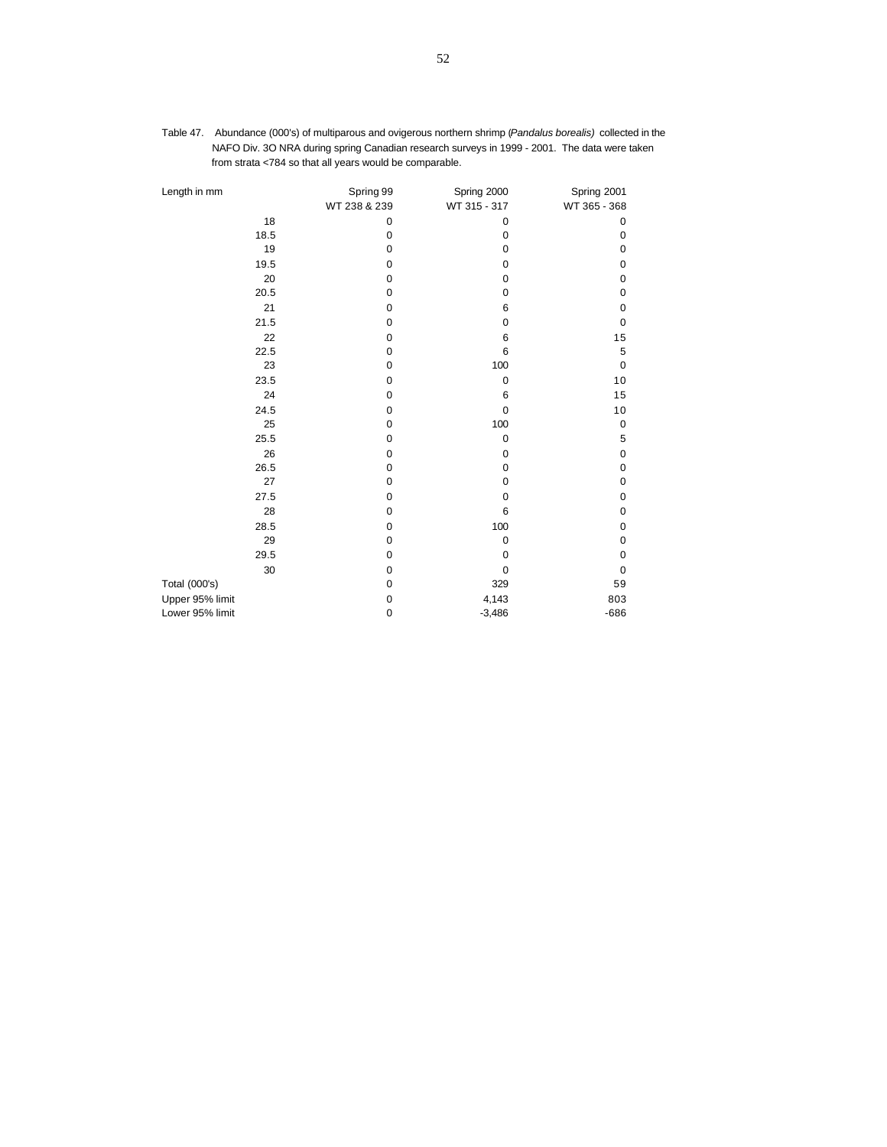| Length in mm    | Spring 99<br>WT 238 & 239 | Spring 2000<br>WT 315 - 317 | Spring 2001<br>WT 365 - 368 |
|-----------------|---------------------------|-----------------------------|-----------------------------|
| 18              | $\mathbf 0$               | 0                           | $\mathbf 0$                 |
| 18.5            | 0                         | 0                           | $\mathbf 0$                 |
| 19              | $\mathbf 0$               | 0                           | $\mathbf 0$                 |
| 19.5            | 0                         | 0                           | $\mathbf 0$                 |
| 20              | 0                         | 0                           | $\mathbf 0$                 |
| 20.5            | 0                         | $\mathbf 0$                 | $\mathbf 0$                 |
| 21              | 0                         | 6                           | $\mathbf 0$                 |
| 21.5            | $\mathbf 0$               | 0                           | $\mathbf 0$                 |
| 22              | 0                         | 6                           | 15                          |
| 22.5            | $\mathbf 0$               | 6                           | 5                           |
| 23              | $\mathbf 0$               | 100                         | $\mathbf 0$                 |
| 23.5            | $\mathbf 0$               | $\mathbf 0$                 | 10                          |
| 24              | $\mathbf 0$               | 6                           | 15                          |
| 24.5            | $\mathbf 0$               | $\mathbf 0$                 | 10                          |
| 25              | $\mathbf 0$               | 100                         | $\mathbf 0$                 |
| 25.5            | $\pmb{0}$                 | $\pmb{0}$                   | 5                           |
| 26              | 0                         | $\mathbf 0$                 | $\mathbf 0$                 |
| 26.5            | 0                         | 0                           | $\mathbf 0$                 |
| 27              | 0                         | 0                           | $\mathbf 0$                 |
| 27.5            | 0                         | 0                           | $\mathbf 0$                 |
| 28              | 0                         | 6                           | $\mathbf 0$                 |
| 28.5            | 0                         | 100                         | $\mathbf 0$                 |
| 29              | 0                         | 0                           | $\mathbf 0$                 |
| 29.5            | $\mathbf 0$               | $\mathbf 0$                 | $\mathbf 0$                 |
| 30              | $\pmb{0}$                 | 0                           | $\mathbf 0$                 |
| Total (000's)   | $\mathbf 0$               | 329                         | 59                          |
| Upper 95% limit | $\pmb{0}$                 | 4,143                       | 803                         |
| Lower 95% limit | $\mathbf 0$               | $-3,486$                    | $-686$                      |

Table 47. Abundance (000's) of multiparous and ovigerous northern shrimp (*Pandalus borealis)* collected in the NAFO Div. 3O NRA during spring Canadian research surveys in 1999 - 2001. The data were taken from strata <784 so that all years would be comparable.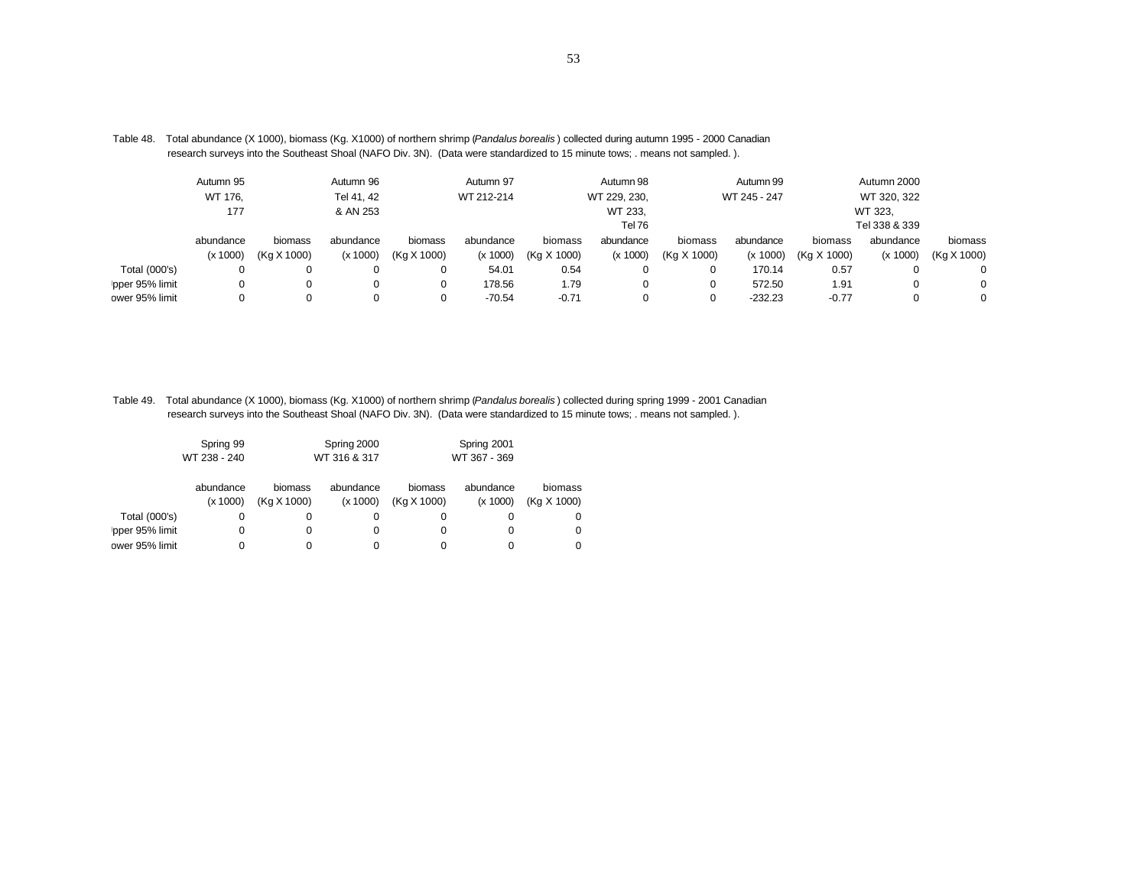|                | Autumn 95 |             | Autumn 96  |             | Autumn 97  |             | Autumn 98    |             | Autumn 99    |             | Autumn 2000   |             |
|----------------|-----------|-------------|------------|-------------|------------|-------------|--------------|-------------|--------------|-------------|---------------|-------------|
|                | WT 176.   |             | Tel 41, 42 |             | WT 212-214 |             | WT 229, 230, |             | WT 245 - 247 |             | WT 320, 322   |             |
|                | 177       |             | & AN 253   |             |            |             | WT 233,      |             |              |             | WT 323.       |             |
|                |           |             |            |             |            |             | Tel 76       |             |              |             | Tel 338 & 339 |             |
|                | abundance | biomass     | abundance  | biomass     | abundance  | biomass     | abundance    | biomass     | abundance    | biomass     | abundance     | biomass     |
|                | (x 1000)  | (Kg X 1000) | (x 1000)   | (Kg X 1000) | (x 1000)   | (Kg X 1000) | (x 1000)     | (Kg X 1000) | (x 1000)     | (Kg X 1000) | (x 1000)      | (Kg X 1000) |
| Total (000's)  |           | 0           | 0          | 0           | 54.01      | 0.54        |              | 0           | 170.14       | 0.57        | $\Omega$      | $\Omega$    |
| pper 95% limit |           |             | 0          | 0           | 178.56     | 1.79        |              | 0           | 572.50       | 1.91        |               | $\Omega$    |
| ower 95% limit |           |             |            | 0           | $-70.54$   | $-0.71$     |              | 0           | $-232.23$    | $-0.77$     |               | $\Omega$    |

Table 48. Total abundance (X 1000), biomass (Kg. X1000) of northern shrimp (*Pandalus borealis* ) collected during autumn 1995 - 2000 Canadian research surveys into the Southeast Shoal (NAFO Div. 3N). (Data were standardized to 15 minute tows; . means not sampled. ).

Table 49. Total abundance (X 1000), biomass (Kg. X1000) of northern shrimp (*Pandalus borealis* ) collected during spring 1999 - 2001 Canadian research surveys into the Southeast Shoal (NAFO Div. 3N). (Data were standardized to 15 minute tows; . means not sampled. ).

|                | Spring 99    |              | Spring 2000 |              | Spring 2001 |             |
|----------------|--------------|--------------|-------------|--------------|-------------|-------------|
|                | WT 238 - 240 | WT 316 & 317 |             | WT 367 - 369 |             |             |
|                | abundance    | biomass      | abundance   | biomass      | abundance   | biomass     |
|                | (x 1000)     | (Kg X 1000)  | (x 1000)    | (Kg X 1000)  | (x 1000)    | (Kg X 1000) |
| Total (000's)  | 0            | $\Omega$     | 0           |              |             | 0           |
| pper 95% limit | 0            | 0            | 0           |              |             | 0           |
| ower 95% limit |              |              |             |              |             | 0           |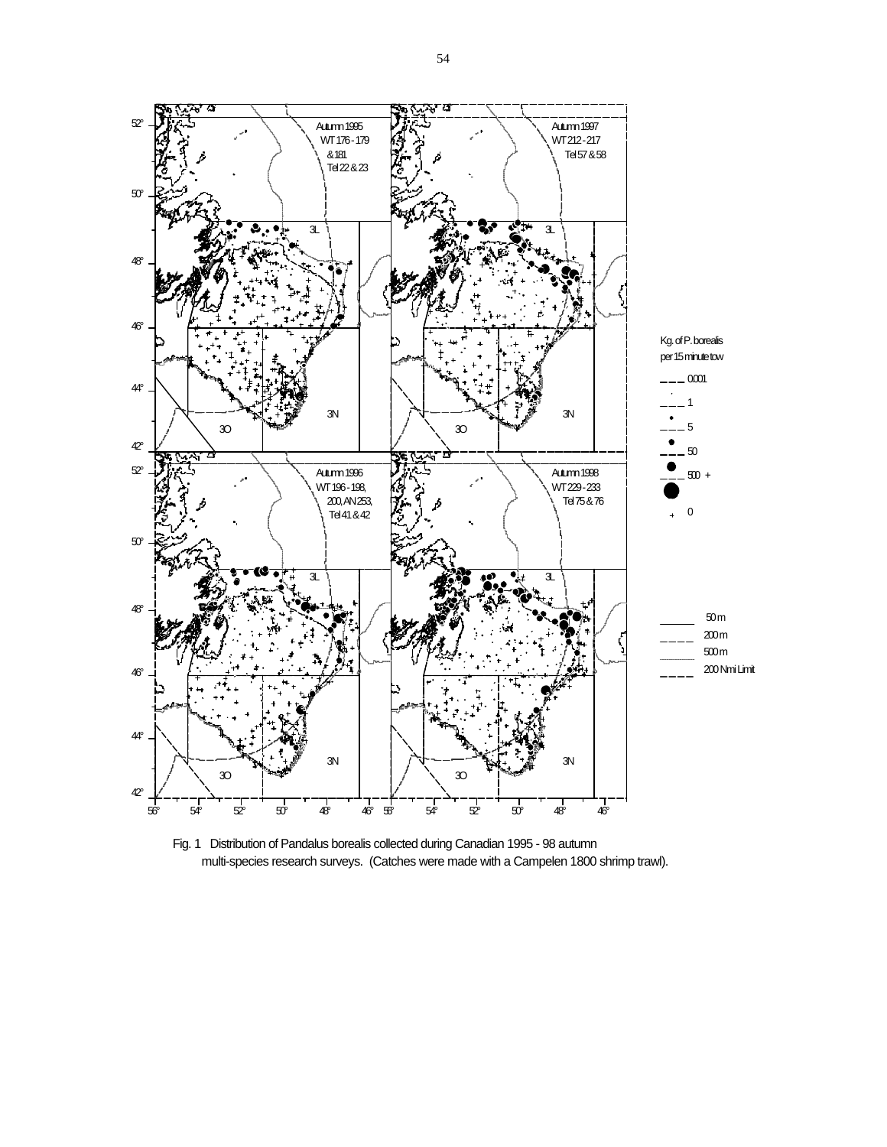

Fig. 1 Distribution of Pandalus borealis collected during Canadian 1995 - 98 autumn multi-species research surveys. (Catches were made with a Campelen 1800 shrimp trawl).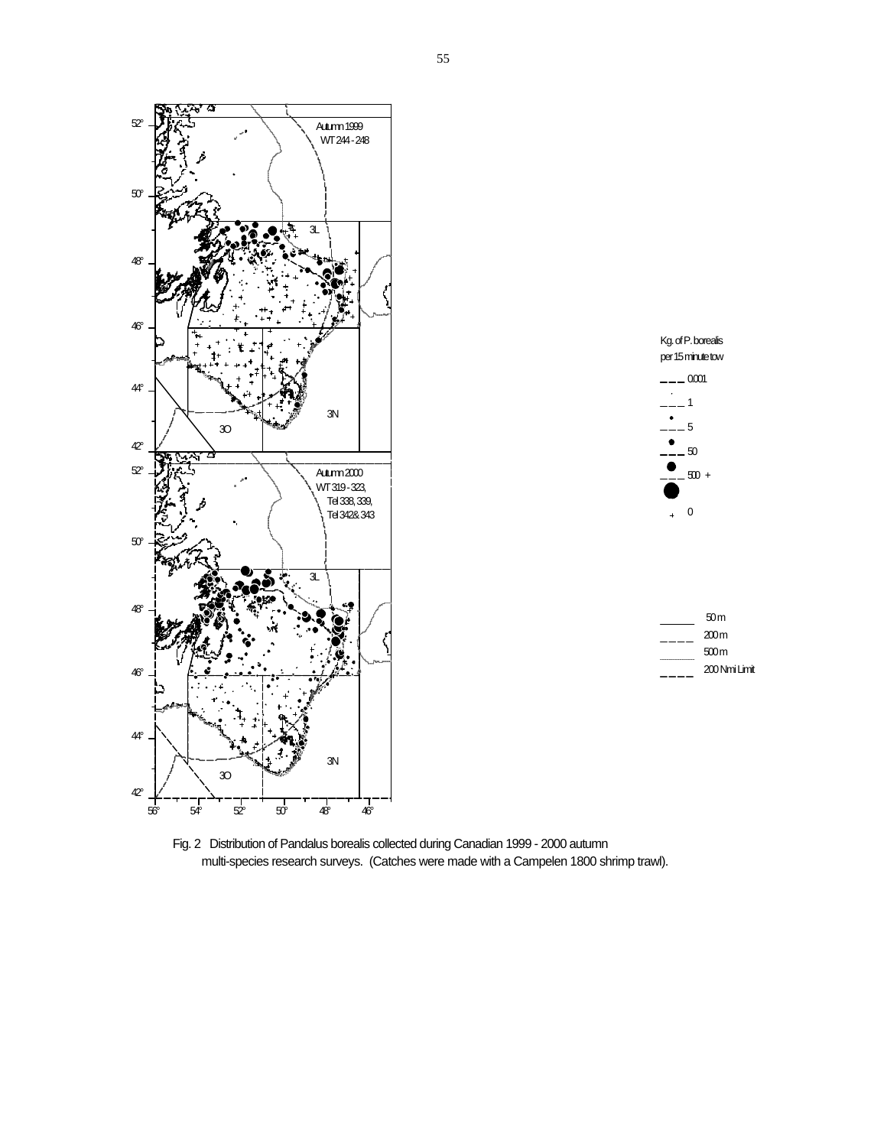



| 50 m          |
|---------------|
| 200 m         |
| 500 m         |
| 200 Nmi Limit |

Fig. 2 Distribution of Pandalus borealis collected during Canadian 1999 - 2000 autumn multi-species research surveys. (Catches were made with a Campelen 1800 shrimp trawl).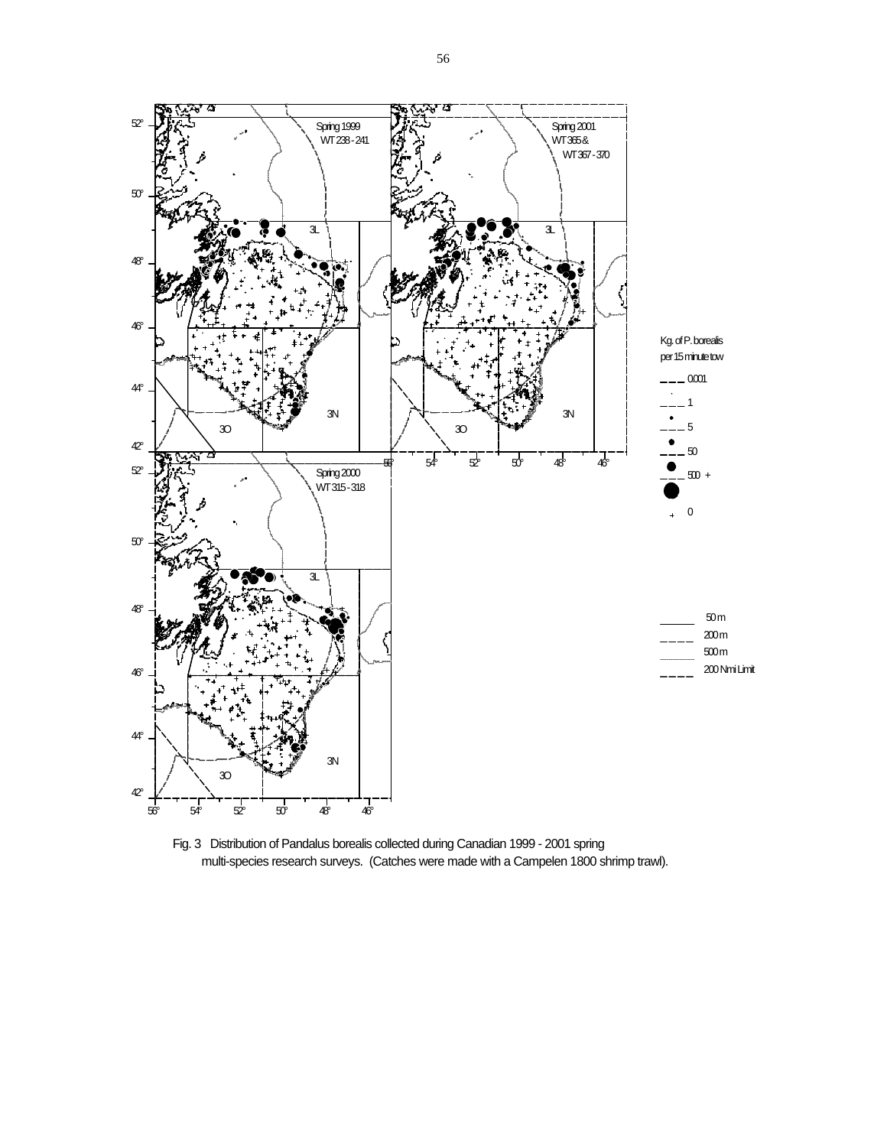

Fig. 3 Distribution of Pandalus borealis collected during Canadian 1999 - 2001 spring multi-species research surveys. (Catches were made with a Campelen 1800 shrimp trawl).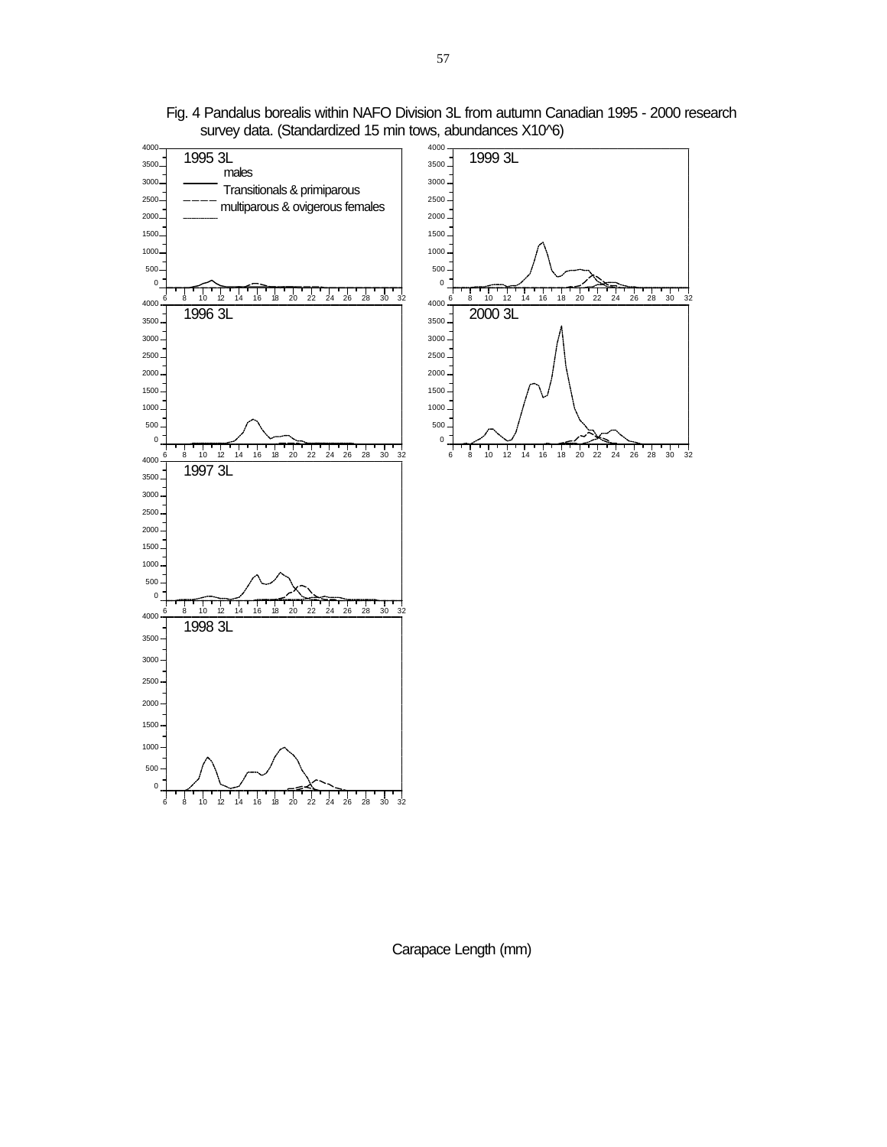

Fig. 4 Pandalus borealis within NAFO Division 3L from autumn Canadian 1995 - 2000 research survey data. (Standardized 15 min tows, abundances X10^6)

Carapace Length (mm)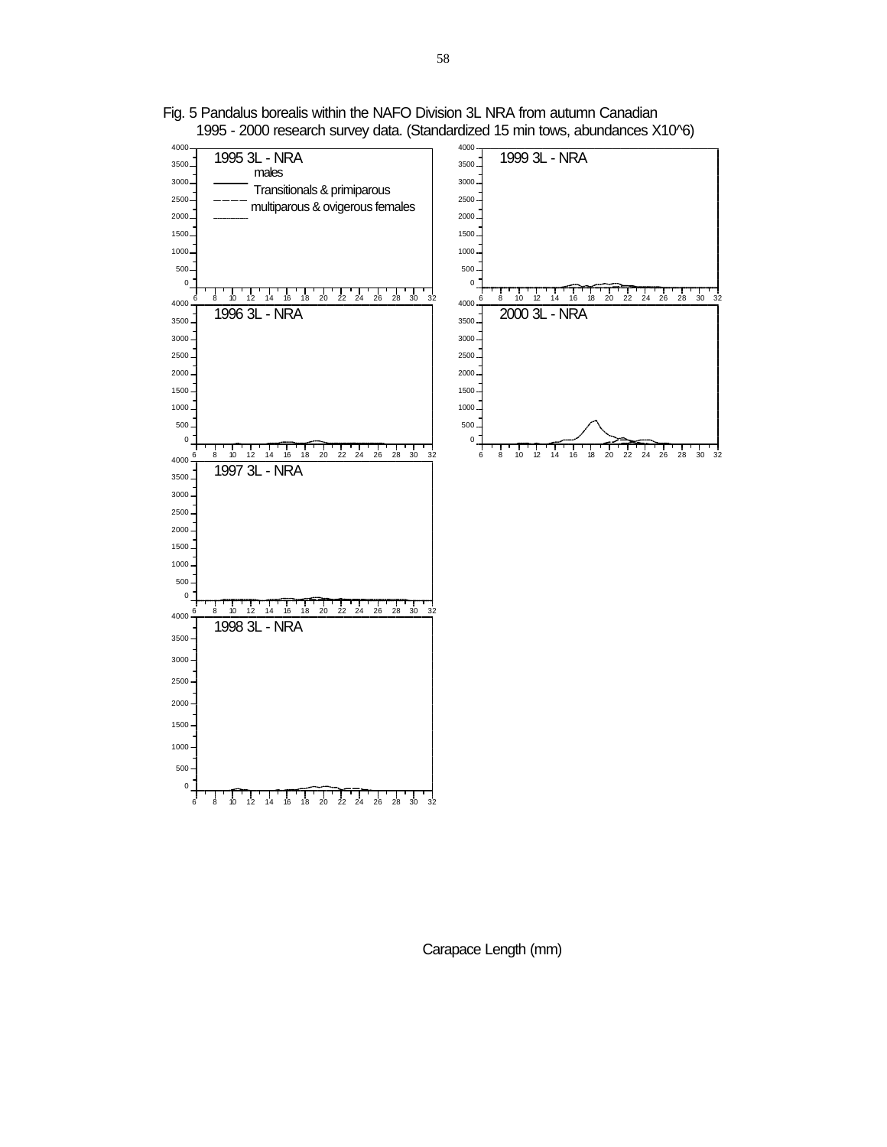

Fig. 5 Pandalus borealis within the NAFO Division 3L NRA from autumn Canadian 1995 - 2000 research survey data. (Standardized 15 min tows, abundances X10^6)

Carapace Length (mm)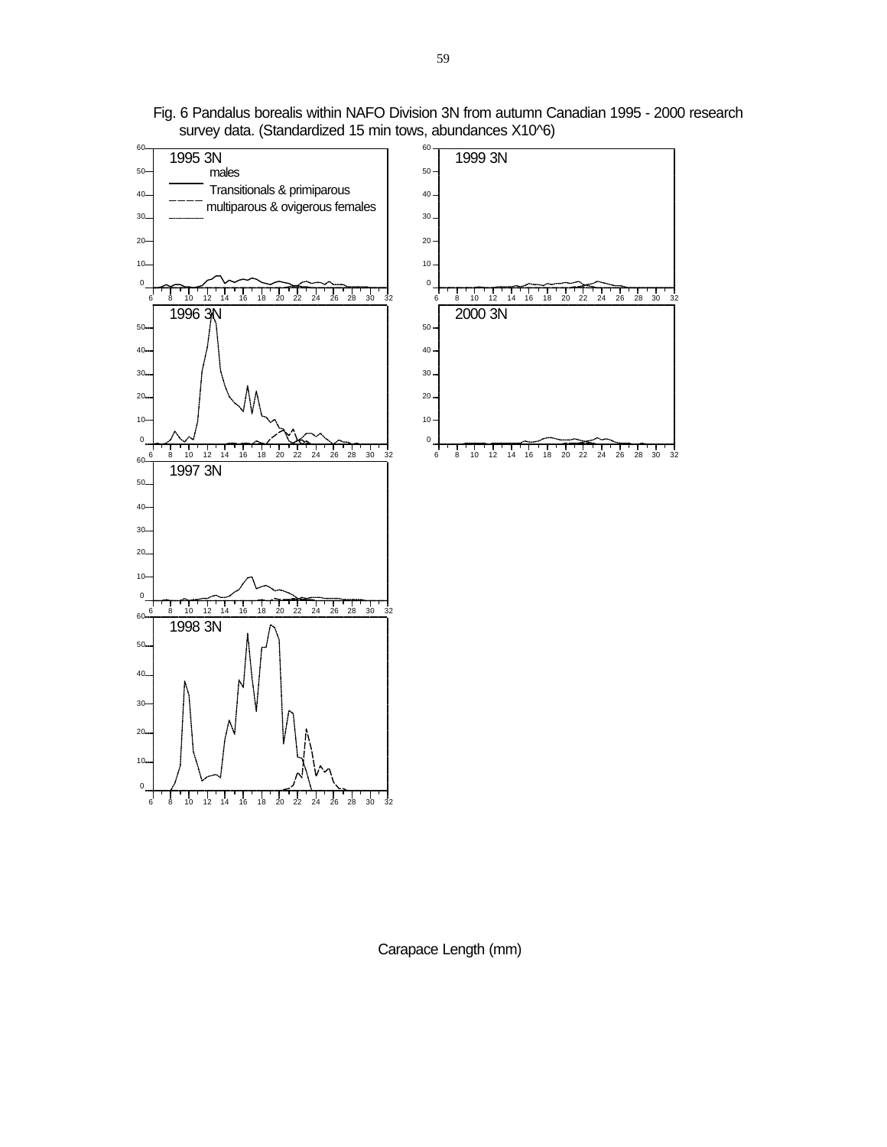

Fig. 6 Pandalus borealis within NAFO Division 3N from autumn Canadian 1995 - 2000 research survey data. (Standardized 15 min tows, abundances X10^6)

Carapace Length (mm)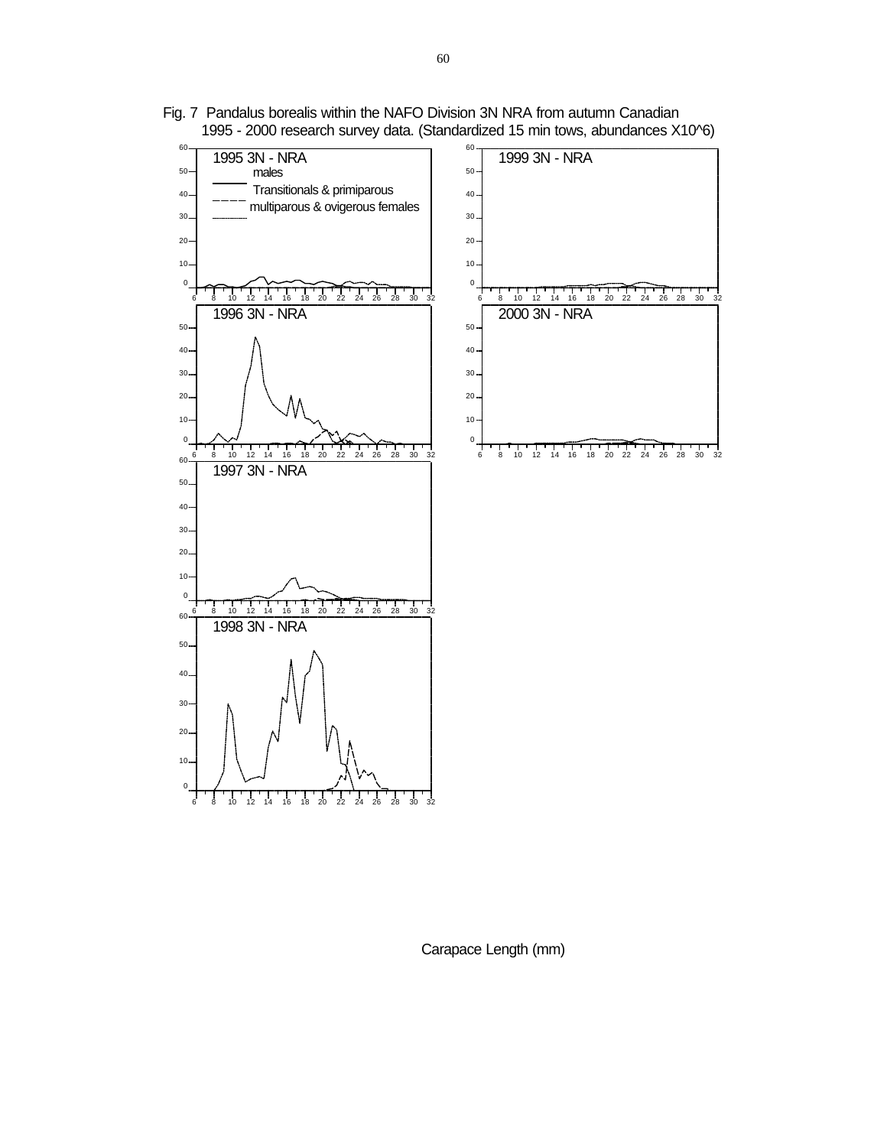

Fig. 7 Pandalus borealis within the NAFO Division 3N NRA from autumn Canadian 1995 - 2000 research survey data. (Standardized 15 min tows, abundances X10^6)

Carapace Length (mm)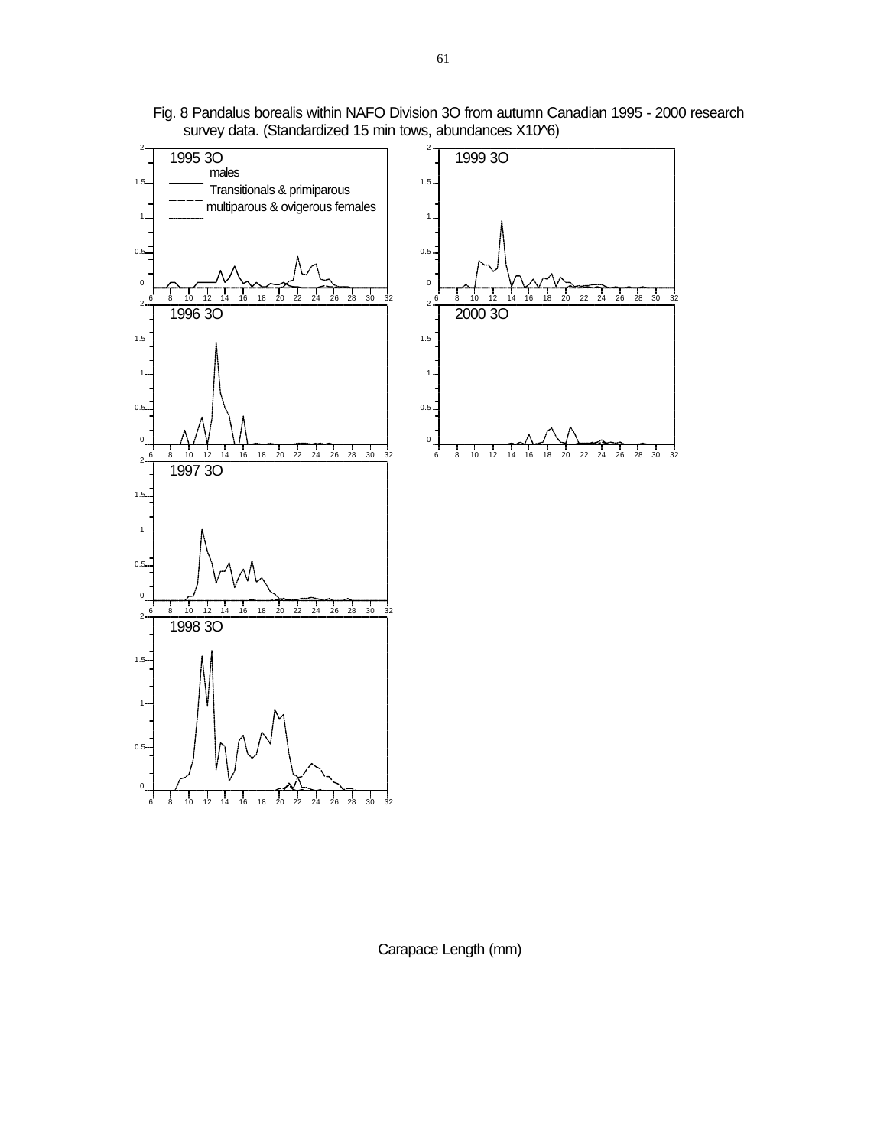

Fig. 8 Pandalus borealis within NAFO Division 3O from autumn Canadian 1995 - 2000 research survey data. (Standardized 15 min tows, abundances X10^6)

Carapace Length (mm)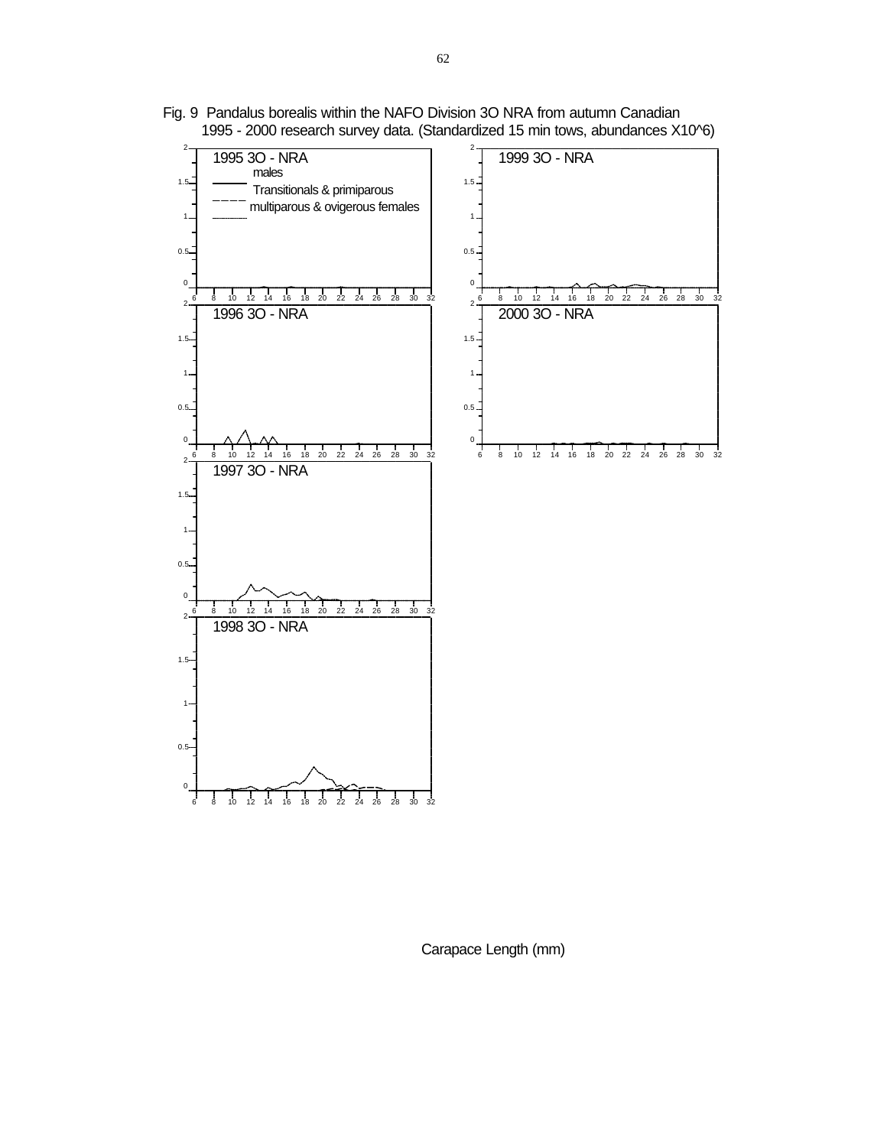

Fig. 9 Pandalus borealis within the NAFO Division 3O NRA from autumn Canadian 1995 - 2000 research survey data. (Standardized 15 min tows, abundances X10^6)

Carapace Length (mm)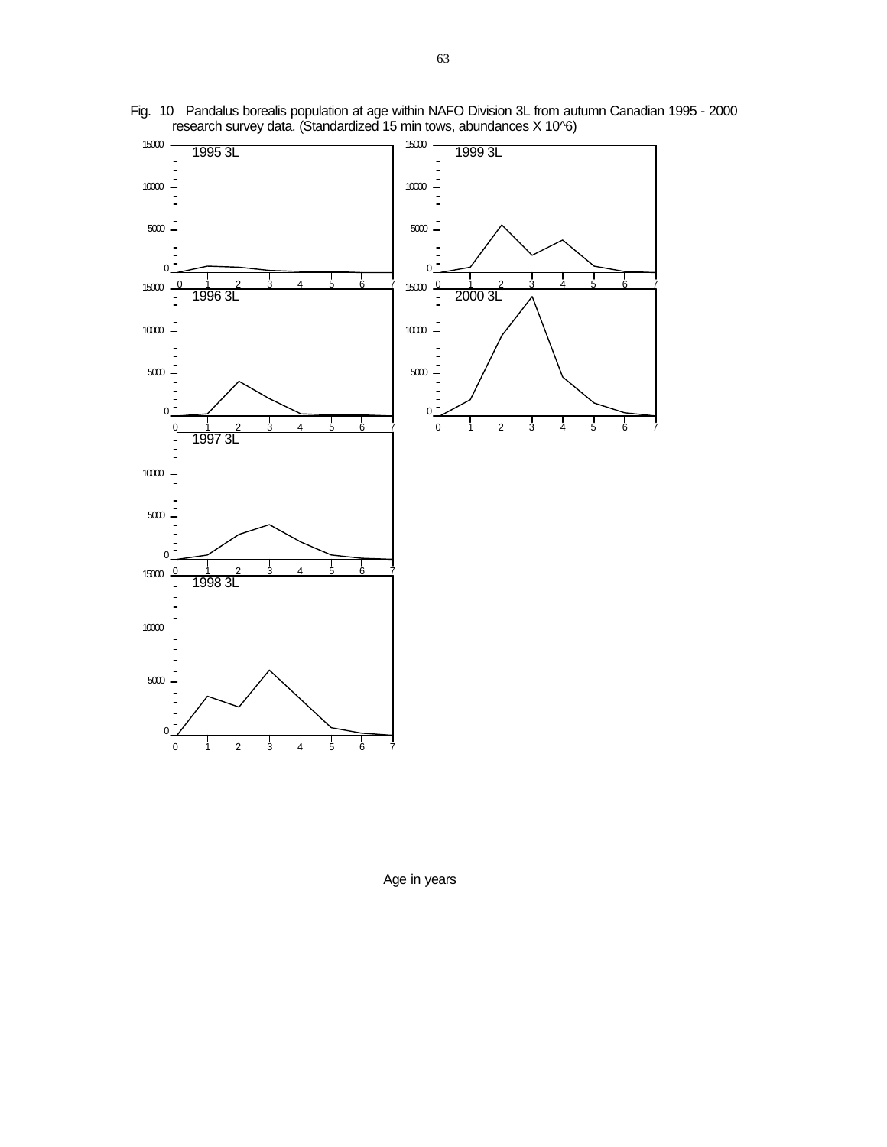

Fig. 10 Pandalus borealis population at age within NAFO Division 3L from autumn Canadian 1995 - 2000 research survey data. (Standardized 15 min tows, abundances X 10^6)

Age in years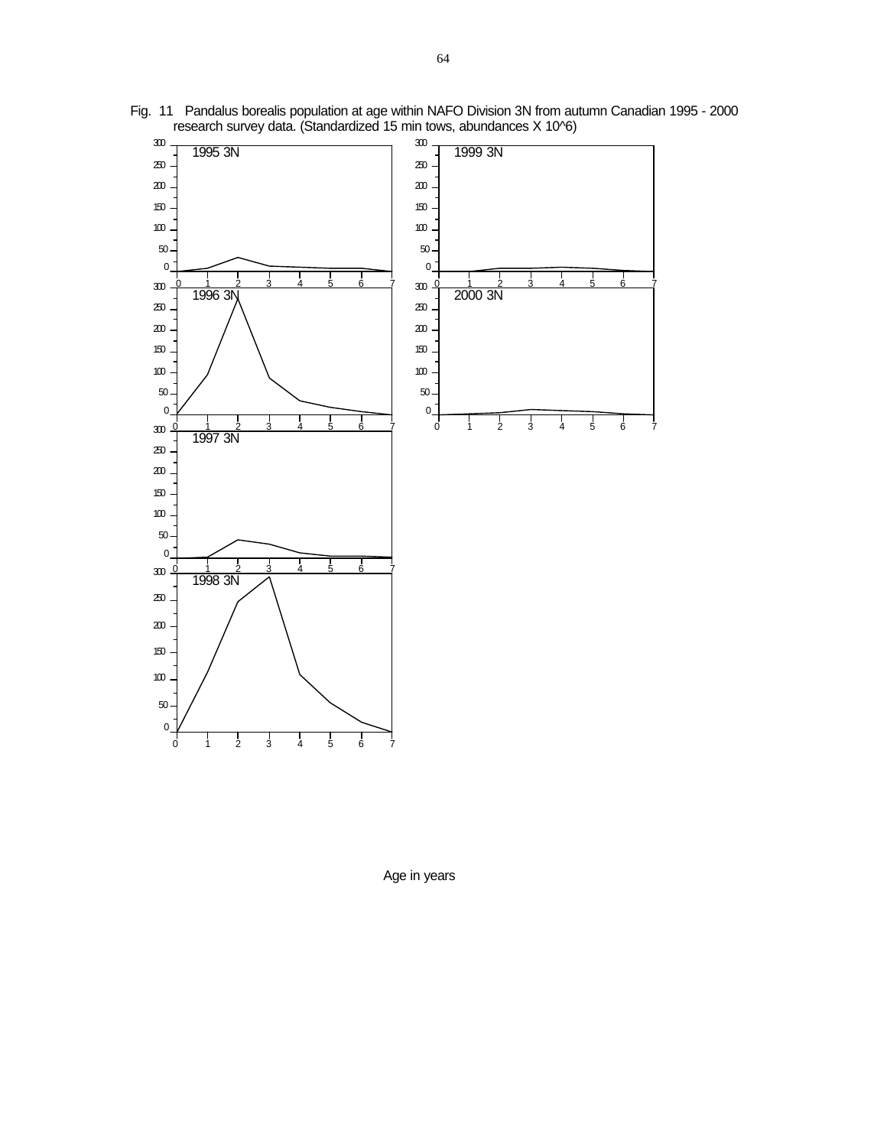

Fig. 11 Pandalus borealis population at age within NAFO Division 3N from autumn Canadian 1995 - 2000 research survey data. (Standardized 15 min tows, abundances X 10^6)

Age in years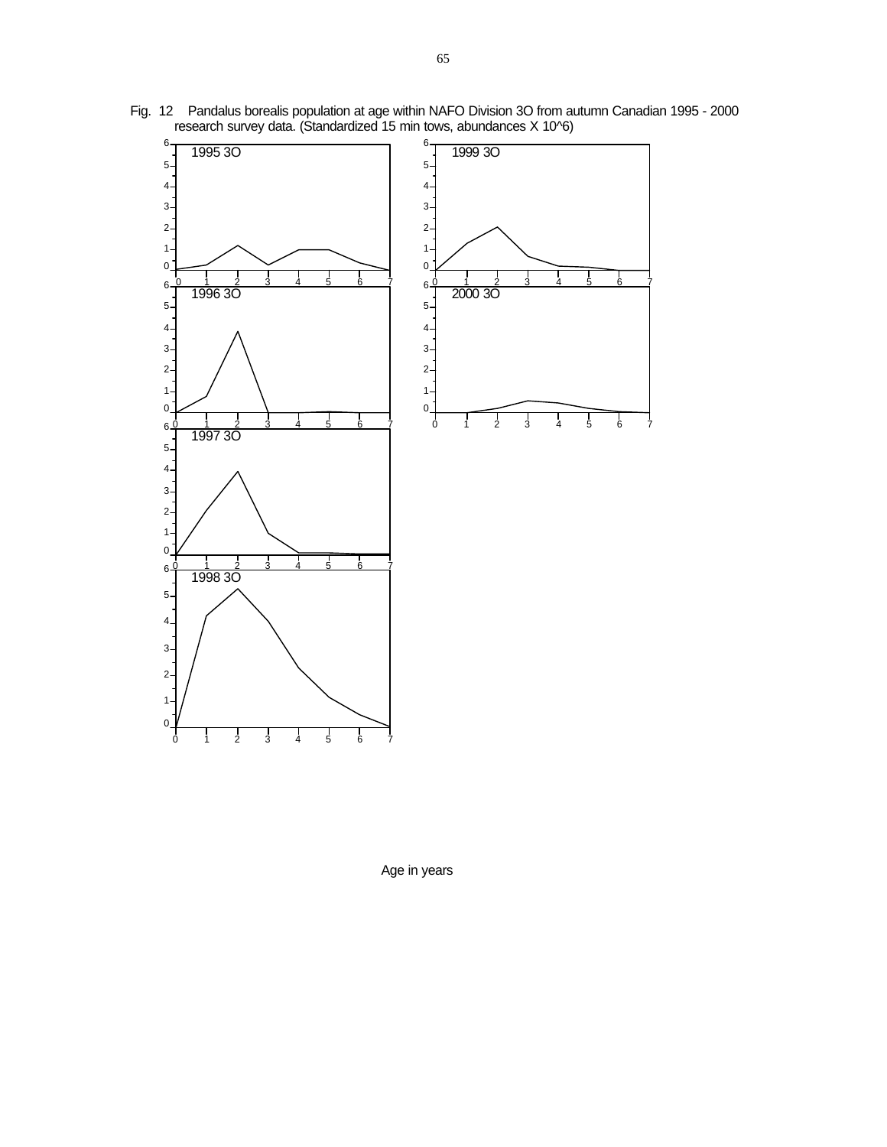

Fig. 12 Pandalus borealis population at age within NAFO Division 3O from autumn Canadian 1995 - 2000 research survey data. (Standardized 15 min tows, abundances X 10^6)

Age in years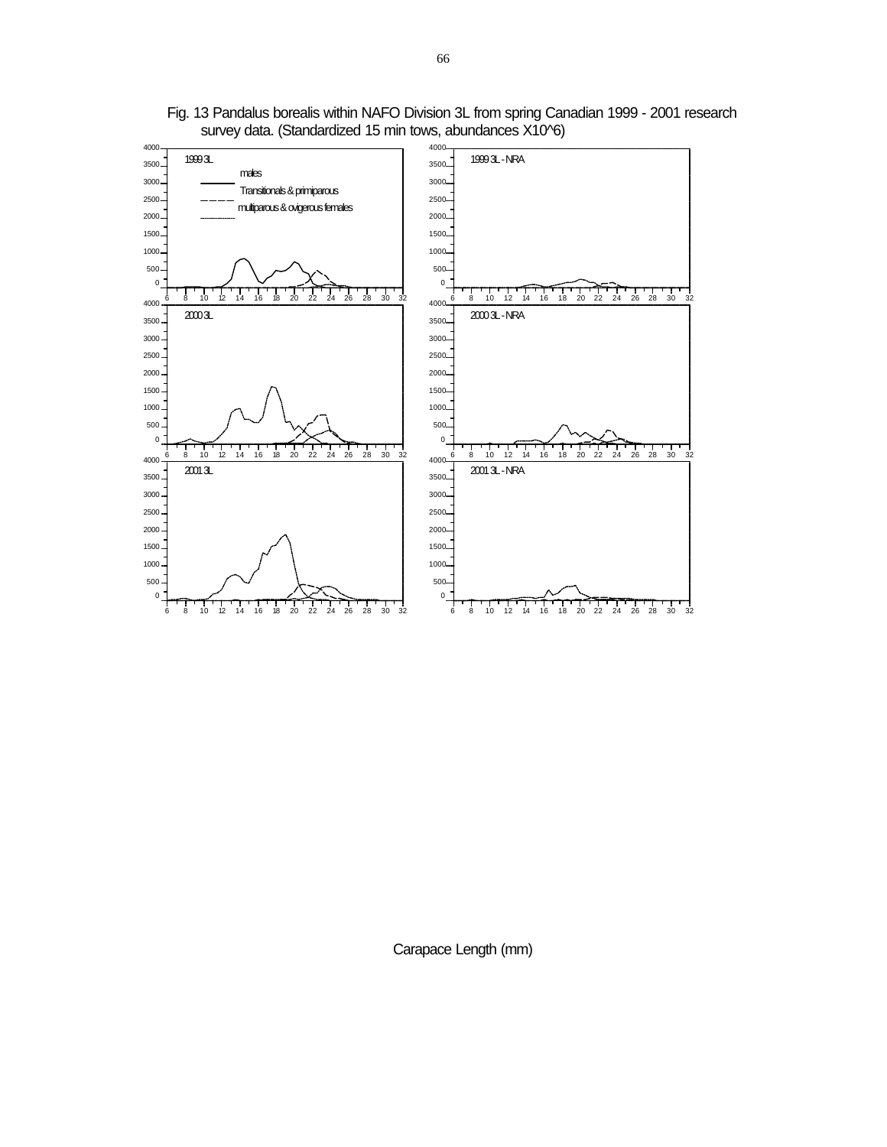

Fig. 13 Pandalus borealis within NAFO Division 3L from spring Canadian 1999 - 2001 research survey data. (Standardized 15 min tows, abundances X10^6)

Carapace Length (mm)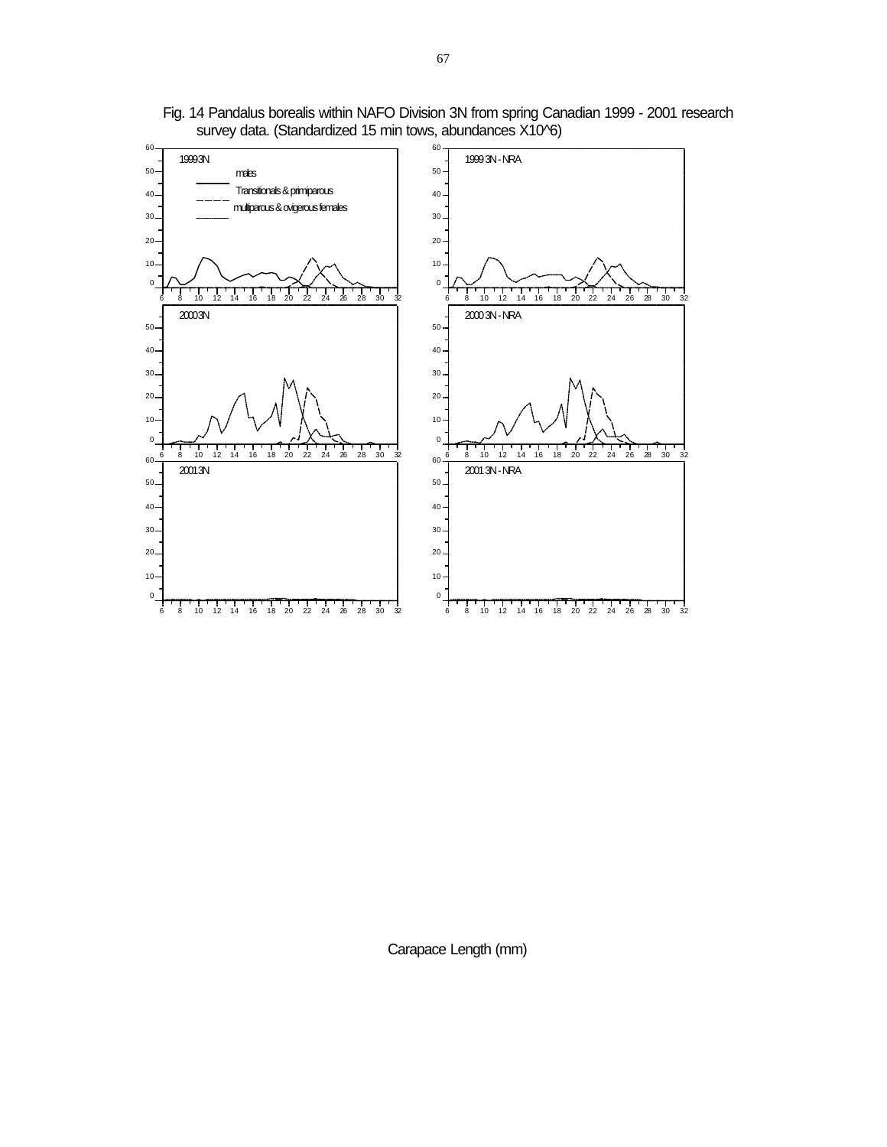

Fig. 14 Pandalus borealis within NAFO Division 3N from spring Canadian 1999 - 2001 research survey data. (Standardized 15 min tows, abundances X10^6)

Carapace Length (mm)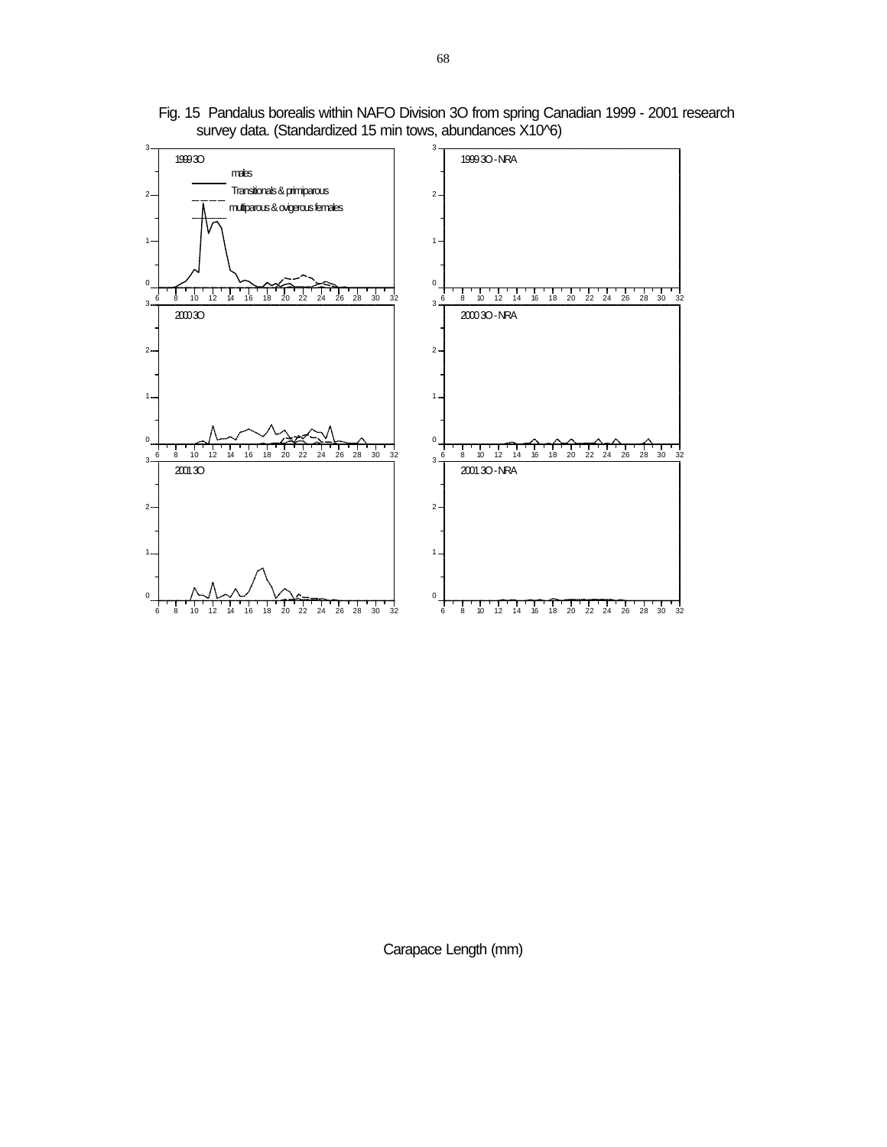

Fig. 15 Pandalus borealis within NAFO Division 3O from spring Canadian 1999 - 2001 research survey data. (Standardized 15 min tows, abundances X10^6)

Carapace Length (mm)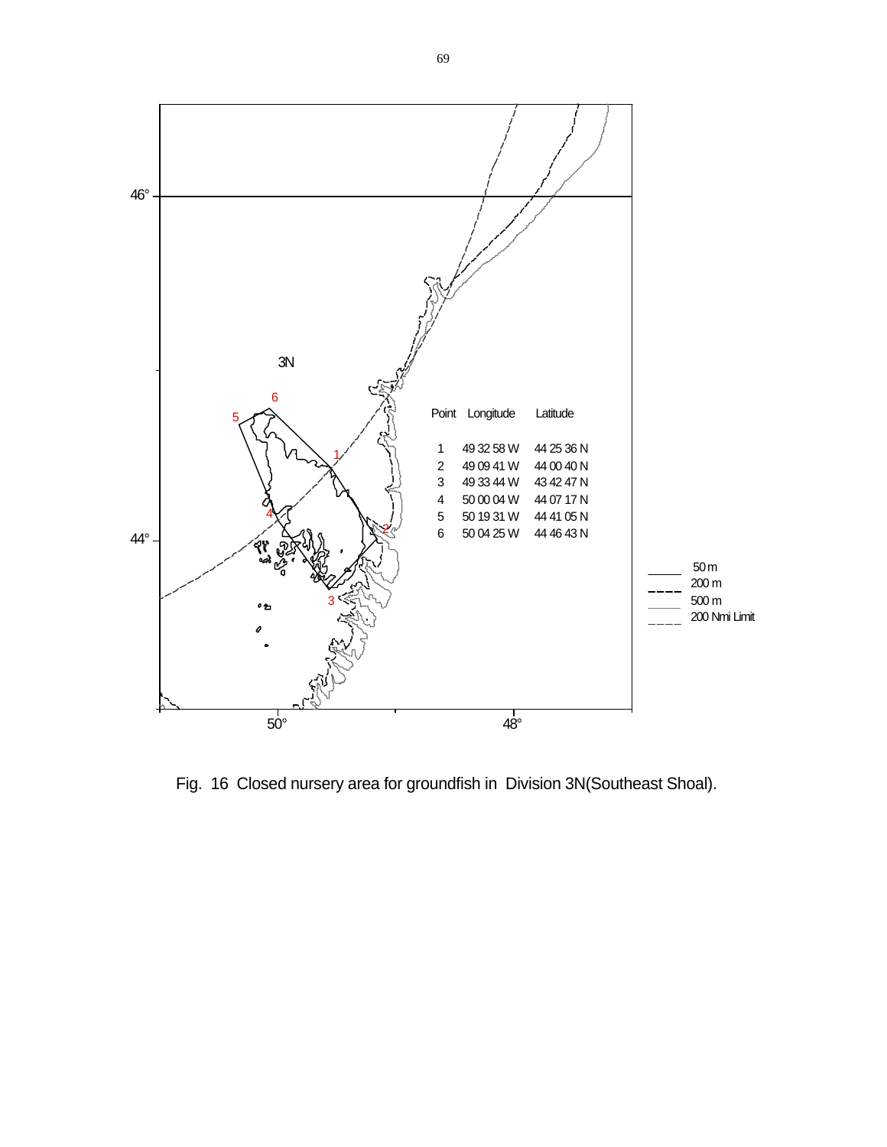

Fig. 16 Closed nursery area for groundfish in Division 3N(Southeast Shoal).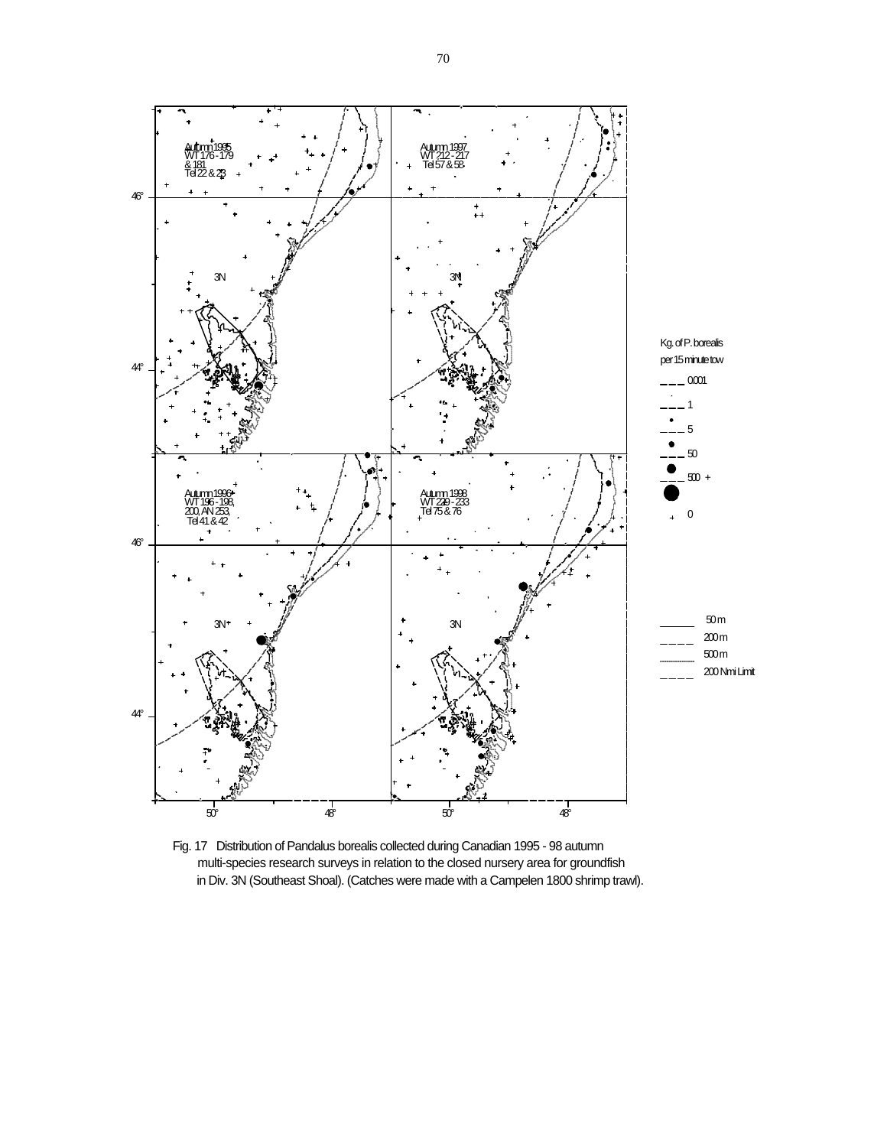

Fig. 17 Distribution of Pandalus borealis collected during Canadian 1995 - 98 autumn multi-species research surveys in relation to the closed nursery area for groundfish in Div. 3N (Southeast Shoal). (Catches were made with a Campelen 1800 shrimp trawl).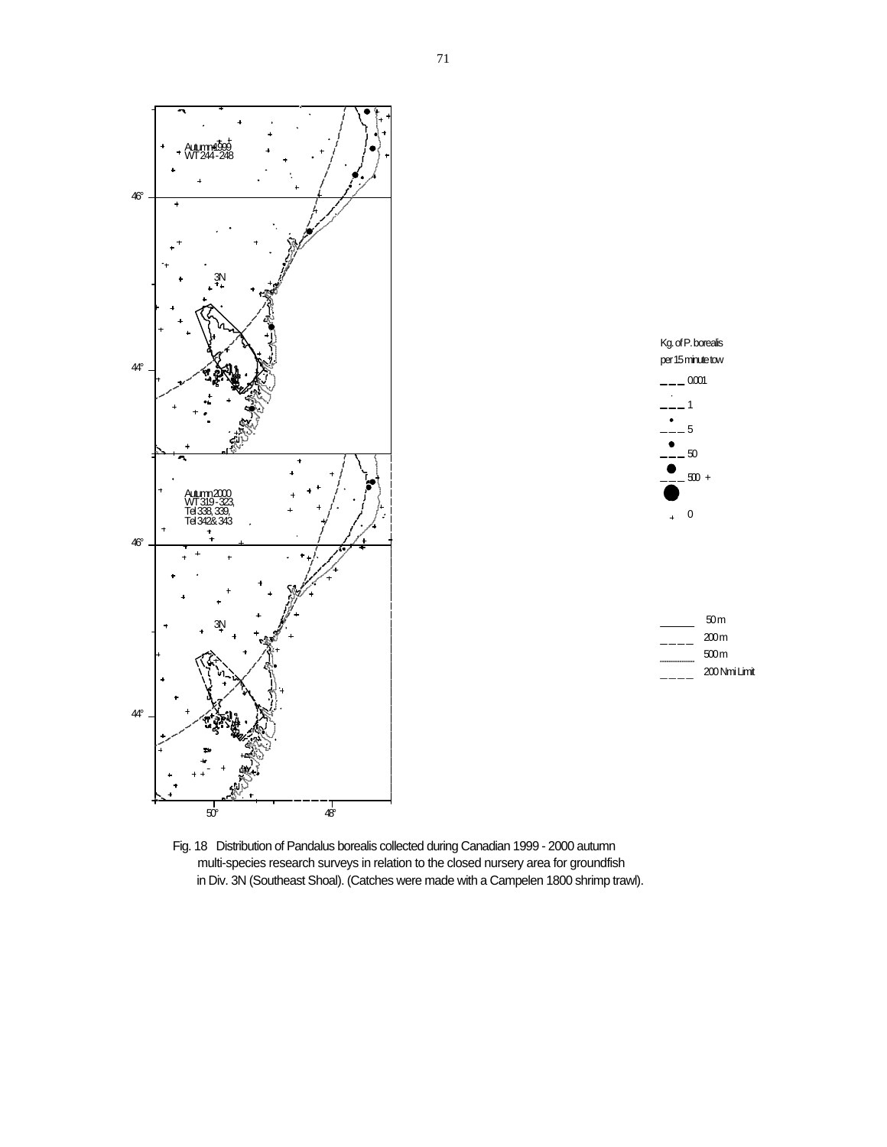



| 50m           |
|---------------|
| 200 m         |
| 500m          |
| 200 Nmi Limit |
|               |

Fig. 18 Distribution of Pandalus borealis collected during Canadian 1999 - 2000 autumn multi-species research surveys in relation to the closed nursery area for groundfish in Div. 3N (Southeast Shoal). (Catches were made with a Campelen 1800 shrimp trawl).